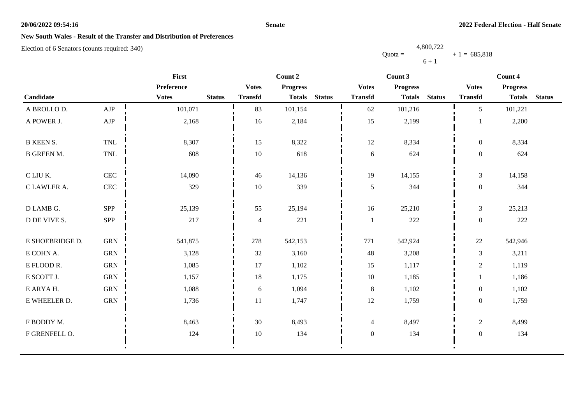### **Senate**

## **New South Wales - Result of the Transfer and Distribution of Preferences**

Election of 6 Senators (counts required: 340)

|                   |                             | First        | Count 2       |                |                 |               | Count 3          |                 | Count 4       |                  |                 |               |
|-------------------|-----------------------------|--------------|---------------|----------------|-----------------|---------------|------------------|-----------------|---------------|------------------|-----------------|---------------|
|                   |                             | Preference   |               | <b>Votes</b>   | <b>Progress</b> |               | <b>Votes</b>     | <b>Progress</b> |               | <b>Votes</b>     | <b>Progress</b> |               |
| Candidate         |                             | <b>Votes</b> | <b>Status</b> | <b>Transfd</b> | <b>Totals</b>   | <b>Status</b> | <b>Transfd</b>   | <b>Totals</b>   | <b>Status</b> | <b>Transfd</b>   | <b>Totals</b>   | <b>Status</b> |
| A BROLLO D.       | AJP                         | 101,071      |               | 83             | 101,154         |               | 62               | 101,216         |               | 5                | 101,221         |               |
| A POWER J.        | ${\rm AJP}$                 | 2,168        |               | 16             | 2,184           |               | 15               | 2,199           |               |                  | 2,200           |               |
| <b>B KEEN S.</b>  | <b>TNL</b>                  | 8,307        |               | 15             | 8,322           |               | $12\,$           | 8,334           |               | $\boldsymbol{0}$ | 8,334           |               |
| <b>B GREEN M.</b> | $\ensuremath{\mathsf{TNL}}$ | 608          |               | $10\,$         | 618             |               | 6                | 624             |               | $\boldsymbol{0}$ | 624             |               |
| C LIU K.          | $\mbox{CEC}$                | 14,090       |               | 46             | 14,136          |               | 19               | 14,155          |               | 3                | 14,158          |               |
| C LAWLER A.       | CEC                         | 329          |               | $10\,$         | 339             |               | 5                | 344             |               | $\boldsymbol{0}$ | 344             |               |
| D LAMB G.         | SPP                         | 25,139       |               | 55             | 25,194          |               | 16               | 25,210          |               | $\overline{3}$   | 25,213          |               |
| D DE VIVE S.      | SPP                         | 217          |               | $\overline{4}$ | 221             |               | $\mathbf{1}$     | $222\,$         |               | $\boldsymbol{0}$ | 222             |               |
| E SHOEBRIDGE D.   | <b>GRN</b>                  | 541,875      |               | 278            | 542,153         |               | 771              | 542,924         |               | 22               | 542,946         |               |
| E COHN A.         | ${\rm GRN}$                 | 3,128        |               | 32             | 3,160           |               | 48               | 3,208           |               | $\mathfrak{Z}$   | 3,211           |               |
| E FLOOD R.        | ${\rm GRN}$                 | 1,085        |               | 17             | 1,102           |               | 15               | 1,117           |               | $\sqrt{2}$       | 1,119           |               |
| E SCOTT J.        | ${\rm GRN}$                 | 1,157        |               | 18             | 1,175           |               | $10\,$           | 1,185           |               |                  | 1,186           |               |
| E ARYAH.          | ${\rm GRN}$                 | 1,088        |               | 6              | 1,094           |               | $\,8\,$          | 1,102           |               | $\boldsymbol{0}$ | 1,102           |               |
| E WHEELER D.      | ${\rm GRN}$                 | 1,736        |               | 11             | 1,747           |               | 12               | 1,759           |               | $\boldsymbol{0}$ | 1,759           |               |
| F BODDY M.        |                             | 8,463        |               | 30             | 8,493           |               | $\overline{4}$   | 8,497           |               | $\sqrt{2}$       | 8,499           |               |
| F GRENFELL O.     |                             | 124          |               | $10\,$         | 134             |               | $\boldsymbol{0}$ | 134             |               | $\boldsymbol{0}$ | 134             |               |
|                   |                             |              |               |                |                 |               |                  |                 |               |                  |                 |               |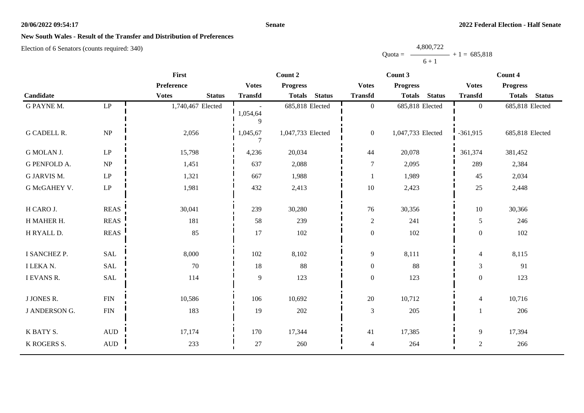### **Senate**

## **New South Wales - Result of the Transfer and Distribution of Preferences**

Election of 6 Senators (counts required: 340)

|                      |                            | First                         |                         | Count 2                        |                  | Count 3                        | Count 4                  |                                |  |
|----------------------|----------------------------|-------------------------------|-------------------------|--------------------------------|------------------|--------------------------------|--------------------------|--------------------------------|--|
|                      |                            | Preference                    | <b>Votes</b>            | <b>Progress</b>                | <b>Votes</b>     | <b>Progress</b>                | <b>Votes</b>             | <b>Progress</b>                |  |
| Candidate            |                            | <b>Votes</b><br><b>Status</b> | <b>Transfd</b>          | <b>Status</b><br><b>Totals</b> | <b>Transfd</b>   | <b>Status</b><br><b>Totals</b> | <b>Transfd</b>           | <b>Status</b><br><b>Totals</b> |  |
| <b>G PAYNE M.</b>    | $\mathrm{LP}$              | 1,740,467 Elected             | 1,054,64<br>$\mathbf Q$ | 685,818 Elected                | $\overline{0}$   | 685,818 Elected                | $\overline{0}$           | 685,818 Elected                |  |
| <b>G CADELL R.</b>   | NP                         | 2,056                         | 1,045,67                | 1,047,733 Elected              | $\mathbf{0}$     | 1,047,733 Elected              | $-361,915$               | 685,818 Elected                |  |
| G MOLAN J.           | $\ensuremath{\mathrm{LP}}$ | 15,798                        | 4,236                   | 20,034                         | $44$             | 20,078                         | 361,374                  | 381,452                        |  |
| <b>G PENFOLD A.</b>  | NP                         | 1,451                         | 637                     | 2,088                          | $\boldsymbol{7}$ | 2,095                          | 289                      | 2,384                          |  |
| G JARVIS M.          | $\operatorname{LP}$        | 1,321                         | 667                     | 1,988                          | $\mathbf{1}$     | 1,989                          | 45                       | 2,034                          |  |
| G McGAHEY V.         | $\ensuremath{\mathrm{LP}}$ | 1,981                         | 432                     | 2,413                          | $10\,$           | 2,423                          | 25                       | 2,448                          |  |
| H CARO J.            | <b>REAS</b>                | 30,041                        | 239                     | 30,280                         | 76               | 30,356                         | 10                       | 30,366                         |  |
| H MAHER H.           | <b>REAS</b>                | 181                           | 58                      | 239                            | $\overline{2}$   | 241                            | 5                        | 246                            |  |
| H RYALL D.           | <b>REAS</b>                | 85                            | 17                      | 102                            | $\boldsymbol{0}$ | 102                            | $\theta$                 | 102                            |  |
| I SANCHEZ P.         | SAL                        | 8,000                         | 102                     | 8,102                          | 9                | 8,111                          | 4                        | 8,115                          |  |
| <b>I LEKA N.</b>     | SAL                        | 70                            | 18                      | 88                             | $\mathbf{0}$     | 88                             | 3                        | 91                             |  |
| I EVANS R.           | <b>SAL</b>                 | 114                           | 9                       | 123                            | $\boldsymbol{0}$ | 123                            | $\theta$                 | 123                            |  |
| <b>J JONES R.</b>    | <b>FIN</b>                 | 10,586                        | 106                     | 10,692                         | $20\,$           | 10,712                         | $\overline{\mathcal{L}}$ | 10,716                         |  |
| <b>J ANDERSON G.</b> | ${\rm FIN}$                | 183                           | 19                      | 202                            | $\mathfrak{Z}$   | 205                            |                          | 206                            |  |
| K BATY S.            | $\mbox{AUD}$               | 17,174                        | 170                     | 17,344                         | 41               | 17,385                         | 9                        | 17,394                         |  |
| K ROGERS S.          | $\hbox{AUD}$               | 233                           | 27                      | 260                            | 4                | 264                            | $\sqrt{2}$               | 266                            |  |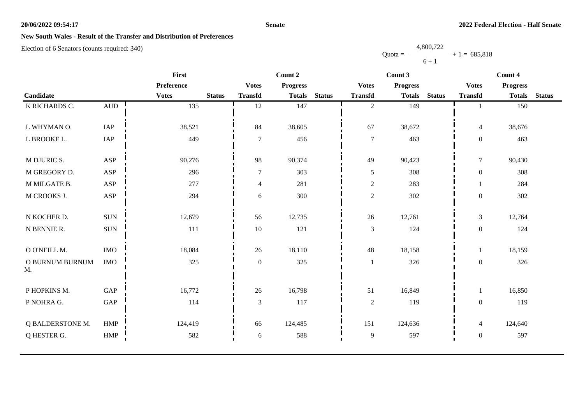### **Senate**

## **New South Wales - Result of the Transfer and Distribution of Preferences**

Election of 6 Senators (counts required: 340)

|                  |              | First        |               |                  |                 | Count 2       |                  |                 |               | Count 4          |                 |               |
|------------------|--------------|--------------|---------------|------------------|-----------------|---------------|------------------|-----------------|---------------|------------------|-----------------|---------------|
|                  |              | Preference   |               | <b>Votes</b>     | <b>Progress</b> |               | <b>Votes</b>     | <b>Progress</b> |               | <b>Votes</b>     | <b>Progress</b> |               |
| Candidate        |              | <b>Votes</b> | <b>Status</b> | <b>Transfd</b>   | <b>Totals</b>   | <b>Status</b> | <b>Transfd</b>   | <b>Totals</b>   | <b>Status</b> | <b>Transfd</b>   | <b>Totals</b>   | <b>Status</b> |
| K RICHARDS C.    | $\hbox{AUD}$ | 135          |               | 12               | 147             |               | $\overline{2}$   | 149             |               |                  | 150             |               |
|                  |              |              |               |                  |                 |               |                  |                 |               |                  |                 |               |
| L WHYMAN O.      | IAP          | 38,521       |               | 84               | 38,605          |               | 67               | 38,672          |               | $\overline{4}$   | 38,676          |               |
| L BROOKE L.      | IAP          | 449          |               | $\overline{7}$   | 456             |               | $\boldsymbol{7}$ | 463             |               | $\boldsymbol{0}$ | 463             |               |
| M DJURIC S.      | <b>ASP</b>   | 90,276       |               | 98               | 90,374          |               | 49               | 90,423          |               | $\tau$           | 90,430          |               |
|                  |              |              |               |                  |                 |               |                  |                 |               |                  |                 |               |
| M GREGORY D.     | ASP          | 296          |               | $\overline{7}$   | 303             |               | 5                | 308             |               | $\boldsymbol{0}$ | 308             |               |
| M MILGATE B.     | ASP          | 277          |               | $\overline{4}$   | 281             |               | $\sqrt{2}$       | 283             |               |                  | 284             |               |
| M CROOKS J.      | <b>ASP</b>   | 294          |               | 6                | 300             |               | $\sqrt{2}$       | 302             |               | $\boldsymbol{0}$ | 302             |               |
|                  |              |              |               |                  |                 |               |                  |                 |               |                  |                 |               |
| N KOCHER D.      | <b>SUN</b>   | 12,679       |               | 56               | 12,735          |               | 26               | 12,761          |               | $\mathfrak{Z}$   | 12,764          |               |
| N BENNIE R.      | <b>SUN</b>   | 111          |               | 10               | 121             |               | $\mathfrak{Z}$   | 124             |               | $\boldsymbol{0}$ | 124             |               |
|                  |              |              |               |                  |                 |               |                  |                 |               |                  |                 |               |
| O O'NEILL M.     | <b>IMO</b>   | 18,084       |               | 26               | 18,110          |               | 48               | 18,158          |               | 1                | 18,159          |               |
| O BURNUM BURNUM  | $\rm{IMO}$   | 325          |               | $\boldsymbol{0}$ | 325             |               |                  | 326             |               | $\boldsymbol{0}$ | 326             |               |
| M.               |              |              |               |                  |                 |               |                  |                 |               |                  |                 |               |
| P HOPKINS M.     | GAP          | 16,772       |               | 26               | 16,798          |               | 51               | 16,849          |               | 1                | 16,850          |               |
| P NOHRA G.       | GAP          | 114          |               | 3                | 117             |               | $\sqrt{2}$       | 119             |               | $\boldsymbol{0}$ | 119             |               |
|                  |              |              |               |                  |                 |               |                  |                 |               |                  |                 |               |
| Q BALDERSTONE M. | <b>HMP</b>   | 124,419      |               | 66               | 124,485         |               | 151              | 124,636         |               | $\overline{4}$   | 124,640         |               |
| Q HESTER G.      | HMP          | 582          |               | 6                | 588             |               | $\overline{9}$   | 597             |               | $\boldsymbol{0}$ | 597             |               |
|                  |              |              |               |                  |                 |               |                  |                 |               |                  |                 |               |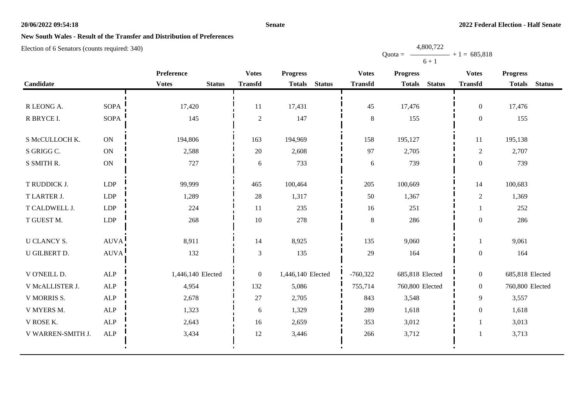### **Senate**

Quota =

4,800,722

 $+ 1 = 685,818$ 

## **New South Wales - Result of the Transfer and Distribution of Preferences**

|                    |             |                               |                |                   |               | $6 + 1$        |                 |               |                  |                 |               |
|--------------------|-------------|-------------------------------|----------------|-------------------|---------------|----------------|-----------------|---------------|------------------|-----------------|---------------|
|                    |             | Preference                    | <b>Votes</b>   | <b>Progress</b>   |               | <b>Votes</b>   | <b>Progress</b> |               | <b>Votes</b>     | <b>Progress</b> |               |
| Candidate          |             | <b>Votes</b><br><b>Status</b> | <b>Transfd</b> | <b>Totals</b>     | <b>Status</b> | <b>Transfd</b> | <b>Totals</b>   | <b>Status</b> | <b>Transfd</b>   | <b>Totals</b>   | <b>Status</b> |
|                    |             |                               |                |                   |               |                |                 |               |                  |                 |               |
| R LEONG A.         | <b>SOPA</b> | 17,420                        | 11             | 17,431            |               | 45             | 17,476          |               | $\overline{0}$   | 17,476          |               |
| R BRYCE I.         | <b>SOPA</b> | 145                           | $\overline{c}$ | 147               |               | 8              | 155             |               | $\overline{0}$   | 155             |               |
|                    |             |                               |                |                   |               |                |                 |               |                  |                 |               |
| S McCULLOCH K.     | ON          | 194,806                       | 163            | 194,969           |               | 158            | 195,127         |               | 11               | 195,138         |               |
| S GRIGG C.         | <b>ON</b>   | 2,588                         | 20             | 2,608             |               | 97             | 2,705           |               | $\overline{2}$   | 2,707           |               |
| S SMITH R.         | ON          | 727                           | 6              | 733               |               | 6              | 739             |               | $\overline{0}$   | 739             |               |
|                    |             |                               |                |                   |               |                |                 |               |                  |                 |               |
| T RUDDICK J.       | <b>LDP</b>  | 99,999                        | 465            | 100,464           |               | 205            | 100,669         |               | 14               | 100,683         |               |
| T LARTER J.        | LDP         | 1,289                         | 28             | 1,317             |               | 50             | 1,367           |               | $\overline{c}$   | 1,369           |               |
| T CALDWELL J.      | <b>LDP</b>  | 224                           | 11             | 235               |               | 16             | 251             |               | $\mathbf{1}$     | 252             |               |
| T GUEST M.         | <b>LDP</b>  | 268                           | 10             | 278               |               | 8              | 286             |               | $\mathbf{0}$     | 286             |               |
|                    |             |                               |                |                   |               |                |                 |               |                  |                 |               |
| <b>U CLANCY S.</b> | <b>AUVA</b> | 8,911                         | 14             | 8,925             |               | 135            | 9,060           |               | $\mathbf{1}$     | 9,061           |               |
| U GILBERT D.       | AUVA!       | 132                           | $\mathfrak{Z}$ | 135               |               | 29             | 164             |               | $\boldsymbol{0}$ | 164             |               |
|                    |             |                               |                |                   |               |                |                 |               |                  |                 |               |
| V O'NEILL D.       | ALP         | 1,446,140 Elected             | $\overline{0}$ | 1,446,140 Elected |               | $-760,322$     | 685,818 Elected |               | $\overline{0}$   | 685,818 Elected |               |
| V McALLISTER J.    | <b>ALP</b>  | 4,954                         | 132            | 5,086             |               | 755,714        | 760,800 Elected |               | $\overline{0}$   | 760,800 Elected |               |
| V MORRIS S.        | ALP         | 2,678                         | 27             | 2,705             |               | 843            | 3,548           |               | 9                | 3,557           |               |
| V MYERS M.         | ALP         | 1,323                         | 6              | 1,329             |               | 289            | 1,618           |               | $\overline{0}$   | 1,618           |               |
| V ROSE K.          | ALP         | 2,643                         | 16             | 2,659             |               | 353            | 3,012           |               | $\mathbf{1}$     | 3,013           |               |
| V WARREN-SMITH J.  | ALP         | 3,434                         | 12             | 3,446             |               | 266            | 3,712           |               | $\mathbf{1}$     | 3,713           |               |
|                    |             |                               |                |                   |               |                |                 |               |                  |                 |               |
|                    |             |                               |                |                   |               |                |                 |               |                  |                 |               |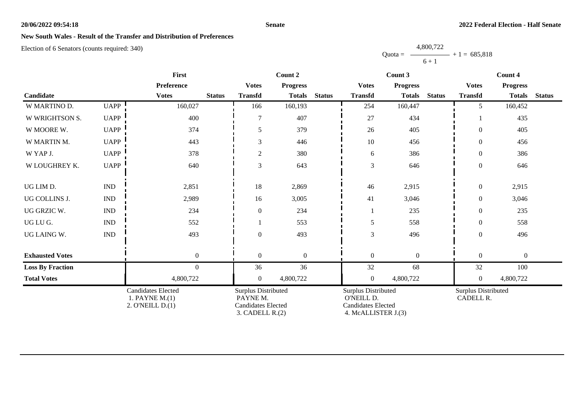### **Senate**

## **New South Wales - Result of the Transfer and Distribution of Preferences**

Election of 6 Senators (counts required: 340)

|                         |                           | First                                                           |               | Count 2                                                                              |                  |               | Count 3                                                                                      |                  | Count 4       |                                         |                  |               |
|-------------------------|---------------------------|-----------------------------------------------------------------|---------------|--------------------------------------------------------------------------------------|------------------|---------------|----------------------------------------------------------------------------------------------|------------------|---------------|-----------------------------------------|------------------|---------------|
|                         |                           | Preference                                                      |               | <b>Votes</b>                                                                         | <b>Progress</b>  |               | <b>Votes</b>                                                                                 | <b>Progress</b>  |               | <b>Votes</b>                            | <b>Progress</b>  |               |
| Candidate               |                           | <b>Votes</b>                                                    | <b>Status</b> | <b>Transfd</b>                                                                       | <b>Totals</b>    | <b>Status</b> | <b>Transfd</b>                                                                               | <b>Totals</b>    | <b>Status</b> | <b>Transfd</b>                          | <b>Totals</b>    | <b>Status</b> |
| W MARTINO D.            | <b>UAPP</b>               | 160,027                                                         |               | 166                                                                                  | 160,193          |               | 254                                                                                          | 160,447          |               | 5                                       | 160,452          |               |
| W WRIGHTSON S.          | <b>UAPP</b>               | 400                                                             |               | 7                                                                                    | 407              |               | $27\,$                                                                                       | 434              |               |                                         | 435              |               |
| W MOORE W.              | <b>UAPP</b>               | 374                                                             |               | 5                                                                                    | 379              |               | 26                                                                                           | 405              |               | $\Omega$                                | 405              |               |
| W MARTIN M.             | <b>UAPP</b>               | 443                                                             |               | 3                                                                                    | 446              |               | 10                                                                                           | 456              |               | $\theta$                                | 456              |               |
| W YAP J.                | <b>UAPP</b>               | 378                                                             |               | $\overline{c}$                                                                       | 380              |               | $\sqrt{6}$                                                                                   | 386              |               | $\boldsymbol{0}$                        | 386              |               |
| W LOUGHREY K.           | <b>UAPP</b>               | 640                                                             |               | 3                                                                                    | 643              |               | 3                                                                                            | 646              |               | $\overline{0}$                          | 646              |               |
| UG LIM D.               | $\ensuremath{\text{IND}}$ | 2,851                                                           |               | 18                                                                                   | 2,869            |               | 46                                                                                           | 2,915            |               | $\boldsymbol{0}$                        | 2,915            |               |
| UG COLLINS J.           | <b>IND</b>                | 2,989                                                           |               | 16                                                                                   | 3,005            |               | 41                                                                                           | 3,046            |               | $\theta$                                | 3,046            |               |
| UG GRZIC W.             | $\ensuremath{\text{IND}}$ | 234                                                             |               | $\overline{0}$                                                                       | 234              |               | $\mathbf{1}$                                                                                 | 235              |               | $\theta$                                | 235              |               |
| UG LU G.                | $\ensuremath{\text{IND}}$ | 552                                                             |               |                                                                                      | 553              |               | 5                                                                                            | 558              |               | $\overline{0}$                          | 558              |               |
| UG LAING W.             | $\ensuremath{\text{IND}}$ | 493                                                             |               | $\overline{0}$                                                                       | 493              |               | 3                                                                                            | 496              |               | $\Omega$                                | 496              |               |
| <b>Exhausted Votes</b>  |                           | $\boldsymbol{0}$                                                |               | $\overline{0}$                                                                       | $\boldsymbol{0}$ |               | $\boldsymbol{0}$                                                                             | $\boldsymbol{0}$ |               | $\boldsymbol{0}$                        | $\boldsymbol{0}$ |               |
| <b>Loss By Fraction</b> |                           | $\overline{0}$                                                  |               | 36                                                                                   | 36               |               | 32                                                                                           | 68               |               | 32                                      | 100              |               |
| <b>Total Votes</b>      |                           | 4,800,722                                                       |               | $\overline{0}$                                                                       | 4,800,722        |               | $\boldsymbol{0}$                                                                             | 4,800,722        |               | $\boldsymbol{0}$                        | 4,800,722        |               |
|                         |                           | <b>Candidates Elected</b><br>1. PAYNE M.(1)<br>2. O'NEILL D.(1) |               | Surplus Distributed<br>PAYNE M.<br><b>Candidates Elected</b><br>$3.$ CADELL R. $(2)$ |                  |               | <b>Surplus Distributed</b><br>O'NEILL D.<br><b>Candidates Elected</b><br>4. McALLISTER J.(3) |                  |               | <b>Surplus Distributed</b><br>CADELL R. |                  |               |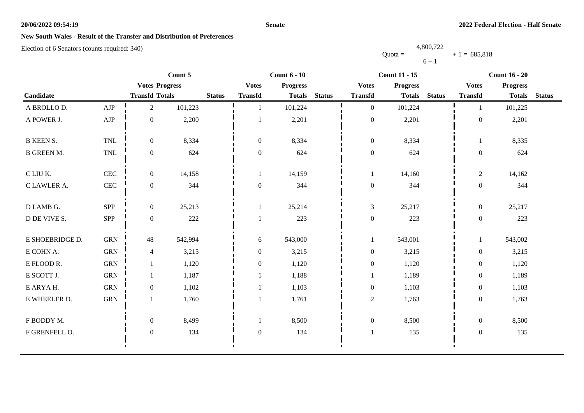### **Senate**

# **New South Wales - Result of the Transfer and Distribution of Preferences**

|           | 4,800,722 |                |
|-----------|-----------|----------------|
| $Quota =$ |           | $+1 = 685,818$ |
|           | $6 + 1$   |                |

|                   |                             |                       | Count 5 | Count $6 - 10$ |                  |                 |               | <b>Count 11 - 15</b> |                 | <b>Count 16 - 20</b> |                  |                 |               |
|-------------------|-----------------------------|-----------------------|---------|----------------|------------------|-----------------|---------------|----------------------|-----------------|----------------------|------------------|-----------------|---------------|
|                   |                             | <b>Votes Progress</b> |         |                | <b>Votes</b>     | <b>Progress</b> |               | <b>Votes</b>         | <b>Progress</b> |                      | <b>Votes</b>     | <b>Progress</b> |               |
| Candidate         |                             | <b>Transfd Totals</b> |         | <b>Status</b>  | <b>Transfd</b>   | <b>Totals</b>   | <b>Status</b> | <b>Transfd</b>       | <b>Totals</b>   | <b>Status</b>        | <b>Transfd</b>   | <b>Totals</b>   | <b>Status</b> |
| A BROLLO D.       | AJP                         | $\overline{2}$        | 101,223 |                |                  | 101,224         |               | $\mathbf{0}$         | 101,224         |                      |                  | 101,225         |               |
| A POWER J.        | ${\rm AJP}$                 | $\boldsymbol{0}$      | 2,200   |                |                  | 2,201           |               | $\boldsymbol{0}$     | 2,201           |                      | $\boldsymbol{0}$ | 2,201           |               |
| <b>B KEEN S.</b>  | <b>TNL</b>                  | $\overline{0}$        | 8,334   |                | $\overline{0}$   | 8,334           |               | $\boldsymbol{0}$     | 8,334           |                      |                  | 8,335           |               |
| <b>B GREEN M.</b> | $\ensuremath{\mathsf{TNL}}$ | $\overline{0}$        | 624     |                | $\boldsymbol{0}$ | 624             |               | $\boldsymbol{0}$     | 624             |                      | $\boldsymbol{0}$ | 624             |               |
| C LIU K.          | <b>CEC</b>                  | $\overline{0}$        | 14,158  |                |                  | 14,159          |               | 1                    | 14,160          |                      | $\overline{2}$   | 14,162          |               |
| C LAWLER A.       | CEC                         | $\overline{0}$        | 344     |                | $\boldsymbol{0}$ | 344             |               | $\boldsymbol{0}$     | 344             |                      | $\boldsymbol{0}$ | 344             |               |
| D LAMB G.         | <b>SPP</b>                  | $\overline{0}$        | 25,213  |                |                  | 25,214          |               | $\mathfrak{Z}$       | 25,217          |                      | $\overline{0}$   | 25,217          |               |
| D DE VIVE S.      | <b>SPP</b>                  | $\boldsymbol{0}$      | 222     |                |                  | 223             |               | $\boldsymbol{0}$     | 223             |                      | $\boldsymbol{0}$ | 223             |               |
| E SHOEBRIDGE D.   | <b>GRN</b>                  | 48                    | 542,994 |                | 6                | 543,000         |               | $\mathbf{1}$         | 543,001         |                      |                  | 543,002         |               |
| E COHN A.         | <b>GRN</b>                  | 4                     | 3,215   |                | $\boldsymbol{0}$ | 3,215           |               | $\boldsymbol{0}$     | 3,215           |                      | $\boldsymbol{0}$ | 3,215           |               |
| E FLOOD R.        | <b>GRN</b>                  |                       | 1,120   |                | $\mathbf{0}$     | 1,120           |               | $\boldsymbol{0}$     | 1,120           |                      | $\overline{0}$   | 1,120           |               |
| E SCOTT J.        | <b>GRN</b>                  |                       | 1,187   |                |                  | 1,188           |               | $\mathbf{1}$         | 1,189           |                      | $\boldsymbol{0}$ | 1,189           |               |
| E ARYAH.          | <b>GRN</b>                  | $\overline{0}$        | 1,102   |                |                  | 1,103           |               | $\boldsymbol{0}$     | 1,103           |                      | $\overline{0}$   | 1,103           |               |
| E WHEELER D.      | <b>GRN</b>                  | $\mathbf{1}$          | 1,760   |                |                  | 1,761           |               | $\overline{c}$       | 1,763           |                      | $\overline{0}$   | 1,763           |               |
| F BODDY M.        |                             | $\overline{0}$        | 8,499   |                |                  | 8,500           |               | $\boldsymbol{0}$     | 8,500           |                      | $\overline{0}$   | 8,500           |               |
| F GRENFELL O.     |                             | $\mathbf{0}$          | 134     |                | $\boldsymbol{0}$ | 134             |               | $\mathbf{1}$         | 135             |                      | $\boldsymbol{0}$ | 135             |               |
|                   |                             |                       |         |                |                  |                 |               |                      |                 |                      |                  |                 |               |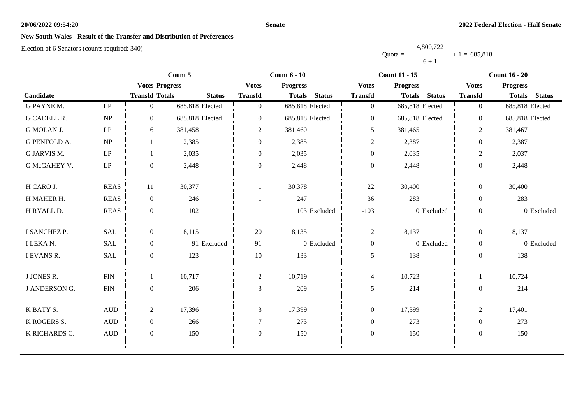### **Senate**

# **New South Wales - Result of the Transfer and Distribution of Preferences**

|           | 4,800,722 |                |
|-----------|-----------|----------------|
| $Quota =$ |           | $+1 = 685,818$ |
|           | $6 + 1$   |                |

|                     |                              |                       | Count 5         |                  | Count $6 - 10$                 |                  | <b>Count 11 - 15</b>           | <b>Count 16 - 20</b> |                 |               |
|---------------------|------------------------------|-----------------------|-----------------|------------------|--------------------------------|------------------|--------------------------------|----------------------|-----------------|---------------|
|                     |                              | <b>Votes Progress</b> |                 | <b>Votes</b>     | <b>Progress</b>                | <b>Votes</b>     | <b>Progress</b>                | <b>Votes</b>         | <b>Progress</b> |               |
| Candidate           |                              | <b>Transfd Totals</b> | <b>Status</b>   | <b>Transfd</b>   | <b>Status</b><br><b>Totals</b> | <b>Transfd</b>   | <b>Totals</b><br><b>Status</b> | <b>Transfd</b>       | <b>Totals</b>   | <b>Status</b> |
| G PAYNE M.          | $\operatorname{LP}$          | $\overline{0}$        | 685,818 Elected | $\overline{0}$   | 685,818 Elected                | $\boldsymbol{0}$ | 685,818 Elected                | $\overline{0}$       | 685,818 Elected |               |
| <b>G CADELL R.</b>  | NP                           | $\overline{0}$        | 685,818 Elected | $\mathbf{0}$     | 685,818 Elected                | $\overline{0}$   | 685,818 Elected                | $\overline{0}$       | 685,818 Elected |               |
| G MOLAN J.          | $\mathrm{L}\mathrm{P}$       | 6                     | 381,458         | 2                | 381,460                        | 5                | 381,465                        | $\overline{c}$       | 381,467         |               |
| <b>G PENFOLD A.</b> | NP                           |                       | 2,385           | $\mathbf{0}$     | 2,385                          | $\overline{c}$   | 2,387                          | $\overline{0}$       | 2,387           |               |
| G JARVIS M.         | $\mathbf{L}\mathbf{P}$       |                       | 2,035           | $\theta$         | 2,035                          | $\boldsymbol{0}$ | 2,035                          | $\overline{2}$       | 2,037           |               |
| G McGAHEY V.        | $\operatorname{LP}$          | $\overline{0}$        | 2,448           | $\mathbf{0}$     | 2,448                          | $\boldsymbol{0}$ | 2,448                          | $\boldsymbol{0}$     | 2,448           |               |
| H CARO J.           | <b>REAS</b>                  | 11                    | 30,377          | 1                | 30,378                         | 22               | 30,400                         | $\overline{0}$       | 30,400          |               |
|                     |                              |                       |                 |                  |                                |                  |                                |                      |                 |               |
| H MAHER H.          | <b>REAS</b>                  | $\overline{0}$        | 246             |                  | 247                            | 36               | 283                            | $\overline{0}$       | 283             |               |
| H RYALL D.          | <b>REAS</b>                  | $\overline{0}$        | 102             |                  | 103 Excluded                   | $-103$           | 0 Excluded                     | $\overline{0}$       |                 | 0 Excluded    |
| I SANCHEZ P.        | <b>SAL</b>                   | $\overline{0}$        | 8,115           | 20               | 8,135                          | $\overline{2}$   | 8,137                          | $\overline{0}$       | 8,137           |               |
| I LEKA N.           | SAL                          | $\overline{0}$        | 91 Excluded     | $-91$            | 0 Excluded                     | $\boldsymbol{0}$ | 0 Excluded                     | $\boldsymbol{0}$     |                 | 0 Excluded    |
| I EVANS R.          | SAL                          | $\overline{0}$        | 123             | 10               | 133                            | 5                | 138                            | $\overline{0}$       | 138             |               |
| J JONES R.          | <b>FIN</b>                   |                       | 10,717          | $\overline{2}$   | 10,719                         | $\overline{4}$   | 10,723                         | 1                    | 10,724          |               |
| J ANDERSON G.       | ${\rm FIN}$                  | $\overline{0}$        | 206             | 3                | 209                            | 5                | 214                            | $\overline{0}$       | 214             |               |
|                     |                              |                       |                 |                  |                                |                  |                                |                      |                 |               |
| K BATY S.           | $\mbox{AUD}$                 | $\overline{2}$        | 17,396          | 3                | 17,399                         | $\boldsymbol{0}$ | 17,399                         | $\overline{c}$       | 17,401          |               |
| K ROGERS S.         | $\mbox{AUD}$                 | $\boldsymbol{0}$      | 266             | $\overline{7}$   | 273                            | $\boldsymbol{0}$ | 273                            | $\overline{0}$       | 273             |               |
| K RICHARDS C.       | $\hbox{A}\mathrm{U}\hbox{D}$ | $\mathbf{0}$          | 150             | $\boldsymbol{0}$ | 150                            | $\boldsymbol{0}$ | 150                            | $\boldsymbol{0}$     | 150             |               |
|                     |                              |                       |                 |                  |                                |                  |                                |                      |                 |               |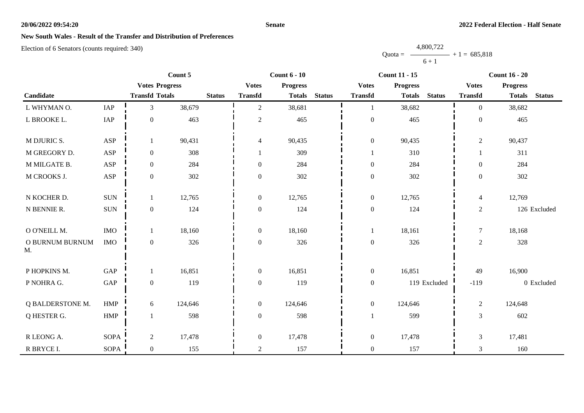### **Senate**

# **New South Wales - Result of the Transfer and Distribution of Preferences**

|           | 4,800,722 |                |
|-----------|-----------|----------------|
| $Quota =$ |           | $+1 = 685,818$ |
|           | $6 + 1$   |                |

|                         |                      | Count 5               |         | <b>Count 6 - 10</b> |                          | <b>Count 11 - 15</b> |               |                  | <b>Count 16 - 20</b> |               |                |                 |               |
|-------------------------|----------------------|-----------------------|---------|---------------------|--------------------------|----------------------|---------------|------------------|----------------------|---------------|----------------|-----------------|---------------|
|                         |                      | <b>Votes Progress</b> |         |                     | <b>Votes</b>             | <b>Progress</b>      |               | <b>Votes</b>     | <b>Progress</b>      |               | <b>Votes</b>   | <b>Progress</b> |               |
| Candidate               |                      | <b>Transfd Totals</b> |         | <b>Status</b>       | <b>Transfd</b>           | <b>Totals</b>        | <b>Status</b> | <b>Transfd</b>   | <b>Totals</b>        | <b>Status</b> | <b>Transfd</b> | <b>Totals</b>   | <b>Status</b> |
| L WHYMAN O.             | IAP                  | $\overline{3}$        | 38,679  |                     | $\overline{2}$           | 38,681               |               | $\mathbf{1}$     | 38,682               |               | $\Omega$       | 38,682          |               |
| L BROOKE L.             | IAP                  | $\boldsymbol{0}$      | 463     |                     | $\overline{c}$           | 465                  |               | $\boldsymbol{0}$ | 465                  |               | $\overline{0}$ | 465             |               |
| M DJURIC S.             | <b>ASP</b>           | 1                     | 90,431  |                     | $\overline{\mathcal{L}}$ | 90,435               |               | $\boldsymbol{0}$ | 90,435               |               | $\sqrt{2}$     | 90,437          |               |
| M GREGORY D.            | ASP                  | $\boldsymbol{0}$      | 308     |                     |                          | 309                  |               | $\mathbf{1}$     | 310                  |               |                | 311             |               |
| M MILGATE B.            | <b>ASP</b>           | $\mathbf{0}$          | 284     |                     | $\overline{0}$           | 284                  |               | $\boldsymbol{0}$ | 284                  |               | $\overline{0}$ | 284             |               |
| M CROOKS J.             | ASP                  | $\boldsymbol{0}$      | 302     |                     | $\boldsymbol{0}$         | 302                  |               | $\boldsymbol{0}$ | 302                  |               | $\overline{0}$ | 302             |               |
| N KOCHER D.             | $\rm SUN$            | 1                     | 12,765  |                     | $\overline{0}$           | 12,765               |               | $\boldsymbol{0}$ | 12,765               |               | $\overline{4}$ | 12,769          |               |
| N BENNIE R.             | $\rm SUN$            | $\boldsymbol{0}$      | 124     |                     | $\boldsymbol{0}$         | 124                  |               | $\boldsymbol{0}$ | 124                  |               | $\overline{2}$ |                 | 126 Excluded  |
| O O'NEILL M.            | <b>IMO</b>           | 1                     | 18,160  |                     | $\mathbf{0}$             | 18,160               |               | -1               | 18,161               |               | $\tau$         | 18,168          |               |
| O BURNUM BURNUM<br>M.   | <b>IMO</b>           | $\boldsymbol{0}$      | 326     |                     | $\overline{0}$           | 326                  |               | $\boldsymbol{0}$ | 326                  |               | $\overline{2}$ | 328             |               |
| P HOPKINS M.            | $\operatorname{GAP}$ | 1                     | 16,851  |                     | $\boldsymbol{0}$         | 16,851               |               | $\boldsymbol{0}$ | 16,851               |               | 49             | 16,900          |               |
| P NOHRA G.              | $\operatorname{GAP}$ | $\boldsymbol{0}$      | 119     |                     | $\overline{0}$           | 119                  |               | $\boldsymbol{0}$ |                      | 119 Excluded  | $-119$         |                 | 0 Excluded    |
| <b>Q BALDERSTONE M.</b> | <b>HMP</b>           | 6                     | 124,646 |                     | $\overline{0}$           | 124,646              |               | $\boldsymbol{0}$ | 124,646              |               | $\overline{2}$ | 124,648         |               |
| Q HESTER G.             | HMP                  |                       | 598     |                     | $\boldsymbol{0}$         | 598                  |               | $\mathbf{1}$     | 599                  |               | 3              | 602             |               |
| R LEONG A.              | <b>SOPA</b>          | $\sqrt{2}$            | 17,478  |                     | $\boldsymbol{0}$         | 17,478               |               | $\boldsymbol{0}$ | 17,478               |               | $\mathfrak{Z}$ | 17,481          |               |
| R BRYCE I.              | <b>SOPA</b>          | $\boldsymbol{0}$      | 155     |                     | $\overline{2}$           | 157                  |               | $\boldsymbol{0}$ | 157                  |               | 3              | 160             |               |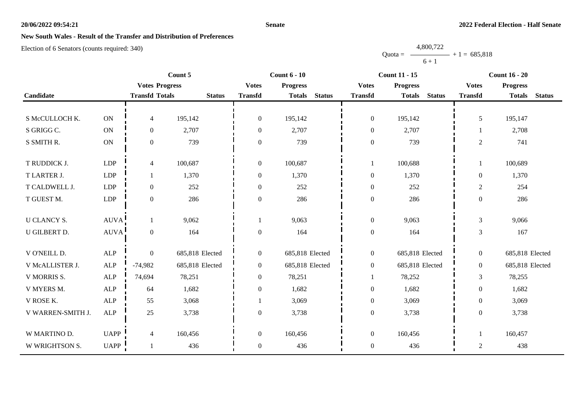### **Senate**

## **New South Wales - Result of the Transfer and Distribution of Preferences**

Election of 6 Senators (counts required: 340)

|                    |                       | Count 5               |                 | <b>Count 6 - 10</b> |                 |               | <b>Count 11 - 15</b> | <b>Count 16 - 20</b> |               |                |                 |               |
|--------------------|-----------------------|-----------------------|-----------------|---------------------|-----------------|---------------|----------------------|----------------------|---------------|----------------|-----------------|---------------|
|                    |                       | <b>Votes Progress</b> |                 | <b>Votes</b>        | <b>Progress</b> |               | <b>Votes</b>         | <b>Progress</b>      |               | <b>Votes</b>   | <b>Progress</b> |               |
| Candidate          |                       | <b>Transfd Totals</b> | <b>Status</b>   | <b>Transfd</b>      | <b>Totals</b>   | <b>Status</b> | <b>Transfd</b>       | <b>Totals</b>        | <b>Status</b> | <b>Transfd</b> | <b>Totals</b>   | <b>Status</b> |
|                    |                       |                       |                 |                     |                 |               |                      |                      |               |                |                 |               |
| S McCULLOCH K.     | <b>ON</b>             | $\overline{4}$        | 195,142         | $\mathbf{0}$        | 195,142         |               | $\boldsymbol{0}$     | 195,142              |               | 5              | 195,147         |               |
| S GRIGG C.         | $\mathbf{ON}$         | $\mathbf{0}$          | 2,707           | $\theta$            | 2,707           |               | $\boldsymbol{0}$     | 2,707                |               | 1              | 2,708           |               |
| S SMITH R.         | $\mathbf{ON}$         | $\boldsymbol{0}$      | 739             | $\Omega$            | 739             |               | $\boldsymbol{0}$     | 739                  |               | $\overline{2}$ | 741             |               |
|                    |                       |                       |                 |                     |                 |               |                      |                      |               |                |                 |               |
| T RUDDICK J.       | LDP                   | $\overline{4}$        | 100,687         | $\boldsymbol{0}$    | 100,687         |               |                      | 100,688              |               |                | 100,689         |               |
| T LARTER J.        | LDP                   | 1                     | 1,370           | $\overline{0}$      | 1,370           |               | $\boldsymbol{0}$     | 1,370                |               | $\overline{0}$ | 1,370           |               |
| T CALDWELL J.      | LDP                   | $\boldsymbol{0}$      | 252             | $\theta$            | 252             |               | $\boldsymbol{0}$     | 252                  |               | $\overline{2}$ | 254             |               |
| T GUEST M.         | LDP                   | $\boldsymbol{0}$      | 286             | $\theta$            | 286             |               | $\boldsymbol{0}$     | 286                  |               | $\overline{0}$ | 286             |               |
|                    |                       |                       |                 |                     |                 |               |                      |                      |               |                |                 |               |
| <b>U CLANCY S.</b> | $\operatorname{AUVA}$ | 1                     | 9,062           |                     | 9,063           |               | $\boldsymbol{0}$     | 9,063                |               | $\mathfrak{Z}$ | 9,066           |               |
| U GILBERT D.       | <b>AUVA</b>           | $\boldsymbol{0}$      | 164             | $\boldsymbol{0}$    | 164             |               | $\boldsymbol{0}$     | 164                  |               | $\overline{3}$ | 167             |               |
|                    |                       |                       |                 |                     |                 |               |                      |                      |               |                |                 |               |
| V O'NEILL D.       | ALP                   | $\mathbf{0}$          | 685,818 Elected | $\mathbf{0}$        | 685,818 Elected |               | $\boldsymbol{0}$     | 685,818 Elected      |               | $\overline{0}$ | 685,818 Elected |               |
| V McALLISTER J.    | $\mbox{ALP}$          | $-74,982$             | 685,818 Elected | $\overline{0}$      | 685,818 Elected |               | $\boldsymbol{0}$     | 685,818 Elected      |               | $\overline{0}$ | 685,818 Elected |               |
| V MORRIS S.        | ALP                   | 74,694                | 78,251          | $\mathbf{0}$        | 78,251          |               |                      | 78,252               |               | 3              | 78,255          |               |
| V MYERS M.         | ALP                   | 64                    | 1,682           | $\overline{0}$      | 1,682           |               | $\boldsymbol{0}$     | 1,682                |               | $\overline{0}$ | 1,682           |               |
| V ROSE K.          | <b>ALP</b>            | 55                    | 3,068           |                     | 3,069           |               | $\boldsymbol{0}$     | 3,069                |               | $\overline{0}$ | 3,069           |               |
| V WARREN-SMITH J.  | $\mbox{ALP}$          | $25\,$                | 3,738           | $\theta$            | 3,738           |               | $\boldsymbol{0}$     | 3,738                |               | $\overline{0}$ | 3,738           |               |
|                    |                       |                       |                 |                     |                 |               |                      |                      |               |                |                 |               |
| W MARTINO D.       | <b>UAPP</b>           | $\overline{4}$        | 160,456         | $\boldsymbol{0}$    | 160,456         |               | $\boldsymbol{0}$     | 160,456              |               | 1              | 160,457         |               |
| W WRIGHTSON S.     | <b>UAPP</b>           |                       | 436             | $\boldsymbol{0}$    | 436             |               | $\boldsymbol{0}$     | 436                  |               | $\overline{c}$ | 438             |               |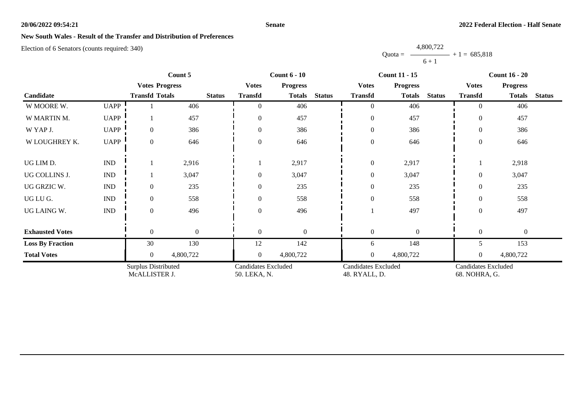### **Senate**

## **New South Wales - Result of the Transfer and Distribution of Preferences**

Election of 6 Senators (counts required: 340)

|                         | Count 5                     |                                      |              | <b>Count 6 - 10</b> |                                            |                 |               | <b>Count 11 - 15</b>                        | <b>Count 16 - 20</b> |               |                                             |                 |               |
|-------------------------|-----------------------------|--------------------------------------|--------------|---------------------|--------------------------------------------|-----------------|---------------|---------------------------------------------|----------------------|---------------|---------------------------------------------|-----------------|---------------|
|                         |                             | <b>Votes Progress</b>                |              |                     | <b>Votes</b>                               | <b>Progress</b> |               | <b>Votes</b>                                | <b>Progress</b>      |               | <b>Votes</b>                                | <b>Progress</b> |               |
| Candidate               |                             | <b>Transfd Totals</b>                |              | <b>Status</b>       | <b>Transfd</b>                             | <b>Totals</b>   | <b>Status</b> | <b>Transfd</b>                              | <b>Totals</b>        | <b>Status</b> | <b>Transfd</b>                              | <b>Totals</b>   | <b>Status</b> |
| W MOORE W.              | <b>UAPP</b>                 |                                      | 406          |                     | $\theta$                                   | 406             |               | $\overline{0}$                              | 406                  |               | $\theta$                                    | 406             |               |
| W MARTIN M.             | <b>UAPP</b>                 |                                      | 457          |                     | $\overline{0}$                             | 457             |               | $\boldsymbol{0}$                            | 457                  |               | $\overline{0}$                              | 457             |               |
| W YAP J.                | <b>UAPP</b>                 | $\overline{0}$                       | 386          |                     | $\overline{0}$                             | 386             |               | $\boldsymbol{0}$                            | 386                  |               | $\Omega$                                    | 386             |               |
| W LOUGHREY K.           | <b>UAPP</b>                 | $\mathbf{0}$                         | 646          |                     | $\mathbf{0}$                               | 646             |               | $\boldsymbol{0}$                            | 646                  |               | $\overline{0}$                              | 646             |               |
| UG LIM D.               | $\mathop{\rm IND}\nolimits$ |                                      | 2,916        |                     |                                            | 2,917           |               | $\boldsymbol{0}$                            | 2,917                |               |                                             | 2,918           |               |
| UG COLLINS J.           | $\mathop{\rm IND}\nolimits$ |                                      | 3,047        |                     | $\overline{0}$                             | 3,047           |               | $\boldsymbol{0}$                            | 3,047                |               | $\Omega$                                    | 3,047           |               |
| UG GRZIC W.             | $\mathop{\rm IND}\nolimits$ | $\mathbf{0}$                         | 235          |                     | $\overline{0}$                             | 235             |               | $\boldsymbol{0}$                            | 235                  |               | $\overline{0}$                              | 235             |               |
| UG LU G.                | $\mathop{\rm IND}\nolimits$ | $\overline{0}$                       | 558          |                     | $\theta$                                   | 558             |               | $\boldsymbol{0}$                            | 558                  |               | $\Omega$                                    | 558             |               |
| UG LAING W.             | $\ensuremath{\text{IND}}$   | $\overline{0}$                       | 496          |                     | $\overline{0}$                             | 496             |               |                                             | 497                  |               | $\Omega$                                    | 497             |               |
| <b>Exhausted Votes</b>  |                             | $\theta$                             | $\mathbf{0}$ |                     | $\theta$                                   | $\Omega$        |               | $\mathbf{0}$                                | $\theta$             |               | $\theta$                                    | $\mathbf{0}$    |               |
| <b>Loss By Fraction</b> |                             | 30                                   | 130          |                     | 12                                         | 142             |               | 6                                           | 148                  |               | 5                                           | 153             |               |
| <b>Total Votes</b>      |                             | $\Omega$                             | 4,800,722    |                     | $\overline{0}$                             | 4,800,722       |               | $\boldsymbol{0}$                            | 4,800,722            |               | $\overline{0}$                              | 4,800,722       |               |
|                         |                             | Surplus Distributed<br>McALLISTER J. |              |                     | <b>Candidates Excluded</b><br>50. LEKA, N. |                 |               | <b>Candidates Excluded</b><br>48. RYALL, D. |                      |               | <b>Candidates Excluded</b><br>68. NOHRA, G. |                 |               |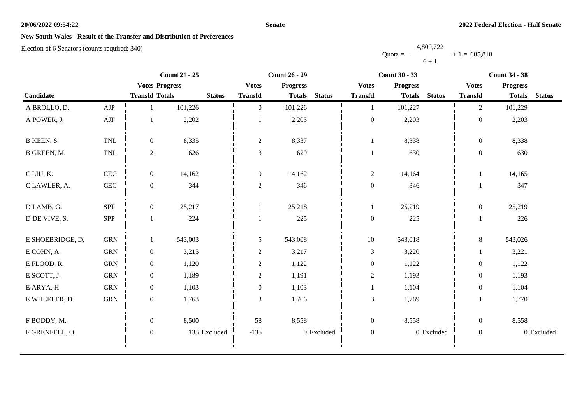### **Senate**

# **New South Wales - Result of the Transfer and Distribution of Preferences**

|           | 4,800,722 |                |
|-----------|-----------|----------------|
| $Quota =$ |           | $+1 = 685,818$ |
|           | $6 + 1$   |                |

|                  |              | <b>Count 21 - 25</b>  |               | <b>Count 26 - 29</b> |                 | <b>Count 30 - 33</b> |                  |                 | <b>Count 34 - 38</b> |                  |                 |               |
|------------------|--------------|-----------------------|---------------|----------------------|-----------------|----------------------|------------------|-----------------|----------------------|------------------|-----------------|---------------|
|                  |              | <b>Votes Progress</b> |               | <b>Votes</b>         | <b>Progress</b> |                      | <b>Votes</b>     | <b>Progress</b> |                      | <b>Votes</b>     | <b>Progress</b> |               |
| Candidate        |              | <b>Transfd Totals</b> | <b>Status</b> | <b>Transfd</b>       | <b>Totals</b>   | <b>Status</b>        | <b>Transfd</b>   | <b>Totals</b>   | <b>Status</b>        | <b>Transfd</b>   | <b>Totals</b>   | <b>Status</b> |
| A BROLLO, D.     | ${\rm AJP}$  |                       | 101,226       | $\mathbf{0}$         | 101,226         |                      | 1                | 101,227         |                      | $\overline{2}$   | 101,229         |               |
| A POWER, J.      | ${\rm AJP}$  |                       | 2,202         |                      | 2,203           |                      | $\boldsymbol{0}$ | 2,203           |                      | $\boldsymbol{0}$ | 2,203           |               |
| B KEEN, S.       | <b>TNL</b>   | $\overline{0}$        | 8,335         | $\sqrt{2}$           | 8,337           |                      | -1               | 8,338           |                      | $\boldsymbol{0}$ | 8,338           |               |
| B GREEN, M.      | $\mbox{TNL}$ | $\overline{2}$        | 626           | $\mathfrak{Z}$       | 629             |                      | $\mathbf{1}$     | 630             |                      | $\mathbf{0}$     | 630             |               |
| C LIU, K.        | $\mbox{CEC}$ | $\overline{0}$        | 14,162        | $\boldsymbol{0}$     | 14,162          |                      | $\sqrt{2}$       | 14,164          |                      |                  | 14,165          |               |
| C LAWLER, A.     | $\mbox{CEC}$ | $\overline{0}$        | 344           | $\sqrt{2}$           | 346             |                      | $\boldsymbol{0}$ | 346             |                      |                  | 347             |               |
| D LAMB, G.       | <b>SPP</b>   | $\overline{0}$        | 25,217        |                      | 25,218          |                      | 1                | 25,219          |                      | $\overline{0}$   | 25,219          |               |
| D DE VIVE, S.    | SPP          |                       | 224           |                      | 225             |                      | $\boldsymbol{0}$ | 225             |                      |                  | 226             |               |
| E SHOEBRIDGE, D. | <b>GRN</b>   | 1                     | 543,003       | $\sqrt{5}$           | 543,008         |                      | $10\,$           | 543,018         |                      | $\,8\,$          | 543,026         |               |
| E COHN, A.       | <b>GRN</b>   | $\overline{0}$        | 3,215         | $\sqrt{2}$           | 3,217           |                      | $\mathfrak 3$    | 3,220           |                      |                  | 3,221           |               |
| E FLOOD, R.      | <b>GRN</b>   | $\overline{0}$        | 1,120         | $\sqrt{2}$           | 1,122           |                      | $\boldsymbol{0}$ | 1,122           |                      | $\overline{0}$   | 1,122           |               |
| E SCOTT, J.      | <b>GRN</b>   | $\overline{0}$        | 1,189         | $\sqrt{2}$           | 1,191           |                      | $\sqrt{2}$       | 1,193           |                      | $\mathbf{0}$     | 1,193           |               |
| E ARYA, H.       | <b>GRN</b>   | $\overline{0}$        | 1,103         | $\boldsymbol{0}$     | 1,103           |                      |                  | 1,104           |                      | $\boldsymbol{0}$ | 1,104           |               |
| E WHEELER, D.    | <b>GRN</b>   | $\mathbf{0}$          | 1,763         | $\mathfrak{Z}$       | 1,766           |                      | $\mathfrak{Z}$   | 1,769           |                      |                  | 1,770           |               |
| F BODDY, M.      |              | $\overline{0}$        | 8,500         | 58                   | 8,558           |                      | $\boldsymbol{0}$ | 8,558           |                      | $\overline{0}$   | 8,558           |               |
| F GRENFELL, O.   |              | $\mathbf{0}$          | 135 Excluded  | $-135$               |                 | 0 Excluded           | $\boldsymbol{0}$ |                 | 0 Excluded           | $\overline{0}$   |                 | 0 Excluded    |
|                  |              |                       |               |                      |                 |                      |                  |                 |                      |                  |                 |               |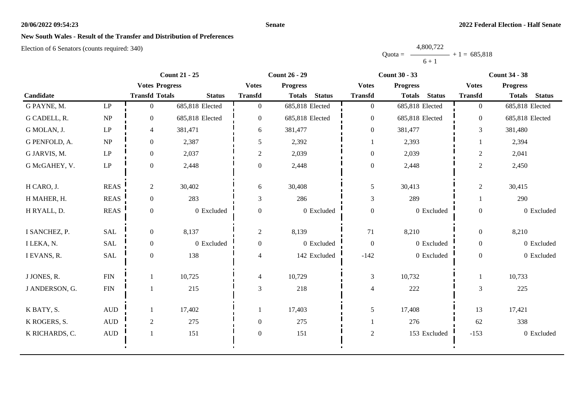### **Senate**

# **New South Wales - Result of the Transfer and Distribution of Preferences**

|           | 4,800,722 |                |
|-----------|-----------|----------------|
| $Quota =$ |           | $+1 = 685,818$ |
|           | $6 + 1$   |                |

|                |                     |                       | <b>Count 21 - 25</b> |                  | <b>Count 26 - 29</b>           |                  | <b>Count 30 - 33</b>           |                  | <b>Count 34 - 38</b>           |
|----------------|---------------------|-----------------------|----------------------|------------------|--------------------------------|------------------|--------------------------------|------------------|--------------------------------|
|                |                     | <b>Votes Progress</b> |                      | <b>Votes</b>     | <b>Progress</b>                | <b>Votes</b>     | <b>Progress</b>                | <b>Votes</b>     | <b>Progress</b>                |
| Candidate      |                     | <b>Transfd Totals</b> | <b>Status</b>        | <b>Transfd</b>   | <b>Status</b><br><b>Totals</b> | <b>Transfd</b>   | <b>Status</b><br><b>Totals</b> | <b>Transfd</b>   | <b>Status</b><br><b>Totals</b> |
| G PAYNE, M.    | $\operatorname{LP}$ | $\overline{0}$        | 685,818 Elected      | $\overline{0}$   | 685,818 Elected                | $\boldsymbol{0}$ | 685,818 Elected                | $\overline{0}$   | 685,818 Elected                |
| G CADELL, R.   | NP                  | $\overline{0}$        | 685,818 Elected      | $\overline{0}$   | 685,818 Elected                | $\boldsymbol{0}$ | 685,818 Elected                | $\overline{0}$   | 685,818 Elected                |
| G MOLAN, J.    | $\operatorname{LP}$ | $\overline{4}$        | 381,471              | 6                | 381,477                        | $\boldsymbol{0}$ | 381,477                        | 3                | 381,480                        |
| G PENFOLD, A.  | NP                  | $\boldsymbol{0}$      | 2,387                | 5                | 2,392                          |                  | 2,393                          |                  | 2,394                          |
| G JARVIS, M.   | $\operatorname{LP}$ | $\boldsymbol{0}$      | 2,037                | $\overline{c}$   | 2,039                          | $\boldsymbol{0}$ | 2,039                          | $\overline{c}$   | 2,041                          |
| G McGAHEY, V.  | $\operatorname{LP}$ | $\overline{0}$        | 2,448                | $\overline{0}$   | 2,448                          | $\boldsymbol{0}$ | 2,448                          | $\overline{c}$   | 2,450                          |
| H CARO, J.     | <b>REAS</b>         | $\overline{c}$        | 30,402               | 6                | 30,408                         | 5                | 30,413                         | $\overline{c}$   | 30,415                         |
| H MAHER, H.    | <b>REAS</b>         | $\overline{0}$        | 283                  | 3                | 286                            | $\mathfrak{Z}$   | 289                            | 1                | 290                            |
| H RYALL, D.    | <b>REAS</b>         | $\overline{0}$        | 0 Excluded           | $\boldsymbol{0}$ | 0 Excluded                     | $\boldsymbol{0}$ | 0 Excluded                     | $\boldsymbol{0}$ | 0 Excluded                     |
| I SANCHEZ, P.  | <b>SAL</b>          | $\overline{0}$        | 8,137                | 2                | 8,139                          | 71               | 8,210                          | $\overline{0}$   | 8,210                          |
| I LEKA, N.     | <b>SAL</b>          | $\overline{0}$        | 0 Excluded           | $\boldsymbol{0}$ | 0 Excluded                     | $\boldsymbol{0}$ | 0 Excluded                     | $\overline{0}$   | 0 Excluded                     |
| I EVANS, R.    | SAL                 | $\mathbf{0}$          | 138                  | 4                | 142 Excluded                   | $-142$           | 0 Excluded                     | $\overline{0}$   | 0 Excluded                     |
| J JONES, R.    | ${\rm FIN}$         |                       | 10,725               | $\overline{4}$   | 10,729                         | $\mathfrak{Z}$   | 10,732                         | 1                | 10,733                         |
| J ANDERSON, G. | ${\rm FIN}$         |                       | 215                  | 3                | 218                            | $\overline{4}$   | 222                            | 3                | 225                            |
| K BATY, S.     | $\mbox{AUD}$        |                       | 17,402               |                  | 17,403                         | 5                | 17,408                         | 13               | 17,421                         |
| K ROGERS, S.   | $\mbox{\rm AUD}$    | $\overline{c}$        | 275                  | $\boldsymbol{0}$ | 275                            | 1                | 276                            | 62               | 338                            |
| K RICHARDS, C. | $\mbox{\rm AUD}$    |                       | 151                  | $\boldsymbol{0}$ | 151                            | $\overline{2}$   | 153 Excluded                   | $-153$           | 0 Excluded                     |
|                |                     |                       |                      |                  |                                |                  |                                |                  |                                |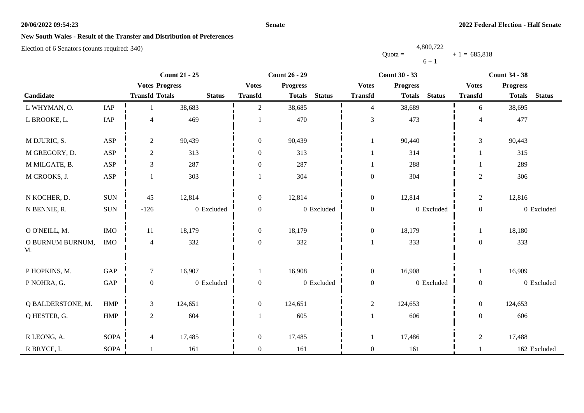### **Senate**

# **New South Wales - Result of the Transfer and Distribution of Preferences**

|           | 4,800,722 |                |
|-----------|-----------|----------------|
| $Quota =$ |           | $+1 = 685,818$ |
|           | $6 + 1$   |                |

|                        |                             |                       | <b>Count 21 - 25</b> |                  | <b>Count 26 - 29</b> |               |                  | <b>Count 30 - 33</b>           | <b>Count 34 - 38</b> |                 |               |
|------------------------|-----------------------------|-----------------------|----------------------|------------------|----------------------|---------------|------------------|--------------------------------|----------------------|-----------------|---------------|
|                        |                             | <b>Votes Progress</b> |                      | <b>Votes</b>     | <b>Progress</b>      |               | <b>Votes</b>     | <b>Progress</b>                | <b>Votes</b>         | <b>Progress</b> |               |
| Candidate              |                             | <b>Transfd Totals</b> | <b>Status</b>        | <b>Transfd</b>   | <b>Totals</b>        | <b>Status</b> | <b>Transfd</b>   | <b>Status</b><br><b>Totals</b> | <b>Transfd</b>       | <b>Totals</b>   | <b>Status</b> |
| L WHYMAN, O.           | IAP                         |                       | 38,683               | $\overline{2}$   | 38,685               |               | $\overline{4}$   | 38,689                         | 6                    | 38,695          |               |
| L BROOKE, L.           | $\ensuremath{\mathsf{IAP}}$ | $\overline{4}$        | 469                  |                  | 470                  |               | 3                | 473                            | $\overline{4}$       | 477             |               |
| M DJURIC, S.           | <b>ASP</b>                  | $\overline{c}$        | 90,439               | $\overline{0}$   | 90,439               |               | $\mathbf{1}$     | 90,440                         | 3                    | 90,443          |               |
| M GREGORY, D.          | <b>ASP</b>                  | $\overline{c}$        | 313                  | $\overline{0}$   | 313                  |               | $\mathbf{1}$     | 314                            |                      | 315             |               |
| M MILGATE, B.          | <b>ASP</b>                  | 3                     | 287                  | $\boldsymbol{0}$ | 287                  |               | $\mathbf{1}$     | 288                            |                      | 289             |               |
| M CROOKS, J.           | ASP                         |                       | 303                  |                  | 304                  |               | $\boldsymbol{0}$ | 304                            | $\boldsymbol{2}$     | 306             |               |
| N KOCHER, D.           | <b>SUN</b>                  | 45                    | 12,814               | $\mathbf{0}$     | 12,814               |               | $\boldsymbol{0}$ | 12,814                         | $\overline{c}$       | 12,816          |               |
| N BENNIE, R.           | <b>SUN</b>                  | $-126$                | 0 Excluded           | $\overline{0}$   |                      | 0 Excluded    | $\boldsymbol{0}$ | 0 Excluded                     | $\boldsymbol{0}$     |                 | 0 Excluded    |
| O O'NEILL, M.          | <b>IMO</b>                  | 11                    | 18,179               | $\overline{0}$   | 18,179               |               | $\boldsymbol{0}$ | 18,179                         | $\mathbf{1}$         | 18,180          |               |
| O BURNUM BURNUM,<br>M. | <b>IMO</b>                  | $\overline{4}$        | 332                  | $\overline{0}$   | 332                  |               | $\mathbf{1}$     | 333                            | $\overline{0}$       | 333             |               |
| P HOPKINS, M.          | $\operatorname{GAP}$        | $\tau$                | 16,907               |                  | 16,908               |               | $\boldsymbol{0}$ | 16,908                         | $\mathbf{1}$         | 16,909          |               |
| P NOHRA, G.            | $\operatorname{GAP}$        | $\boldsymbol{0}$      | 0 Excluded           | $\boldsymbol{0}$ |                      | 0 Excluded    | $\boldsymbol{0}$ | 0 Excluded                     | $\boldsymbol{0}$     |                 | 0 Excluded    |
| Q BALDERSTONE, M.      | <b>HMP</b>                  | 3                     | 124,651              | $\overline{0}$   | 124,651              |               | $\overline{c}$   | 124,653                        | $\overline{0}$       | 124,653         |               |
| Q HESTER, G.           | <b>HMP</b>                  | $\overline{2}$        | 604                  |                  | 605                  |               | $\mathbf{1}$     | 606                            | $\overline{0}$       | 606             |               |
| R LEONG, A.            | SOPA                        | 4                     | 17,485               | $\boldsymbol{0}$ | 17,485               |               | 1                | 17,486                         | $\overline{2}$       | 17,488          |               |
| R BRYCE, I.            | SOPA                        |                       | 161                  | $\overline{0}$   | 161                  |               | $\boldsymbol{0}$ | 161                            |                      |                 | 162 Excluded  |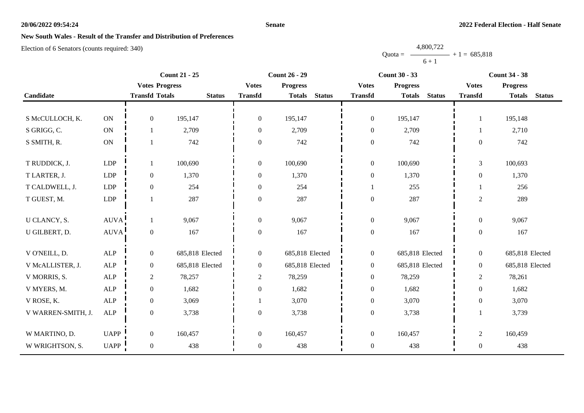### **Senate**

## **New South Wales - Result of the Transfer and Distribution of Preferences**

Election of 6 Senators (counts required: 340)

|                    |             |                       | <b>Count 21 - 25</b> | <b>Count 26 - 29</b> |                 |               | <b>Count 30 - 33</b> |                 |               | <b>Count 34 - 38</b> |                 |               |
|--------------------|-------------|-----------------------|----------------------|----------------------|-----------------|---------------|----------------------|-----------------|---------------|----------------------|-----------------|---------------|
|                    |             | <b>Votes Progress</b> |                      | <b>Votes</b>         | <b>Progress</b> |               | <b>Votes</b>         | <b>Progress</b> |               | <b>Votes</b>         | <b>Progress</b> |               |
| Candidate          |             | <b>Transfd Totals</b> | <b>Status</b>        | <b>Transfd</b>       | <b>Totals</b>   | <b>Status</b> | <b>Transfd</b>       | <b>Totals</b>   | <b>Status</b> | <b>Transfd</b>       | <b>Totals</b>   | <b>Status</b> |
|                    |             |                       |                      |                      |                 |               |                      |                 |               |                      |                 |               |
| S McCULLOCH, K.    | <b>ON</b>   | $\mathbf{0}$          | 195,147              | $\boldsymbol{0}$     | 195,147         |               | $\boldsymbol{0}$     | 195,147         |               | $\mathbf{1}$         | 195,148         |               |
| S GRIGG, C.        | <b>ON</b>   | 1                     | 2,709                | $\overline{0}$       | 2,709           |               | $\boldsymbol{0}$     | 2,709           |               | 1                    | 2,710           |               |
| S SMITH, R.        | ON          | $\mathbf{1}$          | 742                  | $\boldsymbol{0}$     | 742             |               | $\boldsymbol{0}$     | 742             |               | $\mathbf{0}$         | 742             |               |
|                    |             |                       |                      |                      |                 |               |                      |                 |               |                      |                 |               |
| T RUDDICK, J.      | LDP         | $\mathbf{1}$          | 100,690              | $\boldsymbol{0}$     | 100,690         |               | $\boldsymbol{0}$     | 100,690         |               | $\overline{3}$       | 100,693         |               |
| T LARTER, J.       | LDP         | $\boldsymbol{0}$      | 1,370                | $\boldsymbol{0}$     | 1,370           |               | $\boldsymbol{0}$     | 1,370           |               | $\overline{0}$       | 1,370           |               |
| T CALDWELL, J.     | <b>LDP</b>  | $\mathbf{0}$          | 254                  | $\theta$             | 254             |               |                      | 255             |               |                      | 256             |               |
| T GUEST, M.        | ${\rm LDP}$ | -1                    | 287                  | $\theta$             | 287             |               | $\boldsymbol{0}$     | 287             |               | $\overline{c}$       | 289             |               |
|                    |             |                       |                      |                      |                 |               |                      |                 |               |                      |                 |               |
| U CLANCY, S.       | <b>AUVA</b> | 1                     | 9,067                | $\boldsymbol{0}$     | 9,067           |               | $\boldsymbol{0}$     | 9,067           |               | $\boldsymbol{0}$     | 9,067           |               |
| U GILBERT, D.      | <b>AUVA</b> | $\boldsymbol{0}$      | 167                  | $\boldsymbol{0}$     | 167             |               | $\boldsymbol{0}$     | 167             |               | $\overline{0}$       | 167             |               |
|                    |             |                       |                      |                      |                 |               |                      |                 |               |                      |                 |               |
| V O'NEILL, D.      | ALP         | $\boldsymbol{0}$      | 685,818 Elected      | $\boldsymbol{0}$     | 685,818 Elected |               | $\boldsymbol{0}$     | 685,818 Elected |               | $\overline{0}$       | 685,818 Elected |               |
| V McALLISTER, J.   | ALP         | $\boldsymbol{0}$      | 685,818 Elected      | $\overline{0}$       | 685,818 Elected |               | $\boldsymbol{0}$     | 685,818 Elected |               | $\overline{0}$       | 685,818 Elected |               |
| V MORRIS, S.       | ALP         | $\overline{2}$        | 78,257               | $\overline{c}$       | 78,259          |               | $\boldsymbol{0}$     | 78,259          |               | $\overline{2}$       | 78,261          |               |
| V MYERS, M.        | ALP         | $\boldsymbol{0}$      | 1,682                | $\boldsymbol{0}$     | 1,682           |               | $\boldsymbol{0}$     | 1,682           |               | $\overline{0}$       | 1,682           |               |
| V ROSE, K.         | <b>ALP</b>  | $\overline{0}$        | 3,069                |                      | 3,070           |               | $\boldsymbol{0}$     | 3,070           |               | $\boldsymbol{0}$     | 3,070           |               |
| V WARREN-SMITH, J. | ${\sf ALP}$ | $\boldsymbol{0}$      | 3,738                | $\theta$             | 3,738           |               | $\boldsymbol{0}$     | 3,738           |               |                      | 3,739           |               |
|                    |             |                       |                      |                      |                 |               |                      |                 |               |                      |                 |               |
| W MARTINO, D.      | <b>UAPP</b> | $\overline{0}$        | 160,457              | $\boldsymbol{0}$     | 160,457         |               | $\boldsymbol{0}$     | 160,457         |               | $\overline{2}$       | 160,459         |               |
| W WRIGHTSON, S.    | <b>UAPP</b> | $\boldsymbol{0}$      | 438                  | $\boldsymbol{0}$     | 438             |               | $\boldsymbol{0}$     | 438             |               | $\boldsymbol{0}$     | 438             |               |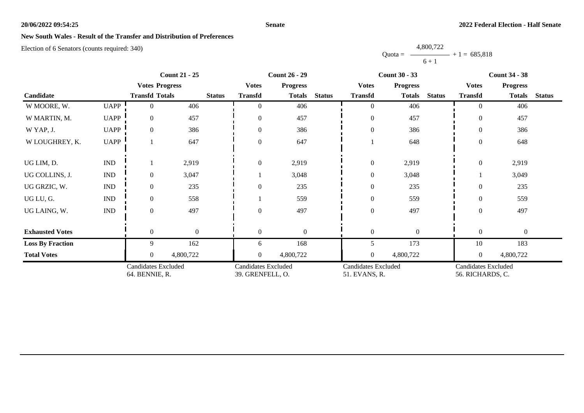### **Senate**

## **New South Wales - Result of the Transfer and Distribution of Preferences**

Election of 6 Senators (counts required: 340)

|                         |                             | <b>Count 21 - 25</b>                         |              |               | <b>Count 26 - 29</b>                           |                 |               | <b>Count 30 - 33</b>                        |                 |               | <b>Count 34 - 38</b>                    |                  |               |
|-------------------------|-----------------------------|----------------------------------------------|--------------|---------------|------------------------------------------------|-----------------|---------------|---------------------------------------------|-----------------|---------------|-----------------------------------------|------------------|---------------|
|                         |                             | <b>Votes Progress</b>                        |              |               | <b>Votes</b>                                   | <b>Progress</b> |               | <b>Votes</b>                                | <b>Progress</b> |               | <b>Votes</b>                            | <b>Progress</b>  |               |
| Candidate               |                             | <b>Transfd Totals</b>                        |              | <b>Status</b> | <b>Transfd</b>                                 | <b>Totals</b>   | <b>Status</b> | <b>Transfd</b>                              | <b>Totals</b>   | <b>Status</b> | <b>Transfd</b>                          | <b>Totals</b>    | <b>Status</b> |
| W MOORE, W.             | <b>UAPP</b>                 | $\Omega$                                     | 406          |               | $\Omega$                                       | 406             |               | $\theta$                                    | 406             |               | $\Omega$                                | 406              |               |
| W MARTIN, M.            | <b>UAPP</b>                 | $\overline{0}$                               | 457          |               | $\Omega$                                       | 457             |               | $\theta$                                    | 457             |               | $\theta$                                | 457              |               |
| W YAP, J.               | <b>UAPP</b>                 | $\overline{0}$                               | 386          |               | $\Omega$                                       | 386             |               | $\boldsymbol{0}$                            | 386             |               | $\theta$                                | 386              |               |
| W LOUGHREY, K.          | <b>UAPP</b>                 |                                              | 647          |               | $\Omega$                                       | 647             |               |                                             | 648             |               | $\boldsymbol{0}$                        | 648              |               |
| UG LIM, D.              | <b>IND</b>                  |                                              | 2,919        |               | $\overline{0}$                                 | 2,919           |               | $\boldsymbol{0}$                            | 2,919           |               | $\overline{0}$                          | 2,919            |               |
| UG COLLINS, J.          | $\mathop{\rm IND}\nolimits$ | $\overline{0}$                               | 3,047        |               |                                                | 3,048           |               | $\boldsymbol{0}$                            | 3,048           |               |                                         | 3,049            |               |
| UG GRZIC, W.            | $\mathop{\rm IND}\nolimits$ | $\Omega$                                     | 235          |               | $\Omega$                                       | 235             |               | $\boldsymbol{0}$                            | 235             |               | $\theta$                                | 235              |               |
| UG LU, G.               | $\mathop{\rm IND}\nolimits$ | $\theta$                                     | 558          |               |                                                | 559             |               | $\boldsymbol{0}$                            | 559             |               | $\Omega$                                | 559              |               |
| UG LAING, W.            | $\mathop{\rm IND}\nolimits$ | $\theta$                                     | 497          |               | $\Omega$                                       | 497             |               | $\boldsymbol{0}$                            | 497             |               | $\boldsymbol{0}$                        | 497              |               |
| <b>Exhausted Votes</b>  |                             | $\theta$                                     | $\mathbf{0}$ |               | $\theta$                                       | $\mathbf{0}$    |               | $\boldsymbol{0}$                            | $\overline{0}$  |               | $\Omega$                                | $\boldsymbol{0}$ |               |
| <b>Loss By Fraction</b> |                             | 9                                            | 162          |               | 6                                              | 168             |               | 5                                           | 173             |               | 10                                      | 183              |               |
| <b>Total Votes</b>      |                             | $\overline{0}$                               | 4,800,722    |               | $\overline{0}$                                 | 4,800,722       |               | $\boldsymbol{0}$                            | 4,800,722       |               | $\overline{0}$                          | 4,800,722        |               |
|                         |                             | <b>Candidates Excluded</b><br>64. BENNIE, R. |              |               | <b>Candidates Excluded</b><br>39. GRENFELL, O. |                 |               | <b>Candidates Excluded</b><br>51. EVANS, R. |                 |               | Candidates Excluded<br>56. RICHARDS, C. |                  |               |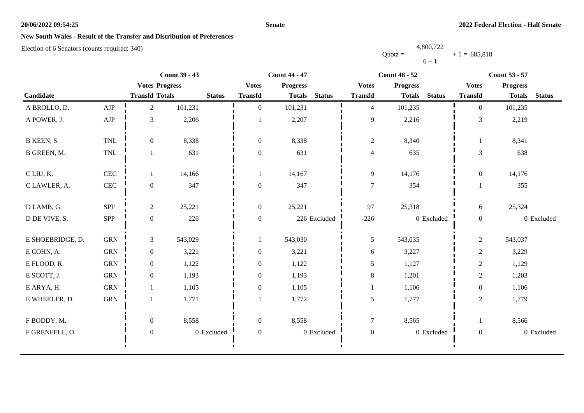### **Senate**

# **New South Wales - Result of the Transfer and Distribution of Preferences**

|           | 4,800,722      |  |
|-----------|----------------|--|
| $Quota =$ | $+1 = 685,818$ |  |
|           | $6 + 1$        |  |

|                  |              |                       | <b>Count 39 - 43</b> |                  | <b>Count 44 - 47</b> |               | <b>Count 48 - 52</b> |                 |               | <b>Count 53 - 57</b> |                 |               |
|------------------|--------------|-----------------------|----------------------|------------------|----------------------|---------------|----------------------|-----------------|---------------|----------------------|-----------------|---------------|
|                  |              | <b>Votes Progress</b> |                      | <b>Votes</b>     | <b>Progress</b>      |               | <b>Votes</b>         | <b>Progress</b> |               | <b>Votes</b>         | <b>Progress</b> |               |
| Candidate        |              | <b>Transfd Totals</b> | <b>Status</b>        | <b>Transfd</b>   | <b>Totals</b>        | <b>Status</b> | <b>Transfd</b>       | <b>Totals</b>   | <b>Status</b> | <b>Transfd</b>       | <b>Totals</b>   | <b>Status</b> |
| A BROLLO, D.     | ${\rm AJP}$  | $\overline{2}$        | 101,231              | $\overline{0}$   | 101,231              |               | $\overline{4}$       | 101,235         |               | $\overline{0}$       | 101,235         |               |
| A POWER, J.      | ${\rm AJP}$  | $\mathfrak{Z}$        | 2,206                |                  | 2,207                |               | 9                    | 2,216           |               | $\mathfrak{Z}$       | 2,219           |               |
| B KEEN, S.       | <b>TNL</b>   | $\overline{0}$        | 8,338                | $\overline{0}$   | 8,338                |               | $\mathbf{2}$         | 8,340           |               |                      | 8,341           |               |
| B GREEN, M.      | TNL          |                       | 631                  | $\boldsymbol{0}$ | 631                  |               | $\overline{4}$       | 635             |               | 3                    | 638             |               |
| C LIU, K.        | $\mbox{CEC}$ |                       | 14,166               |                  | 14,167               |               | 9                    | 14,176          |               | $\boldsymbol{0}$     | 14,176          |               |
| C LAWLER, A.     | $\mbox{CEC}$ | $\boldsymbol{0}$      | 347                  | $\boldsymbol{0}$ | 347                  |               | $\tau$               | 354             |               |                      | 355             |               |
| D LAMB, G.       | SPP          | $\overline{2}$        | 25,221               | $\boldsymbol{0}$ | 25,221               |               | 97                   | 25,318          |               | 6                    | 25,324          |               |
| D DE VIVE, S.    | SPP          | $\mathbf{0}$          | 226                  | $\mathbf{0}$     |                      | 226 Excluded  | $-226$               |                 | 0 Excluded    | $\boldsymbol{0}$     |                 | 0 Excluded    |
| E SHOEBRIDGE, D. | ${\rm GRN}$  | 3                     | 543,029              |                  | 543,030              |               | 5                    | 543,035         |               | $\overline{2}$       | 543,037         |               |
| E COHN, A.       | ${\rm GRN}$  | $\overline{0}$        | 3,221                | $\boldsymbol{0}$ | 3,221                |               | 6                    | 3,227           |               | $\sqrt{2}$           | 3,229           |               |
| E FLOOD, R.      | <b>GRN</b>   | $\overline{0}$        | 1,122                | $\overline{0}$   | 1,122                |               | 5                    | 1,127           |               | $\sqrt{2}$           | 1,129           |               |
| E SCOTT, J.      | ${\rm GRN}$  | $\overline{0}$        | 1,193                | $\mathbf{0}$     | 1,193                |               | $8\,$                | 1,201           |               | $\sqrt{2}$           | 1,203           |               |
| E ARYA, H.       | ${\rm GRN}$  |                       | 1,105                | $\boldsymbol{0}$ | 1,105                |               | $\mathbf 1$          | 1,106           |               | $\boldsymbol{0}$     | 1,106           |               |
| E WHEELER, D.    | ${\rm GRN}$  | 1                     | 1,771                |                  | 1,772                |               | 5                    | 1,777           |               | $\overline{2}$       | 1,779           |               |
| F BODDY, M.      |              | $\overline{0}$        | 8,558                | $\overline{0}$   | 8,558                |               | $\boldsymbol{7}$     | 8,565           |               |                      | 8,566           |               |
| F GRENFELL, O.   |              | $\boldsymbol{0}$      | 0 Excluded           | $\boldsymbol{0}$ |                      | 0 Excluded    | $\boldsymbol{0}$     |                 | 0 Excluded    | $\boldsymbol{0}$     |                 | 0 Excluded    |
|                  |              |                       |                      |                  |                      |               |                      |                 |               |                      |                 |               |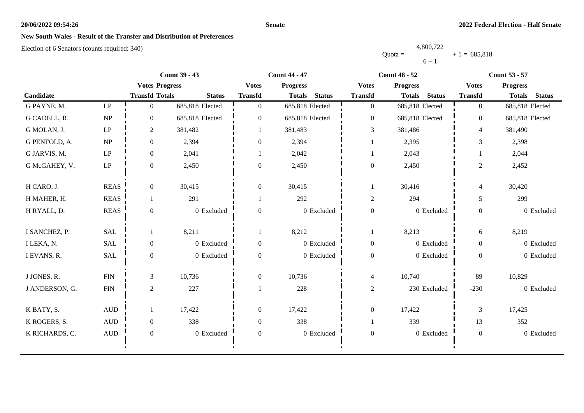### **Senate**

# **New South Wales - Result of the Transfer and Distribution of Preferences**

|           | 4,800,722 |                |
|-----------|-----------|----------------|
| $Quota =$ |           | $+1 = 685,818$ |
|           | $6 + 1$   |                |

|                |                                 | <b>Count 39 - 43</b>  |                 |                  | <b>Count 44 - 47</b>           |                  | <b>Count 48 - 52</b>           | <b>Count 53 - 57</b>     |                                |  |
|----------------|---------------------------------|-----------------------|-----------------|------------------|--------------------------------|------------------|--------------------------------|--------------------------|--------------------------------|--|
|                |                                 | <b>Votes Progress</b> |                 | <b>Votes</b>     | <b>Progress</b>                | <b>Votes</b>     | <b>Progress</b>                | <b>Votes</b>             | <b>Progress</b>                |  |
| Candidate      |                                 | <b>Transfd Totals</b> | <b>Status</b>   | <b>Transfd</b>   | <b>Status</b><br><b>Totals</b> | <b>Transfd</b>   | <b>Status</b><br><b>Totals</b> | <b>Transfd</b>           | <b>Status</b><br><b>Totals</b> |  |
| G PAYNE, M.    | $\ensuremath{\mathrm{LP}}$      | $\overline{0}$        | 685,818 Elected | $\overline{0}$   | 685,818 Elected                | $\overline{0}$   | 685,818 Elected                | $\overline{0}$           | 685,818 Elected                |  |
| G CADELL, R.   | $\ensuremath{\text{NP}}\xspace$ | $\Omega$              | 685,818 Elected | $\overline{0}$   | 685,818 Elected                | $\boldsymbol{0}$ | 685,818 Elected                | $\overline{0}$           | 685,818 Elected                |  |
| G MOLAN, J.    | $\mathbf{L}\mathbf{P}$          | $\overline{c}$        | 381,482         |                  | 381,483                        | 3                | 381,486                        | $\overline{4}$           | 381,490                        |  |
| G PENFOLD, A.  | NP                              | $\boldsymbol{0}$      | 2,394           | $\boldsymbol{0}$ | 2,394                          |                  | 2,395                          | 3                        | 2,398                          |  |
| G JARVIS, M.   | $\ensuremath{\mathrm{LP}}$      | $\boldsymbol{0}$      | 2,041           |                  | 2,042                          |                  | 2,043                          |                          | 2,044                          |  |
| G McGAHEY, V.  | $\ensuremath{\mathrm{LP}}$      | $\mathbf{0}$          | 2,450           | $\overline{0}$   | 2,450                          | $\boldsymbol{0}$ | 2,450                          | $\overline{2}$           | 2,452                          |  |
| H CARO, J.     | <b>REAS</b>                     | $\overline{0}$        | 30,415          | $\overline{0}$   | 30,415                         | -1               | 30,416                         | $\overline{\mathcal{L}}$ | 30,420                         |  |
| H MAHER, H.    | <b>REAS</b>                     |                       | 291             |                  | 292                            | $\overline{2}$   | 294                            | 5                        | 299                            |  |
| H RYALL, D.    | <b>REAS</b>                     | $\boldsymbol{0}$      | 0 Excluded      | $\boldsymbol{0}$ | 0 Excluded                     | $\boldsymbol{0}$ | 0 Excluded                     | $\boldsymbol{0}$         | 0 Excluded                     |  |
| I SANCHEZ, P.  | <b>SAL</b>                      |                       | 8,211           | 1                | 8,212                          | 1                | 8,213                          | 6                        | 8,219                          |  |
| I LEKA, N.     | <b>SAL</b>                      | $\overline{0}$        | 0 Excluded      | $\mathbf{0}$     | 0 Excluded                     | $\boldsymbol{0}$ | 0 Excluded                     | $\overline{0}$           | 0 Excluded                     |  |
| I EVANS, R.    | SAL                             | $\boldsymbol{0}$      | 0 Excluded      | $\overline{0}$   | 0 Excluded                     | $\boldsymbol{0}$ | 0 Excluded                     | $\overline{0}$           | 0 Excluded                     |  |
| J JONES, R.    | ${\rm FIN}$                     | $\mathfrak{Z}$        | 10,736          | $\overline{0}$   | 10,736                         | $\overline{4}$   | 10,740                         | 89                       | 10,829                         |  |
| J ANDERSON, G. | ${\rm FIN}$                     | $\overline{c}$        | 227             |                  | 228                            | $\overline{c}$   | 230 Excluded                   | $-230$                   | 0 Excluded                     |  |
| K BATY, S.     | $\mbox{AUD}$                    |                       | 17,422          | $\mathbf{0}$     | 17,422                         | $\boldsymbol{0}$ | 17,422                         | $\mathfrak{Z}$           | 17,425                         |  |
| K ROGERS, S.   | $\mbox{AUD}$                    | $\overline{0}$        | 338             | $\boldsymbol{0}$ | 338                            | 1                | 339                            | 13                       | 352                            |  |
| K RICHARDS, C. | $\mbox{\rm AUD}$                | $\boldsymbol{0}$      | 0 Excluded      | $\boldsymbol{0}$ | 0 Excluded                     | $\boldsymbol{0}$ | 0 Excluded                     | $\boldsymbol{0}$         | 0 Excluded                     |  |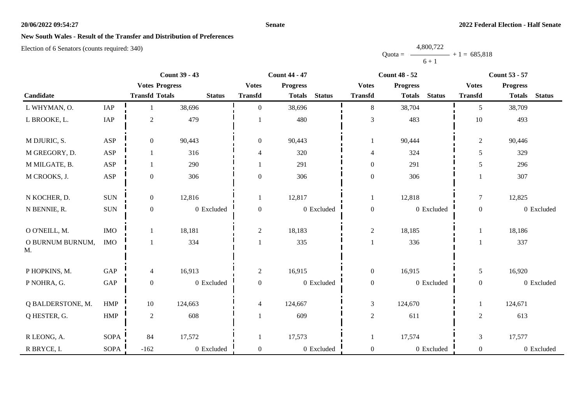### **Senate**

# **New South Wales - Result of the Transfer and Distribution of Preferences**

|           | 4,800,722 |                |
|-----------|-----------|----------------|
| $Quota =$ |           | $+1 = 685,818$ |
|           | $6 + 1$   |                |

|                        |                      |                       | <b>Count 39 - 43</b> |                          | <b>Count 44 - 47</b> |               |                  | <b>Count 48 - 52</b> |               |                  | <b>Count 53 - 57</b> |               |
|------------------------|----------------------|-----------------------|----------------------|--------------------------|----------------------|---------------|------------------|----------------------|---------------|------------------|----------------------|---------------|
|                        |                      | <b>Votes Progress</b> |                      | <b>Votes</b>             | <b>Progress</b>      |               | <b>Votes</b>     | <b>Progress</b>      |               | <b>Votes</b>     | <b>Progress</b>      |               |
| Candidate              |                      | <b>Transfd Totals</b> | <b>Status</b>        | <b>Transfd</b>           | <b>Totals</b>        | <b>Status</b> | <b>Transfd</b>   | <b>Totals</b>        | <b>Status</b> | <b>Transfd</b>   | <b>Totals</b>        | <b>Status</b> |
| L WHYMAN, O.           | IAP                  |                       | 38,696               | $\Omega$                 | 38,696               |               | 8                | 38,704               |               | 5                | 38,709               |               |
| L BROOKE, L.           | IAP                  | $\sqrt{2}$            | 479                  |                          | 480                  |               | 3                | 483                  |               | 10               | 493                  |               |
| M DJURIC, S.           | ASP                  | $\boldsymbol{0}$      | 90,443               | $\boldsymbol{0}$         | 90,443               |               |                  | 90,444               |               | $\overline{2}$   | 90,446               |               |
| M GREGORY, D.          | ASP                  | 1                     | 316                  | 4                        | 320                  |               | 4                | 324                  |               | 5                | 329                  |               |
| M MILGATE, B.          | ASP                  |                       | 290                  |                          | 291                  |               | $\mathbf{0}$     | 291                  |               | 5                | 296                  |               |
| M CROOKS, J.           | ASP                  | $\mathbf{0}$          | 306                  | $\theta$                 | 306                  |               | $\boldsymbol{0}$ | 306                  |               |                  | 307                  |               |
| N KOCHER, D.           | $\rm SUN$            | $\boldsymbol{0}$      | 12,816               |                          | 12,817               |               | $\mathbf{1}$     | 12,818               |               | $\tau$           | 12,825               |               |
| N BENNIE, R.           | $\rm{SUM}$           | $\mathbf{0}$          | 0 Excluded           | $\boldsymbol{0}$         |                      | 0 Excluded    | $\boldsymbol{0}$ |                      | 0 Excluded    | $\boldsymbol{0}$ |                      | 0 Excluded    |
| O O'NEILL, M.          | $\rm{IMO}$           | 1                     | 18,181               | $\overline{c}$           | 18,183               |               | $\mathbf{2}$     | 18,185               |               |                  | 18,186               |               |
| O BURNUM BURNUM,<br>M. | $\rm{IMO}$           |                       | 334                  |                          | 335                  |               | 1                | 336                  |               |                  | 337                  |               |
| P HOPKINS, M.          | GAP                  | $\overline{4}$        | 16,913               | $\overline{2}$           | 16,915               |               | $\mathbf{0}$     | 16,915               |               | 5                | 16,920               |               |
| P NOHRA, G.            | $\operatorname{GAP}$ | $\boldsymbol{0}$      | 0 Excluded           | $\boldsymbol{0}$         |                      | 0 Excluded    | $\boldsymbol{0}$ |                      | 0 Excluded    | $\boldsymbol{0}$ |                      | 0 Excluded    |
| Q BALDERSTONE, M.      | HMP                  | 10                    | 124,663              | $\overline{\mathcal{L}}$ | 124,667              |               | 3                | 124,670              |               |                  | 124,671              |               |
| Q HESTER, G.           | HMP                  | $\sqrt{2}$            | 608                  |                          | 609                  |               | $\sqrt{2}$       | 611                  |               | $\overline{c}$   | 613                  |               |
| R LEONG, A.            | <b>SOPA</b>          | 84                    | 17,572               |                          | 17,573               |               | 1                | 17,574               |               | $\mathfrak{Z}$   | 17,577               |               |
| R BRYCE, I.            | <b>SOPA</b>          | $-162$                | 0 Excluded           | $\overline{0}$           |                      | 0 Excluded    | $\boldsymbol{0}$ |                      | 0 Excluded    | $\overline{0}$   |                      | 0 Excluded    |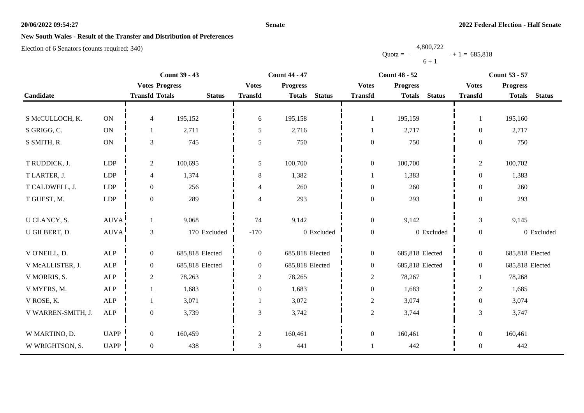### **Senate**

## **New South Wales - Result of the Transfer and Distribution of Preferences**

Election of 6 Senators (counts required: 340)

|                    | <b>Count 39 - 43</b> |                       |                 | <b>Count 44 - 47</b><br><b>Count 48 - 52</b> |                 |               |                  | <b>Count 53 - 57</b> |               |                  |                 |               |
|--------------------|----------------------|-----------------------|-----------------|----------------------------------------------|-----------------|---------------|------------------|----------------------|---------------|------------------|-----------------|---------------|
|                    |                      | <b>Votes Progress</b> |                 | <b>Votes</b>                                 | <b>Progress</b> |               | <b>Votes</b>     | <b>Progress</b>      |               | <b>Votes</b>     | <b>Progress</b> |               |
| Candidate          |                      | <b>Transfd Totals</b> | <b>Status</b>   | <b>Transfd</b>                               | <b>Totals</b>   | <b>Status</b> | <b>Transfd</b>   | <b>Totals</b>        | <b>Status</b> | <b>Transfd</b>   | <b>Totals</b>   | <b>Status</b> |
|                    |                      |                       |                 |                                              |                 |               |                  |                      |               |                  |                 |               |
| S McCULLOCH, K.    | ON                   | $\overline{4}$        | 195,152         | 6                                            | 195,158         |               | 1                | 195,159              |               | $\mathbf{1}$     | 195,160         |               |
| S GRIGG, C.        | ON                   | 1                     | 2,711           | 5                                            | 2,716           |               | 1                | 2,717                |               | $\boldsymbol{0}$ | 2,717           |               |
| S SMITH, R.        | $\mathbf{ON}$        | $\mathfrak{Z}$        | 745             | 5                                            | 750             |               | $\mathbf{0}$     | 750                  |               | $\overline{0}$   | 750             |               |
|                    |                      |                       |                 |                                              |                 |               |                  |                      |               |                  |                 |               |
| T RUDDICK, J.      | LDP                  | $\overline{2}$        | 100,695         | 5                                            | 100,700         |               | $\boldsymbol{0}$ | 100,700              |               | $\overline{c}$   | 100,702         |               |
| T LARTER, J.       | <b>LDP</b>           | $\overline{4}$        | 1,374           | 8                                            | 1,382           |               | $\mathbf{1}$     | 1,383                |               | $\overline{0}$   | 1,383           |               |
| T CALDWELL, J.     | <b>LDP</b>           | $\overline{0}$        | 256             | 4                                            | 260             |               | $\boldsymbol{0}$ | 260                  |               | $\overline{0}$   | 260             |               |
| T GUEST, M.        | <b>LDP</b>           | $\boldsymbol{0}$      | 289             | 4                                            | 293             |               | $\boldsymbol{0}$ | 293                  |               | $\overline{0}$   | 293             |               |
|                    |                      |                       |                 |                                              |                 |               |                  |                      |               |                  |                 |               |
| U CLANCY, S.       | <b>AUVA</b>          | $\mathbf{1}$          | 9,068           | 74                                           | 9,142           |               | $\boldsymbol{0}$ | 9,142                |               | $\mathfrak{Z}$   | 9,145           |               |
| U GILBERT, D.      | <b>AUVA</b>          | $\mathfrak{Z}$        | 170 Excluded    | $-170$                                       |                 | 0 Excluded    | $\boldsymbol{0}$ |                      | 0 Excluded    | $\boldsymbol{0}$ |                 | 0 Excluded    |
|                    |                      |                       |                 |                                              |                 |               |                  |                      |               |                  |                 |               |
| V O'NEILL, D.      | <b>ALP</b>           | $\mathbf{0}$          | 685,818 Elected | $\overline{0}$                               | 685,818 Elected |               | $\boldsymbol{0}$ | 685,818 Elected      |               | $\overline{0}$   | 685,818 Elected |               |
| V McALLISTER, J.   | ALP                  | $\boldsymbol{0}$      | 685,818 Elected | $\boldsymbol{0}$                             | 685,818 Elected |               | $\boldsymbol{0}$ | 685,818 Elected      |               | $\overline{0}$   | 685,818 Elected |               |
| V MORRIS, S.       | ALP                  | $\sqrt{2}$            | 78,263          | $\overline{2}$                               | 78,265          |               | $\sqrt{2}$       | 78,267               |               | 1                | 78,268          |               |
| V MYERS, M.        | <b>ALP</b>           |                       | 1,683           | $\boldsymbol{0}$                             | 1,683           |               | $\boldsymbol{0}$ | 1,683                |               | $\overline{c}$   | 1,685           |               |
| V ROSE, K.         | <b>ALP</b>           | 1                     | 3,071           |                                              | 3,072           |               | $\sqrt{2}$       | 3,074                |               | $\boldsymbol{0}$ | 3,074           |               |
| V WARREN-SMITH, J. | $\mbox{ALP}$         | $\boldsymbol{0}$      | 3,739           | 3                                            | 3,742           |               | $\sqrt{2}$       | 3,744                |               | 3                | 3,747           |               |
|                    |                      |                       |                 |                                              |                 |               |                  |                      |               |                  |                 |               |
| W MARTINO, D.      | <b>UAPP</b>          | $\overline{0}$        | 160,459         | $\overline{2}$                               | 160,461         |               | $\boldsymbol{0}$ | 160,461              |               | $\overline{0}$   | 160,461         |               |
| W WRIGHTSON, S.    | <b>UAPP</b>          | $\boldsymbol{0}$      | 438             | 3                                            | 441             |               |                  | 442                  |               | $\boldsymbol{0}$ | 442             |               |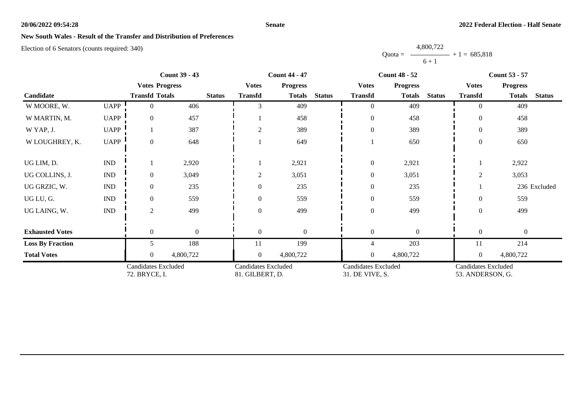### **Senate**

## **New South Wales - Result of the Transfer and Distribution of Preferences**

Election of 6 Senators (counts required: 340)

|                         |                             | <b>Count 39 - 43</b>                        |              |               |                                               | <b>Count 44 - 47</b> | <b>Count 48 - 52</b> |                                               |                 |               | <b>Count 53 - 57</b>                           |                 |               |
|-------------------------|-----------------------------|---------------------------------------------|--------------|---------------|-----------------------------------------------|----------------------|----------------------|-----------------------------------------------|-----------------|---------------|------------------------------------------------|-----------------|---------------|
|                         |                             | <b>Votes Progress</b>                       |              |               | <b>Votes</b>                                  | <b>Progress</b>      |                      | <b>Votes</b>                                  | <b>Progress</b> |               | <b>Votes</b>                                   | <b>Progress</b> |               |
| Candidate               |                             | <b>Transfd Totals</b>                       |              | <b>Status</b> | <b>Transfd</b>                                | <b>Totals</b>        | <b>Status</b>        | <b>Transfd</b>                                | <b>Totals</b>   | <b>Status</b> | <b>Transfd</b>                                 | <b>Totals</b>   | <b>Status</b> |
| W MOORE, W.             | <b>UAPP</b>                 | $\theta$                                    | 406          |               |                                               | 409                  |                      | $\overline{0}$                                | 409             |               | $\Omega$                                       | 409             |               |
| W MARTIN, M.            | <b>UAPP</b>                 | $\overline{0}$                              | 457          |               |                                               | 458                  |                      | $\boldsymbol{0}$                              | 458             |               | $\theta$                                       | 458             |               |
| W YAP, J.               | <b>UAPP</b>                 |                                             | 387          |               | $\overline{2}$                                | 389                  |                      | $\boldsymbol{0}$                              | 389             |               | $\Omega$                                       | 389             |               |
| W LOUGHREY, K.          | <b>UAPP</b>                 | $\overline{0}$                              | 648          |               |                                               | 649                  |                      |                                               | 650             |               | $\overline{0}$                                 | 650             |               |
| UG LIM, D.              | <b>IND</b>                  |                                             | 2,920        |               |                                               | 2,921                |                      | $\boldsymbol{0}$                              | 2,921           |               |                                                | 2,922           |               |
| UG COLLINS, J.          | $\mathop{\rm IND}\nolimits$ | $\mathbf{0}$                                | 3,049        |               | $\overline{c}$                                | 3,051                |                      | $\boldsymbol{0}$                              | 3,051           |               | ⌒                                              | 3,053           |               |
| UG GRZIC, W.            | $\ensuremath{\text{IND}}$   | $\overline{0}$                              | 235          |               | $\overline{0}$                                | 235                  |                      | $\mathbf{0}$                                  | 235             |               |                                                |                 | 236 Excluded  |
| UG LU, G.               | <b>IND</b>                  | $\overline{0}$                              | 559          |               | $\theta$                                      | 559                  |                      | $\boldsymbol{0}$                              | 559             |               | $\Omega$                                       | 559             |               |
| UG LAING, W.            | $\mathop{\rm IND}\nolimits$ | 2                                           | 499          |               | $\overline{0}$                                | 499                  |                      | $\boldsymbol{0}$                              | 499             |               | $\Omega$                                       | 499             |               |
| <b>Exhausted Votes</b>  |                             | $\theta$                                    | $\mathbf{0}$ |               | $\overline{0}$                                | $\overline{0}$       |                      | $\mathbf{0}$                                  | $\theta$        |               | $\overline{0}$                                 | $\mathbf{0}$    |               |
| <b>Loss By Fraction</b> |                             | 5.                                          | 188          |               | 11                                            | 199                  |                      | $\overline{4}$                                | 203             |               | 11                                             | 214             |               |
| <b>Total Votes</b>      |                             | $\theta$                                    | 4,800,722    |               | $\overline{0}$                                | 4,800,722            |                      | $\overline{0}$                                | 4,800,722       |               | $\overline{0}$                                 | 4,800,722       |               |
|                         |                             | <b>Candidates Excluded</b><br>72. BRYCE, I. |              |               | <b>Candidates Excluded</b><br>81. GILBERT, D. |                      |                      | <b>Candidates Excluded</b><br>31. DE VIVE, S. |                 |               | <b>Candidates Excluded</b><br>53. ANDERSON, G. |                 |               |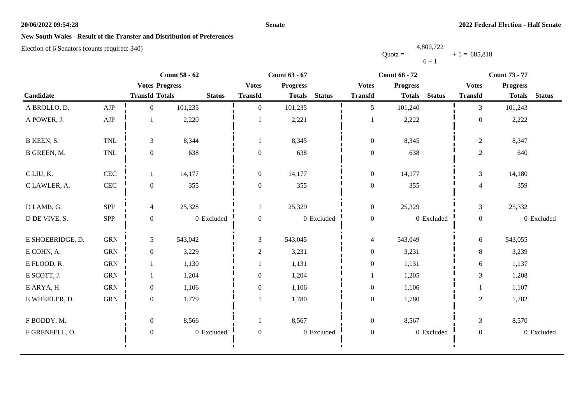### **Senate**

# **New South Wales - Result of the Transfer and Distribution of Preferences**

|           | 4,800,722 |                   |  |
|-----------|-----------|-------------------|--|
| $Quota =$ |           | $-$ + 1 = 685,818 |  |
|           | $6 + 1$   |                   |  |

|                  |              |                       | <b>Count 58 - 62</b> |                  | <b>Count 63 - 67</b> |               | <b>Count 68 - 72</b> |                 |               |                  |                 | <b>Count 73 - 77</b> |  |  |
|------------------|--------------|-----------------------|----------------------|------------------|----------------------|---------------|----------------------|-----------------|---------------|------------------|-----------------|----------------------|--|--|
|                  |              | <b>Votes Progress</b> |                      | <b>Votes</b>     | <b>Progress</b>      |               | <b>Votes</b>         | <b>Progress</b> |               | <b>Votes</b>     | <b>Progress</b> |                      |  |  |
| Candidate        |              | <b>Transfd Totals</b> | <b>Status</b>        | <b>Transfd</b>   | <b>Totals</b>        | <b>Status</b> | <b>Transfd</b>       | <b>Totals</b>   | <b>Status</b> | <b>Transfd</b>   | <b>Totals</b>   | <b>Status</b>        |  |  |
| A BROLLO, D.     | AJP          | $\overline{0}$        | 101,235              | $\theta$         | 101,235              |               | 5                    | 101,240         |               | $\overline{3}$   | 101,243         |                      |  |  |
| A POWER, J.      | ${\rm AJP}$  |                       | 2,220                |                  | 2,221                |               | $\mathbf{1}$         | 2,222           |               | $\overline{0}$   | 2,222           |                      |  |  |
| B KEEN, S.       | <b>TNL</b>   | $\mathfrak{Z}$        | 8,344                | 1                | 8,345                |               | $\boldsymbol{0}$     | 8,345           |               | $\sqrt{2}$       | 8,347           |                      |  |  |
| B GREEN, M.      | TNL          | $\boldsymbol{0}$      | 638                  | $\boldsymbol{0}$ | 638                  |               | $\boldsymbol{0}$     | 638             |               | $\sqrt{2}$       | 640             |                      |  |  |
| C LIU, K.        | $\mbox{CEC}$ | 1                     | 14,177               | $\boldsymbol{0}$ | 14,177               |               | $\boldsymbol{0}$     | 14,177          |               | $\mathfrak{Z}$   | 14,180          |                      |  |  |
| C LAWLER, A.     | $\mbox{CEC}$ | $\boldsymbol{0}$      | 355                  | $\mathbf{0}$     | 355                  |               | $\boldsymbol{0}$     | 355             |               | $\overline{4}$   | 359             |                      |  |  |
| D LAMB, G.       | SPP          | $\overline{4}$        | 25,328               |                  | 25,329               |               | $\boldsymbol{0}$     | 25,329          |               | $\mathfrak{Z}$   | 25,332          |                      |  |  |
| D DE VIVE, S.    | SPP          | $\overline{0}$        | 0 Excluded           | $\overline{0}$   |                      | 0 Excluded    | $\boldsymbol{0}$     |                 | 0 Excluded    | $\boldsymbol{0}$ |                 | 0 Excluded           |  |  |
| E SHOEBRIDGE, D. | ${\rm GRN}$  | 5 <sup>5</sup>        | 543,042              | 3                | 543,045              |               | $\overline{4}$       | 543,049         |               | 6                | 543,055         |                      |  |  |
| E COHN, A.       | ${\rm GRN}$  | $\overline{0}$        | 3,229                | 2                | 3,231                |               | $\boldsymbol{0}$     | 3,231           |               | $8\,$            | 3,239           |                      |  |  |
| E FLOOD, R.      | <b>GRN</b>   |                       | 1,130                |                  | 1,131                |               | $\boldsymbol{0}$     | 1,131           |               | 6                | 1,137           |                      |  |  |
| E SCOTT, J.      | <b>GRN</b>   | 1                     | 1,204                | $\overline{0}$   | 1,204                |               | 1                    | 1,205           |               | 3                | 1,208           |                      |  |  |
| E ARYA, H.       | <b>GRN</b>   | $\overline{0}$        | 1,106                | $\overline{0}$   | 1,106                |               | $\boldsymbol{0}$     | 1,106           |               |                  | 1,107           |                      |  |  |
| E WHEELER, D.    | <b>GRN</b>   | $\overline{0}$        | 1,779                |                  | 1,780                |               | $\overline{0}$       | 1,780           |               | $\overline{2}$   | 1,782           |                      |  |  |
| F BODDY, M.      |              | $\boldsymbol{0}$      | 8,566                | 1                | 8,567                |               | $\overline{0}$       | 8,567           |               | $\mathfrak{Z}$   | 8,570           |                      |  |  |
| F GRENFELL, O.   |              | $\boldsymbol{0}$      | 0 Excluded           | $\boldsymbol{0}$ |                      | 0 Excluded    | $\boldsymbol{0}$     |                 | 0 Excluded    | $\boldsymbol{0}$ |                 | 0 Excluded           |  |  |
|                  |              |                       |                      |                  |                      |               |                      |                 |               |                  |                 |                      |  |  |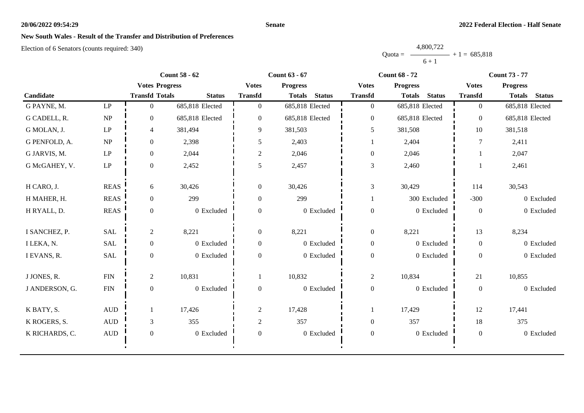### **Senate**

# **New South Wales - Result of the Transfer and Distribution of Preferences**

|           | 4,800,722 |                |
|-----------|-----------|----------------|
| $Quota =$ |           | $+1 = 685,818$ |
|           | $6 + 1$   |                |

|                |                        | <b>Count 58 - 62</b>  |                 |                  | <b>Count 63 - 67</b>           |                  | <b>Count 68 - 72</b>           | <b>Count 73 - 77</b> |                                |  |
|----------------|------------------------|-----------------------|-----------------|------------------|--------------------------------|------------------|--------------------------------|----------------------|--------------------------------|--|
|                |                        | <b>Votes Progress</b> |                 | <b>Votes</b>     | <b>Progress</b>                | <b>Votes</b>     | <b>Progress</b>                | <b>Votes</b>         | <b>Progress</b>                |  |
| Candidate      |                        | <b>Transfd Totals</b> | <b>Status</b>   | <b>Transfd</b>   | <b>Status</b><br><b>Totals</b> | <b>Transfd</b>   | <b>Status</b><br><b>Totals</b> | <b>Transfd</b>       | <b>Status</b><br><b>Totals</b> |  |
| G PAYNE, M.    | LP                     | $\overline{0}$        | 685,818 Elected | $\overline{0}$   | 685,818 Elected                | $\overline{0}$   | 685,818 Elected                | $\overline{0}$       | 685,818 Elected                |  |
| G CADELL, R.   | NP                     | $\overline{0}$        | 685,818 Elected | $\overline{0}$   | 685,818 Elected                | $\boldsymbol{0}$ | 685,818 Elected                | $\overline{0}$       | 685,818 Elected                |  |
| G MOLAN, J.    | $\operatorname{LP}$    | $\overline{4}$        | 381,494         | 9                | 381,503                        | 5                | 381,508                        | 10                   | 381,518                        |  |
| G PENFOLD, A.  | NP                     | $\overline{0}$        | 2,398           | 5                | 2,403                          | 1                | 2,404                          | 7                    | 2,411                          |  |
| G JARVIS, M.   | $\mathbf{L}\mathbf{P}$ | $\overline{0}$        | 2,044           | $\overline{c}$   | 2,046                          | $\boldsymbol{0}$ | 2,046                          |                      | 2,047                          |  |
| G McGAHEY, V.  | $\operatorname{LP}$    | $\boldsymbol{0}$      | 2,452           | 5                | 2,457                          | $\mathfrak{Z}$   | 2,460                          |                      | 2,461                          |  |
| H CARO, J.     | <b>REAS</b>            | 6                     | 30,426          | $\overline{0}$   | 30,426                         | 3                | 30,429                         | 114                  | 30,543                         |  |
| H MAHER, H.    | <b>REAS</b>            | $\overline{0}$        | 299             | $\overline{0}$   | 299                            | 1                | 300 Excluded                   | $-300$               | 0 Excluded                     |  |
| H RYALL, D.    | <b>REAS</b>            | $\boldsymbol{0}$      | 0 Excluded      | $\overline{0}$   | 0 Excluded                     | $\boldsymbol{0}$ | 0 Excluded                     | $\boldsymbol{0}$     | 0 Excluded                     |  |
| I SANCHEZ, P.  | SAL                    | $\overline{2}$        | 8,221           | $\overline{0}$   | 8,221                          | $\boldsymbol{0}$ | 8,221                          | 13                   | 8,234                          |  |
| I LEKA, N.     | <b>SAL</b>             | $\overline{0}$        | 0 Excluded      | $\overline{0}$   | 0 Excluded                     | $\mathbf{0}$     | 0 Excluded                     | $\overline{0}$       | 0 Excluded                     |  |
| I EVANS, R.    | SAL                    | $\boldsymbol{0}$      | 0 Excluded      | $\overline{0}$   | 0 Excluded                     | $\boldsymbol{0}$ | 0 Excluded                     | $\overline{0}$       | 0 Excluded                     |  |
| J JONES, R.    | ${\rm FIN}$            | $\overline{2}$        | 10,831          |                  | 10,832                         | $\overline{c}$   | 10,834                         | 21                   | 10,855                         |  |
| J ANDERSON, G. | ${\rm FIN}$            | $\boldsymbol{0}$      | 0 Excluded      | $\overline{0}$   | 0 Excluded                     | $\boldsymbol{0}$ | 0 Excluded                     | $\boldsymbol{0}$     | 0 Excluded                     |  |
| K BATY, S.     | $\mbox{AUD}$           |                       | 17,426          | $\overline{c}$   | 17,428                         | 1                | 17,429                         | 12                   | 17,441                         |  |
| K ROGERS, S.   | $\mbox{\rm AUD}$       | 3                     | 355             | $\overline{c}$   | 357                            | $\boldsymbol{0}$ | 357                            | 18                   | 375                            |  |
| K RICHARDS, C. | $\mbox{\rm AUD}$       | $\boldsymbol{0}$      | 0 Excluded      | $\boldsymbol{0}$ | 0 Excluded                     | $\boldsymbol{0}$ | 0 Excluded                     | $\boldsymbol{0}$     | 0 Excluded                     |  |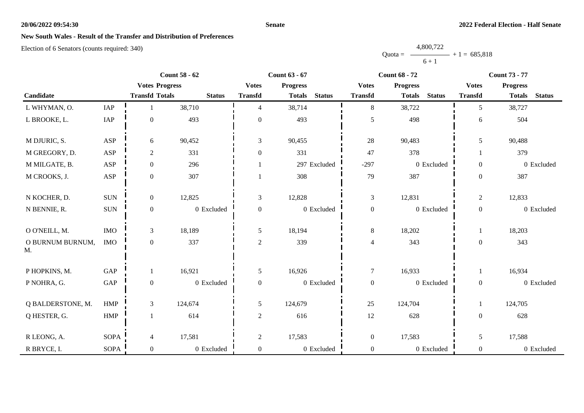### **Senate**

# **New South Wales - Result of the Transfer and Distribution of Preferences**

|           | 4,800,722 |                |
|-----------|-----------|----------------|
| $Quota =$ |           | $+1 = 685,818$ |
|           | $6 + 1$   |                |

|                        | <b>Count 58 - 62</b> |                       |               |                  | <b>Count 63 - 67</b>           | <b>Count 68 - 72</b><br><b>Count 73 - 77</b> |                                |                  |                                |  |
|------------------------|----------------------|-----------------------|---------------|------------------|--------------------------------|----------------------------------------------|--------------------------------|------------------|--------------------------------|--|
|                        |                      | <b>Votes Progress</b> |               | <b>Votes</b>     | <b>Progress</b>                | <b>Votes</b>                                 | <b>Progress</b>                | <b>Votes</b>     | <b>Progress</b>                |  |
| Candidate              |                      | <b>Transfd Totals</b> | <b>Status</b> | <b>Transfd</b>   | <b>Status</b><br><b>Totals</b> | <b>Transfd</b>                               | <b>Status</b><br><b>Totals</b> | <b>Transfd</b>   | <b>Status</b><br><b>Totals</b> |  |
| L WHYMAN, O.           | IAP                  | -1                    | 38,710        | $\overline{4}$   | 38,714                         | 8                                            | 38,722                         | 5                | 38,727                         |  |
| L BROOKE, L.           | IAP                  | $\boldsymbol{0}$      | 493           | $\boldsymbol{0}$ | 493                            | 5                                            | 498                            | 6                | 504                            |  |
| M DJURIC, S.           | ASP                  | 6                     | 90,452        | 3                | 90,455                         | 28                                           | 90,483                         | 5                | 90,488                         |  |
| M GREGORY, D.          | ASP                  | $\sqrt{2}$            | 331           | $\overline{0}$   | 331                            | 47                                           | 378                            |                  | 379                            |  |
| M MILGATE, B.          | ASP                  | $\boldsymbol{0}$      | 296           |                  | 297 Excluded                   | $-297$                                       | 0 Excluded                     | $\overline{0}$   | 0 Excluded                     |  |
| M CROOKS, J.           | ASP                  | $\boldsymbol{0}$      | 307           |                  | 308                            | 79                                           | 387                            | $\boldsymbol{0}$ | 387                            |  |
| N KOCHER, D.           | $\rm{SUM}$           | $\boldsymbol{0}$      | 12,825        | 3                | 12,828                         | $\mathfrak{Z}$                               | 12,831                         | $\overline{c}$   | 12,833                         |  |
| N BENNIE, R.           | $\rm SUN$            | $\boldsymbol{0}$      | 0 Excluded    | $\boldsymbol{0}$ | 0 Excluded                     | $\boldsymbol{0}$                             | 0 Excluded                     | $\boldsymbol{0}$ | 0 Excluded                     |  |
| O O'NEILL, M.          | $\rm{IMO}$           | $\mathfrak{Z}$        | 18,189        | 5                | 18,194                         | $\,8\,$                                      | 18,202                         | $\mathbf{1}$     | 18,203                         |  |
| O BURNUM BURNUM,<br>M. | <b>IMO</b>           | $\boldsymbol{0}$      | 337           | $\overline{2}$   | 339                            | $\overline{4}$                               | 343                            | $\overline{0}$   | 343                            |  |
| P HOPKINS, M.          | GAP                  | 1                     | 16,921        | 5                | 16,926                         | $\tau$                                       | 16,933                         | 1                | 16,934                         |  |
| P NOHRA, G.            | GAP                  | $\boldsymbol{0}$      | 0 Excluded    | $\boldsymbol{0}$ | 0 Excluded                     | $\boldsymbol{0}$                             | 0 Excluded                     | $\boldsymbol{0}$ | 0 Excluded                     |  |
| Q BALDERSTONE, M.      | <b>HMP</b>           | $\mathfrak{Z}$        | 124,674       | 5                | 124,679                        | 25                                           | 124,704                        | $\mathbf{1}$     | 124,705                        |  |
| Q HESTER, G.           | HMP                  | $\overline{1}$        | 614           | $\overline{2}$   | 616                            | 12                                           | 628                            | $\overline{0}$   | 628                            |  |
| R LEONG, A.            | <b>SOPA</b>          | $\overline{4}$        | 17,581        | $\overline{c}$   | 17,583                         | $\boldsymbol{0}$                             | 17,583                         | 5                | 17,588                         |  |
| R BRYCE, I.            | <b>SOPA</b>          | $\mathbf{0}$          | 0 Excluded    | $\overline{0}$   | 0 Excluded                     | $\boldsymbol{0}$                             | 0 Excluded                     | $\overline{0}$   | 0 Excluded                     |  |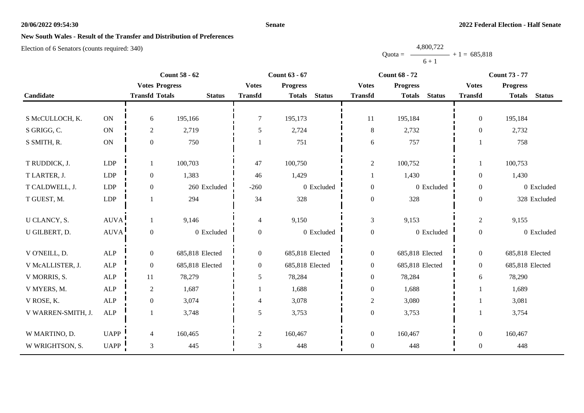### **Senate**

# **New South Wales - Result of the Transfer and Distribution of Preferences**

|           | 4,800,722 |                |
|-----------|-----------|----------------|
| $Quota =$ |           | $+1 = 685.818$ |
|           | $6 + 1$   |                |

|                    |             |                       | <b>Count 58 - 62</b><br><b>Count 63 - 67</b><br><b>Count 68 - 72</b> |                          |                                | <b>Count 73 - 77</b> |                                |                  |                                |
|--------------------|-------------|-----------------------|----------------------------------------------------------------------|--------------------------|--------------------------------|----------------------|--------------------------------|------------------|--------------------------------|
|                    |             | <b>Votes Progress</b> |                                                                      | <b>Votes</b>             | <b>Progress</b>                | <b>Votes</b>         | <b>Progress</b>                | <b>Votes</b>     | <b>Progress</b>                |
| Candidate          |             | <b>Transfd Totals</b> | <b>Status</b>                                                        | <b>Transfd</b>           | <b>Status</b><br><b>Totals</b> | <b>Transfd</b>       | <b>Status</b><br><b>Totals</b> | <b>Transfd</b>   | <b>Totals</b><br><b>Status</b> |
|                    |             |                       |                                                                      |                          |                                |                      |                                |                  |                                |
| S McCULLOCH, K.    | ON          | 6                     | 195,166                                                              | 7                        | 195,173                        | 11                   | 195,184                        | $\overline{0}$   | 195,184                        |
| S GRIGG, C.        | ON          | $\overline{c}$        | 2,719                                                                | 5                        | 2,724                          | $\,8\,$              | 2,732                          | $\overline{0}$   | 2,732                          |
| S SMITH, R.        | ON          | $\boldsymbol{0}$      | 750                                                                  |                          | 751                            | 6                    | 757                            |                  | 758                            |
|                    |             |                       |                                                                      |                          |                                |                      |                                |                  |                                |
| T RUDDICK, J.      | <b>LDP</b>  | 1                     | 100,703                                                              | 47                       | 100,750                        | $\overline{2}$       | 100,752                        |                  | 100,753                        |
| T LARTER, J.       | LDP         | $\boldsymbol{0}$      | 1,383                                                                | 46                       | 1,429                          |                      | 1,430                          | $\theta$         | 1,430                          |
| T CALDWELL, J.     | <b>LDP</b>  | $\boldsymbol{0}$      | 260 Excluded                                                         | $-260$                   | 0 Excluded                     | $\boldsymbol{0}$     | 0 Excluded                     | $\boldsymbol{0}$ | 0 Excluded                     |
| T GUEST, M.        | LDP         |                       | 294                                                                  | 34                       | 328                            | $\boldsymbol{0}$     | 328                            | $\boldsymbol{0}$ | 328 Excluded                   |
|                    |             |                       |                                                                      |                          |                                |                      |                                |                  |                                |
| U CLANCY, S.       | <b>AUVA</b> | 1                     | 9,146                                                                | $\overline{4}$           | 9,150                          | $\mathfrak{Z}$       | 9,153                          | $\overline{c}$   | 9,155                          |
| U GILBERT, D.      | AUVA        | $\boldsymbol{0}$      | 0 Excluded                                                           | $\overline{0}$           | 0 Excluded                     | $\boldsymbol{0}$     | 0 Excluded                     | $\boldsymbol{0}$ | 0 Excluded                     |
|                    |             |                       |                                                                      |                          |                                |                      |                                |                  |                                |
| V O'NEILL, D.      | ${\sf ALP}$ | $\boldsymbol{0}$      | 685,818 Elected                                                      | $\overline{0}$           | 685,818 Elected                | $\boldsymbol{0}$     | 685,818 Elected                | $\boldsymbol{0}$ | 685,818 Elected                |
| V McALLISTER, J.   | ${\sf ALP}$ | $\boldsymbol{0}$      | 685,818 Elected                                                      | $\overline{0}$           | 685,818 Elected                | $\boldsymbol{0}$     | 685,818 Elected                | $\overline{0}$   | 685,818 Elected                |
| V MORRIS, S.       | <b>ALP</b>  | 11                    | 78,279                                                               | 5                        | 78,284                         | $\boldsymbol{0}$     | 78,284                         | 6                | 78,290                         |
| V MYERS, M.        | ALP         | $\overline{2}$        | 1,687                                                                |                          | 1,688                          | $\boldsymbol{0}$     | 1,688                          |                  | 1,689                          |
| V ROSE, K.         | <b>ALP</b>  | $\boldsymbol{0}$      | 3,074                                                                | $\overline{\mathcal{A}}$ | 3,078                          | $\overline{c}$       | 3,080                          |                  | 3,081                          |
| V WARREN-SMITH, J. | ${\sf ALP}$ |                       | 3,748                                                                | 5                        | 3,753                          | $\boldsymbol{0}$     | 3,753                          |                  | 3,754                          |
|                    |             |                       |                                                                      |                          |                                |                      |                                |                  |                                |
| W MARTINO, D.      | <b>UAPP</b> | $\overline{4}$        | 160,465                                                              | $\overline{2}$           | 160,467                        | $\boldsymbol{0}$     | 160,467                        | $\mathbf{0}$     | 160,467                        |
| W WRIGHTSON, S.    | <b>UAPP</b> | $\mathfrak{Z}$        | 445                                                                  | 3                        | 448                            | $\boldsymbol{0}$     | 448                            | $\overline{0}$   | 448                            |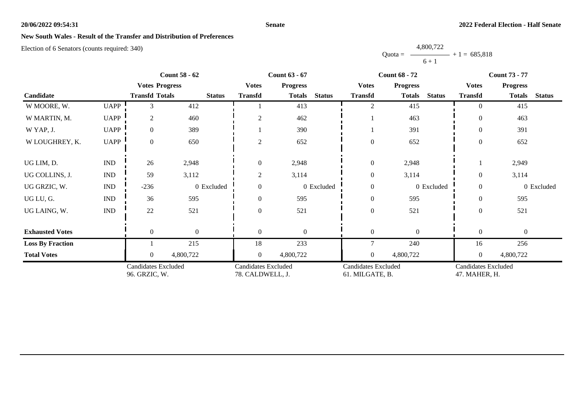### **Senate**

# **New South Wales - Result of the Transfer and Distribution of Preferences**

|           | 4,800,722 |                |
|-----------|-----------|----------------|
| $Quota =$ |           | $+1 = 685.818$ |
|           | $6 + 1$   |                |

| <b>Count 58 - 62</b>    |                             | <b>Count 63 - 67</b>                        |               |                                                |                 | <b>Count 68 - 72</b> |                                               | <b>Count 73 - 77</b>           |                                      |                  |               |
|-------------------------|-----------------------------|---------------------------------------------|---------------|------------------------------------------------|-----------------|----------------------|-----------------------------------------------|--------------------------------|--------------------------------------|------------------|---------------|
|                         |                             | <b>Votes Progress</b>                       |               | <b>Votes</b>                                   | <b>Progress</b> |                      | <b>Votes</b>                                  | <b>Progress</b>                | <b>Votes</b>                         | <b>Progress</b>  |               |
| Candidate               |                             | <b>Transfd Totals</b>                       | <b>Status</b> | <b>Transfd</b>                                 | <b>Totals</b>   | <b>Status</b>        | <b>Transfd</b>                                | <b>Status</b><br><b>Totals</b> | <b>Transfd</b>                       | <b>Totals</b>    | <b>Status</b> |
| W MOORE, W.             | <b>UAPP</b>                 | 3                                           | 412           |                                                | 413             |                      | 2                                             | 415                            | $\Omega$                             | 415              |               |
| W MARTIN, M.            | <b>UAPP</b>                 | 2                                           | 460           | 2                                              | 462             |                      |                                               | 463                            | $\overline{0}$                       | 463              |               |
| W YAP, J.               | <b>UAPP</b>                 | $\overline{0}$                              | 389           |                                                | 390             |                      |                                               | 391                            | $\theta$                             | 391              |               |
| W LOUGHREY, K.          | <b>UAPP</b>                 | $\overline{0}$                              | 650           | 2                                              | 652             |                      | $\overline{0}$                                | 652                            | $\overline{0}$                       | 652              |               |
| UG LIM, D.              | $\mathop{\rm IND}\nolimits$ | 26                                          | 2,948         | $\theta$                                       | 2,948           |                      | $\boldsymbol{0}$                              | 2,948                          |                                      | 2,949            |               |
| UG COLLINS, J.          | $\mathop{\rm IND}\nolimits$ | 59                                          | 3,112         | 2                                              | 3,114           |                      | $\boldsymbol{0}$                              | 3,114                          | $\Omega$                             | 3,114            |               |
| UG GRZIC, W.            | $\mathop{\rm IND}\nolimits$ | $-236$                                      | 0 Excluded    | $\Omega$                                       |                 | 0 Excluded           | $\boldsymbol{0}$                              | 0 Excluded                     | $\overline{0}$                       |                  | 0 Excluded    |
| UG LU, G.               | $\mathop{\rm IND}\nolimits$ | 36                                          | 595           | $\Omega$                                       | 595             |                      | $\boldsymbol{0}$                              | 595                            | $\theta$                             | 595              |               |
| UG LAING, W.            | $\mathop{\rm IND}\nolimits$ | 22                                          | 521           | $\Omega$                                       | 521             |                      | $\boldsymbol{0}$                              | 521                            | $\boldsymbol{0}$                     | 521              |               |
| <b>Exhausted Votes</b>  |                             | $\theta$                                    | $\mathbf{0}$  | $\theta$                                       | $\mathbf{0}$    |                      | $\overline{0}$                                | $\theta$                       | $\overline{0}$                       | $\boldsymbol{0}$ |               |
| <b>Loss By Fraction</b> |                             |                                             | 215           | 18                                             | 233             |                      | $\overline{7}$                                | 240                            | 16                                   | 256              |               |
| <b>Total Votes</b>      |                             | 0                                           | 4,800,722     | $\overline{0}$                                 | 4,800,722       |                      | $\mathbf{0}$                                  | 4,800,722                      | $\overline{0}$                       | 4,800,722        |               |
|                         |                             | <b>Candidates Excluded</b><br>96. GRZIC, W. |               | <b>Candidates Excluded</b><br>78. CALDWELL, J. |                 |                      | <b>Candidates Excluded</b><br>61. MILGATE, B. |                                | Candidates Excluded<br>47. MAHER, H. |                  |               |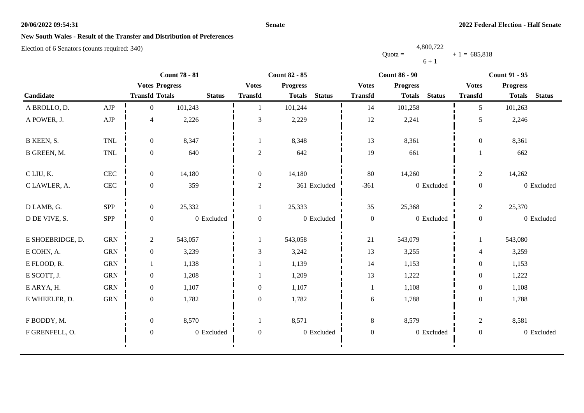### **Senate**

# **New South Wales - Result of the Transfer and Distribution of Preferences**

|           | 4,800,722 |                |
|-----------|-----------|----------------|
| $Quota =$ |           | $+1 = 685.818$ |
|           | $6 + 1$   |                |

|                  |              |                          | <b>Count 78 - 81</b> |                  | <b>Count 82 - 85</b> |               |                  | <b>Count 86 - 90</b> |               |                  | <b>Count 91 - 95</b> |               |  |
|------------------|--------------|--------------------------|----------------------|------------------|----------------------|---------------|------------------|----------------------|---------------|------------------|----------------------|---------------|--|
|                  |              | <b>Votes Progress</b>    |                      | <b>Votes</b>     | <b>Progress</b>      |               | <b>Votes</b>     | <b>Progress</b>      |               | <b>Votes</b>     | <b>Progress</b>      |               |  |
| Candidate        |              | <b>Transfd Totals</b>    | <b>Status</b>        | <b>Transfd</b>   | <b>Totals</b>        | <b>Status</b> | <b>Transfd</b>   | <b>Totals</b>        | <b>Status</b> | <b>Transfd</b>   | <b>Totals</b>        | <b>Status</b> |  |
| A BROLLO, D.     | AJP          | $\overline{0}$           | 101,243              |                  | 101,244              |               | 14               | 101,258              |               | 5                | 101,263              |               |  |
| A POWER, J.      | ${\rm AJP}$  | $\overline{\mathcal{L}}$ | 2,226                | $\mathfrak{Z}$   | 2,229                |               | $12\,$           | 2,241                |               | 5                | 2,246                |               |  |
| B KEEN, S.       | <b>TNL</b>   | $\overline{0}$           | 8,347                | 1                | 8,348                |               | 13               | 8,361                |               | $\boldsymbol{0}$ | 8,361                |               |  |
| B GREEN, M.      | $\mbox{TNL}$ | $\boldsymbol{0}$         | 640                  | $\sqrt{2}$       | 642                  |               | 19               | 661                  |               |                  | 662                  |               |  |
| C LIU, K.        | $\mbox{CEC}$ | $\overline{0}$           | 14,180               | $\boldsymbol{0}$ | 14,180               |               | 80               | 14,260               |               | $\overline{2}$   | 14,262               |               |  |
| C LAWLER, A.     | CEC          | $\overline{0}$           | 359                  | $\overline{c}$   |                      | 361 Excluded  | $-361$           |                      | 0 Excluded    | $\boldsymbol{0}$ |                      | 0 Excluded    |  |
| D LAMB, G.       | <b>SPP</b>   | $\overline{0}$           | 25,332               | 1                | 25,333               |               | 35               | 25,368               |               | $\overline{2}$   | 25,370               |               |  |
| D DE VIVE, S.    | SPP          | $\boldsymbol{0}$         | 0 Excluded           | $\boldsymbol{0}$ |                      | 0 Excluded    | $\boldsymbol{0}$ |                      | 0 Excluded    | $\mathbf{0}$     |                      | 0 Excluded    |  |
| E SHOEBRIDGE, D. | <b>GRN</b>   | $\overline{2}$           | 543,057              | 1                | 543,058              |               | 21               | 543,079              |               | 1                | 543,080              |               |  |
| E COHN, A.       | <b>GRN</b>   | $\boldsymbol{0}$         | 3,239                | 3                | 3,242                |               | 13               | 3,255                |               | 4                | 3,259                |               |  |
| E FLOOD, R.      | <b>GRN</b>   |                          | 1,138                |                  | 1,139                |               | 14               | 1,153                |               | $\mathbf{0}$     | 1,153                |               |  |
| E SCOTT, J.      | <b>GRN</b>   | $\overline{0}$           | 1,208                |                  | 1,209                |               | 13               | 1,222                |               | $\overline{0}$   | 1,222                |               |  |
| E ARYA, H.       | <b>GRN</b>   | $\overline{0}$           | 1,107                | $\theta$         | 1,107                |               | $\mathbf{1}$     | 1,108                |               | $\boldsymbol{0}$ | 1,108                |               |  |
| E WHEELER, D.    | <b>GRN</b>   | $\boldsymbol{0}$         | 1,782                | $\boldsymbol{0}$ | 1,782                |               | $\epsilon$       | 1,788                |               | $\boldsymbol{0}$ | 1,788                |               |  |
| F BODDY, M.      |              | $\overline{0}$           | 8,570                |                  | 8,571                |               | $8\,$            | 8,579                |               | $\overline{2}$   | 8,581                |               |  |
| F GRENFELL, O.   |              | $\boldsymbol{0}$         | 0 Excluded           | $\boldsymbol{0}$ |                      | 0 Excluded    | $\boldsymbol{0}$ |                      | 0 Excluded    | $\boldsymbol{0}$ |                      | 0 Excluded    |  |
|                  |              |                          |                      |                  |                      |               |                  |                      |               |                  |                      |               |  |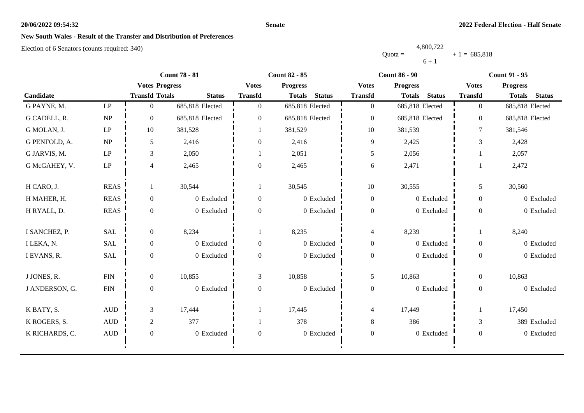### **Senate**

# **New South Wales - Result of the Transfer and Distribution of Preferences**

|           | 4,800,722 |                |
|-----------|-----------|----------------|
| $Quota =$ |           | $+1 = 685.818$ |
|           | $6 + 1$   |                |

| <b>Count 78 - 81</b> |                                 |                       | <b>Count 82 - 85</b> |                | <b>Count 86 - 90</b>           | <b>Count 91 - 95</b> |                                |                |                                |
|----------------------|---------------------------------|-----------------------|----------------------|----------------|--------------------------------|----------------------|--------------------------------|----------------|--------------------------------|
|                      |                                 | <b>Votes Progress</b> |                      | <b>Votes</b>   | <b>Progress</b>                | <b>Votes</b>         | <b>Progress</b>                | <b>Votes</b>   | <b>Progress</b>                |
| Candidate            |                                 | <b>Transfd Totals</b> | <b>Status</b>        | <b>Transfd</b> | <b>Status</b><br><b>Totals</b> | <b>Transfd</b>       | <b>Status</b><br><b>Totals</b> | <b>Transfd</b> | <b>Status</b><br><b>Totals</b> |
| G PAYNE, M.          | $\mathbf{L}\mathbf{P}$          | $\Omega$              | 685,818 Elected      | $\Omega$       | 685,818 Elected                | $\overline{0}$       | 685,818 Elected                | $\overline{0}$ | 685,818 Elected                |
| G CADELL, R.         | NP                              | $\overline{0}$        | 685,818 Elected      | $\overline{0}$ | 685,818 Elected                | $\boldsymbol{0}$     | 685,818 Elected                | $\overline{0}$ | 685,818 Elected                |
| G MOLAN, J.          | $\ensuremath{\mathrm{LP}}$      | 10                    | 381,528              |                | 381,529                        | 10                   | 381,539                        | $\tau$         | 381,546                        |
| G PENFOLD, A.        | $\ensuremath{\text{NP}}\xspace$ | 5                     | 2,416                | $\overline{0}$ | 2,416                          | 9                    | 2,425                          | $\mathfrak{Z}$ | 2,428                          |
| G JARVIS, M.         | $\ensuremath{\mathrm{LP}}$      | 3                     | 2,050                |                | 2,051                          | 5                    | 2,056                          |                | 2,057                          |
| G McGAHEY, V.        | $\ensuremath{\mathrm{LP}}$      | $\overline{4}$        | 2,465                | $\overline{0}$ | 2,465                          | 6                    | 2,471                          |                | 2,472                          |
| H CARO, J.           | <b>REAS</b>                     |                       | 30,544               |                | 30,545                         | 10                   | 30,555                         | 5              | 30,560                         |
| H MAHER, H.          | <b>REAS</b>                     | $\mathbf{0}$          | 0 Excluded           | $\overline{0}$ | 0 Excluded                     | $\boldsymbol{0}$     | 0 Excluded                     | $\overline{0}$ | 0 Excluded                     |
| H RYALL, D.          | <b>REAS</b>                     | $\overline{0}$        | 0 Excluded           | $\overline{0}$ | 0 Excluded                     | $\overline{0}$       | 0 Excluded                     | $\overline{0}$ | 0 Excluded                     |
| I SANCHEZ, P.        | SAL                             | $\overline{0}$        | 8,234                |                | 8,235                          | $\overline{4}$       | 8,239                          | 1              | 8,240                          |
| I LEKA, N.           | SAL                             | $\mathbf{0}$          | 0 Excluded           | $\overline{0}$ | $0\,$ Excluded                 | $\overline{0}$       | 0 Excluded                     | $\overline{0}$ | 0 Excluded                     |
| I EVANS, R.          | SAL                             | $\overline{0}$        | 0 Excluded           | $\Omega$       | 0 Excluded                     | $\boldsymbol{0}$     | 0 Excluded                     | $\overline{0}$ | 0 Excluded                     |
| J JONES, R.          | ${\rm FIN}$                     | $\overline{0}$        | 10,855               | 3              | 10,858                         | 5                    | 10,863                         | $\overline{0}$ | 10,863                         |
| J ANDERSON, G.       | ${\rm FIN}$                     | $\mathbf{0}$          | 0 Excluded           | $\overline{0}$ | 0 Excluded                     | $\boldsymbol{0}$     | 0 Excluded                     | $\overline{0}$ | 0 Excluded                     |
| K BATY, S.           | $\mbox{AUD}$                    | 3                     | 17,444               |                | 17,445                         | $\overline{4}$       | 17,449                         | 1              | 17,450                         |
| K ROGERS, S.         | $\mbox{\rm AUD}$                | $\overline{2}$        | 377                  |                | 378                            | $8\,$                | 386                            | $\mathfrak{Z}$ | 389 Excluded                   |
| K RICHARDS, C.       | $\mbox{AUD}$                    | $\mathbf{0}$          | 0 Excluded           | $\overline{0}$ | 0 Excluded                     | $\boldsymbol{0}$     | 0 Excluded                     | $\overline{0}$ | 0 Excluded                     |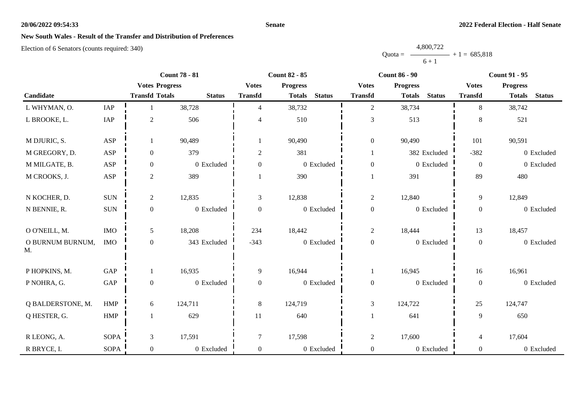### **Senate**

# **New South Wales - Result of the Transfer and Distribution of Preferences**

|           | 4,800,722 |                |
|-----------|-----------|----------------|
| $Quota =$ |           | $+1 = 685,818$ |
|           | $6 + 1$   |                |

|                                 |                      | <b>Count 78 - 81</b>  |               | <b>Count 82 - 85</b> |                 |               | <b>Count 86 - 90</b> |                 |               | <b>Count 91 - 95</b> |                 |               |
|---------------------------------|----------------------|-----------------------|---------------|----------------------|-----------------|---------------|----------------------|-----------------|---------------|----------------------|-----------------|---------------|
|                                 |                      | <b>Votes Progress</b> |               | <b>Votes</b>         | <b>Progress</b> |               | <b>Votes</b>         | <b>Progress</b> |               | <b>Votes</b>         | <b>Progress</b> |               |
| Candidate                       |                      | <b>Transfd Totals</b> | <b>Status</b> | <b>Transfd</b>       | <b>Totals</b>   | <b>Status</b> | <b>Transfd</b>       | <b>Totals</b>   | <b>Status</b> | <b>Transfd</b>       | <b>Totals</b>   | <b>Status</b> |
| L WHYMAN, O.                    | IAP                  |                       | 38,728        | 4                    | 38,732          |               | $\overline{2}$       | 38,734          |               | 8                    | 38,742          |               |
| L BROOKE, L.                    | IAP                  | $\overline{2}$        | 506           | 4                    | 510             |               | $\mathfrak{Z}$       | 513             |               | 8                    | 521             |               |
| M DJURIC, S.                    | ASP                  |                       | 90,489        |                      | 90,490          |               | $\mathbf{0}$         | 90,490          |               | 101                  | 90,591          |               |
| M GREGORY, D.                   | <b>ASP</b>           | $\mathbf{0}$          | 379           | $\overline{c}$       | 381             |               |                      |                 | 382 Excluded  | $-382$               |                 | 0 Excluded    |
| M MILGATE, B.                   | ASP                  | $\boldsymbol{0}$      | 0 Excluded    | $\boldsymbol{0}$     |                 | 0 Excluded    | $\boldsymbol{0}$     |                 | 0 Excluded    | $\boldsymbol{0}$     |                 | 0 Excluded    |
| M CROOKS, J.                    | ASP                  | $\overline{2}$        | 389           |                      | 390             |               |                      | 391             |               | 89                   | 480             |               |
| N KOCHER, D.                    | <b>SUN</b>           | $\overline{c}$        | 12,835        | 3                    | 12,838          |               | $\overline{c}$       | 12,840          |               | 9                    | 12,849          |               |
| N BENNIE, R.                    | <b>SUN</b>           | $\overline{0}$        | 0 Excluded    | $\overline{0}$       |                 | 0 Excluded    | $\boldsymbol{0}$     |                 | 0 Excluded    | $\overline{0}$       |                 | 0 Excluded    |
| O O'NEILL, M.                   | <b>IMO</b>           | 5                     | 18,208        | 234                  | 18,442          |               | $\overline{c}$       | 18,444          |               | 13                   | 18,457          |               |
| O BURNUM BURNUM,<br>$M_{\cdot}$ | <b>IMO</b>           | $\overline{0}$        | 343 Excluded  | $-343$               |                 | 0 Excluded    | $\boldsymbol{0}$     |                 | 0 Excluded    | $\overline{0}$       |                 | 0 Excluded    |
| P HOPKINS, M.                   | $\operatorname{GAP}$ |                       | 16,935        | 9                    | 16,944          |               | 1                    | 16,945          |               | 16                   | 16,961          |               |
| P NOHRA, G.                     | $\operatorname{GAP}$ | $\mathbf{0}$          | 0 Excluded    | $\boldsymbol{0}$     |                 | $0$ Excluded  | $\boldsymbol{0}$     |                 | 0 Excluded    | $\overline{0}$       |                 | 0 Excluded    |
| Q BALDERSTONE, M.               | <b>HMP</b>           | 6                     | 124,711       | 8                    | 124,719         |               | 3                    | 124,722         |               | 25                   | 124,747         |               |
| Q HESTER, G.                    | <b>HMP</b>           | $\mathbf{1}$          | 629           | 11                   | 640             |               |                      | 641             |               | 9                    | 650             |               |
| R LEONG, A.                     | <b>SOPA</b>          | 3                     | 17,591        | 7                    | 17,598          |               | $\overline{c}$       | 17,600          |               | $\overline{4}$       | 17,604          |               |
| R BRYCE, I.                     | SOPA                 | $\mathbf{0}$          | 0 Excluded    | $\boldsymbol{0}$     |                 | 0 Excluded    | $\boldsymbol{0}$     |                 | 0 Excluded    | $\boldsymbol{0}$     |                 | 0 Excluded    |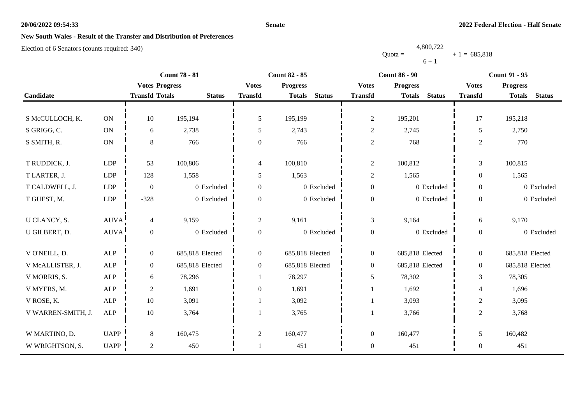### **Senate**

## **New South Wales - Result of the Transfer and Distribution of Preferences**

Election of 6 Senators (counts required: 340)

|                    | <b>Count 78 - 81</b><br><b>Count 82 - 85</b><br><b>Count 86 - 90</b> |                       |                 | <b>Count 91 - 95</b> |                 |               |                  |                 |               |                          |                 |               |
|--------------------|----------------------------------------------------------------------|-----------------------|-----------------|----------------------|-----------------|---------------|------------------|-----------------|---------------|--------------------------|-----------------|---------------|
|                    |                                                                      | <b>Votes Progress</b> |                 | <b>Votes</b>         | <b>Progress</b> |               | <b>Votes</b>     | <b>Progress</b> |               | <b>Votes</b>             | <b>Progress</b> |               |
| Candidate          |                                                                      | <b>Transfd Totals</b> | <b>Status</b>   | <b>Transfd</b>       | <b>Totals</b>   | <b>Status</b> | <b>Transfd</b>   | <b>Totals</b>   | <b>Status</b> | <b>Transfd</b>           | <b>Totals</b>   | <b>Status</b> |
|                    |                                                                      |                       |                 |                      |                 |               |                  |                 |               |                          |                 |               |
| S McCULLOCH, K.    | ON                                                                   | 10                    | 195,194         | 5                    | 195,199         |               | $\sqrt{2}$       | 195,201         |               | 17                       | 195,218         |               |
| S GRIGG, C.        | ON                                                                   | 6                     | 2,738           | 5                    | 2,743           |               | $\sqrt{2}$       | 2,745           |               | 5                        | 2,750           |               |
| S SMITH, R.        | $\mathbf{ON}$                                                        | $8\phantom{.}$        | 766             | $\boldsymbol{0}$     | 766             |               | $\sqrt{2}$       | 768             |               | $\overline{2}$           | 770             |               |
|                    |                                                                      |                       |                 |                      |                 |               |                  |                 |               |                          |                 |               |
| T RUDDICK, J.      | LDP                                                                  | 53                    | 100,806         | 4                    | 100,810         |               | $\overline{2}$   | 100,812         |               | 3                        | 100,815         |               |
| T LARTER, J.       | <b>LDP</b>                                                           | 128                   | 1,558           | 5                    | 1,563           |               | $\sqrt{2}$       | 1,565           |               | $\overline{0}$           | 1,565           |               |
| T CALDWELL, J.     | <b>LDP</b>                                                           | $\boldsymbol{0}$      | 0 Excluded      | $\Omega$             |                 | 0 Excluded    | $\boldsymbol{0}$ |                 | 0 Excluded    | $\overline{0}$           |                 | 0 Excluded    |
| T GUEST, M.        | <b>LDP</b>                                                           | $-328$                | 0 Excluded      | $\mathbf{0}$         |                 | 0 Excluded    | $\boldsymbol{0}$ |                 | 0 Excluded    | $\overline{0}$           |                 | 0 Excluded    |
|                    |                                                                      |                       |                 |                      |                 |               |                  |                 |               |                          |                 |               |
| U CLANCY, S.       | AUVA!                                                                | $\overline{4}$        | 9,159           | $\overline{2}$       | 9,161           |               | $\mathfrak{Z}$   | 9,164           |               | 6                        | 9,170           |               |
| U GILBERT, D.      | <b>AUVA</b>                                                          | $\overline{0}$        | 0 Excluded      | $\boldsymbol{0}$     |                 | 0 Excluded    | $\boldsymbol{0}$ |                 | 0 Excluded    | $\overline{0}$           |                 | 0 Excluded    |
|                    |                                                                      |                       |                 |                      |                 |               |                  |                 |               |                          |                 |               |
| V O'NEILL, D.      | <b>ALP</b>                                                           | $\mathbf{0}$          | 685,818 Elected | $\mathbf{0}$         | 685,818 Elected |               | $\boldsymbol{0}$ | 685,818 Elected |               | $\overline{0}$           | 685,818 Elected |               |
| V McALLISTER, J.   | ALP                                                                  | $\boldsymbol{0}$      | 685,818 Elected | $\overline{0}$       | 685,818 Elected |               | $\boldsymbol{0}$ | 685,818 Elected |               | $\overline{0}$           | 685,818 Elected |               |
| V MORRIS, S.       | ALP                                                                  | 6                     | 78,296          |                      | 78,297          |               | 5                | 78,302          |               | 3                        | 78,305          |               |
| V MYERS, M.        | <b>ALP</b>                                                           | 2                     | 1,691           | $\Omega$             | 1,691           |               | 1                | 1,692           |               | $\overline{\mathcal{L}}$ | 1,696           |               |
| V ROSE, K.         | ALP                                                                  | 10                    | 3,091           |                      | 3,092           |               |                  | 3,093           |               | $\overline{c}$           | 3,095           |               |
| V WARREN-SMITH, J. | ALP                                                                  | $10\,$                | 3,764           |                      | 3,765           |               |                  | 3,766           |               | $\overline{2}$           | 3,768           |               |
|                    |                                                                      |                       |                 |                      |                 |               |                  |                 |               |                          |                 |               |
| W MARTINO, D.      | <b>UAPP</b>                                                          | 8                     | 160,475         | $\overline{2}$       | 160,477         |               | $\boldsymbol{0}$ | 160,477         |               | 5                        | 160,482         |               |
| W WRIGHTSON, S.    | <b>UAPP</b>                                                          | $\overline{2}$        | 450             |                      | 451             |               | $\boldsymbol{0}$ | 451             |               | $\boldsymbol{0}$         | 451             |               |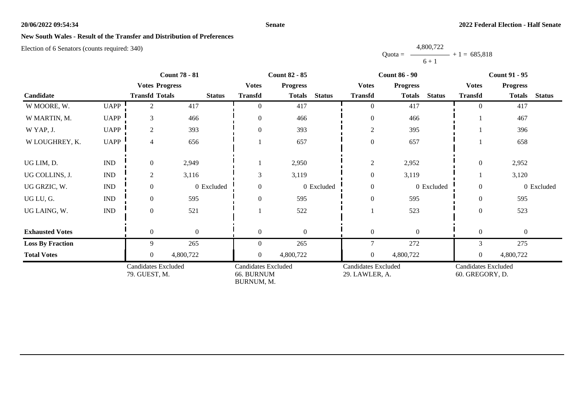### **Senate**

## **New South Wales - Result of the Transfer and Distribution of Preferences**

Election of 6 Senators (counts required: 340)

|                         | <b>Count 78 - 81</b>        |                                             | <b>Count 82 - 85</b> |                                                        |                 |               | <b>Count 86 - 90</b>                         |                                | <b>Count 91 - 95</b>                          |                  |               |
|-------------------------|-----------------------------|---------------------------------------------|----------------------|--------------------------------------------------------|-----------------|---------------|----------------------------------------------|--------------------------------|-----------------------------------------------|------------------|---------------|
|                         |                             | <b>Votes Progress</b>                       |                      | <b>Votes</b>                                           | <b>Progress</b> |               | <b>Votes</b>                                 | <b>Progress</b>                | <b>Votes</b>                                  | <b>Progress</b>  |               |
| Candidate               |                             | <b>Transfd Totals</b>                       | <b>Status</b>        | <b>Transfd</b>                                         | <b>Totals</b>   | <b>Status</b> | <b>Transfd</b>                               | <b>Status</b><br><b>Totals</b> | <b>Transfd</b>                                | <b>Totals</b>    | <b>Status</b> |
| W MOORE, W.             | <b>UAPP</b>                 | 2                                           | 417                  | $\overline{0}$                                         | 417             |               | $\overline{0}$                               | 417                            | $\overline{0}$                                | 417              |               |
| W MARTIN, M.            | <b>UAPP</b>                 | 3                                           | 466                  | $\overline{0}$                                         | 466             |               | $\boldsymbol{0}$                             | 466                            |                                               | 467              |               |
| W YAP, J.               | <b>UAPP</b>                 | $\overline{2}$                              | 393                  | $\overline{0}$                                         | 393             |               | $\boldsymbol{2}$                             | 395                            |                                               | 396              |               |
| W LOUGHREY, K.          | <b>UAPP</b>                 | 4                                           | 656                  |                                                        | 657             |               | $\boldsymbol{0}$                             | 657                            |                                               | 658              |               |
| UG LIM, D.              | <b>IND</b>                  | $\mathbf{0}$                                | 2,949                |                                                        | 2,950           |               | $\sqrt{2}$                                   | 2,952                          | $\boldsymbol{0}$                              | 2,952            |               |
| UG COLLINS, J.          | $\mathop{\rm IND}\nolimits$ | 2                                           | 3,116                | 3                                                      | 3,119           |               | $\boldsymbol{0}$                             | 3,119                          |                                               | 3,120            |               |
| UG GRZIC, W.            | <b>IND</b>                  | $\mathbf{0}$                                | 0 Excluded           | $\overline{0}$                                         |                 | 0 Excluded    | $\boldsymbol{0}$                             | 0 Excluded                     | $\overline{0}$                                |                  | 0 Excluded    |
| UG LU, G.               | <b>IND</b>                  | $\overline{0}$                              | 595                  | $\overline{0}$                                         | 595             |               | $\boldsymbol{0}$                             | 595                            | $\theta$                                      | 595              |               |
| UG LAING, W.            | $\mathop{\rm IND}\nolimits$ | $\overline{0}$                              | 521                  |                                                        | 522             |               |                                              | 523                            | $\theta$                                      | 523              |               |
| <b>Exhausted Votes</b>  |                             | $\overline{0}$                              | $\boldsymbol{0}$     | $\overline{0}$                                         | $\overline{0}$  |               | $\boldsymbol{0}$                             | $\overline{0}$                 | $\overline{0}$                                | $\boldsymbol{0}$ |               |
| <b>Loss By Fraction</b> |                             | 9                                           | 265                  | $\overline{0}$                                         | 265             |               | $\overline{7}$                               | 272                            | 3                                             | 275              |               |
| <b>Total Votes</b>      |                             | $\overline{0}$                              | 4,800,722            | $\overline{0}$                                         | 4,800,722       |               | $\boldsymbol{0}$                             | 4,800,722                      | $\overline{0}$                                | 4,800,722        |               |
|                         |                             | <b>Candidates Excluded</b><br>79. GUEST, M. |                      | <b>Candidates Excluded</b><br>66. BURNUM<br>BURNUM, M. |                 |               | <b>Candidates Excluded</b><br>29. LAWLER, A. |                                | <b>Candidates Excluded</b><br>60. GREGORY, D. |                  |               |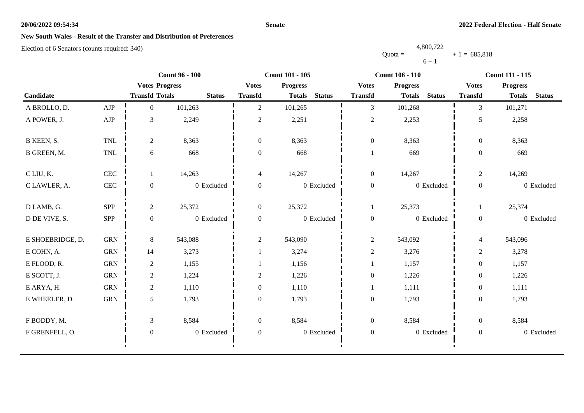### **Senate**

# **New South Wales - Result of the Transfer and Distribution of Preferences**

|           | 4,800,722      |
|-----------|----------------|
| $Quota =$ | $+1 = 685,818$ |
|           | $6 + 1$        |

|                  |              |                       | <b>Count 96 - 100</b> | <b>Count 101 - 105</b>         |                 |               |                  | <b>Count 106 - 110</b>         |            | <b>Count 111 - 115</b> |                 |               |
|------------------|--------------|-----------------------|-----------------------|--------------------------------|-----------------|---------------|------------------|--------------------------------|------------|------------------------|-----------------|---------------|
|                  |              | <b>Votes Progress</b> |                       | <b>Votes</b><br><b>Transfd</b> | <b>Progress</b> |               | <b>Votes</b>     | <b>Progress</b>                |            | <b>Votes</b>           | <b>Progress</b> |               |
| Candidate        |              | <b>Transfd Totals</b> | <b>Status</b>         |                                | <b>Totals</b>   | <b>Status</b> | <b>Transfd</b>   | <b>Status</b><br><b>Totals</b> |            | <b>Transfd</b>         | <b>Totals</b>   | <b>Status</b> |
| A BROLLO, D.     | AJP          | $\overline{0}$        | 101,263               | $\overline{2}$                 | 101,265         |               | $\mathfrak{Z}$   | 101,268                        |            | 3                      | 101,271         |               |
| A POWER, J.      | ${\rm AJP}$  | 3                     | 2,249                 | $\sqrt{2}$                     | 2,251           |               | $\overline{c}$   | 2,253                          |            | 5                      | 2,258           |               |
| B KEEN, S.       | <b>TNL</b>   | $\overline{c}$        | 8,363                 | $\mathbf{0}$                   | 8,363           |               | $\boldsymbol{0}$ | 8,363                          |            | $\overline{0}$         | 8,363           |               |
| B GREEN, M.      | TNL          | 6                     | 668                   | $\boldsymbol{0}$               | 668             |               |                  | 669                            |            | $\boldsymbol{0}$       | 669             |               |
| C LIU, K.        | $\mbox{CEC}$ | 1                     | 14,263                | $\overline{4}$                 | 14,267          |               | $\boldsymbol{0}$ | 14,267                         |            | $\overline{c}$         | 14,269          |               |
| C LAWLER, A.     | CEC          | $\theta$              | 0 Excluded            | $\boldsymbol{0}$               |                 | 0 Excluded    | $\boldsymbol{0}$ |                                | 0 Excluded | $\boldsymbol{0}$       |                 | 0 Excluded    |
| D LAMB, G.       | SPP          | $\overline{c}$        | 25,372                | $\overline{0}$                 | 25,372          |               | 1                | 25,373                         |            |                        | 25,374          |               |
| D DE VIVE, S.    | SPP          | $\boldsymbol{0}$      | 0 Excluded            | $\overline{0}$                 |                 | 0 Excluded    | $\boldsymbol{0}$ |                                | 0 Excluded | $\boldsymbol{0}$       |                 | 0 Excluded    |
| E SHOEBRIDGE, D. | <b>GRN</b>   | 8                     | 543,088               | $\overline{2}$                 | 543,090         |               | $\overline{c}$   | 543,092                        |            | $\overline{4}$         | 543,096         |               |
| E COHN, A.       | <b>GRN</b>   | 14                    | 3,273                 | $\mathbf{1}$                   | 3,274           |               | $\overline{c}$   | 3,276                          |            | $\overline{2}$         | 3,278           |               |
| E FLOOD, R.      | <b>GRN</b>   | $\overline{c}$        | 1,155                 |                                | 1,156           |               |                  | 1,157                          |            | $\boldsymbol{0}$       | 1,157           |               |
| E SCOTT, J.      | <b>GRN</b>   | $\overline{2}$        | 1,224                 | $\overline{2}$                 | 1,226           |               | $\boldsymbol{0}$ | 1,226                          |            | $\boldsymbol{0}$       | 1,226           |               |
| E ARYA, H.       | <b>GRN</b>   | $\overline{2}$        | 1,110                 | $\boldsymbol{0}$               | 1,110           |               |                  | 1,111                          |            | $\boldsymbol{0}$       | 1,111           |               |
| E WHEELER, D.    | <b>GRN</b>   | 5                     | 1,793                 | $\overline{0}$                 | 1,793           |               | $\boldsymbol{0}$ | 1,793                          |            | $\boldsymbol{0}$       | 1,793           |               |
| F BODDY, M.      |              | $\mathfrak{Z}$        | 8,584                 | $\boldsymbol{0}$               | 8,584           |               | $\boldsymbol{0}$ | 8,584                          |            | $\overline{0}$         | 8,584           |               |
| F GRENFELL, O.   |              | $\boldsymbol{0}$      | 0 Excluded            | $\boldsymbol{0}$               |                 | 0 Excluded    | $\boldsymbol{0}$ |                                | 0 Excluded | $\boldsymbol{0}$       |                 | 0 Excluded    |
|                  |              |                       |                       |                                |                 |               |                  |                                |            |                        |                 |               |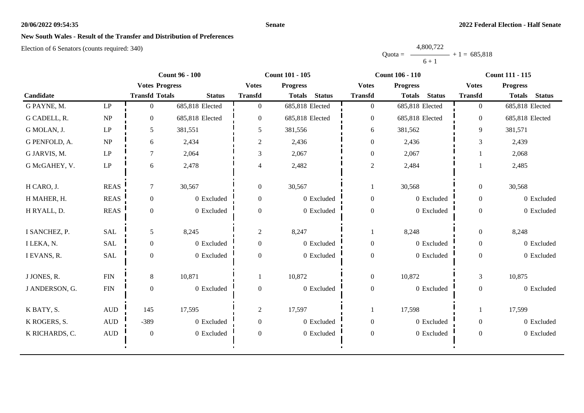### **Senate**

# **New South Wales - Result of the Transfer and Distribution of Preferences**

|           | 4,800,722 |                |
|-----------|-----------|----------------|
| $Quota =$ |           | $+1 = 685,818$ |
|           | $6 + 1$   |                |

|                |                                 | <b>Count 96 - 100</b> |                 |                  | <b>Count 101 - 105</b>         |                  | <b>Count 106 - 110</b>         | <b>Count 111 - 115</b> |                                |  |
|----------------|---------------------------------|-----------------------|-----------------|------------------|--------------------------------|------------------|--------------------------------|------------------------|--------------------------------|--|
|                |                                 | <b>Votes Progress</b> |                 | <b>Votes</b>     | <b>Progress</b>                | <b>Votes</b>     | <b>Progress</b>                | <b>Votes</b>           | <b>Progress</b>                |  |
| Candidate      |                                 | <b>Transfd Totals</b> | <b>Status</b>   | <b>Transfd</b>   | <b>Status</b><br><b>Totals</b> | <b>Transfd</b>   | <b>Totals</b><br><b>Status</b> | <b>Transfd</b>         | <b>Totals</b><br><b>Status</b> |  |
| G PAYNE, M.    | $\mathbf{L}\mathbf{P}$          | $\Omega$              | 685,818 Elected | $\overline{0}$   | 685,818 Elected                | $\boldsymbol{0}$ | 685,818 Elected                | $\overline{0}$         | 685,818 Elected                |  |
| G CADELL, R.   | NP                              | $\Omega$              | 685,818 Elected | $\overline{0}$   | 685,818 Elected                | $\boldsymbol{0}$ | 685,818 Elected                | $\overline{0}$         | 685,818 Elected                |  |
| G MOLAN, J.    | $\ensuremath{\mathrm{LP}}$      | 5                     | 381,551         | 5                | 381,556                        | 6                | 381,562                        | 9                      | 381,571                        |  |
| G PENFOLD, A.  | $\ensuremath{\text{NP}}\xspace$ | 6                     | 2,434           | $\overline{c}$   | 2,436                          | $\boldsymbol{0}$ | 2,436                          | 3                      | 2,439                          |  |
| G JARVIS, M.   | $\mathbf{L}\mathbf{P}$          | $\tau$                | 2,064           | 3                | 2,067                          | $\boldsymbol{0}$ | 2,067                          |                        | 2,068                          |  |
| G McGAHEY, V.  | $\mathbf{L}\mathbf{P}$          | 6                     | 2,478           | 4                | 2,482                          | $\overline{2}$   | 2,484                          |                        | 2,485                          |  |
| H CARO, J.     | <b>REAS</b>                     | $\tau$                | 30,567          | $\mathbf{0}$     | 30,567                         |                  | 30,568                         | $\overline{0}$         | 30,568                         |  |
| H MAHER, H.    | <b>REAS</b>                     | $\overline{0}$        | 0 Excluded      | $\overline{0}$   | 0 Excluded                     | $\boldsymbol{0}$ | 0 Excluded                     | $\overline{0}$         | 0 Excluded                     |  |
| H RYALL, D.    | <b>REAS</b>                     | $\overline{0}$        | 0 Excluded      | $\Omega$         | 0 Excluded                     | $\boldsymbol{0}$ | 0 Excluded                     | $\overline{0}$         | 0 Excluded                     |  |
| I SANCHEZ, P.  | <b>SAL</b>                      | 5                     | 8,245           | $\overline{2}$   | 8,247                          | $\mathbf{1}$     | 8,248                          | $\overline{0}$         | 8,248                          |  |
| I LEKA, N.     | <b>SAL</b>                      | $\boldsymbol{0}$      | 0 Excluded      | $\boldsymbol{0}$ | 0 Excluded                     | $\boldsymbol{0}$ | 0 Excluded                     | $\overline{0}$         | 0 Excluded                     |  |
| I EVANS, R.    | <b>SAL</b>                      | $\overline{0}$        | 0 Excluded      | $\Omega$         | 0 Excluded                     | $\boldsymbol{0}$ | 0 Excluded                     | $\theta$               | 0 Excluded                     |  |
| J JONES, R.    | ${\rm FIN}$                     | 8                     | 10,871          |                  | 10,872                         | $\boldsymbol{0}$ | 10,872                         | $\mathfrak{Z}$         | 10,875                         |  |
| J ANDERSON, G. | ${\rm FIN}$                     | $\overline{0}$        | 0 Excluded      | $\overline{0}$   | 0 Excluded                     | $\boldsymbol{0}$ | 0 Excluded                     | $\overline{0}$         | 0 Excluded                     |  |
| K BATY, S.     | $\mbox{AUD}$                    | 145                   | 17,595          | $\overline{2}$   | 17,597                         | 1                | 17,598                         |                        | 17,599                         |  |
| K ROGERS, S.   | $\mbox{AUD}$                    | $-389$                | 0 Excluded      | $\overline{0}$   | 0 Excluded                     | $\boldsymbol{0}$ | 0 Excluded                     | $\overline{0}$         | 0 Excluded                     |  |
| K RICHARDS, C. | $\mbox{AUD}$                    | $\overline{0}$        | 0 Excluded      | $\overline{0}$   | 0 Excluded                     | $\boldsymbol{0}$ | 0 Excluded                     | $\overline{0}$         | 0 Excluded                     |  |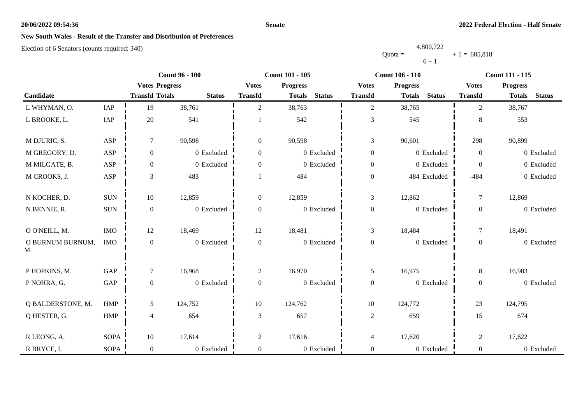### **Senate**

# **New South Wales - Result of the Transfer and Distribution of Preferences**

|           | 4,800,722      |  |
|-----------|----------------|--|
| $Quota =$ | $+1 = 685,818$ |  |
|           | $6 + 1$        |  |

|                        |                      | <b>Count 96 - 100</b> |               |                | <b>Count 101 - 105</b>         |                  | <b>Count 106 - 110</b>         | <b>Count 111 - 115</b> |                                |  |
|------------------------|----------------------|-----------------------|---------------|----------------|--------------------------------|------------------|--------------------------------|------------------------|--------------------------------|--|
|                        |                      | <b>Votes Progress</b> |               | <b>Votes</b>   | <b>Progress</b>                | <b>Votes</b>     | <b>Progress</b>                | <b>Votes</b>           | <b>Progress</b>                |  |
| Candidate              |                      | <b>Transfd Totals</b> | <b>Status</b> | <b>Transfd</b> | <b>Status</b><br><b>Totals</b> | <b>Transfd</b>   | <b>Totals</b><br><b>Status</b> | <b>Transfd</b>         | <b>Status</b><br><b>Totals</b> |  |
| L WHYMAN, O.           | IAP                  | 19                    | 38,761        | $\overline{c}$ | 38,763                         | $\overline{c}$   | 38,765                         | 2                      | 38,767                         |  |
| L BROOKE, L.           | IAP                  | 20                    | 541           |                | 542                            | $\mathfrak{Z}$   | 545                            | 8                      | 553                            |  |
| M DJURIC, S.           | ASP                  | $\boldsymbol{7}$      | 90,598        | $\overline{0}$ | 90,598                         | $\mathfrak{Z}$   | 90,601                         | 298                    | 90,899                         |  |
| M GREGORY, D.          | <b>ASP</b>           | $\mathbf{0}$          | 0 Excluded    | $\overline{0}$ | 0 Excluded                     | $\boldsymbol{0}$ | 0 Excluded                     | $\mathbf{0}$           | 0 Excluded                     |  |
| M MILGATE, B.          | ASP                  | $\mathbf{0}$          | 0 Excluded    | 0              | 0 Excluded                     | $\boldsymbol{0}$ | 0 Excluded                     | $\Omega$               | 0 Excluded                     |  |
| M CROOKS, J.           | ASP                  | $\mathfrak{Z}$        | 483           |                | 484                            | $\boldsymbol{0}$ | 484 Excluded                   | $-484$                 | 0 Excluded                     |  |
| N KOCHER, D.           | <b>SUN</b>           | 10                    | 12,859        | $\overline{0}$ | 12,859                         | $\mathfrak{Z}$   | 12,862                         | $\tau$                 | 12,869                         |  |
| N BENNIE, R.           | $\rm SUN$            | $\boldsymbol{0}$      | 0 Excluded    | $\overline{0}$ | 0 Excluded                     | $\boldsymbol{0}$ | 0 Excluded                     | $\boldsymbol{0}$       | 0 Excluded                     |  |
| O O'NEILL, M.          | <b>IMO</b>           | 12                    | 18,469        | 12             | 18,481                         | $\mathfrak{Z}$   | 18,484                         | $\tau$                 | 18,491                         |  |
| O BURNUM BURNUM,<br>M. | <b>IMO</b>           | $\boldsymbol{0}$      | 0 Excluded    | $\mathbf{0}$   | 0 Excluded                     | $\boldsymbol{0}$ | 0 Excluded                     | $\boldsymbol{0}$       | 0 Excluded                     |  |
| P HOPKINS, M.          | GAP                  | $\tau$                | 16,968        | $\overline{2}$ | 16,970                         | 5                | 16,975                         | $8\,$                  | 16,983                         |  |
| P NOHRA, G.            | $\operatorname{GAP}$ | $\boldsymbol{0}$      | 0 Excluded    | 0              | 0 Excluded                     | $\boldsymbol{0}$ | 0 Excluded                     | $\boldsymbol{0}$       | 0 Excluded                     |  |
| Q BALDERSTONE, M.      | <b>HMP</b>           | 5                     | 124,752       | 10             | 124,762                        | 10               | 124,772                        | 23                     | 124,795                        |  |
| Q HESTER, G.           | HMP                  | $\overline{4}$        | 654           | 3              | 657                            | $\overline{2}$   | 659                            | 15                     | 674                            |  |
| R LEONG, A.            | <b>SOPA</b>          | $10\,$                | 17,614        | $\overline{2}$ | 17,616                         | $\overline{4}$   | 17,620                         | $\overline{2}$         | 17,622                         |  |
| R BRYCE, I.            | <b>SOPA</b>          | $\boldsymbol{0}$      | 0 Excluded    | $\overline{0}$ | 0 Excluded                     | $\boldsymbol{0}$ | 0 Excluded                     | $\overline{0}$         | 0 Excluded                     |  |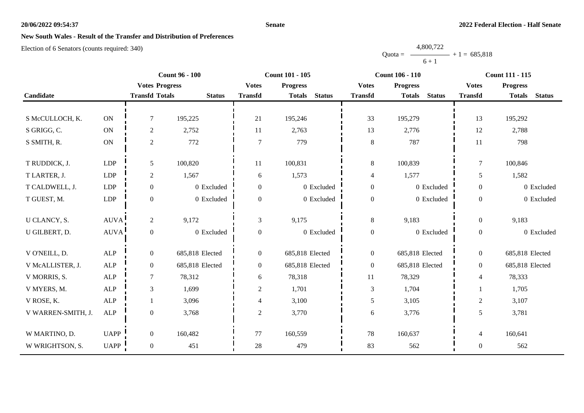### **Senate**

## **New South Wales - Result of the Transfer and Distribution of Preferences**

Election of 6 Senators (counts required: 340)

|                    |                       |                       | <b>Count 96 - 100</b> |                  | <b>Count 101 - 105</b> |               | <b>Count 106 - 110</b> |                 |               | <b>Count 111 - 115</b> |                 |               |
|--------------------|-----------------------|-----------------------|-----------------------|------------------|------------------------|---------------|------------------------|-----------------|---------------|------------------------|-----------------|---------------|
|                    |                       | <b>Votes Progress</b> |                       | <b>Votes</b>     | <b>Progress</b>        |               | <b>Votes</b>           | <b>Progress</b> |               | <b>Votes</b>           | <b>Progress</b> |               |
| Candidate          |                       | <b>Transfd Totals</b> | <b>Status</b>         | <b>Transfd</b>   | <b>Totals</b>          | <b>Status</b> | <b>Transfd</b>         | <b>Totals</b>   | <b>Status</b> | <b>Transfd</b>         | <b>Totals</b>   | <b>Status</b> |
|                    |                       |                       |                       |                  |                        |               |                        |                 |               |                        |                 |               |
| S McCULLOCH, K.    | ON                    | $\tau$                | 195,225               | 21               | 195,246                |               | 33                     | 195,279         |               | 13                     | 195,292         |               |
| S GRIGG, C.        | <b>ON</b>             | $\boldsymbol{2}$      | 2,752                 | 11               | 2,763                  |               | 13                     | 2,776           |               | 12                     | 2,788           |               |
| S SMITH, R.        | $\mathbf{ON}$         | $\sqrt{2}$            | 772                   | $\overline{7}$   | 779                    |               | $8\,$                  | 787             |               | 11                     | 798             |               |
|                    |                       |                       |                       |                  |                        |               |                        |                 |               |                        |                 |               |
| T RUDDICK, J.      | <b>LDP</b>            | $\mathfrak{H}$        | 100,820               | 11               | 100,831                |               | 8                      | 100,839         |               | 7                      | 100,846         |               |
| T LARTER, J.       | LDP                   | $\boldsymbol{2}$      | 1,567                 | 6                | 1,573                  |               | 4                      | 1,577           |               | 5                      | 1,582           |               |
| T CALDWELL, J.     | <b>LDP</b>            | $\overline{0}$        | 0 Excluded            | $\overline{0}$   |                        | 0 Excluded    | $\boldsymbol{0}$       |                 | 0 Excluded    | $\overline{0}$         |                 | 0 Excluded    |
| T GUEST, M.        | LDP                   | $\boldsymbol{0}$      | 0 Excluded            | $\overline{0}$   |                        | 0 Excluded    | $\boldsymbol{0}$       |                 | 0 Excluded    | $\overline{0}$         |                 | 0 Excluded    |
|                    |                       |                       |                       |                  |                        |               |                        |                 |               |                        |                 |               |
| U CLANCY, S.       | $\operatorname{AUVA}$ | $\mathbf{2}$          | 9,172                 | 3                | 9,175                  |               | $8\,$                  | 9,183           |               | $\overline{0}$         | 9,183           |               |
| U GILBERT, D.      | <b>AUVA</b>           | $\boldsymbol{0}$      | 0 Excluded            | $\boldsymbol{0}$ |                        | 0 Excluded    | $\boldsymbol{0}$       |                 | 0 Excluded    | $\overline{0}$         |                 | 0 Excluded    |
|                    |                       |                       |                       |                  |                        |               |                        |                 |               |                        |                 |               |
| V O'NEILL, D.      | ALP                   | $\boldsymbol{0}$      | 685,818 Elected       | $\overline{0}$   | 685,818 Elected        |               | $\boldsymbol{0}$       | 685,818 Elected |               | $\overline{0}$         | 685,818 Elected |               |
| V McALLISTER, J.   | ALP                   | $\boldsymbol{0}$      | 685,818 Elected       | $\overline{0}$   | 685,818 Elected        |               | $\overline{0}$         | 685,818 Elected |               | $\overline{0}$         | 685,818 Elected |               |
| V MORRIS, S.       | ${\sf ALP}$           | $\tau$                | 78,312                | 6                | 78,318                 |               | 11                     | 78,329          |               | $\overline{4}$         | 78,333          |               |
| V MYERS, M.        | ALP                   | $\mathfrak{Z}$        | 1,699                 | $\overline{2}$   | 1,701                  |               | $\mathfrak{Z}$         | 1,704           |               |                        | 1,705           |               |
| V ROSE, K.         | ${\sf ALP}$           | 1                     | 3,096                 | 4                | 3,100                  |               | 5                      | 3,105           |               | $\overline{c}$         | 3,107           |               |
| V WARREN-SMITH, J. | ALP                   | $\boldsymbol{0}$      | 3,768                 | $\overline{c}$   | 3,770                  |               | 6                      | 3,776           |               | 5                      | 3,781           |               |
|                    |                       |                       |                       |                  |                        |               |                        |                 |               |                        |                 |               |
| W MARTINO, D.      | <b>UAPP</b>           | $\overline{0}$        | 160,482               | 77               | 160,559                |               | 78                     | 160,637         |               | $\overline{4}$         | 160,641         |               |
| W WRIGHTSON, S.    | UAPP                  | $\boldsymbol{0}$      | 451                   | 28               | 479                    |               | 83                     | 562             |               | $\overline{0}$         | 562             |               |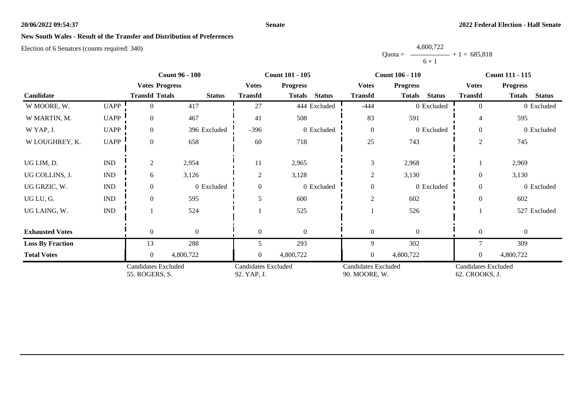### **Senate**

# **New South Wales - Result of the Transfer and Distribution of Preferences**

|           | 4,800,722 |                |
|-----------|-----------|----------------|
| $Quota =$ |           | $+1 = 685.818$ |
|           | $6 + 1$   |                |

|                                              |                             |                                           | <b>Count 96 - 100</b> |                                             | <b>Count 101 - 105</b>         |                                              | <b>Count 106 - 110</b>         | <b>Count 111 - 115</b> |                                |  |
|----------------------------------------------|-----------------------------|-------------------------------------------|-----------------------|---------------------------------------------|--------------------------------|----------------------------------------------|--------------------------------|------------------------|--------------------------------|--|
|                                              |                             | <b>Votes Progress</b>                     |                       | <b>Votes</b>                                | <b>Progress</b>                | <b>Votes</b>                                 | <b>Progress</b>                | <b>Votes</b>           | <b>Progress</b>                |  |
| Candidate                                    |                             | <b>Transfd Totals</b>                     | <b>Status</b>         | <b>Transfd</b>                              | <b>Status</b><br><b>Totals</b> | <b>Transfd</b>                               | <b>Totals</b><br><b>Status</b> | <b>Transfd</b>         | <b>Status</b><br><b>Totals</b> |  |
| W MOORE, W.                                  | <b>UAPP</b>                 | $\Omega$                                  | 417                   | 27                                          | 444 Excluded                   | $-444$                                       | 0 Excluded                     | $\Omega$               | 0 Excluded                     |  |
| W MARTIN, M.                                 | <b>UAPP</b>                 | $\overline{0}$                            | 467                   | 41                                          | 508                            | 83                                           | 591                            | 4                      | 595                            |  |
| W YAP, J.                                    | <b>UAPP</b>                 | $\overline{0}$                            | 396 Excluded          | $-396$                                      | 0 Excluded                     | $\boldsymbol{0}$                             | 0 Excluded                     | $\Omega$               | 0 Excluded                     |  |
| W LOUGHREY, K.                               | <b>UAPP</b>                 | $\overline{0}$                            | 658                   | 60                                          | 718                            | 25                                           | 743                            | $\overline{2}$         | 745                            |  |
| UG LIM, D.                                   | $\mathop{\rm IND}\nolimits$ | $\overline{2}$                            | 2,954                 | 11                                          | 2,965                          | 3                                            | 2,968                          |                        | 2,969                          |  |
| UG COLLINS, J.                               | <b>IND</b>                  | 6                                         | 3,126                 | $\overline{2}$                              | 3,128                          | $\overline{c}$                               | 3,130                          | $\Omega$               | 3,130                          |  |
| UG GRZIC, W.                                 | <b>IND</b>                  | $\overline{0}$                            | 0 Excluded            |                                             | 0 Excluded                     | $\mathbf{0}$                                 | 0 Excluded                     | $\Omega$               | 0 Excluded                     |  |
| UG LU, G.                                    | <b>IND</b>                  | $\theta$                                  | 595                   |                                             | 600                            | $\mathfrak{2}$                               | 602                            | $\Omega$               | 602                            |  |
| UG LAING, W.                                 | $\mathop{\rm IND}\nolimits$ |                                           | 524                   |                                             | 525                            |                                              | 526                            |                        | 527 Excluded                   |  |
| <b>Exhausted Votes</b>                       |                             | $\theta$                                  | $\mathbf{0}$          | $\Omega$                                    | $\Omega$                       | $\mathbf{0}$                                 | $\Omega$                       | $\theta$               | $\mathbf{0}$                   |  |
| <b>Loss By Fraction</b>                      |                             | 13                                        | 288                   | 5                                           | 293                            | 9                                            | 302                            |                        | 309                            |  |
| <b>Total Votes</b>                           |                             | $\Omega$                                  | 4,800,722             |                                             | 4,800,722                      | $\overline{0}$                               | 4,800,722                      |                        | 4,800,722                      |  |
| <b>Candidates Excluded</b><br>55. ROGERS, S. |                             | <b>Candidates Excluded</b><br>92. YAP, J. |                       | <b>Candidates Excluded</b><br>90. MOORE, W. |                                | <b>Candidates Excluded</b><br>62. CROOKS, J. |                                |                        |                                |  |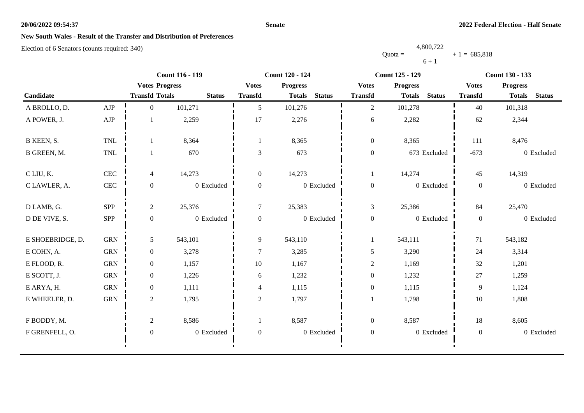### **Senate**

# **New South Wales - Result of the Transfer and Distribution of Preferences**

|           | 4,800,722      |  |
|-----------|----------------|--|
| $Quota =$ | $+1 = 685,818$ |  |
|           | $6 + 1$        |  |

|                  |              | <b>Count 116 - 119</b> |               | <b>Count 120 - 124</b> |                 |                | <b>Count 125 - 129</b> |                 |               | <b>Count 130 - 133</b> |                 |               |
|------------------|--------------|------------------------|---------------|------------------------|-----------------|----------------|------------------------|-----------------|---------------|------------------------|-----------------|---------------|
| Candidate        |              | <b>Votes Progress</b>  |               | <b>Votes</b>           | <b>Progress</b> |                | <b>Votes</b>           | <b>Progress</b> |               | <b>Votes</b>           | <b>Progress</b> |               |
|                  |              | <b>Transfd Totals</b>  | <b>Status</b> | <b>Transfd</b>         | <b>Totals</b>   | <b>Status</b>  | <b>Transfd</b>         | <b>Totals</b>   | <b>Status</b> | <b>Transfd</b>         | <b>Totals</b>   | <b>Status</b> |
| A BROLLO, D.     | AJP          | $\Omega$               | 101,271       | 5                      | 101,276         |                | $\overline{2}$         | 101,278         |               | 40                     | 101,318         |               |
| A POWER, J.      | AJP          |                        | 2,259         | 17                     | 2,276           |                | 6                      | 2,282           |               | 62                     | 2,344           |               |
| B KEEN, S.       | <b>TNL</b>   |                        | 8,364         |                        | 8,365           |                | $\boldsymbol{0}$       | 8,365           |               | 111                    | 8,476           |               |
| B GREEN, M.      | <b>TNL</b>   |                        | 670           | 3                      | 673             |                | $\boldsymbol{0}$       |                 | 673 Excluded  | $-673$                 |                 | 0 Excluded    |
| C LIU, K.        | $\mbox{CEC}$ | 4                      | 14,273        | $\boldsymbol{0}$       | 14,273          |                | 1                      | 14,274          |               | 45                     | 14,319          |               |
| C LAWLER, A.     | <b>CEC</b>   | $\mathbf{0}$           | 0 Excluded    | $\boldsymbol{0}$       |                 | 0 Excluded     | $\boldsymbol{0}$       |                 | 0 Excluded    | $\mathbf{0}$           |                 | 0 Excluded    |
| D LAMB, G.       | SPP          | $\overline{2}$         | 25,376        | $\tau$                 | 25,383          |                | $\mathfrak{Z}$         | 25,386          |               | 84                     | 25,470          |               |
| D DE VIVE, S.    | <b>SPP</b>   | $\mathbf{0}$           | 0 Excluded    | $\overline{0}$         |                 | $0\,$ Excluded | $\boldsymbol{0}$       |                 | 0 Excluded    | $\overline{0}$         |                 | 0 Excluded    |
| E SHOEBRIDGE, D. | ${\rm GRN}$  | 5                      | 543,101       | 9                      | 543,110         |                |                        | 543,111         |               | 71                     | 543,182         |               |
| E COHN, A.       | ${\rm GRN}$  | $\boldsymbol{0}$       | 3,278         | 7                      | 3,285           |                | 5                      | 3,290           |               | 24                     | 3,314           |               |
| E FLOOD, R.      | <b>GRN</b>   | $\overline{0}$         | 1,157         | 10                     | 1,167           |                | $\mathbf{2}$           | 1,169           |               | 32                     | 1,201           |               |
| E SCOTT, J.      | <b>GRN</b>   | $\overline{0}$         | 1,226         | 6                      | 1,232           |                | $\boldsymbol{0}$       | 1,232           |               | 27                     | 1,259           |               |
| E ARYA, H.       | ${\rm GRN}$  | $\overline{0}$         | 1,111         | 4                      | 1,115           |                | $\boldsymbol{0}$       | 1,115           |               | 9                      | 1,124           |               |
| E WHEELER, D.    | ${\rm GRN}$  | $\overline{2}$         | 1,795         | $\overline{2}$         | 1,797           |                |                        | 1,798           |               | $10\,$                 | 1,808           |               |
| F BODDY, M.      |              | $\overline{2}$         | 8,586         |                        | 8,587           |                | $\boldsymbol{0}$       | 8,587           |               | 18                     | 8,605           |               |
| F GRENFELL, O.   |              | $\boldsymbol{0}$       | 0 Excluded    | $\boldsymbol{0}$       |                 | 0 Excluded     | $\boldsymbol{0}$       |                 | 0 Excluded    | $\mathbf{0}$           |                 | 0 Excluded    |
|                  |              |                        |               |                        |                 |                |                        |                 |               |                        |                 |               |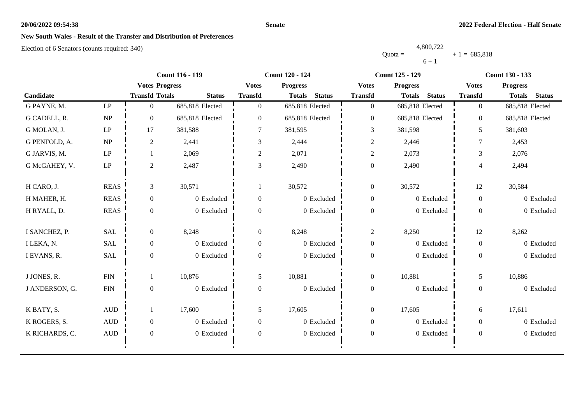#### **Senate**

## **New South Wales - Result of the Transfer and Distribution of Preferences**

|           | 4,800,722 |                |
|-----------|-----------|----------------|
| $Quota =$ |           | $+1 = 685,818$ |
|           | $6 + 1$   |                |

|                |                        | <b>Count 116 - 119</b> |                 |                  | <b>Count 120 - 124</b>         |                  | <b>Count 125 - 129</b>         | <b>Count 130 - 133</b> |                                |
|----------------|------------------------|------------------------|-----------------|------------------|--------------------------------|------------------|--------------------------------|------------------------|--------------------------------|
|                |                        | <b>Votes Progress</b>  |                 | <b>Votes</b>     | <b>Progress</b>                | <b>Votes</b>     | <b>Progress</b>                | <b>Votes</b>           | <b>Progress</b>                |
| Candidate      |                        | <b>Transfd Totals</b>  | <b>Status</b>   | <b>Transfd</b>   | <b>Status</b><br><b>Totals</b> | <b>Transfd</b>   | <b>Status</b><br><b>Totals</b> | <b>Transfd</b>         | <b>Status</b><br><b>Totals</b> |
| G PAYNE, M.    | $\mathbf{L}\mathbf{P}$ | $\overline{0}$         | 685,818 Elected | $\overline{0}$   | 685,818 Elected                | $\overline{0}$   | 685,818 Elected                | $\overline{0}$         | 685,818 Elected                |
| G CADELL, R.   | <b>NP</b>              | $\Omega$               | 685,818 Elected | $\Omega$         | 685,818 Elected                | $\boldsymbol{0}$ | 685,818 Elected                | $\theta$               | 685,818 Elected                |
| G MOLAN, J.    | $\operatorname{LP}$    | 17                     | 381,588         |                  | 381,595                        | 3                | 381,598                        | 5                      | 381,603                        |
| G PENFOLD, A.  | NP                     | $\overline{2}$         | 2,441           | 3                | 2,444                          | $\overline{c}$   | 2,446                          | 7                      | 2,453                          |
| G JARVIS, M.   | $\operatorname{LP}$    |                        | 2,069           | $\overline{c}$   | 2,071                          | $\overline{c}$   | 2,073                          | 3                      | 2,076                          |
| G McGAHEY, V.  | LP                     | $\overline{2}$         | 2,487           | 3                | 2,490                          | $\boldsymbol{0}$ | 2,490                          | $\overline{4}$         | 2,494                          |
| H CARO, J.     | <b>REAS</b>            | 3                      | 30,571          | -1               | 30,572                         | $\boldsymbol{0}$ | 30,572                         | 12                     | 30,584                         |
| H MAHER, H.    | <b>REAS</b>            | $\overline{0}$         | 0 Excluded      | $\boldsymbol{0}$ | 0 Excluded                     | $\boldsymbol{0}$ | 0 Excluded                     | $\overline{0}$         | 0 Excluded                     |
| H RYALL, D.    | <b>REAS</b>            | $\overline{0}$         | 0 Excluded      | $\Omega$         | 0 Excluded                     | $\boldsymbol{0}$ | 0 Excluded                     | $\theta$               | 0 Excluded                     |
| I SANCHEZ, P.  | <b>SAL</b>             | $\overline{0}$         | 8,248           | $\theta$         | 8,248                          | $\overline{c}$   | 8,250                          | 12                     | 8,262                          |
| I LEKA, N.     | SAL                    | $\overline{0}$         | 0 Excluded      | $\theta$         | 0 Excluded                     | $\boldsymbol{0}$ | 0 Excluded                     | $\overline{0}$         | 0 Excluded                     |
| I EVANS, R.    | <b>SAL</b>             | $\mathbf{0}$           | 0 Excluded      | $\Omega$         | 0 Excluded                     | $\boldsymbol{0}$ | 0 Excluded                     | $\overline{0}$         | 0 Excluded                     |
| J JONES, R.    | <b>FIN</b>             |                        | 10,876          | 5                | 10,881                         | $\boldsymbol{0}$ | 10,881                         | 5                      | 10,886                         |
| J ANDERSON, G. | <b>FIN</b>             | $\theta$               | 0 Excluded      | $\mathbf{0}$     | 0 Excluded                     | $\boldsymbol{0}$ | 0 Excluded                     | $\overline{0}$         | 0 Excluded                     |
| K BATY, S.     | $\mbox{\rm AUD}$       |                        | 17,600          | 5                | 17,605                         | $\overline{0}$   | 17,605                         | 6                      | 17,611                         |
| K ROGERS, S.   | $\mbox{AUD}$           | $\overline{0}$         | 0 Excluded      | $\Omega$         | 0 Excluded                     | $\overline{0}$   | 0 Excluded                     | $\overline{0}$         | 0 Excluded                     |
| K RICHARDS, C. | $\mbox{\rm AUD}$       | $\theta$               | 0 Excluded      | $\Omega$         | 0 Excluded                     | $\boldsymbol{0}$ | 0 Excluded                     | $\overline{0}$         | 0 Excluded                     |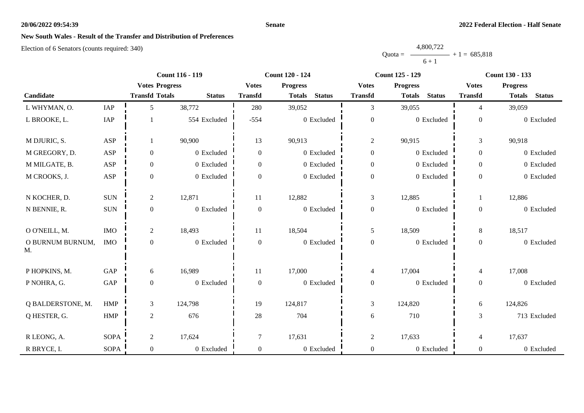#### **Senate**

## **New South Wales - Result of the Transfer and Distribution of Preferences**

|           | 4,800,722 |                |
|-----------|-----------|----------------|
| $Quota =$ |           | $+1 = 685.818$ |
|           | $6 + 1$   |                |

|                        |             |                       | <b>Count 116 - 119</b> |                  | <b>Count 120 - 124</b>         | <b>Count 125 - 129</b> |                                | Count 130 - 133  |                                |  |
|------------------------|-------------|-----------------------|------------------------|------------------|--------------------------------|------------------------|--------------------------------|------------------|--------------------------------|--|
|                        |             | <b>Votes Progress</b> |                        | <b>Votes</b>     | <b>Progress</b>                | <b>Votes</b>           | <b>Progress</b>                | <b>Votes</b>     | <b>Progress</b>                |  |
| Candidate              |             | <b>Transfd Totals</b> | <b>Status</b>          | <b>Transfd</b>   | <b>Status</b><br><b>Totals</b> | <b>Transfd</b>         | <b>Status</b><br><b>Totals</b> | <b>Transfd</b>   | <b>Status</b><br><b>Totals</b> |  |
| L WHYMAN, O.           | IAP         | 5                     | 38,772                 | 280              | 39,052                         | $\overline{3}$         | 39,055                         | $\overline{4}$   | 39,059                         |  |
| L BROOKE, L.           | IAP         |                       | 554 Excluded           | $-554$           | 0 Excluded                     | $\boldsymbol{0}$       | 0 Excluded                     | $\boldsymbol{0}$ | 0 Excluded                     |  |
| M DJURIC, S.           | ASP         | 1                     | 90,900                 | 13               | 90,913                         | $\overline{2}$         | 90,915                         | 3                | 90,918                         |  |
| M GREGORY, D.          | ASP         | $\boldsymbol{0}$      | 0 Excluded             | $\overline{0}$   | 0 Excluded                     | $\boldsymbol{0}$       | 0 Excluded                     | $\overline{0}$   | 0 Excluded                     |  |
| M MILGATE, B.          | ASP         | $\boldsymbol{0}$      | 0 Excluded             | $\overline{0}$   | 0 Excluded                     | $\boldsymbol{0}$       | 0 Excluded                     | $\overline{0}$   | 0 Excluded                     |  |
| M CROOKS, J.           | ASP         | $\boldsymbol{0}$      | 0 Excluded             | $\Omega$         | 0 Excluded                     | $\boldsymbol{0}$       | 0 Excluded                     | $\overline{0}$   | 0 Excluded                     |  |
| N KOCHER, D.           | $\rm{SUM}$  | 2                     | 12,871                 | 11               | 12,882                         | $\mathfrak{Z}$         | 12,885                         | $\mathbf{1}$     | 12,886                         |  |
| N BENNIE, R.           | $\rm SUN$   | $\boldsymbol{0}$      | 0 Excluded             | $\boldsymbol{0}$ | 0 Excluded                     | $\boldsymbol{0}$       | 0 Excluded                     | $\overline{0}$   | 0 Excluded                     |  |
| O O'NEILL, M.          | $\rm{IMO}$  | 2                     | 18,493                 | 11               | 18,504                         | 5                      | 18,509                         | 8                | 18,517                         |  |
| O BURNUM BURNUM,<br>M. | <b>IMO</b>  | $\boldsymbol{0}$      | 0 Excluded             | $\boldsymbol{0}$ | 0 Excluded                     | $\boldsymbol{0}$       | 0 Excluded                     | $\overline{0}$   | 0 Excluded                     |  |
| P HOPKINS, M.          | GAP         | 6                     | 16,989                 | 11               | 17,000                         | $\overline{4}$         | 17,004                         | $\overline{4}$   | 17,008                         |  |
| P NOHRA, G.            | GAP         | $\boldsymbol{0}$      | 0 Excluded             | $\boldsymbol{0}$ | 0 Excluded                     | $\boldsymbol{0}$       | 0 Excluded                     | $\overline{0}$   | 0 Excluded                     |  |
| Q BALDERSTONE, M.      | <b>HMP</b>  | $\mathfrak{Z}$        | 124,798                | 19               | 124,817                        | $\mathfrak{Z}$         | 124,820                        | 6                | 124,826                        |  |
| Q HESTER, G.           | HMP         | $\sqrt{2}$            | 676                    | 28               | 704                            | $6\,$                  | 710                            | 3                | 713 Excluded                   |  |
| R LEONG, A.            | <b>SOPA</b> | 2                     | 17,624                 | $\tau$           | 17,631                         | $\mathfrak{2}$         | 17,633                         | 4                | 17,637                         |  |
| R BRYCE, I.            | <b>SOPA</b> | $\mathbf{0}$          | 0 Excluded             | $\overline{0}$   | 0 Excluded                     | $\boldsymbol{0}$       | 0 Excluded                     | $\overline{0}$   | 0 Excluded                     |  |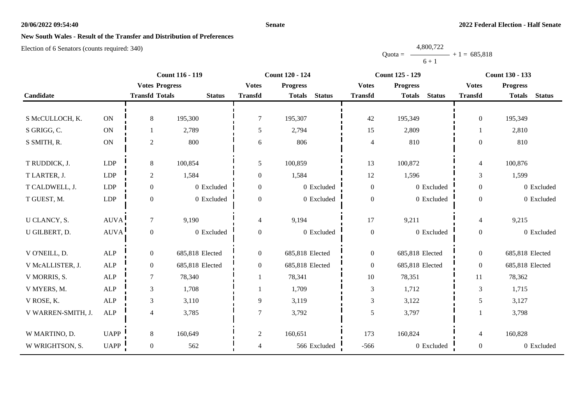#### **Senate**

# **New South Wales - Result of the Transfer and Distribution of Preferences**

|           | 4,800,722      |  |
|-----------|----------------|--|
| $Quota =$ | $+1 = 685,818$ |  |
|           | $6 + 1$        |  |

|                    |             |                       | Count 116 - 119 |                | Count 120 - 124                | <b>Count 125 - 129</b> |                                | Count 130 - 133  |                                |
|--------------------|-------------|-----------------------|-----------------|----------------|--------------------------------|------------------------|--------------------------------|------------------|--------------------------------|
|                    |             | <b>Votes Progress</b> |                 | <b>Votes</b>   | <b>Progress</b>                | <b>Votes</b>           | <b>Progress</b>                | <b>Votes</b>     | <b>Progress</b>                |
| Candidate          |             | <b>Transfd Totals</b> | <b>Status</b>   | <b>Transfd</b> | <b>Status</b><br><b>Totals</b> | <b>Transfd</b>         | <b>Status</b><br><b>Totals</b> | <b>Transfd</b>   | <b>Status</b><br><b>Totals</b> |
|                    |             |                       |                 |                |                                |                        |                                |                  |                                |
| S McCULLOCH, K.    | ON          | $8\,$                 | 195,300         | 7              | 195,307                        | 42                     | 195,349                        | $\overline{0}$   | 195,349                        |
| S GRIGG, C.        | ON          |                       | 2,789           | 5              | 2,794                          | 15                     | 2,809                          |                  | 2,810                          |
| S SMITH, R.        | ON          | $\sqrt{2}$            | 800             | 6              | 806                            | $\overline{4}$         | 810                            | $\Omega$         | 810                            |
|                    |             |                       |                 |                |                                |                        |                                |                  |                                |
| T RUDDICK, J.      | <b>LDP</b>  | $8\,$                 | 100,854         | 5              | 100,859                        | 13                     | 100,872                        | $\overline{4}$   | 100,876                        |
| T LARTER, J.       | LDP         | $\mathbf{2}$          | 1,584           | $\Omega$       | 1,584                          | 12                     | 1,596                          | 3                | 1,599                          |
| T CALDWELL, J.     | <b>LDP</b>  | $\boldsymbol{0}$      | 0 Excluded      | 0              | 0 Excluded                     | $\boldsymbol{0}$       | 0 Excluded                     | $\boldsymbol{0}$ | 0 Excluded                     |
| T GUEST, M.        | LDP         | $\boldsymbol{0}$      | 0 Excluded      | 0              | 0 Excluded                     | $\boldsymbol{0}$       | 0 Excluded                     | $\mathbf{0}$     | 0 Excluded                     |
|                    |             |                       |                 |                |                                |                        |                                |                  |                                |
| U CLANCY, S.       | <b>AUVA</b> | $\tau$                | 9,190           | $\overline{4}$ | 9,194                          | 17                     | 9,211                          | $\overline{4}$   | 9,215                          |
| U GILBERT, D.      | AUVA        | $\boldsymbol{0}$      | 0 Excluded      | $\overline{0}$ | 0 Excluded                     | $\boldsymbol{0}$       | 0 Excluded                     | $\boldsymbol{0}$ | 0 Excluded                     |
|                    |             |                       |                 |                |                                |                        |                                |                  |                                |
| V O'NEILL, D.      | ${\sf ALP}$ | $\boldsymbol{0}$      | 685,818 Elected | $\overline{0}$ | 685,818 Elected                | $\boldsymbol{0}$       | 685,818 Elected                | $\boldsymbol{0}$ | 685,818 Elected                |
| V McALLISTER, J.   | <b>ALP</b>  | $\mathbf{0}$          | 685,818 Elected | $\overline{0}$ | 685,818 Elected                | $\boldsymbol{0}$       | 685,818 Elected                | $\mathbf{0}$     | 685,818 Elected                |
| V MORRIS, S.       | <b>ALP</b>  | $\tau$                | 78,340          |                | 78,341                         | 10                     | 78,351                         | 11               | 78,362                         |
| V MYERS, M.        | <b>ALP</b>  | $\mathfrak{Z}$        | 1,708           |                | 1,709                          | $\mathfrak{Z}$         | 1,712                          | 3                | 1,715                          |
| V ROSE, K.         | <b>ALP</b>  | $\mathfrak{Z}$        | 3,110           | 9              | 3,119                          | $\mathfrak{Z}$         | 3,122                          | 5                | 3,127                          |
| V WARREN-SMITH, J. | <b>ALP</b>  | $\overline{4}$        | 3,785           | $\tau$         | 3,792                          | 5                      | 3,797                          |                  | 3,798                          |
|                    |             |                       |                 |                |                                |                        |                                |                  |                                |
| W MARTINO, D.      | <b>UAPP</b> | $8\,$                 | 160,649         | $\overline{2}$ | 160,651                        | 173                    | 160,824                        | $\overline{4}$   | 160,828                        |
| W WRIGHTSON, S.    | <b>UAPP</b> | $\mathbf{0}$          | 562             | $\overline{4}$ | 566 Excluded                   | $-566$                 | 0 Excluded                     | $\boldsymbol{0}$ | 0 Excluded                     |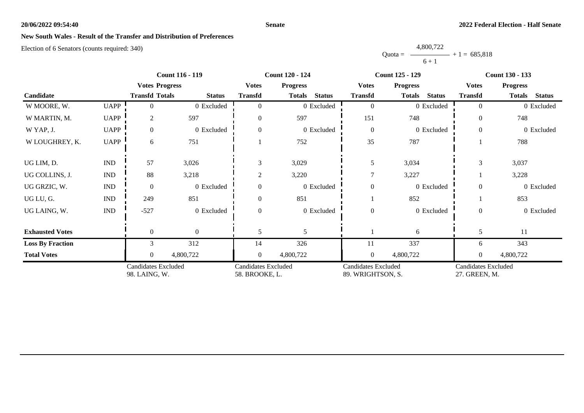#### **Senate**

# **New South Wales - Result of the Transfer and Distribution of Preferences**

|           | 4,800,722 |                |
|-----------|-----------|----------------|
| $Quota =$ |           | $+1 = 685.818$ |
|           | $6 + 1$   |                |

|                         |                             | Count 116 - 119                             |                  |                                              | Count 120 - 124                |                                                 | <b>Count 125 - 129</b>         | Count 130 - 133                             |                                |
|-------------------------|-----------------------------|---------------------------------------------|------------------|----------------------------------------------|--------------------------------|-------------------------------------------------|--------------------------------|---------------------------------------------|--------------------------------|
|                         |                             | <b>Votes Progress</b>                       |                  | <b>Votes</b>                                 | <b>Progress</b>                | <b>Votes</b>                                    | <b>Progress</b>                | <b>Votes</b>                                | <b>Progress</b>                |
| Candidate               |                             | <b>Transfd Totals</b>                       | <b>Status</b>    | <b>Transfd</b>                               | <b>Status</b><br><b>Totals</b> | <b>Transfd</b>                                  | <b>Status</b><br><b>Totals</b> | <b>Transfd</b>                              | <b>Status</b><br><b>Totals</b> |
| W MOORE, W.             | <b>UAPP</b>                 | 0                                           | 0 Excluded       |                                              | 0 Excluded                     | $\overline{0}$                                  | 0 Excluded                     | $\theta$                                    | 0 Excluded                     |
| W MARTIN, M.            | <b>UAPP</b>                 | $\overline{2}$                              | 597              | $\theta$                                     | 597                            | 151                                             | 748                            | $\Omega$                                    | 748                            |
| W YAP, J.               | <b>UAPP</b>                 | $\overline{0}$                              | 0 Excluded       | $\theta$                                     | 0 Excluded                     | $\boldsymbol{0}$                                | 0 Excluded                     | $\theta$                                    | $0$ Excluded                   |
| W LOUGHREY, K.          | <b>UAPP</b>                 | 6                                           | 751              |                                              | 752                            | 35                                              | 787                            |                                             | 788                            |
| UG LIM, D.              | $\mathop{\rm IND}\nolimits$ | 57                                          | 3,026            | 3                                            | 3,029                          | 5                                               | 3,034                          | 3                                           | 3,037                          |
| UG COLLINS, J.          | <b>IND</b>                  | 88                                          | 3,218            | $\overline{2}$                               | 3,220                          |                                                 | 3,227                          |                                             | 3,228                          |
| UG GRZIC, W.            | <b>IND</b>                  | $\theta$                                    | 0 Excluded       | $\Omega$                                     | 0 Excluded                     | $\overline{0}$                                  | 0 Excluded                     | $\Omega$                                    | 0 Excluded                     |
| UG LU, G.               | <b>IND</b>                  | 249                                         | 851              | $\Omega$                                     | 851                            |                                                 | 852                            |                                             | 853                            |
| UG LAING, W.            | $\mathop{\rm IND}\nolimits$ | $-527$                                      | 0 Excluded       | $\mathbf{0}$                                 | 0 Excluded                     | $\boldsymbol{0}$                                | 0 Excluded                     | $\theta$                                    | 0 Excluded                     |
| <b>Exhausted Votes</b>  |                             | $\theta$                                    | $\boldsymbol{0}$ |                                              | 5                              |                                                 | 6                              |                                             | 11                             |
| <b>Loss By Fraction</b> |                             | 3                                           | 312              | 14                                           | 326                            | 11                                              | 337                            | 6                                           | 343                            |
| <b>Total Votes</b>      |                             | $\overline{0}$                              | 4,800,722        | 0                                            | 4,800,722                      | $\mathbf{0}$                                    | 4,800,722                      | 0                                           | 4,800,722                      |
|                         |                             | <b>Candidates Excluded</b><br>98. LAING, W. |                  | <b>Candidates Excluded</b><br>58. BROOKE, L. |                                | <b>Candidates Excluded</b><br>89. WRIGHTSON, S. |                                | <b>Candidates Excluded</b><br>27. GREEN, M. |                                |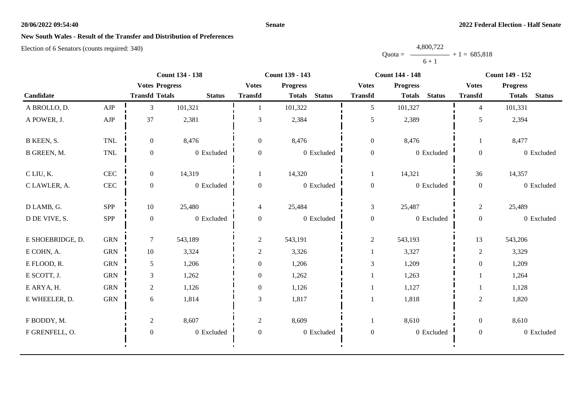#### **Senate**

# **New South Wales - Result of the Transfer and Distribution of Preferences**

|           | 4,800,722      |
|-----------|----------------|
| $Quota =$ | $+1 = 685,818$ |
|           | $6 + 1$        |

|                  |              | <b>Count 134 - 138</b> |               |                  | Count 139 - 143                |                  | <b>Count 144 - 148</b>         | <b>Count 149 - 152</b> |                                |
|------------------|--------------|------------------------|---------------|------------------|--------------------------------|------------------|--------------------------------|------------------------|--------------------------------|
|                  |              | <b>Votes Progress</b>  |               | <b>Votes</b>     | <b>Progress</b>                | <b>Votes</b>     | <b>Progress</b>                | <b>Votes</b>           | <b>Progress</b>                |
| Candidate        |              | <b>Transfd Totals</b>  | <b>Status</b> | <b>Transfd</b>   | <b>Status</b><br><b>Totals</b> | <b>Transfd</b>   | <b>Status</b><br><b>Totals</b> | <b>Transfd</b>         | <b>Status</b><br><b>Totals</b> |
| A BROLLO, D.     | AJP          | 3                      | 101,321       |                  | 101,322                        | 5                | 101,327                        | $\overline{4}$         | 101,331                        |
| A POWER, J.      | ${\rm AJP}$  | 37                     | 2,381         | 3                | 2,384                          | $\mathfrak{S}$   | 2,389                          | 5                      | 2,394                          |
| B KEEN, S.       | <b>TNL</b>   | $\overline{0}$         | 8,476         | $\overline{0}$   | 8,476                          | $\boldsymbol{0}$ | 8,476                          |                        | 8,477                          |
| B GREEN, M.      | <b>TNL</b>   | $\boldsymbol{0}$       | 0 Excluded    | $\overline{0}$   | 0 Excluded                     | $\boldsymbol{0}$ | 0 Excluded                     | $\overline{0}$         | 0 Excluded                     |
| C LIU, K.        | $\mbox{CEC}$ | $\overline{0}$         | 14,319        |                  | 14,320                         | 1                | 14,321                         | 36                     | 14,357                         |
| C LAWLER, A.     | $\mbox{CEC}$ | $\boldsymbol{0}$       | 0 Excluded    | $\mathbf{0}$     | 0 Excluded                     | $\boldsymbol{0}$ | 0 Excluded                     | $\mathbf{0}$           | 0 Excluded                     |
| D LAMB, G.       | SPP          | 10                     | 25,480        | 4                | 25,484                         | 3                | 25,487                         | $\overline{c}$         | 25,489                         |
| D DE VIVE, S.    | <b>SPP</b>   | $\boldsymbol{0}$       | 0 Excluded    | $\overline{0}$   | 0 Excluded                     | $\boldsymbol{0}$ | 0 Excluded                     | $\overline{0}$         | 0 Excluded                     |
| E SHOEBRIDGE, D. | ${\rm GRN}$  | $\tau$                 | 543,189       | $\overline{c}$   | 543,191                        | $\sqrt{2}$       | 543,193                        | 13                     | 543,206                        |
| E COHN, A.       | ${\rm GRN}$  | 10                     | 3,324         | $\overline{c}$   | 3,326                          |                  | 3,327                          | $\overline{c}$         | 3,329                          |
| E FLOOD, R.      | <b>GRN</b>   | 5                      | 1,206         | $\overline{0}$   | 1,206                          | $\mathfrak{Z}$   | 1,209                          | $\overline{0}$         | 1,209                          |
| E SCOTT, J.      | <b>GRN</b>   | 3                      | 1,262         | $\Omega$         | 1,262                          |                  | 1,263                          |                        | 1,264                          |
| E ARYA, H.       | ${\rm GRN}$  | $\overline{2}$         | 1,126         | $\overline{0}$   | 1,126                          |                  | 1,127                          |                        | 1,128                          |
| E WHEELER, D.    | ${\rm GRN}$  | 6                      | 1,814         | 3                | 1,817                          |                  | 1,818                          | $\overline{2}$         | 1,820                          |
| F BODDY, M.      |              | $\overline{2}$         | 8,607         | $\overline{2}$   | 8,609                          |                  | 8,610                          | $\overline{0}$         | 8,610                          |
| F GRENFELL, O.   |              | $\boldsymbol{0}$       | 0 Excluded    | $\boldsymbol{0}$ | 0 Excluded                     | $\boldsymbol{0}$ | 0 Excluded                     | $\boldsymbol{0}$       | 0 Excluded                     |
|                  |              |                        |               |                  |                                |                  |                                |                        |                                |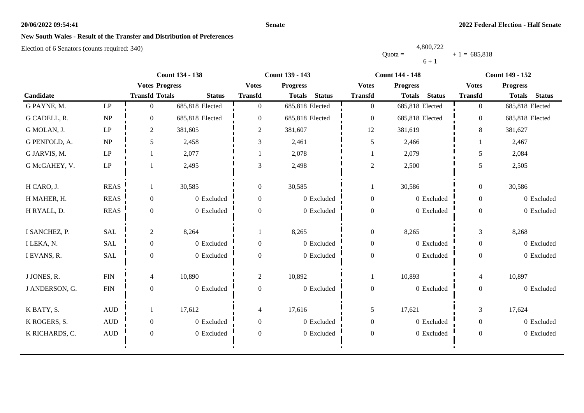#### **Senate**

# **New South Wales - Result of the Transfer and Distribution of Preferences**

|           | 4,800,722      |  |
|-----------|----------------|--|
| $Quota =$ | $+1 = 685,818$ |  |
|           | $6 + 1$        |  |

|                |                                 | <b>Count 134 - 138</b> |                 |                  | Count 139 - 143                |                  | <b>Count 144 - 148</b>         | <b>Count 149 - 152</b> |                                |
|----------------|---------------------------------|------------------------|-----------------|------------------|--------------------------------|------------------|--------------------------------|------------------------|--------------------------------|
|                |                                 | <b>Votes Progress</b>  |                 | <b>Votes</b>     | <b>Progress</b>                | <b>Votes</b>     | <b>Progress</b>                | <b>Votes</b>           | <b>Progress</b>                |
| Candidate      |                                 | <b>Transfd Totals</b>  | <b>Status</b>   | <b>Transfd</b>   | <b>Totals</b><br><b>Status</b> | <b>Transfd</b>   | <b>Status</b><br><b>Totals</b> | <b>Transfd</b>         | <b>Status</b><br><b>Totals</b> |
| G PAYNE, M.    | LP                              | $\Omega$               | 685,818 Elected | $\overline{0}$   | 685,818 Elected                | $\overline{0}$   | 685,818 Elected                | $\overline{0}$         | 685,818 Elected                |
| G CADELL, R.   | NP                              | $\overline{0}$         | 685,818 Elected | $\overline{0}$   | 685,818 Elected                | $\boldsymbol{0}$ | 685,818 Elected                | $\overline{0}$         | 685,818 Elected                |
| G MOLAN, J.    | $\mathbf{L}\mathbf{P}$          | $\mathbf{2}$           | 381,605         | $\overline{c}$   | 381,607                        | 12               | 381,619                        | 8                      | 381,627                        |
| G PENFOLD, A.  | $\ensuremath{\text{NP}}\xspace$ | 5 <sup>5</sup>         | 2,458           | 3                | 2,461                          | 5                | 2,466                          |                        | 2,467                          |
| G JARVIS, M.   | LP                              |                        | 2,077           |                  | 2,078                          |                  | 2,079                          | 5                      | 2,084                          |
| G McGAHEY, V.  | LP                              |                        | 2,495           | 3                | 2,498                          | $\sqrt{2}$       | 2,500                          | 5                      | 2,505                          |
| H CARO, J.     | <b>REAS</b>                     | 1                      | 30,585          | $\overline{0}$   | 30,585                         | -1               | 30,586                         | $\overline{0}$         | 30,586                         |
| H MAHER, H.    | <b>REAS</b>                     | $\overline{0}$         | 0 Excluded      | $\overline{0}$   | 0 Excluded                     | $\boldsymbol{0}$ | 0 Excluded                     | $\overline{0}$         | 0 Excluded                     |
| H RYALL, D.    | <b>REAS</b>                     | $\overline{0}$         | 0 Excluded      | $\overline{0}$   | 0 Excluded                     | $\boldsymbol{0}$ | 0 Excluded                     | $\overline{0}$         | 0 Excluded                     |
| I SANCHEZ, P.  | <b>SAL</b>                      | $\overline{c}$         | 8,264           |                  | 8,265                          | $\boldsymbol{0}$ | 8,265                          | $\mathfrak{Z}$         | 8,268                          |
| I LEKA, N.     | <b>SAL</b>                      | $\overline{0}$         | 0 Excluded      | $\boldsymbol{0}$ | 0 Excluded                     | $\boldsymbol{0}$ | 0 Excluded                     | $\boldsymbol{0}$       | 0 Excluded                     |
| I EVANS, R.    | <b>SAL</b>                      | $\overline{0}$         | 0 Excluded      | $\Omega$         | 0 Excluded                     | $\boldsymbol{0}$ | 0 Excluded                     | $\overline{0}$         | 0 Excluded                     |
| J JONES, R.    | ${\rm FIN}$                     | 4                      | 10,890          | $\overline{2}$   | 10,892                         | 1                | 10,893                         | $\overline{4}$         | 10,897                         |
| J ANDERSON, G. | ${\rm FIN}$                     | $\overline{0}$         | 0 Excluded      | $\overline{0}$   | $0$ Excluded                   | $\boldsymbol{0}$ | 0 Excluded                     | $\overline{0}$         | 0 Excluded                     |
| K BATY, S.     | $\mbox{AUD}$                    |                        | 17,612          | 4                | 17,616                         | 5                | 17,621                         | 3                      | 17,624                         |
| K ROGERS, S.   | $\mbox{\rm AUD}$                | $\overline{0}$         | 0 Excluded      | $\overline{0}$   | 0 Excluded                     | $\mathbf{0}$     | 0 Excluded                     | $\overline{0}$         | 0 Excluded                     |
| K RICHARDS, C. | $\mbox{AUD}$                    | $\overline{0}$         | 0 Excluded      | $\overline{0}$   | 0 Excluded                     | $\boldsymbol{0}$ | 0 Excluded                     | $\overline{0}$         | 0 Excluded                     |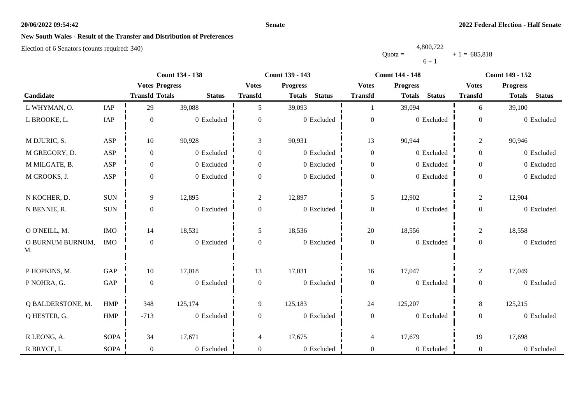#### **Senate**

# **New South Wales - Result of the Transfer and Distribution of Preferences**

|           | 4,800,722 |                |
|-----------|-----------|----------------|
| $Quota =$ |           | $+1 = 685.818$ |
|           | $6 + 1$   |                |

|                        |             | <b>Count 134 - 138</b> |               |                  | <b>Count 139 - 143</b>         |                  | <b>Count 144 - 148</b>         | <b>Count 149 - 152</b> |                                |
|------------------------|-------------|------------------------|---------------|------------------|--------------------------------|------------------|--------------------------------|------------------------|--------------------------------|
|                        |             | <b>Votes Progress</b>  |               | <b>Votes</b>     | <b>Progress</b>                | <b>Votes</b>     | <b>Progress</b>                | <b>Votes</b>           | <b>Progress</b>                |
| Candidate              |             | <b>Transfd Totals</b>  | <b>Status</b> | <b>Transfd</b>   | <b>Status</b><br><b>Totals</b> | <b>Transfd</b>   | <b>Status</b><br><b>Totals</b> | <b>Transfd</b>         | <b>Status</b><br><b>Totals</b> |
| L WHYMAN, O.           | IAP         | 29                     | 39,088        | 5                | 39,093                         |                  | 39,094                         | 6                      | 39,100                         |
| L BROOKE, L.           | IAP         | $\boldsymbol{0}$       | 0 Excluded    | $\boldsymbol{0}$ | 0 Excluded                     | $\boldsymbol{0}$ | 0 Excluded                     | $\boldsymbol{0}$       | 0 Excluded                     |
| M DJURIC, S.           | ASP         | 10                     | 90,928        | 3                | 90,931                         | 13               | 90,944                         | $\overline{2}$         | 90,946                         |
| M GREGORY, D.          | ASP         | $\boldsymbol{0}$       | 0 Excluded    | $\overline{0}$   | 0 Excluded                     | $\boldsymbol{0}$ | 0 Excluded                     | $\overline{0}$         | 0 Excluded                     |
| M MILGATE, B.          | ASP         | $\boldsymbol{0}$       | 0 Excluded    | $\overline{0}$   | 0 Excluded                     | $\boldsymbol{0}$ | 0 Excluded                     | $\overline{0}$         | 0 Excluded                     |
| M CROOKS, J.           | ASP         | $\boldsymbol{0}$       | 0 Excluded    | $\boldsymbol{0}$ | 0 Excluded                     | $\boldsymbol{0}$ | 0 Excluded                     | $\overline{0}$         | 0 Excluded                     |
| N KOCHER, D.           | $\rm{SUM}$  | 9                      | 12,895        | $\overline{2}$   | 12,897                         | 5                | 12,902                         | $\overline{2}$         | 12,904                         |
| N BENNIE, R.           | $\rm SUN$   | $\boldsymbol{0}$       | 0 Excluded    | $\boldsymbol{0}$ | 0 Excluded                     | $\boldsymbol{0}$ | 0 Excluded                     | $\overline{0}$         | 0 Excluded                     |
| O O'NEILL, M.          | $\rm{IMO}$  | 14                     | 18,531        | 5                | 18,536                         | 20               | 18,556                         | $\overline{2}$         | 18,558                         |
| O BURNUM BURNUM,<br>M. | <b>IMO</b>  | $\boldsymbol{0}$       | 0 Excluded    | $\overline{0}$   | 0 Excluded                     | $\boldsymbol{0}$ | 0 Excluded                     | $\overline{0}$         | 0 Excluded                     |
| P HOPKINS, M.          | GAP         | 10                     | 17,018        | 13               | 17,031                         | 16               | 17,047                         | $\overline{2}$         | 17,049                         |
| P NOHRA, G.            | GAP         | $\boldsymbol{0}$       | 0 Excluded    | $\boldsymbol{0}$ | 0 Excluded                     | $\boldsymbol{0}$ | 0 Excluded                     | $\overline{0}$         | 0 Excluded                     |
| Q BALDERSTONE, M.      | <b>HMP</b>  | 348                    | 125,174       | 9                | 125,183                        | 24               | 125,207                        | 8                      | 125,215                        |
| Q HESTER, G.           | HMP         | $-713$                 | 0 Excluded    | $\overline{0}$   | 0 Excluded                     | $\boldsymbol{0}$ | 0 Excluded                     | $\overline{0}$         | 0 Excluded                     |
| R LEONG, A.            | <b>SOPA</b> | 34                     | 17,671        | 4                | 17,675                         | $\overline{4}$   | 17,679                         | 19                     | 17,698                         |
| R BRYCE, I.            | <b>SOPA</b> | $\mathbf{0}$           | 0 Excluded    | $\overline{0}$   | 0 Excluded                     | $\boldsymbol{0}$ | 0 Excluded                     | $\overline{0}$         | 0 Excluded                     |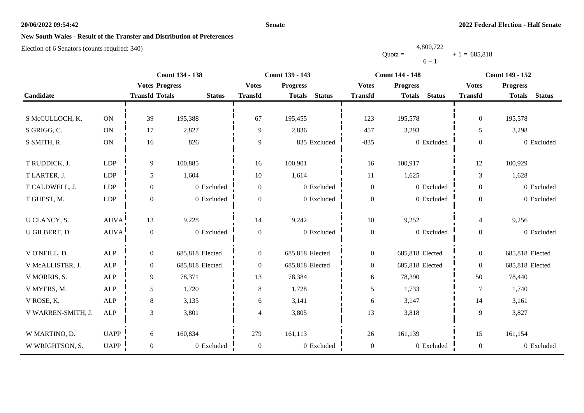#### **Senate**

# **New South Wales - Result of the Transfer and Distribution of Preferences**

|           | 4,800,722 |                |
|-----------|-----------|----------------|
| $Quota =$ |           | $+1 = 685,818$ |
|           | $6 + 1$   |                |

|                    |                       |                       | <b>Count 134 - 138</b> | Count 139 - 143  |                                |                  | <b>Count 144 - 148</b>         | <b>Count 149 - 152</b> |                                |
|--------------------|-----------------------|-----------------------|------------------------|------------------|--------------------------------|------------------|--------------------------------|------------------------|--------------------------------|
|                    |                       |                       | <b>Votes Progress</b>  | <b>Votes</b>     | <b>Progress</b>                | <b>Votes</b>     | <b>Progress</b>                | <b>Votes</b>           | <b>Progress</b>                |
| Candidate          |                       | <b>Transfd Totals</b> | <b>Status</b>          | <b>Transfd</b>   | <b>Status</b><br><b>Totals</b> | <b>Transfd</b>   | <b>Status</b><br><b>Totals</b> | <b>Transfd</b>         | <b>Status</b><br><b>Totals</b> |
|                    |                       |                       |                        |                  |                                |                  |                                |                        |                                |
| S McCULLOCH, K.    | $\mathbf{ON}$         | 39                    | 195,388                | 67               | 195,455                        | 123              | 195,578                        | $\mathbf{0}$           | 195,578                        |
| S GRIGG, C.        | $\mathbf{ON}$         | 17                    | 2,827                  | 9                | 2,836                          | 457              | 3,293                          | 5                      | 3,298                          |
| S SMITH, R.        | $\mathbf{ON}$         | 16                    | 826                    | 9                | 835 Excluded                   | $-835$           | 0 Excluded                     | $\overline{0}$         | 0 Excluded                     |
|                    |                       |                       |                        |                  |                                |                  |                                |                        |                                |
| T RUDDICK, J.      | LDP                   | 9                     | 100,885                | 16               | 100,901                        | 16               | 100,917                        | 12                     | 100,929                        |
| T LARTER, J.       | LDP                   | 5                     | 1,604                  | 10               | 1,614                          | 11               | 1,625                          | $\overline{3}$         | 1,628                          |
| T CALDWELL, J.     | LDP                   | $\mathbf{0}$          | 0 Excluded             | $\overline{0}$   | 0 Excluded                     | $\boldsymbol{0}$ | 0 Excluded                     | $\overline{0}$         | 0 Excluded                     |
| T GUEST, M.        | LDP                   | $\boldsymbol{0}$      | 0 Excluded             | $\overline{0}$   | 0 Excluded                     | $\boldsymbol{0}$ | 0 Excluded                     | $\overline{0}$         | 0 Excluded                     |
|                    |                       |                       |                        |                  |                                |                  |                                |                        |                                |
| U CLANCY, S.       | $\operatorname{AUVA}$ | 13                    | 9,228                  | 14               | 9,242                          | 10               | 9,252                          | $\overline{4}$         | 9,256                          |
| U GILBERT, D.      | <b>AUVA</b>           | $\mathbf{0}$          | 0 Excluded             | $\boldsymbol{0}$ | 0 Excluded                     | $\boldsymbol{0}$ | 0 Excluded                     | $\overline{0}$         | 0 Excluded                     |
| V O'NEILL, D.      | ALP                   | $\boldsymbol{0}$      | 685,818 Elected        | $\overline{0}$   | 685,818 Elected                | $\boldsymbol{0}$ | 685,818 Elected                | $\overline{0}$         | 685,818 Elected                |
| V McALLISTER, J.   | ALP                   | $\mathbf{0}$          | 685,818 Elected        | $\overline{0}$   | 685,818 Elected                | $\boldsymbol{0}$ | 685,818 Elected                | $\overline{0}$         | 685,818 Elected                |
| V MORRIS, S.       | ALP                   | 9                     | 78,371                 | 13               | 78,384                         | 6                | 78,390                         | 50                     | 78,440                         |
| V MYERS, M.        | <b>ALP</b>            | 5                     | 1,720                  | $8\,$            | 1,728                          | 5                | 1,733                          | $\tau$                 | 1,740                          |
| V ROSE, K.         | ALP                   | $8\,$                 | 3,135                  | 6                | 3,141                          | $\epsilon$       | 3,147                          | 14                     | 3,161                          |
| V WARREN-SMITH, J. | ALP                   | $\mathfrak{Z}$        | 3,801                  | 4                | 3,805                          | 13               | 3,818                          | 9                      | 3,827                          |
|                    |                       |                       |                        |                  |                                |                  |                                |                        |                                |
| W MARTINO, D.      | <b>UAPP</b>           | 6                     | 160,834                | 279              | 161,113                        | 26               | 161,139                        | 15                     | 161,154                        |
| W WRIGHTSON, S.    | <b>UAPP</b>           | $\boldsymbol{0}$      | 0 Excluded             | $\boldsymbol{0}$ | 0 Excluded                     | $\boldsymbol{0}$ | 0 Excluded                     | $\overline{0}$         | 0 Excluded                     |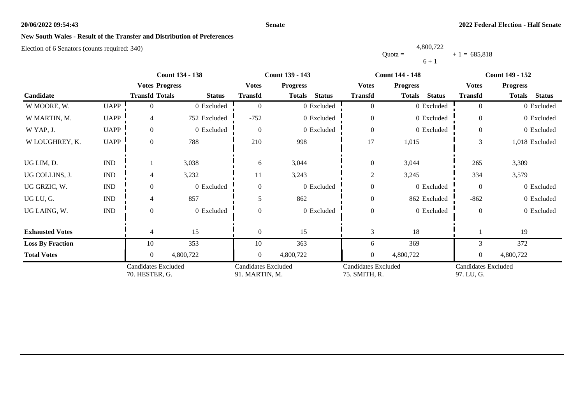#### **Senate**

# **New South Wales - Result of the Transfer and Distribution of Preferences**

|           | 4,800,722 |                |
|-----------|-----------|----------------|
| $Quota =$ |           | $+1 = 685.818$ |
|           | $6 + 1$   |                |

|                         |                             | <b>Count 134 - 138</b>                       |               |                                              | <b>Count 139 - 143</b>         |                                             | <b>Count 144 - 148</b>         | <b>Count 149 - 152</b>            |                                |
|-------------------------|-----------------------------|----------------------------------------------|---------------|----------------------------------------------|--------------------------------|---------------------------------------------|--------------------------------|-----------------------------------|--------------------------------|
|                         |                             | <b>Votes Progress</b>                        |               | <b>Votes</b>                                 | <b>Progress</b>                | <b>Votes</b>                                | <b>Progress</b>                | <b>Votes</b>                      | <b>Progress</b>                |
| Candidate               |                             | <b>Transfd Totals</b>                        | <b>Status</b> | <b>Transfd</b>                               | <b>Status</b><br><b>Totals</b> | <b>Transfd</b>                              | <b>Status</b><br><b>Totals</b> | <b>Transfd</b>                    | <b>Status</b><br><b>Totals</b> |
| W MOORE, W.             | <b>UAPP</b>                 | 0                                            | 0 Excluded    | $\Omega$                                     | 0 Excluded                     | $\theta$                                    | 0 Excluded                     | $\theta$                          | 0 Excluded                     |
| W MARTIN, M.            | <b>UAPP</b>                 | 4                                            | 752 Excluded  | $-752$                                       | 0 Excluded                     | $\overline{0}$                              | 0 Excluded                     | $\theta$                          | 0 Excluded                     |
| W YAP, J.               | <b>UAPP</b>                 | $\theta$                                     | 0 Excluded    | $\Omega$                                     | 0 Excluded                     | $\boldsymbol{0}$                            | 0 Excluded                     | $\Omega$                          | 0 Excluded                     |
| W LOUGHREY, K.          | <b>UAPP</b>                 | $\overline{0}$                               | 788           | 210                                          | 998                            | 17                                          | 1,015                          | 3                                 | 1,018 Excluded                 |
| UG LIM, D.              | <b>IND</b>                  |                                              | 3,038         | 6                                            | 3,044                          | $\boldsymbol{0}$                            | 3,044                          | 265                               | 3,309                          |
| UG COLLINS, J.          | <b>IND</b>                  |                                              | 3,232         | 11                                           | 3,243                          | $\overline{2}$                              | 3,245                          | 334                               | 3,579                          |
| UG GRZIC, W.            | $\mathop{\rm IND}\nolimits$ | $\Omega$                                     | 0 Excluded    | $\Omega$                                     | 0 Excluded                     | $\boldsymbol{0}$                            | 0 Excluded                     | $\Omega$                          | 0 Excluded                     |
| UG LU, G.               | $\mathop{\rm IND}\nolimits$ | 4                                            | 857           | 5                                            | 862                            | $\boldsymbol{0}$                            | 862 Excluded                   | $-862$                            | 0 Excluded                     |
| UG LAING, W.            | $\mathop{\rm IND}\nolimits$ | $\Omega$                                     | 0 Excluded    |                                              | 0 Excluded                     | $\boldsymbol{0}$                            | 0 Excluded                     | $\overline{0}$                    | 0 Excluded                     |
| <b>Exhausted Votes</b>  |                             |                                              | 15            | $\Omega$                                     | 15                             | 3                                           | 18                             |                                   | 19                             |
| <b>Loss By Fraction</b> |                             | 10                                           | 353           | 10                                           | 363                            | 6                                           | 369                            | 3                                 | 372                            |
| <b>Total Votes</b>      |                             | $\overline{0}$                               | 4,800,722     | $\overline{0}$                               | 4,800,722                      | $\boldsymbol{0}$                            | 4,800,722                      | $\theta$                          | 4,800,722                      |
|                         |                             | <b>Candidates Excluded</b><br>70. HESTER, G. |               | <b>Candidates Excluded</b><br>91. MARTIN, M. |                                | <b>Candidates Excluded</b><br>75. SMITH, R. |                                | Candidates Excluded<br>97. LU, G. |                                |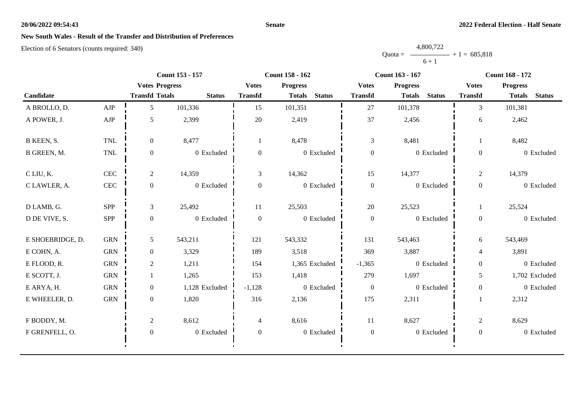#### **Senate**

# **New South Wales - Result of the Transfer and Distribution of Preferences**

|           | 4,800,722      |
|-----------|----------------|
| $Quota =$ | $+1 = 685,818$ |
|           | $6 + 1$        |

|                  |              | <b>Count 153 - 157</b> |                |                | <b>Count 158 - 162</b>         |                  | Count 163 - 167                | <b>Count 168 - 172</b> |                                |
|------------------|--------------|------------------------|----------------|----------------|--------------------------------|------------------|--------------------------------|------------------------|--------------------------------|
|                  |              | <b>Votes Progress</b>  |                | <b>Votes</b>   | <b>Progress</b>                | <b>Votes</b>     | <b>Progress</b>                | <b>Votes</b>           | <b>Progress</b>                |
| Candidate        |              | <b>Transfd Totals</b>  | <b>Status</b>  | <b>Transfd</b> | <b>Status</b><br><b>Totals</b> | <b>Transfd</b>   | <b>Status</b><br><b>Totals</b> | <b>Transfd</b>         | <b>Status</b><br><b>Totals</b> |
| A BROLLO, D.     | AJP          | 5                      | 101,336        | 15             | 101,351                        | 27               | 101,378                        | 3                      | 101,381                        |
| A POWER, J.      | ${\rm AJP}$  | 5                      | 2,399          | 20             | 2,419                          | 37               | 2,456                          | 6                      | 2,462                          |
| B KEEN, S.       | <b>TNL</b>   | $\overline{0}$         | 8,477          | 1              | 8,478                          | 3                | 8,481                          |                        | 8,482                          |
| B GREEN, M.      | TNL          | $\boldsymbol{0}$       | 0 Excluded     | $\overline{0}$ | 0 Excluded                     | $\boldsymbol{0}$ | 0 Excluded                     | $\overline{0}$         | 0 Excluded                     |
| C LIU, K.        | CEC          | $\overline{2}$         | 14,359         | 3              | 14,362                         | 15               | 14,377                         | $\overline{c}$         | 14,379                         |
| C LAWLER, A.     | $\mbox{CEC}$ | $\boldsymbol{0}$       | 0 Excluded     | $\overline{0}$ | $0\,$ Excluded                 | $\boldsymbol{0}$ | 0 Excluded                     | $\overline{0}$         | 0 Excluded                     |
| D LAMB, G.       | SPP          | 3                      | 25,492         | 11             | 25,503                         | 20               | 25,523                         |                        | 25,524                         |
| D DE VIVE, S.    | SPP          | $\overline{0}$         | 0 Excluded     | $\Omega$       | 0 Excluded                     | $\boldsymbol{0}$ | 0 Excluded                     | $\overline{0}$         | 0 Excluded                     |
| E SHOEBRIDGE, D. | ${\rm GRN}$  | 5                      | 543,211        | 121            | 543,332                        | 131              | 543,463                        | 6                      | 543,469                        |
| E COHN, A.       | <b>GRN</b>   | $\overline{0}$         | 3,329          | 189            | 3,518                          | 369              | 3,887                          | $\overline{4}$         | 3,891                          |
| E FLOOD, R.      | <b>GRN</b>   | $\overline{c}$         | 1,211          | 154            | 1,365 Excluded                 | $-1,365$         | 0 Excluded                     | $\overline{0}$         | 0 Excluded                     |
| E SCOTT, J.      | <b>GRN</b>   |                        | 1,265          | 153            | 1,418                          | 279              | 1,697                          | 5                      | 1,702 Excluded                 |
| E ARYA, H.       | <b>GRN</b>   | $\overline{0}$         | 1,128 Excluded | $-1,128$       | 0 Excluded                     | $\overline{0}$   | 0 Excluded                     | $\overline{0}$         | 0 Excluded                     |
| E WHEELER, D.    | ${\rm GRN}$  | $\mathbf{0}$           | 1,820          | 316            | 2,136                          | 175              | 2,311                          |                        | 2,312                          |
| F BODDY, M.      |              | $\overline{c}$         | 8,612          | $\overline{4}$ | 8,616                          | 11               | 8,627                          | $\overline{2}$         | 8,629                          |
| F GRENFELL, O.   |              | $\overline{0}$         | 0 Excluded     | $\mathbf{0}$   | 0 Excluded                     | $\boldsymbol{0}$ | 0 Excluded                     | $\overline{0}$         | 0 Excluded                     |
|                  |              |                        |                |                |                                |                  |                                |                        |                                |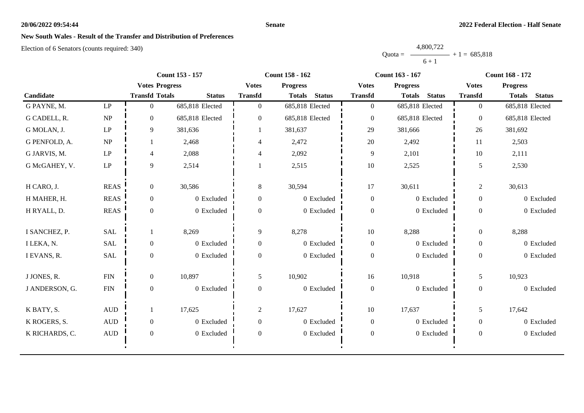#### **Senate**

# **New South Wales - Result of the Transfer and Distribution of Preferences**

|           | 4,800,722      |  |
|-----------|----------------|--|
| $Quota =$ | $+1 = 685,818$ |  |
|           | $6 + 1$        |  |

|                |                                 | <b>Count 153 - 157</b> |                 |                | Count 158 - 162                |                  | <b>Count 163 - 167</b>         | <b>Count 168 - 172</b> |                                |
|----------------|---------------------------------|------------------------|-----------------|----------------|--------------------------------|------------------|--------------------------------|------------------------|--------------------------------|
|                |                                 | <b>Votes Progress</b>  |                 | <b>Votes</b>   | <b>Progress</b>                | <b>Votes</b>     | <b>Progress</b>                | <b>Votes</b>           | <b>Progress</b>                |
| Candidate      |                                 | <b>Transfd Totals</b>  | <b>Status</b>   | <b>Transfd</b> | <b>Status</b><br><b>Totals</b> | <b>Transfd</b>   | <b>Totals</b><br><b>Status</b> | <b>Transfd</b>         | <b>Totals</b><br><b>Status</b> |
| G PAYNE, M.    | $\mathbf{L}\mathbf{P}$          | $\Omega$               | 685,818 Elected | $\Omega$       | 685,818 Elected                | $\boldsymbol{0}$ | 685,818 Elected                | $\overline{0}$         | 685,818 Elected                |
| G CADELL, R.   | NP                              | $\overline{0}$         | 685,818 Elected | $\Omega$       | 685,818 Elected                | $\overline{0}$   | 685,818 Elected                | $\overline{0}$         | 685,818 Elected                |
| G MOLAN, J.    | $\ensuremath{\mathrm{LP}}$      | 9                      | 381,636         |                | 381,637                        | 29               | 381,666                        | 26                     | 381,692                        |
| G PENFOLD, A.  | $\ensuremath{\text{NP}}\xspace$ |                        | 2,468           | 4              | 2,472                          | 20               | 2,492                          | 11                     | 2,503                          |
| G JARVIS, M.   | $\ensuremath{\mathrm{LP}}$      | 4                      | 2,088           | 4              | 2,092                          | 9                | 2,101                          | 10                     | 2,111                          |
| G McGAHEY, V.  | $\mathbf{L}\mathbf{P}$          | 9                      | 2,514           |                | 2,515                          | $10\,$           | 2,525                          | 5                      | 2,530                          |
| H CARO, J.     | <b>REAS</b>                     | $\overline{0}$         | 30,586          | 8              | 30,594                         | 17               | 30,611                         | $\overline{2}$         | 30,613                         |
| H MAHER, H.    | <b>REAS</b>                     | $\boldsymbol{0}$       | 0 Excluded      | $\overline{0}$ | 0 Excluded                     | $\boldsymbol{0}$ | 0 Excluded                     | $\overline{0}$         | 0 Excluded                     |
| H RYALL, D.    | <b>REAS</b>                     | $\boldsymbol{0}$       | 0 Excluded      | $\Omega$       | 0 Excluded                     | $\boldsymbol{0}$ | 0 Excluded                     | $\boldsymbol{0}$       | 0 Excluded                     |
| I SANCHEZ, P.  | <b>SAL</b>                      |                        | 8,269           | 9              | 8,278                          | $10\,$           | 8,288                          | $\overline{0}$         | 8,288                          |
| I LEKA, N.     | <b>SAL</b>                      | $\boldsymbol{0}$       | 0 Excluded      | $\overline{0}$ | 0 Excluded                     | $\boldsymbol{0}$ | 0 Excluded                     | $\boldsymbol{0}$       | 0 Excluded                     |
| I EVANS, R.    | <b>SAL</b>                      | $\overline{0}$         | 0 Excluded      | $\Omega$       | 0 Excluded                     | $\boldsymbol{0}$ | 0 Excluded                     | $\theta$               | 0 Excluded                     |
| J JONES, R.    | <b>FIN</b>                      | $\boldsymbol{0}$       | 10,897          | 5              | 10,902                         | 16               | 10,918                         | 5                      | 10,923                         |
| J ANDERSON, G. | ${\rm FIN}$                     | $\boldsymbol{0}$       | 0 Excluded      | $\mathbf{0}$   | 0 Excluded                     | $\boldsymbol{0}$ | 0 Excluded                     | $\boldsymbol{0}$       | 0 Excluded                     |
| K BATY, S.     | $\mbox{AUD}$                    |                        | 17,625          | $\overline{2}$ | 17,627                         | 10               | 17,637                         | 5                      | 17,642                         |
| K ROGERS, S.   | $\mbox{\rm AUD}$                | $\boldsymbol{0}$       | 0 Excluded      | $\overline{0}$ | 0 Excluded                     | $\boldsymbol{0}$ | 0 Excluded                     | $\overline{0}$         | 0 Excluded                     |
| K RICHARDS, C. | $\mbox{AUD}$                    | $\overline{0}$         | 0 Excluded      | $\theta$       | 0 Excluded                     | $\boldsymbol{0}$ | 0 Excluded                     | $\overline{0}$         | 0 Excluded                     |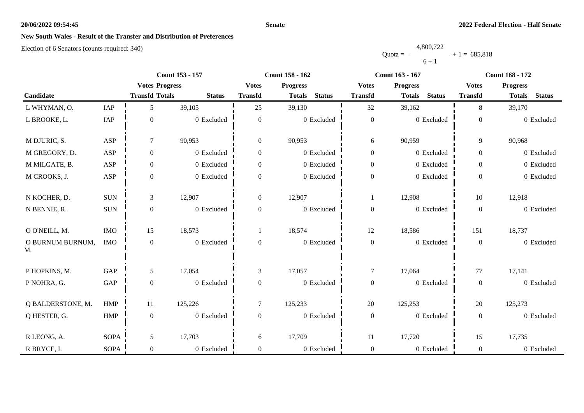#### **Senate**

# **New South Wales - Result of the Transfer and Distribution of Preferences**

|           | 4,800,722 |                |
|-----------|-----------|----------------|
| $Quota =$ |           | $+1 = 685.818$ |
|           | $6 + 1$   |                |

|                        |             | <b>Count 153 - 157</b> |               |                  | Count 158 - 162                |                  | <b>Count 163 - 167</b>         | <b>Count 168 - 172</b> |                                |
|------------------------|-------------|------------------------|---------------|------------------|--------------------------------|------------------|--------------------------------|------------------------|--------------------------------|
|                        |             | <b>Votes Progress</b>  |               | <b>Votes</b>     | <b>Progress</b>                | <b>Votes</b>     | <b>Progress</b>                | <b>Votes</b>           | <b>Progress</b>                |
| Candidate              |             | <b>Transfd Totals</b>  | <b>Status</b> | <b>Transfd</b>   | <b>Status</b><br><b>Totals</b> | <b>Transfd</b>   | <b>Status</b><br><b>Totals</b> | <b>Transfd</b>         | <b>Status</b><br><b>Totals</b> |
| L WHYMAN, O.           | IAP         | 5                      | 39,105        | 25               | 39,130                         | 32               | 39,162                         | 8                      | 39,170                         |
| L BROOKE, L.           | IAP         | $\boldsymbol{0}$       | 0 Excluded    | $\boldsymbol{0}$ | 0 Excluded                     | $\boldsymbol{0}$ | 0 Excluded                     | $\boldsymbol{0}$       | 0 Excluded                     |
| M DJURIC, S.           | ASP         | $\tau$                 | 90,953        | $\overline{0}$   | 90,953                         | 6                | 90,959                         | 9                      | 90,968                         |
| M GREGORY, D.          | ASP         | $\mathbf{0}$           | 0 Excluded    | $\overline{0}$   | 0 Excluded                     | $\boldsymbol{0}$ | 0 Excluded                     | $\overline{0}$         | 0 Excluded                     |
| M MILGATE, B.          | ASP         | $\boldsymbol{0}$       | 0 Excluded    | $\overline{0}$   | 0 Excluded                     | $\mathbf{0}$     | 0 Excluded                     | $\overline{0}$         | 0 Excluded                     |
| M CROOKS, J.           | ASP         | $\boldsymbol{0}$       | 0 Excluded    | $\boldsymbol{0}$ | 0 Excluded                     | $\boldsymbol{0}$ | 0 Excluded                     | $\overline{0}$         | 0 Excluded                     |
| N KOCHER, D.           | $\rm{SUM}$  | 3                      | 12,907        | $\overline{0}$   | 12,907                         | -1               | 12,908                         | 10                     | 12,918                         |
| N BENNIE, R.           | $\rm SUN$   | $\boldsymbol{0}$       | 0 Excluded    | $\boldsymbol{0}$ | 0 Excluded                     | $\boldsymbol{0}$ | 0 Excluded                     | $\overline{0}$         | 0 Excluded                     |
| O O'NEILL, M.          | $\rm{IMO}$  | 15                     | 18,573        |                  | 18,574                         | 12               | 18,586                         | 151                    | 18,737                         |
| O BURNUM BURNUM,<br>M. | <b>IMO</b>  | $\boldsymbol{0}$       | 0 Excluded    | $\boldsymbol{0}$ | 0 Excluded                     | $\boldsymbol{0}$ | 0 Excluded                     | $\boldsymbol{0}$       | 0 Excluded                     |
| P HOPKINS, M.          | GAP         | 5                      | 17,054        | 3                | 17,057                         | $\tau$           | 17,064                         | 77                     | 17,141                         |
| P NOHRA, G.            | GAP         | $\boldsymbol{0}$       | 0 Excluded    | $\boldsymbol{0}$ | 0 Excluded                     | $\boldsymbol{0}$ | 0 Excluded                     | $\overline{0}$         | 0 Excluded                     |
| Q BALDERSTONE, M.      | <b>HMP</b>  | 11                     | 125,226       | $\overline{7}$   | 125,233                        | 20               | 125,253                        | 20                     | 125,273                        |
| Q HESTER, G.           | HMP         | $\boldsymbol{0}$       | 0 Excluded    | $\overline{0}$   | 0 Excluded                     | $\boldsymbol{0}$ | 0 Excluded                     | $\overline{0}$         | 0 Excluded                     |
| R LEONG, A.            | <b>SOPA</b> | $\mathfrak{S}$         | 17,703        | 6                | 17,709                         | $11\,$           | 17,720                         | 15                     | 17,735                         |
| R BRYCE, I.            | <b>SOPA</b> | $\mathbf{0}$           | 0 Excluded    | $\overline{0}$   | 0 Excluded                     | $\boldsymbol{0}$ | 0 Excluded                     | $\overline{0}$         | 0 Excluded                     |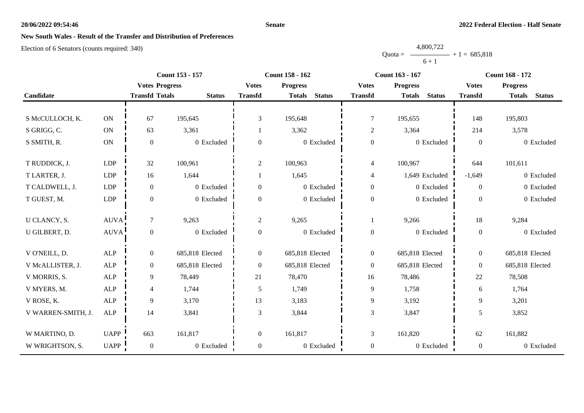#### **Senate**

# **New South Wales - Result of the Transfer and Distribution of Preferences**

|           | 4,800,722      |  |
|-----------|----------------|--|
| $Quota =$ | $+1 = 685,818$ |  |
|           | $6 + 1$        |  |

|                    |             |                       | Count 153 - 157 |                | Count 158 - 162                | Count 163 - 167  |                                |                  | <b>Count 168 - 172</b>         |
|--------------------|-------------|-----------------------|-----------------|----------------|--------------------------------|------------------|--------------------------------|------------------|--------------------------------|
|                    |             | <b>Votes Progress</b> |                 | <b>Votes</b>   | <b>Progress</b>                | <b>Votes</b>     | <b>Progress</b>                | <b>Votes</b>     | <b>Progress</b>                |
| Candidate          |             | <b>Transfd Totals</b> | <b>Status</b>   | <b>Transfd</b> | <b>Status</b><br><b>Totals</b> | <b>Transfd</b>   | <b>Status</b><br><b>Totals</b> | <b>Transfd</b>   | <b>Totals</b><br><b>Status</b> |
|                    |             |                       |                 |                |                                |                  |                                |                  |                                |
| S McCULLOCH, K.    | <b>ON</b>   | 67                    | 195,645         | 3              | 195,648                        | 7                | 195,655                        | 148              | 195,803                        |
| S GRIGG, C.        | ON          | 63                    | 3,361           |                | 3,362                          | $\overline{2}$   | 3,364                          | 214              | 3,578                          |
| S SMITH, R.        | ON          | $\boldsymbol{0}$      | 0 Excluded      | $\overline{0}$ | 0 Excluded                     | $\boldsymbol{0}$ | 0 Excluded                     | $\mathbf{0}$     | 0 Excluded                     |
|                    |             |                       |                 |                |                                |                  |                                |                  |                                |
| T RUDDICK, J.      | <b>LDP</b>  | 32                    | 100,961         | $\overline{c}$ | 100,963                        | $\overline{4}$   | 100,967                        | 644              | 101,611                        |
| T LARTER, J.       | <b>LDP</b>  | 16                    | 1,644           |                | 1,645                          | $\overline{4}$   | 1,649 Excluded                 | $-1,649$         | 0 Excluded                     |
| T CALDWELL, J.     | <b>LDP</b>  | $\mathbf{0}$          | 0 Excluded      | 0              | 0 Excluded                     | $\boldsymbol{0}$ | 0 Excluded                     | $\overline{0}$   | 0 Excluded                     |
| T GUEST, M.        | LDP         | $\boldsymbol{0}$      | 0 Excluded      | 0              | 0 Excluded                     | $\boldsymbol{0}$ | 0 Excluded                     | $\mathbf{0}$     | 0 Excluded                     |
|                    |             |                       |                 |                |                                |                  |                                |                  |                                |
| U CLANCY, S.       | <b>AUVA</b> | $\tau$                | 9,263           | $\overline{c}$ | 9,265                          |                  | 9,266                          | 18               | 9,284                          |
| U GILBERT, D.      | AUVA        | $\boldsymbol{0}$      | 0 Excluded      | $\overline{0}$ | 0 Excluded                     | $\boldsymbol{0}$ | 0 Excluded                     | $\boldsymbol{0}$ | 0 Excluded                     |
| V O'NEILL, D.      | ${\sf ALP}$ | $\boldsymbol{0}$      | 685,818 Elected | $\overline{0}$ | 685,818 Elected                | $\boldsymbol{0}$ | 685,818 Elected                | $\boldsymbol{0}$ | 685,818 Elected                |
| V McALLISTER, J.   | <b>ALP</b>  | $\mathbf{0}$          | 685,818 Elected | $\overline{0}$ | 685,818 Elected                | $\boldsymbol{0}$ | 685,818 Elected                | $\overline{0}$   | 685,818 Elected                |
| V MORRIS, S.       | <b>ALP</b>  | 9                     | 78,449          | 21             | 78,470                         | 16               | 78,486                         | 22               | 78,508                         |
| V MYERS, M.        | <b>ALP</b>  | $\overline{4}$        | 1,744           | 5              | 1,749                          | $\overline{9}$   | 1,758                          | 6                | 1,764                          |
| V ROSE, K.         | <b>ALP</b>  | 9                     | 3,170           | 13             | 3,183                          | 9                | 3,192                          | 9                | 3,201                          |
| V WARREN-SMITH, J. | <b>ALP</b>  | 14                    | 3,841           | 3              | 3,844                          | 3                | 3,847                          | 5                | 3,852                          |
|                    |             |                       |                 |                |                                |                  |                                |                  |                                |
| W MARTINO, D.      | <b>UAPP</b> | 663                   | 161,817         | $\overline{0}$ | 161,817                        | $\mathfrak{Z}$   | 161,820                        | 62               | 161,882                        |
| W WRIGHTSON, S.    | <b>UAPP</b> | $\boldsymbol{0}$      | 0 Excluded      | $\overline{0}$ | 0 Excluded                     | $\boldsymbol{0}$ | 0 Excluded                     | $\boldsymbol{0}$ | 0 Excluded                     |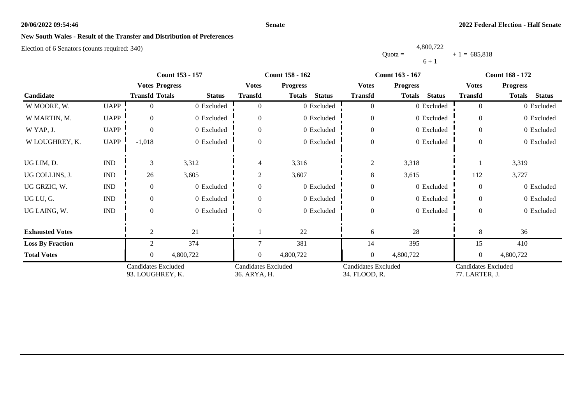#### **Senate**

# **New South Wales - Result of the Transfer and Distribution of Preferences**

|           | 4,800,722 |                |
|-----------|-----------|----------------|
| $Quota =$ |           | $+1 = 685.818$ |
|           | $6 + 1$   |                |

|                         |                             | <b>Count 153 - 157</b>                         |               |                                            | <b>Count 158 - 162</b>         |                                             | Count 163 - 167                | <b>Count 168 - 172</b>                |                                |
|-------------------------|-----------------------------|------------------------------------------------|---------------|--------------------------------------------|--------------------------------|---------------------------------------------|--------------------------------|---------------------------------------|--------------------------------|
|                         |                             | <b>Votes Progress</b>                          |               | <b>Votes</b>                               | <b>Progress</b>                | <b>Votes</b>                                | <b>Progress</b>                | <b>Votes</b>                          | <b>Progress</b>                |
| Candidate               |                             | <b>Transfd Totals</b>                          | <b>Status</b> | <b>Transfd</b>                             | <b>Status</b><br><b>Totals</b> | <b>Transfd</b>                              | <b>Status</b><br><b>Totals</b> | <b>Transfd</b>                        | <b>Totals</b><br><b>Status</b> |
| W MOORE, W.             | <b>UAPP</b>                 |                                                | 0 Excluded    |                                            | 0 Excluded                     | $\overline{0}$                              | 0 Excluded                     | $\theta$                              | 0 Excluded                     |
| W MARTIN, M.            | <b>UAPP</b>                 | $\Omega$                                       | 0 Excluded    | 0                                          | 0 Excluded                     | $\overline{0}$                              | 0 Excluded                     | $\Omega$                              | 0 Excluded                     |
| W YAP, J.               | <b>UAPP</b>                 |                                                | 0 Excluded    | $\Omega$                                   | 0 Excluded                     | $\theta$                                    | 0 Excluded                     | $\Omega$                              | 0 Excluded                     |
| W LOUGHREY, K.          | <b>UAPP</b>                 | $-1,018$                                       | 0 Excluded    | $\Omega$                                   | 0 Excluded                     | $\boldsymbol{0}$                            | 0 Excluded                     | $\Omega$                              | 0 Excluded                     |
| UG LIM, D.              | $\mathop{\rm IND}\nolimits$ | 3                                              | 3,312         | 4                                          | 3,316                          | $\overline{2}$                              | 3,318                          |                                       | 3,319                          |
| UG COLLINS, J.          | $\mathop{\rm IND}\nolimits$ | 26                                             | 3,605         | $\overline{2}$                             | 3,607                          | 8                                           | 3,615                          | 112                                   | 3,727                          |
| UG GRZIC, W.            | $\mathop{\rm IND}\nolimits$ | $\Omega$                                       | 0 Excluded    | $\Omega$                                   | 0 Excluded                     | $\mathbf{0}$                                | 0 Excluded                     | $\Omega$                              | 0 Excluded                     |
| UG LU, G.               | $\mathop{\rm IND}\nolimits$ | $\Omega$                                       | 0 Excluded    | $\Omega$                                   | 0 Excluded                     | $\boldsymbol{0}$                            | 0 Excluded                     | $\Omega$                              | 0 Excluded                     |
| UG LAING, W.            | $\mathop{\rm IND}\nolimits$ | $\theta$                                       | 0 Excluded    | $\Omega$                                   | 0 Excluded                     | $\mathbf{0}$                                | 0 Excluded                     | $\theta$                              | 0 Excluded                     |
| <b>Exhausted Votes</b>  |                             | 2                                              | 21            |                                            | 22                             | 6                                           | 28                             | 8                                     | 36                             |
| <b>Loss By Fraction</b> |                             | $\overline{2}$                                 | 374           |                                            | 381                            | 14                                          | 395                            | 15                                    | 410                            |
| <b>Total Votes</b>      |                             | $\Omega$                                       | 4,800,722     | $\theta$                                   | 4,800,722                      | $\mathbf{0}$                                | 4,800,722                      | $\theta$                              | 4,800,722                      |
|                         |                             | <b>Candidates Excluded</b><br>93. LOUGHREY, K. |               | <b>Candidates Excluded</b><br>36. ARYA, H. |                                | <b>Candidates Excluded</b><br>34. FLOOD, R. |                                | Candidates Excluded<br>77. LARTER, J. |                                |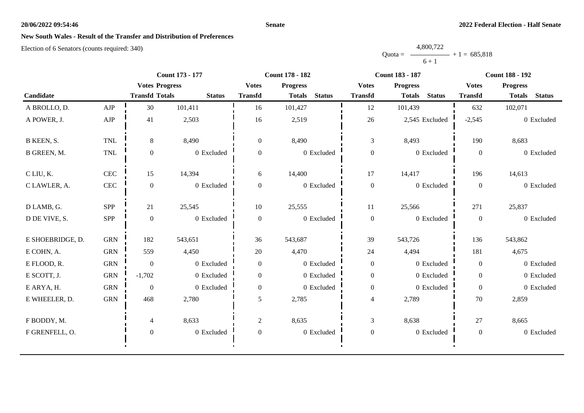#### **Senate**

## **New South Wales - Result of the Transfer and Distribution of Preferences**

|           | 4,800,722      |  |
|-----------|----------------|--|
| $Quota =$ | $+1 = 685,818$ |  |
|           | $6 + 1$        |  |

|                  |              | Count 173 - 177       |               |                  | <b>Count 178 - 182</b>         |                  | <b>Count 183 - 187</b>         | <b>Count 188 - 192</b> |                                |
|------------------|--------------|-----------------------|---------------|------------------|--------------------------------|------------------|--------------------------------|------------------------|--------------------------------|
|                  |              | <b>Votes Progress</b> |               | <b>Votes</b>     | <b>Progress</b>                | <b>Votes</b>     | <b>Progress</b>                | <b>Votes</b>           | <b>Progress</b>                |
| Candidate        |              | <b>Transfd Totals</b> | <b>Status</b> | <b>Transfd</b>   | <b>Status</b><br><b>Totals</b> | <b>Transfd</b>   | <b>Status</b><br><b>Totals</b> | <b>Transfd</b>         | <b>Status</b><br><b>Totals</b> |
| A BROLLO, D.     | AJP          | 30                    | 101,411       | 16               | 101,427                        | 12               | 101,439                        | 632                    | 102,071                        |
| A POWER, J.      | ${\rm AJP}$  | 41                    | 2,503         | 16               | 2,519                          | 26               | 2,545 Excluded                 | $-2,545$               | 0 Excluded                     |
| B KEEN, S.       | <b>TNL</b>   | 8                     | 8,490         | $\overline{0}$   | 8,490                          | $\mathfrak{Z}$   | 8,493                          | 190                    | 8,683                          |
| B GREEN, M.      | TNL          | $\boldsymbol{0}$      | 0 Excluded    | $\overline{0}$   | 0 Excluded                     | $\boldsymbol{0}$ | 0 Excluded                     | $\overline{0}$         | 0 Excluded                     |
| C LIU, K.        | $\mbox{CEC}$ | 15                    | 14,394        | 6                | 14,400                         | 17               | 14,417                         | 196                    | 14,613                         |
| C LAWLER, A.     | $\mbox{CEC}$ | $\boldsymbol{0}$      | 0 Excluded    | $\boldsymbol{0}$ | 0 Excluded                     | $\boldsymbol{0}$ | 0 Excluded                     | $\mathbf{0}$           | 0 Excluded                     |
| D LAMB, G.       | SPP          | 21                    | 25,545        | 10               | 25,555                         | 11               | 25,566                         | 271                    | 25,837                         |
| D DE VIVE, S.    | SPP          | $\mathbf{0}$          | 0 Excluded    | $\Omega$         | 0 Excluded                     | $\boldsymbol{0}$ | 0 Excluded                     | $\mathbf{0}$           | 0 Excluded                     |
| E SHOEBRIDGE, D. | <b>GRN</b>   | 182                   | 543,651       | 36               | 543,687                        | 39               | 543,726                        | 136                    | 543,862                        |
| E COHN, A.       | <b>GRN</b>   | 559                   | 4,450         | $20\,$           | 4,470                          | 24               | 4,494                          | 181                    | 4,675                          |
| E FLOOD, R.      | <b>GRN</b>   | $\boldsymbol{0}$      | 0 Excluded    | $\overline{0}$   | 0 Excluded                     | $\boldsymbol{0}$ | 0 Excluded                     | $\overline{0}$         | 0 Excluded                     |
| E SCOTT, J.      | ${\rm GRN}$  | $-1,702$              | 0 Excluded    | $\overline{0}$   | 0 Excluded                     | $\boldsymbol{0}$ | 0 Excluded                     | $\overline{0}$         | 0 Excluded                     |
| E ARYA, H.       | ${\rm GRN}$  | $\boldsymbol{0}$      | 0 Excluded    | $\overline{0}$   | 0 Excluded                     | $\boldsymbol{0}$ | 0 Excluded                     | $\mathbf{0}$           | 0 Excluded                     |
| E WHEELER, D.    | ${\rm GRN}$  | 468                   | 2,780         | 5                | 2,785                          | $\overline{4}$   | 2,789                          | 70                     | 2,859                          |
| F BODDY, M.      |              | 4                     | 8,633         | $\overline{2}$   | 8,635                          | 3                | 8,638                          | 27                     | 8,665                          |
| F GRENFELL, O.   |              | $\mathbf{0}$          | 0 Excluded    | $\mathbf{0}$     | 0 Excluded                     | $\boldsymbol{0}$ | 0 Excluded                     | $\overline{0}$         | 0 Excluded                     |
|                  |              |                       |               |                  |                                |                  |                                |                        |                                |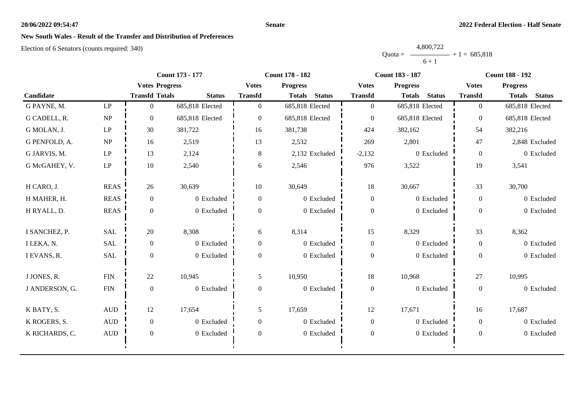#### **Senate**

# **New South Wales - Result of the Transfer and Distribution of Preferences**

|           | 4,800,722 |                |
|-----------|-----------|----------------|
| $Quota =$ |           | $+1 = 685.818$ |
|           | $6 + 1$   |                |

|                |                        | <b>Count 173 - 177</b> |                 |                  | <b>Count 178 - 182</b>         |                  | <b>Count 183 - 187</b>         | <b>Count 188 - 192</b> |                                |
|----------------|------------------------|------------------------|-----------------|------------------|--------------------------------|------------------|--------------------------------|------------------------|--------------------------------|
|                |                        | <b>Votes Progress</b>  |                 | <b>Votes</b>     | <b>Progress</b>                | <b>Votes</b>     | <b>Progress</b>                | <b>Votes</b>           | <b>Progress</b>                |
| Candidate      |                        | <b>Transfd Totals</b>  | <b>Status</b>   | <b>Transfd</b>   | <b>Status</b><br><b>Totals</b> | <b>Transfd</b>   | <b>Status</b><br><b>Totals</b> | <b>Transfd</b>         | <b>Status</b><br><b>Totals</b> |
| G PAYNE, M.    | LP                     | $\overline{0}$         | 685,818 Elected | $\overline{0}$   | 685,818 Elected                | $\overline{0}$   | 685,818 Elected                | $\overline{0}$         | 685,818 Elected                |
| G CADELL, R.   | NP                     | $\theta$               | 685,818 Elected | $\Omega$         | 685,818 Elected                | $\overline{0}$   | 685,818 Elected                | $\theta$               | 685,818 Elected                |
| G MOLAN, J.    | LP                     | 30                     | 381,722         | 16               | 381,738                        | 424              | 382,162                        | 54                     | 382,216                        |
| G PENFOLD, A.  | NP                     | 16                     | 2,519           | 13               | 2,532                          | 269              | 2,801                          | 47                     | 2,848 Excluded                 |
| G JARVIS, M.   | $\mathbf{L}\mathbf{P}$ | 13                     | 2,124           | 8                | 2,132 Excluded                 | $-2,132$         | 0 Excluded                     | $\overline{0}$         | 0 Excluded                     |
| G McGAHEY, V.  | LP                     | 10                     | 2,540           | 6                | 2,546                          | 976              | 3,522                          | 19                     | 3,541                          |
| H CARO, J.     | <b>REAS</b>            | 26                     | 30,639          | 10               | 30,649                         | 18               | 30,667                         | 33                     | 30,700                         |
| H MAHER, H.    | <b>REAS</b>            | $\boldsymbol{0}$       | 0 Excluded      | $\boldsymbol{0}$ | 0 Excluded                     | $\boldsymbol{0}$ | 0 Excluded                     | $\theta$               | 0 Excluded                     |
| H RYALL, D.    | <b>REAS</b>            | $\Omega$               | 0 Excluded      | $\Omega$         | 0 Excluded                     | $\boldsymbol{0}$ | 0 Excluded                     | $\overline{0}$         | 0 Excluded                     |
| I SANCHEZ, P.  | <b>SAL</b>             | 20                     | 8,308           | 6                | 8,314                          | 15               | 8,329                          | 33                     | 8,362                          |
| I LEKA, N.     | <b>SAL</b>             | $\mathbf{0}$           | 0 Excluded      | $\overline{0}$   | 0 Excluded                     | $\boldsymbol{0}$ | 0 Excluded                     | $\boldsymbol{0}$       | 0 Excluded                     |
| I EVANS, R.    | <b>SAL</b>             | $\overline{0}$         | 0 Excluded      | $\Omega$         | 0 Excluded                     | $\boldsymbol{0}$ | 0 Excluded                     | $\boldsymbol{0}$       | 0 Excluded                     |
| J JONES, R.    | ${\rm FIN}$            | 22                     | 10,945          | 5                | 10,950                         | 18               | 10,968                         | 27                     | 10,995                         |
| J ANDERSON, G. | ${\rm FIN}$            | $\mathbf{0}$           | 0 Excluded      | $\theta$         | 0 Excluded                     | $\theta$         | 0 Excluded                     | $\overline{0}$         | 0 Excluded                     |
| K BATY, S.     | $\mbox{\rm AUD}$       | 12                     | 17,654          | 5                | 17,659                         | 12               | 17,671                         | 16                     | 17,687                         |
| K ROGERS, S.   | $\mbox{AUD}$           | $\mathbf{0}$           | 0 Excluded      | $\Omega$         | 0 Excluded                     | $\mathbf{0}$     | 0 Excluded                     | $\overline{0}$         | 0 Excluded                     |
| K RICHARDS, C. | $\mbox{\rm AUD}$       | $\overline{0}$         | 0 Excluded      | $\theta$         | 0 Excluded                     | $\boldsymbol{0}$ | 0 Excluded                     | $\boldsymbol{0}$       | 0 Excluded                     |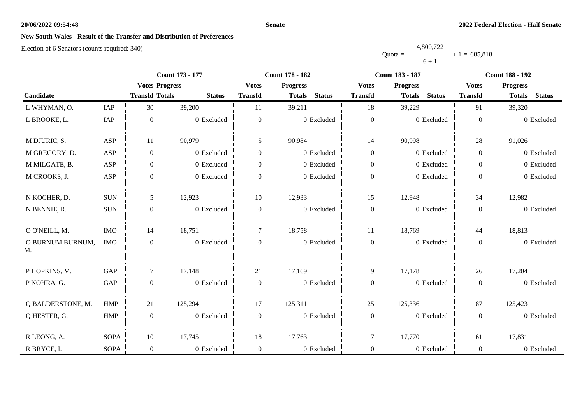#### **Senate**

# **New South Wales - Result of the Transfer and Distribution of Preferences**

|           | 4,800,722 |                |
|-----------|-----------|----------------|
| $Quota =$ |           | $+1 = 685,818$ |
|           | $6 + 1$   |                |

|                        |             | <b>Count 173 - 177</b> |               |                  | <b>Count 178 - 182</b>         |                  | <b>Count 183 - 187</b>         | <b>Count 188 - 192</b> |                                |
|------------------------|-------------|------------------------|---------------|------------------|--------------------------------|------------------|--------------------------------|------------------------|--------------------------------|
|                        |             | <b>Votes Progress</b>  |               | <b>Votes</b>     | <b>Progress</b>                | <b>Votes</b>     | <b>Progress</b>                | <b>Votes</b>           | <b>Progress</b>                |
| Candidate              |             | <b>Transfd Totals</b>  | <b>Status</b> | <b>Transfd</b>   | <b>Status</b><br><b>Totals</b> | <b>Transfd</b>   | <b>Status</b><br><b>Totals</b> | <b>Transfd</b>         | <b>Status</b><br><b>Totals</b> |
| L WHYMAN, O.           | IAP         | 30                     | 39,200        | 11               | 39,211                         | 18               | 39,229                         | 91                     | 39,320                         |
| L BROOKE, L.           | IAP         | $\boldsymbol{0}$       | 0 Excluded    | $\boldsymbol{0}$ | 0 Excluded                     | $\boldsymbol{0}$ | 0 Excluded                     | $\boldsymbol{0}$       | 0 Excluded                     |
| M DJURIC, S.           | ASP         | 11                     | 90,979        | 5                | 90,984                         | 14               | 90,998                         | 28                     | 91,026                         |
| M GREGORY, D.          | ASP         | $\boldsymbol{0}$       | 0 Excluded    | $\overline{0}$   | 0 Excluded                     | $\boldsymbol{0}$ | 0 Excluded                     | $\overline{0}$         | 0 Excluded                     |
| M MILGATE, B.          | ASP         | $\boldsymbol{0}$       | 0 Excluded    | $\overline{0}$   | 0 Excluded                     | $\boldsymbol{0}$ | 0 Excluded                     | $\overline{0}$         | 0 Excluded                     |
| M CROOKS, J.           | ASP         | $\boldsymbol{0}$       | 0 Excluded    | $\Omega$         | 0 Excluded                     | $\boldsymbol{0}$ | 0 Excluded                     | $\overline{0}$         | 0 Excluded                     |
| N KOCHER, D.           | $\rm{SUM}$  | 5                      | 12,923        | 10               | 12,933                         | 15               | 12,948                         | 34                     | 12,982                         |
| N BENNIE, R.           | $\rm SUN$   | $\boldsymbol{0}$       | 0 Excluded    | $\boldsymbol{0}$ | 0 Excluded                     | $\boldsymbol{0}$ | 0 Excluded                     | $\overline{0}$         | 0 Excluded                     |
| O O'NEILL, M.          | $\rm{IMO}$  | 14                     | 18,751        | $\overline{7}$   | 18,758                         | 11               | 18,769                         | 44                     | 18,813                         |
| O BURNUM BURNUM,<br>M. | <b>IMO</b>  | $\boldsymbol{0}$       | 0 Excluded    | $\overline{0}$   | 0 Excluded                     | $\boldsymbol{0}$ | 0 Excluded                     | $\overline{0}$         | 0 Excluded                     |
| P HOPKINS, M.          | GAP         | $\tau$                 | 17,148        | 21               | 17,169                         | 9                | 17,178                         | 26                     | 17,204                         |
| P NOHRA, G.            | GAP         | $\boldsymbol{0}$       | 0 Excluded    | $\boldsymbol{0}$ | 0 Excluded                     | $\boldsymbol{0}$ | 0 Excluded                     | $\overline{0}$         | 0 Excluded                     |
| Q BALDERSTONE, M.      | <b>HMP</b>  | 21                     | 125,294       | 17               | 125,311                        | 25               | 125,336                        | 87                     | 125,423                        |
| Q HESTER, G.           | HMP         | $\boldsymbol{0}$       | 0 Excluded    | $\overline{0}$   | 0 Excluded                     | $\boldsymbol{0}$ | 0 Excluded                     | $\overline{0}$         | 0 Excluded                     |
| R LEONG, A.            | <b>SOPA</b> | 10                     | 17,745        | $18\,$           | 17,763                         | $\tau$           | 17,770                         | 61                     | 17,831                         |
| R BRYCE, I.            | <b>SOPA</b> | $\mathbf{0}$           | 0 Excluded    | $\overline{0}$   | 0 Excluded                     | $\boldsymbol{0}$ | 0 Excluded                     | $\overline{0}$         | 0 Excluded                     |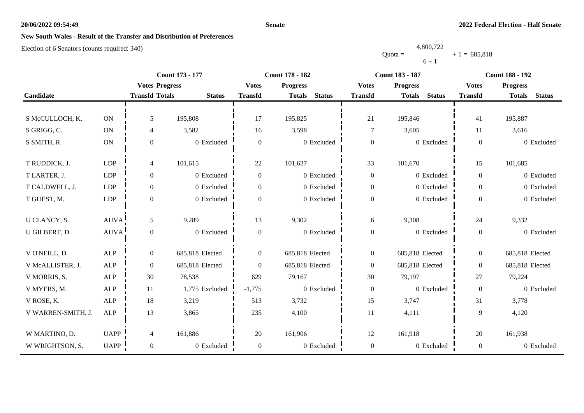#### **Senate**

# **New South Wales - Result of the Transfer and Distribution of Preferences**

|           | 4,800,722 |                |
|-----------|-----------|----------------|
| $Quota =$ |           | $+1 = 685,818$ |
|           | $6 + 1$   |                |

|                    |               |                       | Count 173 - 177 |                  | <b>Count 178 - 182</b>         | <b>Count 183 - 187</b> |                                | <b>Count 188 - 192</b> |                                |
|--------------------|---------------|-----------------------|-----------------|------------------|--------------------------------|------------------------|--------------------------------|------------------------|--------------------------------|
|                    |               | <b>Votes Progress</b> |                 | <b>Votes</b>     | <b>Progress</b>                | <b>Votes</b>           | <b>Progress</b>                | <b>Votes</b>           | <b>Progress</b>                |
| Candidate          |               | <b>Transfd Totals</b> | <b>Status</b>   | <b>Transfd</b>   | <b>Status</b><br><b>Totals</b> | <b>Transfd</b>         | <b>Status</b><br><b>Totals</b> | <b>Transfd</b>         | <b>Status</b><br><b>Totals</b> |
|                    |               |                       |                 |                  |                                |                        |                                |                        |                                |
| S McCULLOCH, K.    | ON            | 5                     | 195,808         | 17               | 195,825                        | $21\,$                 | 195,846                        | 41                     | 195,887                        |
| S GRIGG, C.        | $\mathbf{ON}$ | $\overline{4}$        | 3,582           | 16               | 3,598                          | 7                      | 3,605                          | 11                     | 3,616                          |
| S SMITH, R.        | $\mathbf{ON}$ | $\mathbf{0}$          | 0 Excluded      | $\boldsymbol{0}$ | 0 Excluded                     | $\boldsymbol{0}$       | 0 Excluded                     | $\boldsymbol{0}$       | 0 Excluded                     |
|                    |               |                       |                 |                  |                                |                        |                                |                        |                                |
| T RUDDICK, J.      | LDP           | 4                     | 101,615         | 22               | 101,637                        | 33                     | 101,670                        | 15                     | 101,685                        |
| T LARTER, J.       | LDP           | $\overline{0}$        | 0 Excluded      | $\Omega$         | 0 Excluded                     | $\boldsymbol{0}$       | 0 Excluded                     | $\Omega$               | 0 Excluded                     |
| T CALDWELL, J.     | LDP           | $\boldsymbol{0}$      | 0 Excluded      | $\overline{0}$   | 0 Excluded                     | $\boldsymbol{0}$       | 0 Excluded                     | $\overline{0}$         | 0 Excluded                     |
| T GUEST, M.        | LDP           | $\boldsymbol{0}$      | 0 Excluded      | $\overline{0}$   | 0 Excluded                     | $\boldsymbol{0}$       | 0 Excluded                     | $\overline{0}$         | 0 Excluded                     |
|                    |               |                       |                 |                  |                                |                        |                                |                        |                                |
| U CLANCY, S.       | <b>AUVA</b>   | $\mathfrak{H}$        | 9,289           | 13               | 9,302                          | 6                      | 9,308                          | 24                     | 9,332                          |
| U GILBERT, D.      | <b>AUVA</b>   | $\boldsymbol{0}$      | 0 Excluded      | $\boldsymbol{0}$ | 0 Excluded                     | $\boldsymbol{0}$       | 0 Excluded                     | $\Omega$               | 0 Excluded                     |
|                    |               |                       |                 |                  |                                |                        |                                |                        |                                |
| V O'NEILL, D.      | ALP           | $\boldsymbol{0}$      | 685,818 Elected | $\overline{0}$   | 685,818 Elected                | $\boldsymbol{0}$       | 685,818 Elected                | $\overline{0}$         | 685,818 Elected                |
| V McALLISTER, J.   | <b>ALP</b>    | $\boldsymbol{0}$      | 685,818 Elected | $\overline{0}$   | 685,818 Elected                | $\theta$               | 685,818 Elected                | $\overline{0}$         | 685,818 Elected                |
| V MORRIS, S.       | ${\sf ALP}$   | 30                    | 78,538          | 629              | 79,167                         | $30\,$                 | 79,197                         | 27                     | 79,224                         |
| V MYERS, M.        | <b>ALP</b>    | 11                    | 1,775 Excluded  | $-1,775$         | 0 Excluded                     | $\boldsymbol{0}$       | 0 Excluded                     | $\Omega$               | 0 Excluded                     |
| V ROSE, K.         | <b>ALP</b>    | 18                    | 3,219           | 513              | 3,732                          | 15                     | 3,747                          | 31                     | 3,778                          |
| V WARREN-SMITH, J. | ALP           | 13                    | 3,865           | 235              | 4,100                          | 11                     | 4,111                          | 9                      | 4,120                          |
|                    |               |                       |                 |                  |                                |                        |                                |                        |                                |
| W MARTINO, D.      | <b>UAPP</b>   | $\overline{4}$        | 161,886         | 20               | 161,906                        | 12                     | 161,918                        | 20                     | 161,938                        |
| W WRIGHTSON, S.    | UAPP          | $\overline{0}$        | 0 Excluded      | $\boldsymbol{0}$ | 0 Excluded                     | $\boldsymbol{0}$       | 0 Excluded                     | $\overline{0}$         | 0 Excluded                     |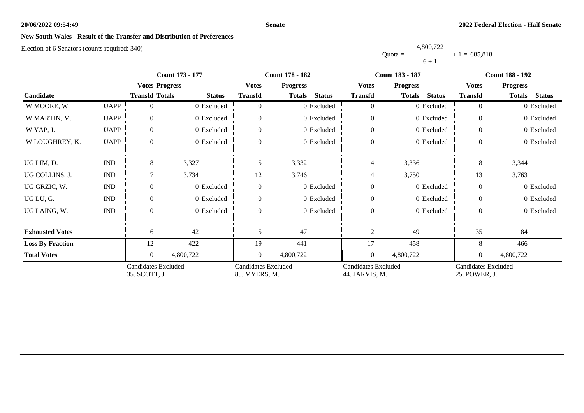#### **Senate**

# **New South Wales - Result of the Transfer and Distribution of Preferences**

|           | 4,800,722 |                |
|-----------|-----------|----------------|
| $Quota =$ |           | $+1 = 685.818$ |
|           | $6 + 1$   |                |

|                         |                             | <b>Count 173 - 177</b>                      |               |                                             | <b>Count 178 - 182</b>         |                                              | <b>Count 183 - 187</b>         | <b>Count 188 - 192</b>                      |                                |
|-------------------------|-----------------------------|---------------------------------------------|---------------|---------------------------------------------|--------------------------------|----------------------------------------------|--------------------------------|---------------------------------------------|--------------------------------|
|                         |                             | <b>Votes Progress</b>                       |               | <b>Votes</b>                                | <b>Progress</b>                | <b>Votes</b>                                 | <b>Progress</b>                | <b>Votes</b>                                | <b>Progress</b>                |
| Candidate               |                             | <b>Transfd Totals</b>                       | <b>Status</b> | <b>Transfd</b>                              | <b>Status</b><br><b>Totals</b> | <b>Transfd</b>                               | <b>Status</b><br><b>Totals</b> | <b>Transfd</b>                              | <b>Status</b><br><b>Totals</b> |
| W MOORE, W.             | <b>UAPP</b>                 | 0                                           | 0 Excluded    | $\Omega$                                    | 0 Excluded                     | $\overline{0}$                               | 0 Excluded                     | $\overline{0}$                              | 0 Excluded                     |
| W MARTIN, M.            | <b>UAPP</b>                 | $\overline{0}$                              | 0 Excluded    | $\Omega$                                    | 0 Excluded                     | $\theta$                                     | 0 Excluded                     | $\theta$                                    | 0 Excluded                     |
| W YAP, J.               | <b>UAPP</b>                 | $\overline{0}$                              | 0 Excluded    |                                             | 0 Excluded                     | $\boldsymbol{0}$                             | 0 Excluded                     | $\Omega$                                    | 0 Excluded                     |
| W LOUGHREY, K.          | <b>UAPP</b>                 | $\overline{0}$                              | 0 Excluded    | $\Omega$                                    | 0 Excluded                     | $\boldsymbol{0}$                             | 0 Excluded                     | $\overline{0}$                              | 0 Excluded                     |
| UG LIM, D.              | $\mathop{\rm IND}\nolimits$ | 8                                           | 3,327         | 5                                           | 3,332                          | $\overline{4}$                               | 3,336                          | 8                                           | 3,344                          |
| UG COLLINS, J.          | <b>IND</b>                  |                                             | 3,734         | 12                                          | 3,746                          | 4                                            | 3,750                          | 13                                          | 3,763                          |
| UG GRZIC, W.            | $\mathop{\rm IND}\nolimits$ | $\Omega$                                    | 0 Excluded    | $\Omega$                                    | 0 Excluded                     | $\theta$                                     | 0 Excluded                     | $\theta$                                    | 0 Excluded                     |
| UG LU, G.               | $\mathop{\rm IND}\nolimits$ | $\overline{0}$                              | 0 Excluded    | $\Omega$                                    | 0 Excluded                     | $\boldsymbol{0}$                             | 0 Excluded                     | $\theta$                                    | 0 Excluded                     |
| UG LAING, W.            | $\mathop{\rm IND}\nolimits$ | $\Omega$                                    | 0 Excluded    | $\Omega$                                    | 0 Excluded                     | $\theta$                                     | 0 Excluded                     | $\theta$                                    | 0 Excluded                     |
| <b>Exhausted Votes</b>  |                             | 6                                           | 42            | 5                                           | 47                             | $\overline{2}$                               | 49                             | 35                                          | 84                             |
| <b>Loss By Fraction</b> |                             | 12                                          | 422           | 19                                          | 441                            | 17                                           | 458                            | 8                                           | 466                            |
| <b>Total Votes</b>      |                             | $\Omega$                                    | 4,800,722     | $\overline{0}$                              | 4,800,722                      | $\theta$                                     | 4,800,722                      | $\theta$                                    | 4,800,722                      |
|                         |                             | <b>Candidates Excluded</b><br>35. SCOTT, J. |               | <b>Candidates Excluded</b><br>85. MYERS, M. |                                | <b>Candidates Excluded</b><br>44. JARVIS, M. |                                | <b>Candidates Excluded</b><br>25. POWER, J. |                                |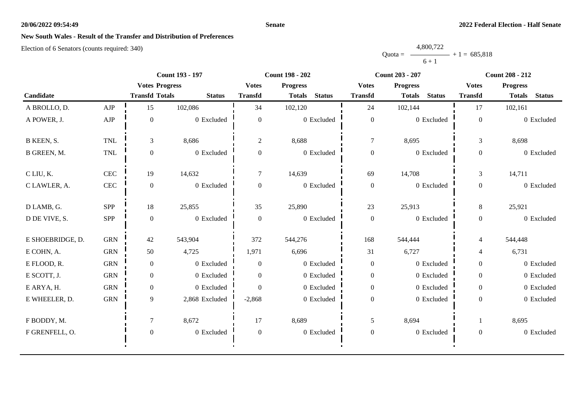#### **Senate**

# **New South Wales - Result of the Transfer and Distribution of Preferences**

|           | 4,800,722 |                |
|-----------|-----------|----------------|
| $Quota =$ |           | $+1 = 685,818$ |
|           | $6 + 1$   |                |

|                  |              | <b>Count 193 - 197</b> |                |                  | <b>Count 198 - 202</b>         |                  | <b>Count 203 - 207</b>         | <b>Count 208 - 212</b> |                                |
|------------------|--------------|------------------------|----------------|------------------|--------------------------------|------------------|--------------------------------|------------------------|--------------------------------|
|                  |              | <b>Votes Progress</b>  |                | <b>Votes</b>     | <b>Progress</b>                | <b>Votes</b>     | <b>Progress</b>                | <b>Votes</b>           | <b>Progress</b>                |
| Candidate        |              | <b>Transfd Totals</b>  | <b>Status</b>  | <b>Transfd</b>   | <b>Status</b><br><b>Totals</b> | <b>Transfd</b>   | <b>Status</b><br><b>Totals</b> | <b>Transfd</b>         | <b>Status</b><br><b>Totals</b> |
| A BROLLO, D.     | ${\rm AJP}$  | 15                     | 102,086        | 34               | 102,120                        | 24               | 102,144                        | 17                     | 102,161                        |
| A POWER, J.      | ${\rm AJP}$  | $\boldsymbol{0}$       | 0 Excluded     | $\boldsymbol{0}$ | 0 Excluded                     | $\boldsymbol{0}$ | 0 Excluded                     | $\boldsymbol{0}$       | 0 Excluded                     |
| B KEEN, S.       | <b>TNL</b>   | 3                      | 8,686          | $\overline{2}$   | 8,688                          | $\overline{7}$   | 8,695                          | 3                      | 8,698                          |
| B GREEN, M.      | TNL          | $\overline{0}$         | 0 Excluded     | $\overline{0}$   | 0 Excluded                     | $\boldsymbol{0}$ | 0 Excluded                     | $\boldsymbol{0}$       | 0 Excluded                     |
| C LIU, K.        | $\mbox{CEC}$ | 19                     | 14,632         | $\overline{7}$   | 14,639                         | 69               | 14,708                         | $\mathfrak{Z}$         | 14,711                         |
| C LAWLER, A.     | $\mbox{CEC}$ | $\overline{0}$         | 0 Excluded     | $\overline{0}$   | 0 Excluded                     | $\boldsymbol{0}$ | 0 Excluded                     | $\overline{0}$         | 0 Excluded                     |
| D LAMB, G.       | <b>SPP</b>   | 18                     | 25,855         | 35               | 25,890                         | 23               | 25,913                         | 8                      | 25,921                         |
| D DE VIVE, S.    | SPP          | $\mathbf{0}$           | 0 Excluded     | $\overline{0}$   | 0 Excluded                     | $\boldsymbol{0}$ | 0 Excluded                     | $\overline{0}$         | 0 Excluded                     |
| E SHOEBRIDGE, D. | <b>GRN</b>   | 42                     | 543,904        | 372              | 544,276                        | 168              | 544,444                        | $\overline{4}$         | 544,448                        |
| E COHN, A.       | <b>GRN</b>   | 50                     | 4,725          | 1,971            | 6,696                          | 31               | 6,727                          | $\overline{4}$         | 6,731                          |
| E FLOOD, R.      | <b>GRN</b>   | $\overline{0}$         | 0 Excluded     | $\theta$         | 0 Excluded                     | $\boldsymbol{0}$ | 0 Excluded                     | $\overline{0}$         | 0 Excluded                     |
| E SCOTT, J.      | <b>GRN</b>   | $\overline{0}$         | 0 Excluded     | $\theta$         | 0 Excluded                     | $\mathbf{0}$     | 0 Excluded                     | $\overline{0}$         | 0 Excluded                     |
| E ARYA, H.       | ${\rm GRN}$  | $\overline{0}$         | 0 Excluded     | $\theta$         | 0 Excluded                     | $\boldsymbol{0}$ | 0 Excluded                     | $\overline{0}$         | 0 Excluded                     |
| E WHEELER, D.    | ${\rm GRN}$  | 9                      | 2,868 Excluded | $-2,868$         | 0 Excluded                     | $\boldsymbol{0}$ | 0 Excluded                     | $\overline{0}$         | 0 Excluded                     |
| F BODDY, M.      |              | $\tau$                 | 8,672          | 17               | 8,689                          | $\mathfrak{S}$   | 8,694                          |                        | 8,695                          |
| F GRENFELL, O.   |              | $\boldsymbol{0}$       | 0 Excluded     | $\boldsymbol{0}$ | $0\,$ Excluded                 | $\boldsymbol{0}$ | 0 Excluded                     | $\boldsymbol{0}$       | 0 Excluded                     |
|                  |              |                        |                |                  |                                |                  |                                |                        |                                |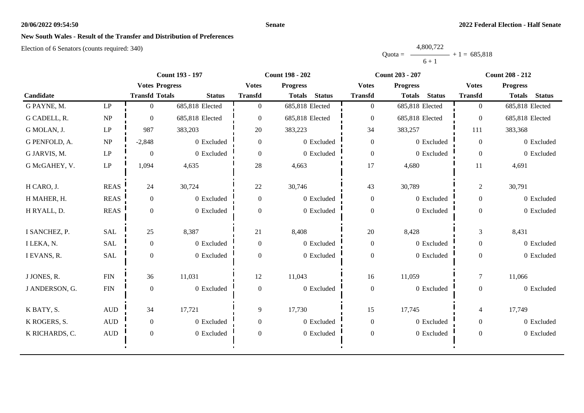#### **Senate**

# **New South Wales - Result of the Transfer and Distribution of Preferences**

|           | 4,800,722 |                |
|-----------|-----------|----------------|
| Ouota $=$ |           | $+1 = 685,818$ |
|           | $6 + 1$   |                |

|                |                                 | <b>Count 193 - 197</b> |                 |                | <b>Count 198 - 202</b>         |                  | <b>Count 203 - 207</b>         | <b>Count 208 - 212</b> |                                |
|----------------|---------------------------------|------------------------|-----------------|----------------|--------------------------------|------------------|--------------------------------|------------------------|--------------------------------|
|                |                                 | <b>Votes Progress</b>  |                 | <b>Votes</b>   | <b>Progress</b>                | <b>Votes</b>     | <b>Progress</b>                | <b>Votes</b>           | <b>Progress</b>                |
| Candidate      |                                 | <b>Transfd Totals</b>  | <b>Status</b>   | <b>Transfd</b> | <b>Status</b><br><b>Totals</b> | <b>Transfd</b>   | <b>Status</b><br><b>Totals</b> | <b>Transfd</b>         | <b>Status</b><br><b>Totals</b> |
| G PAYNE, M.    | LP                              | $\Omega$               | 685,818 Elected | $\Omega$       | 685,818 Elected                | $\overline{0}$   | 685,818 Elected                | $\overline{0}$         | 685,818 Elected                |
| G CADELL, R.   | $\ensuremath{\text{NP}}\xspace$ | $\theta$               | 685,818 Elected | $\Omega$       | 685,818 Elected                | $\mathbf{0}$     | 685,818 Elected                | $\theta$               | 685,818 Elected                |
| G MOLAN, J.    | $\mathbf{L}\mathbf{P}$          | 987                    | 383,203         | 20             | 383,223                        | 34               | 383,257                        | 111                    | 383,368                        |
| G PENFOLD, A.  | $\ensuremath{\text{NP}}\xspace$ | $-2,848$               | 0 Excluded      | $\overline{0}$ | 0 Excluded                     | $\overline{0}$   | 0 Excluded                     | $\Omega$               | 0 Excluded                     |
| G JARVIS, M.   | $\mathbf{L}\mathbf{P}$          | $\boldsymbol{0}$       | 0 Excluded      | $\overline{0}$ | 0 Excluded                     | $\boldsymbol{0}$ | 0 Excluded                     | $\Omega$               | 0 Excluded                     |
| G McGAHEY, V.  | $\mathbf{L}\mathbf{P}$          | 1,094                  | 4,635           | 28             | 4,663                          | 17               | 4,680                          | 11                     | 4,691                          |
| H CARO, J.     | <b>REAS</b>                     | 24                     | 30,724          | 22             | 30,746                         | 43               | 30,789                         | $\overline{c}$         | 30,791                         |
| H MAHER, H.    | <b>REAS</b>                     | $\overline{0}$         | 0 Excluded      | $\overline{0}$ | 0 Excluded                     | $\boldsymbol{0}$ | 0 Excluded                     | $\overline{0}$         | 0 Excluded                     |
| H RYALL, D.    | <b>REAS</b>                     | $\overline{0}$         | 0 Excluded      | $\Omega$       | 0 Excluded                     | $\boldsymbol{0}$ | 0 Excluded                     | $\overline{0}$         | 0 Excluded                     |
| I SANCHEZ, P.  | <b>SAL</b>                      | 25                     | 8,387           | 21             | 8,408                          | 20               | 8,428                          | 3                      | 8,431                          |
| I LEKA, N.     | <b>SAL</b>                      | $\mathbf{0}$           | 0 Excluded      | $\overline{0}$ | 0 Excluded                     | $\boldsymbol{0}$ | 0 Excluded                     | $\boldsymbol{0}$       | 0 Excluded                     |
| I EVANS, R.    | <b>SAL</b>                      | $\Omega$               | 0 Excluded      | $\Omega$       | 0 Excluded                     | $\boldsymbol{0}$ | 0 Excluded                     | $\overline{0}$         | 0 Excluded                     |
| J JONES, R.    | <b>FIN</b>                      | 36                     | 11,031          | 12             | 11,043                         | 16               | 11,059                         | $\tau$                 | 11,066                         |
| J ANDERSON, G. | ${\rm FIN}$                     | $\mathbf{0}$           | 0 Excluded      | $\overline{0}$ | 0 Excluded                     | $\mathbf{0}$     | 0 Excluded                     | $\overline{0}$         | 0 Excluded                     |
| K BATY, S.     | $\mbox{AUD}$                    | 34                     | 17,721          | 9              | 17,730                         | 15               | 17,745                         | 4                      | 17,749                         |
| K ROGERS, S.   | $\mbox{AUD}$                    | $\overline{0}$         | 0 Excluded      | $\overline{0}$ | 0 Excluded                     | $\boldsymbol{0}$ | 0 Excluded                     | $\overline{0}$         | 0 Excluded                     |
| K RICHARDS, C. | $\mbox{AUD}$                    | $\overline{0}$         | 0 Excluded      | $\Omega$       | 0 Excluded                     | $\boldsymbol{0}$ | 0 Excluded                     | $\overline{0}$         | 0 Excluded                     |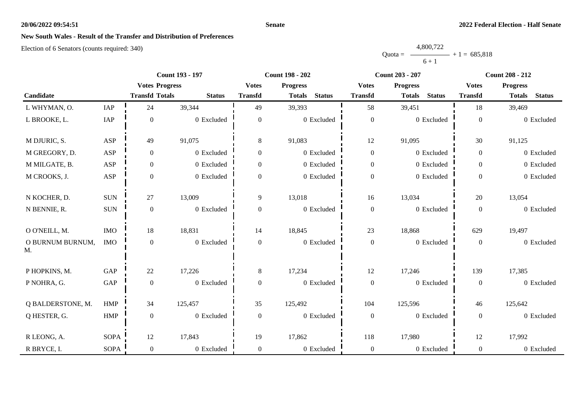#### **Senate**

## **New South Wales - Result of the Transfer and Distribution of Preferences**

|           | 4,800,722 |                |
|-----------|-----------|----------------|
| $Quota =$ |           | $+1 = 685,818$ |
|           | $6 + 1$   |                |

|                        |             |                       | <b>Count 193 - 197</b> |                  | <b>Count 198 - 202</b>         | <b>Count 203 - 207</b> |                                |                  | <b>Count 208 - 212</b>         |
|------------------------|-------------|-----------------------|------------------------|------------------|--------------------------------|------------------------|--------------------------------|------------------|--------------------------------|
|                        |             | <b>Votes Progress</b> |                        | <b>Votes</b>     | <b>Progress</b>                | <b>Votes</b>           | <b>Progress</b>                | <b>Votes</b>     | <b>Progress</b>                |
| Candidate              |             | <b>Transfd Totals</b> | <b>Status</b>          | <b>Transfd</b>   | <b>Status</b><br><b>Totals</b> | <b>Transfd</b>         | <b>Status</b><br><b>Totals</b> | <b>Transfd</b>   | <b>Status</b><br><b>Totals</b> |
| L WHYMAN, O.           | IAP         | 24                    | 39,344                 | 49               | 39,393                         | 58                     | 39,451                         | 18               | 39,469                         |
| L BROOKE, L.           | IAP         | $\boldsymbol{0}$      | 0 Excluded             | $\boldsymbol{0}$ | 0 Excluded                     | $\boldsymbol{0}$       | 0 Excluded                     | $\boldsymbol{0}$ | 0 Excluded                     |
| M DJURIC, S.           | ASP         | 49                    | 91,075                 | 8                | 91,083                         | 12                     | 91,095                         | 30               | 91,125                         |
| M GREGORY, D.          | ASP         | $\boldsymbol{0}$      | 0 Excluded             | $\boldsymbol{0}$ | 0 Excluded                     | $\boldsymbol{0}$       | 0 Excluded                     | $\overline{0}$   | 0 Excluded                     |
| M MILGATE, B.          | ASP         | $\boldsymbol{0}$      | 0 Excluded             | $\boldsymbol{0}$ | 0 Excluded                     | $\boldsymbol{0}$       | 0 Excluded                     | $\overline{0}$   | 0 Excluded                     |
| M CROOKS, J.           | ASP         | $\boldsymbol{0}$      | 0 Excluded             | $\boldsymbol{0}$ | 0 Excluded                     | $\boldsymbol{0}$       | 0 Excluded                     | $\overline{0}$   | 0 Excluded                     |
| N KOCHER, D.           | $\rm{SUM}$  | 27                    | 13,009                 | 9                | 13,018                         | 16                     | 13,034                         | 20               | 13,054                         |
| N BENNIE, R.           | $\rm SUN$   | $\boldsymbol{0}$      | 0 Excluded             | $\boldsymbol{0}$ | 0 Excluded                     | $\boldsymbol{0}$       | 0 Excluded                     | $\overline{0}$   | 0 Excluded                     |
| O O'NEILL, M.          | <b>IMO</b>  | 18                    | 18,831                 | 14               | 18,845                         | 23                     | 18,868                         | 629              | 19,497                         |
| O BURNUM BURNUM,<br>M. | <b>IMO</b>  | $\boldsymbol{0}$      | 0 Excluded             | $\boldsymbol{0}$ | 0 Excluded                     | $\boldsymbol{0}$       | 0 Excluded                     | $\overline{0}$   | 0 Excluded                     |
| P HOPKINS, M.          | GAP         | 22                    | 17,226                 | 8                | 17,234                         | 12                     | 17,246                         | 139              | 17,385                         |
| P NOHRA, G.            | GAP         | $\boldsymbol{0}$      | 0 Excluded             | $\boldsymbol{0}$ | 0 Excluded                     | $\boldsymbol{0}$       | 0 Excluded                     | $\boldsymbol{0}$ | 0 Excluded                     |
| Q BALDERSTONE, M.      | <b>HMP</b>  | 34                    | 125,457                | 35               | 125,492                        | 104                    | 125,596                        | 46               | 125,642                        |
| Q HESTER, G.           | HMP         | $\boldsymbol{0}$      | 0 Excluded             | $\overline{0}$   | 0 Excluded                     | $\boldsymbol{0}$       | 0 Excluded                     | $\overline{0}$   | 0 Excluded                     |
| R LEONG, A.            | <b>SOPA</b> | 12                    | 17,843                 | 19               | 17,862                         | 118                    | 17,980                         | 12               | 17,992                         |
| R BRYCE, I.            | <b>SOPA</b> | $\mathbf{0}$          | 0 Excluded             | $\overline{0}$   | 0 Excluded                     | $\boldsymbol{0}$       | 0 Excluded                     | $\overline{0}$   | 0 Excluded                     |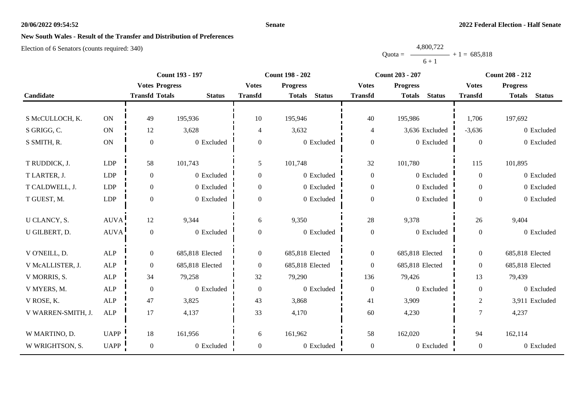#### **Senate**

# **New South Wales - Result of the Transfer and Distribution of Preferences**

|           | 4,800,722 |                |
|-----------|-----------|----------------|
| $Quota =$ |           | $+1 = 685,818$ |
|           | $6 + 1$   |                |

|                    |               |                       | <b>Count 193 - 197</b> |                  | <b>Count 198 - 202</b>         | <b>Count 203 - 207</b> |                                | <b>Count 208 - 212</b> |                                |
|--------------------|---------------|-----------------------|------------------------|------------------|--------------------------------|------------------------|--------------------------------|------------------------|--------------------------------|
|                    |               | <b>Votes Progress</b> |                        | <b>Votes</b>     | <b>Progress</b>                | <b>Votes</b>           | <b>Progress</b>                | <b>Votes</b>           | <b>Progress</b>                |
| Candidate          |               | <b>Transfd Totals</b> | <b>Status</b>          | <b>Transfd</b>   | <b>Status</b><br><b>Totals</b> | <b>Transfd</b>         | <b>Status</b><br><b>Totals</b> | <b>Transfd</b>         | <b>Status</b><br><b>Totals</b> |
|                    |               |                       |                        |                  |                                |                        |                                |                        |                                |
| S McCULLOCH, K.    | $\mathbf{ON}$ | 49                    | 195,936                | 10               | 195,946                        | 40                     | 195,986                        | 1,706                  | 197,692                        |
| S GRIGG, C.        | $\mathbf{ON}$ | 12                    | 3,628                  | 4                | 3,632                          | 4                      | 3,636 Excluded                 | $-3,636$               | 0 Excluded                     |
| S SMITH, R.        | $\mathbf{ON}$ | $\theta$              | 0 Excluded             | $\boldsymbol{0}$ | 0 Excluded                     | $\boldsymbol{0}$       | 0 Excluded                     | $\Omega$               | 0 Excluded                     |
|                    |               |                       |                        |                  |                                |                        |                                |                        |                                |
| T RUDDICK, J.      | LDP           | 58                    | 101,743                | 5                | 101,748                        | 32                     | 101,780                        | 115                    | 101,895                        |
| T LARTER, J.       | LDP           | $\mathbf{0}$          | 0 Excluded             | $\overline{0}$   | 0 Excluded                     | $\boldsymbol{0}$       | 0 Excluded                     | $\Omega$               | 0 Excluded                     |
| T CALDWELL, J.     | <b>LDP</b>    | $\mathbf{0}$          | 0 Excluded             | $\overline{0}$   | 0 Excluded                     | $\boldsymbol{0}$       | 0 Excluded                     | $\overline{0}$         | 0 Excluded                     |
| T GUEST, M.        | LDP           | $\boldsymbol{0}$      | 0 Excluded             | $\overline{0}$   | 0 Excluded                     | $\boldsymbol{0}$       | 0 Excluded                     | $\Omega$               | 0 Excluded                     |
|                    |               |                       |                        |                  |                                |                        |                                |                        |                                |
| U CLANCY, S.       | <b>AUVA</b>   | 12                    | 9,344                  | 6                | 9,350                          | 28                     | 9,378                          | 26                     | 9,404                          |
| U GILBERT, D.      | <b>AUVA</b>   | $\mathbf{0}$          | 0 Excluded             | $\boldsymbol{0}$ | 0 Excluded                     | $\boldsymbol{0}$       | 0 Excluded                     | $\overline{0}$         | 0 Excluded                     |
|                    |               |                       |                        |                  |                                |                        |                                |                        |                                |
| V O'NEILL, D.      | ALP           | $\mathbf{0}$          | 685,818 Elected        | $\overline{0}$   | 685,818 Elected                | $\boldsymbol{0}$       | 685,818 Elected                | $\overline{0}$         | 685,818 Elected                |
| V McALLISTER, J.   | ALP           | $\overline{0}$        | 685,818 Elected        | $\boldsymbol{0}$ | 685,818 Elected                | $\overline{0}$         | 685,818 Elected                | $\overline{0}$         | 685,818 Elected                |
| V MORRIS, S.       | ${\sf ALP}$   | 34                    | 79,258                 | 32               | 79,290                         | 136                    | 79,426                         | 13                     | 79,439                         |
| V MYERS, M.        | ALP           | $\boldsymbol{0}$      | 0 Excluded             | $\boldsymbol{0}$ | 0 Excluded                     | $\boldsymbol{0}$       | 0 Excluded                     | $\overline{0}$         | 0 Excluded                     |
| V ROSE, K.         | <b>ALP</b>    | 47                    | 3,825                  | 43               | 3,868                          | 41                     | 3,909                          | $\overline{2}$         | 3,911 Excluded                 |
| V WARREN-SMITH, J. | ALP           | 17                    | 4,137                  | 33               | 4,170                          | 60                     | 4,230                          | $\tau$                 | 4,237                          |
|                    |               |                       |                        |                  |                                |                        |                                |                        |                                |
| W MARTINO, D.      | <b>UAPP</b>   | 18                    | 161,956                | 6                | 161,962                        | 58                     | 162,020                        | 94                     | 162,114                        |
| W WRIGHTSON, S.    | UAPP          | $\mathbf{0}$          | 0 Excluded             | $\boldsymbol{0}$ | 0 Excluded                     | $\boldsymbol{0}$       | 0 Excluded                     | $\overline{0}$         | 0 Excluded                     |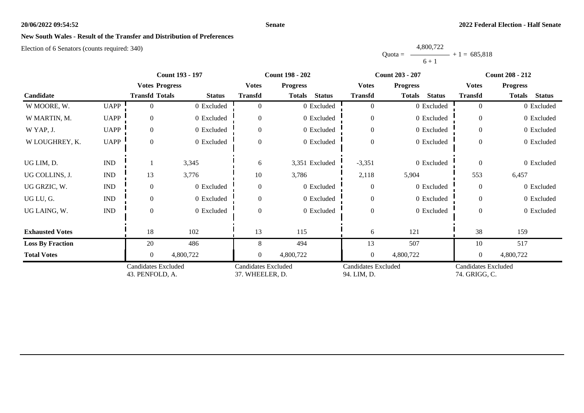#### **Senate**

# **New South Wales - Result of the Transfer and Distribution of Preferences**

|           | 4,800,722 |                |
|-----------|-----------|----------------|
| $Quota =$ |           | $+1 = 685.818$ |
|           | $6 + 1$   |                |

|                         |                             | <b>Count 193 - 197</b>                        |               |                                               | <b>Count 198 - 202</b>         |                                           | <b>Count 203 - 207</b>         | <b>Count 208 - 212</b>                      |                                |
|-------------------------|-----------------------------|-----------------------------------------------|---------------|-----------------------------------------------|--------------------------------|-------------------------------------------|--------------------------------|---------------------------------------------|--------------------------------|
|                         |                             | <b>Votes Progress</b>                         |               | <b>Votes</b>                                  | <b>Progress</b>                | <b>Votes</b>                              | <b>Progress</b>                | <b>Votes</b>                                | <b>Progress</b>                |
| Candidate               |                             | <b>Transfd Totals</b>                         | <b>Status</b> | <b>Transfd</b>                                | <b>Status</b><br><b>Totals</b> | <b>Transfd</b>                            | <b>Status</b><br><b>Totals</b> | <b>Transfd</b>                              | <b>Totals</b><br><b>Status</b> |
| W MOORE, W.             | <b>UAPP</b>                 | 0                                             | 0 Excluded    | $\Omega$                                      | 0 Excluded                     | $\overline{0}$                            | 0 Excluded                     | $\theta$                                    | 0 Excluded                     |
| W MARTIN, M.            | <b>UAPP</b>                 | $\Omega$                                      | 0 Excluded    | $\Omega$                                      | 0 Excluded                     | $\overline{0}$                            | 0 Excluded                     | $\theta$                                    | 0 Excluded                     |
| W YAP, J.               | <b>UAPP</b>                 | $\overline{0}$                                | 0 Excluded    | $\Omega$                                      | 0 Excluded                     | $\mathbf{0}$                              | 0 Excluded                     | $\Omega$                                    | 0 Excluded                     |
| W LOUGHREY, K.          | <b>UAPP</b>                 | $\Omega$                                      | 0 Excluded    | $\Omega$                                      | 0 Excluded                     | $\overline{0}$                            | 0 Excluded                     | $\Omega$                                    | 0 Excluded                     |
| UG LIM, D.              | IND                         |                                               | 3,345         | 6                                             | 3,351 Excluded                 | $-3,351$                                  | 0 Excluded                     | $\Omega$                                    | 0 Excluded                     |
| UG COLLINS, J.          | $\mathop{\rm IND}\nolimits$ | 13                                            | 3,776         | 10                                            | 3,786                          | 2,118                                     | 5,904                          | 553                                         | 6,457                          |
| UG GRZIC, W.            | $\mathop{\rm IND}\nolimits$ | $\Omega$                                      | 0 Excluded    | $\Omega$                                      | 0 Excluded                     | $\overline{0}$                            | 0 Excluded                     | $\theta$                                    | 0 Excluded                     |
| UG LU, G.               | <b>IND</b>                  | $\overline{0}$                                | 0 Excluded    | $\Omega$                                      | 0 Excluded                     | $\boldsymbol{0}$                          | 0 Excluded                     | $\Omega$                                    | 0 Excluded                     |
| UG LAING, W.            | $\mathop{\rm IND}\nolimits$ | $\Omega$                                      | 0 Excluded    | $\Omega$                                      | 0 Excluded                     | $\overline{0}$                            | 0 Excluded                     | $\overline{0}$                              | 0 Excluded                     |
| <b>Exhausted Votes</b>  |                             | 18                                            | 102           | 13                                            | 115                            | 6                                         | 121                            | 38                                          | 159                            |
| <b>Loss By Fraction</b> |                             | 20                                            | 486           | 8                                             | 494                            | 13                                        | 507                            | 10                                          | 517                            |
| <b>Total Votes</b>      |                             | $\Omega$                                      | 4,800,722     | $\overline{0}$                                | 4,800,722                      | $\overline{0}$                            | 4,800,722                      | $\overline{0}$                              | 4,800,722                      |
|                         |                             | <b>Candidates Excluded</b><br>43. PENFOLD, A. |               | <b>Candidates Excluded</b><br>37. WHEELER, D. |                                | <b>Candidates Excluded</b><br>94. LIM, D. |                                | <b>Candidates Excluded</b><br>74. GRIGG, C. |                                |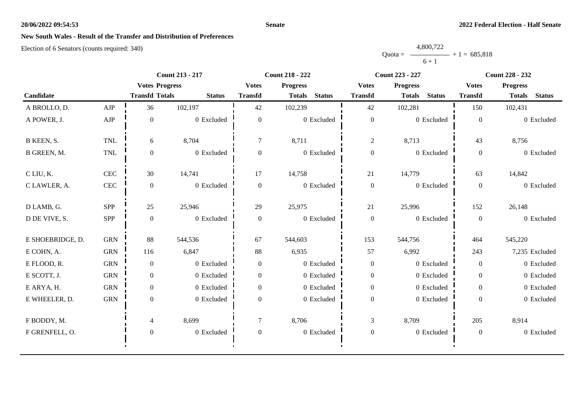#### **Senate**

# **New South Wales - Result of the Transfer and Distribution of Preferences**

|           | 4,800,722 |                |
|-----------|-----------|----------------|
| $Quota =$ |           | $+1 = 685,818$ |
|           | $6 + 1$   |                |

|                  |              | <b>Count 213 - 217</b> |               |                  | <b>Count 218 - 222</b>         |                  | <b>Count 223 - 227</b>         | <b>Count 228 - 232</b> |                                |
|------------------|--------------|------------------------|---------------|------------------|--------------------------------|------------------|--------------------------------|------------------------|--------------------------------|
|                  |              | <b>Votes Progress</b>  |               | <b>Votes</b>     | <b>Progress</b>                | <b>Votes</b>     | <b>Progress</b>                | <b>Votes</b>           | <b>Progress</b>                |
| Candidate        |              | <b>Transfd Totals</b>  | <b>Status</b> | <b>Transfd</b>   | <b>Status</b><br><b>Totals</b> | <b>Transfd</b>   | <b>Status</b><br><b>Totals</b> | <b>Transfd</b>         | <b>Status</b><br><b>Totals</b> |
| A BROLLO, D.     | AJP          | 36                     | 102,197       | 42               | 102,239                        | 42               | 102,281                        | 150                    | 102,431                        |
| A POWER, J.      | ${\rm AJP}$  | $\mathbf{0}$           | 0 Excluded    | $\mathbf{0}$     | 0 Excluded                     | $\boldsymbol{0}$ | $0\,$ Excluded                 | $\overline{0}$         | 0 Excluded                     |
| B KEEN, S.       | <b>TNL</b>   | 6                      | 8,704         | $\tau$           | 8,711                          | $\overline{c}$   | 8,713                          | 43                     | 8,756                          |
| B GREEN, M.      | $\mbox{TNL}$ | $\boldsymbol{0}$       | 0 Excluded    | $\overline{0}$   | 0 Excluded                     | $\boldsymbol{0}$ | 0 Excluded                     | $\overline{0}$         | 0 Excluded                     |
| C LIU, K.        | <b>CEC</b>   | 30                     | 14,741        | 17               | 14,758                         | 21               | 14,779                         | 63                     | 14,842                         |
| C LAWLER, A.     | $\mbox{CEC}$ | $\overline{0}$         | 0 Excluded    | $\boldsymbol{0}$ | 0 Excluded                     | $\boldsymbol{0}$ | 0 Excluded                     | $\overline{0}$         | 0 Excluded                     |
| D LAMB, G.       | SPP          | 25                     | 25,946        | 29               | 25,975                         | 21               | 25,996                         | 152                    | 26,148                         |
| D DE VIVE, S.    | SPP          | $\mathbf{0}$           | 0 Excluded    | $\overline{0}$   | 0 Excluded                     | $\boldsymbol{0}$ | 0 Excluded                     | $\overline{0}$         | 0 Excluded                     |
| E SHOEBRIDGE, D. | <b>GRN</b>   | 88                     | 544,536       | 67               | 544,603                        | 153              | 544,756                        | 464                    | 545,220                        |
| E COHN, A.       | <b>GRN</b>   | 116                    | 6,847         | 88               | 6,935                          | 57               | 6,992                          | 243                    | 7,235 Excluded                 |
| E FLOOD, R.      | <b>GRN</b>   | $\overline{0}$         | 0 Excluded    | $\Omega$         | 0 Excluded                     | $\boldsymbol{0}$ | 0 Excluded                     | $\overline{0}$         | 0 Excluded                     |
| E SCOTT, J.      | <b>GRN</b>   | $\overline{0}$         | 0 Excluded    | $\overline{0}$   | 0 Excluded                     | $\boldsymbol{0}$ | 0 Excluded                     | $\overline{0}$         | 0 Excluded                     |
| E ARYA, H.       | <b>GRN</b>   | $\overline{0}$         | 0 Excluded    | $\overline{0}$   | 0 Excluded                     | $\boldsymbol{0}$ | 0 Excluded                     | $\overline{0}$         | 0 Excluded                     |
| E WHEELER, D.    | <b>GRN</b>   | $\boldsymbol{0}$       | 0 Excluded    | $\overline{0}$   | 0 Excluded                     | $\boldsymbol{0}$ | 0 Excluded                     | $\overline{0}$         | 0 Excluded                     |
| F BODDY, M.      |              | $\overline{4}$         | 8,699         | $\tau$           | 8,706                          | 3                | 8,709                          | 205                    | 8,914                          |
| F GRENFELL, O.   |              | $\boldsymbol{0}$       | 0 Excluded    | $\boldsymbol{0}$ | $0$ Excluded                   | $\boldsymbol{0}$ | 0 Excluded                     | $\overline{0}$         | 0 Excluded                     |
|                  |              |                        |               |                  |                                |                  |                                |                        |                                |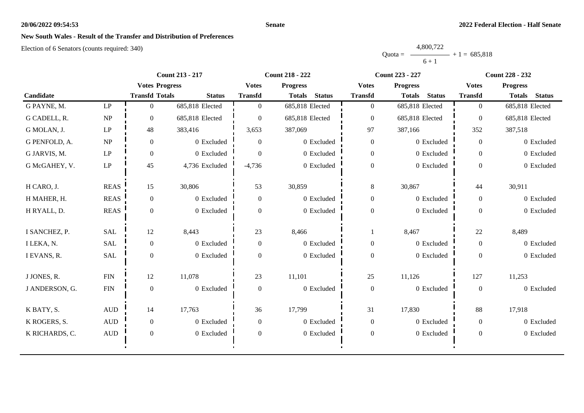#### **Senate**

# **New South Wales - Result of the Transfer and Distribution of Preferences**

|           | 4,800,722 |                |
|-----------|-----------|----------------|
| Ouota $=$ |           | $+1 = 685,818$ |
|           | $6 + 1$   |                |

|                |                                 |                       | <b>Count 213 - 217</b> |                  | <b>Count 218 - 222</b>         | Count 223 - 227  |                                | <b>Count 228 - 232</b> |                                |
|----------------|---------------------------------|-----------------------|------------------------|------------------|--------------------------------|------------------|--------------------------------|------------------------|--------------------------------|
|                |                                 | <b>Votes Progress</b> |                        | <b>Votes</b>     | <b>Progress</b>                | <b>Votes</b>     | <b>Progress</b>                | <b>Votes</b>           | <b>Progress</b>                |
| Candidate      |                                 | <b>Transfd Totals</b> | <b>Status</b>          | <b>Transfd</b>   | <b>Status</b><br><b>Totals</b> | <b>Transfd</b>   | <b>Status</b><br><b>Totals</b> | <b>Transfd</b>         | <b>Status</b><br><b>Totals</b> |
| G PAYNE, M.    | $\mathbf{L}\mathbf{P}$          | $\overline{0}$        | 685,818 Elected        | $\overline{0}$   | 685,818 Elected                | $\boldsymbol{0}$ | 685,818 Elected                | $\theta$               | 685,818 Elected                |
| G CADELL, R.   | $\ensuremath{\text{NP}}\xspace$ | $\theta$              | 685,818 Elected        | $\theta$         | 685,818 Elected                | $\boldsymbol{0}$ | 685,818 Elected                | $\overline{0}$         | 685,818 Elected                |
| G MOLAN, J.    | $\mathbf{L}\mathbf{P}$          | 48                    | 383,416                | 3,653            | 387,069                        | 97               | 387,166                        | 352                    | 387,518                        |
| G PENFOLD, A.  | $\ensuremath{\text{NP}}\xspace$ | $\boldsymbol{0}$      | 0 Excluded             | $\theta$         | 0 Excluded                     | $\boldsymbol{0}$ | 0 Excluded                     | $\overline{0}$         | 0 Excluded                     |
| G JARVIS, M.   | $\mathbf{LP}$                   | $\overline{0}$        | 0 Excluded             | $\overline{0}$   | 0 Excluded                     | $\boldsymbol{0}$ | 0 Excluded                     | $\overline{0}$         | 0 Excluded                     |
| G McGAHEY, V.  | $\mathrm{L}\mathrm{P}$          | 45                    | 4,736 Excluded         | $-4,736$         | 0 Excluded                     | $\boldsymbol{0}$ | 0 Excluded                     | $\Omega$               | 0 Excluded                     |
| H CARO, J.     | <b>REAS</b>                     | 15                    | 30,806                 | 53               | 30,859                         | $\,8\,$          | 30,867                         | 44                     | 30,911                         |
| H MAHER, H.    | <b>REAS</b>                     | $\overline{0}$        | 0 Excluded             | $\overline{0}$   | 0 Excluded                     | $\boldsymbol{0}$ | 0 Excluded                     | $\overline{0}$         | 0 Excluded                     |
| H RYALL, D.    | <b>REAS</b>                     | $\overline{0}$        | 0 Excluded             | $\Omega$         | 0 Excluded                     | $\boldsymbol{0}$ | 0 Excluded                     | $\overline{0}$         | 0 Excluded                     |
| I SANCHEZ, P.  | <b>SAL</b>                      | 12                    | 8,443                  | 23               | 8,466                          |                  | 8,467                          | $22\,$                 | 8,489                          |
| I LEKA, N.     | <b>SAL</b>                      | $\overline{0}$        | 0 Excluded             | $\boldsymbol{0}$ | 0 Excluded                     | $\boldsymbol{0}$ | 0 Excluded                     | $\boldsymbol{0}$       | 0 Excluded                     |
| I EVANS, R.    | <b>SAL</b>                      | $\overline{0}$        | 0 Excluded             | $\Omega$         | 0 Excluded                     | $\boldsymbol{0}$ | 0 Excluded                     | $\Omega$               | 0 Excluded                     |
| J JONES, R.    | ${\rm FIN}$                     | 12                    | 11,078                 | 23               | 11,101                         | 25               | 11,126                         | 127                    | 11,253                         |
| J ANDERSON, G. | ${\rm FIN}$                     | $\mathbf{0}$          | 0 Excluded             | $\mathbf{0}$     | 0 Excluded                     | $\boldsymbol{0}$ | 0 Excluded                     | $\overline{0}$         | 0 Excluded                     |
| K BATY, S.     | $\mbox{AUD}$                    | 14                    | 17,763                 | 36               | 17,799                         | 31               | 17,830                         | 88                     | 17,918                         |
| K ROGERS, S.   | $\mbox{\rm AUD}$                | $\mathbf{0}$          | 0 Excluded             | $\overline{0}$   | 0 Excluded                     | $\boldsymbol{0}$ | 0 Excluded                     | $\overline{0}$         | 0 Excluded                     |
| K RICHARDS, C. | $\mbox{AUD}$                    | $\overline{0}$        | 0 Excluded             | $\Omega$         | 0 Excluded                     | $\boldsymbol{0}$ | 0 Excluded                     | $\boldsymbol{0}$       | 0 Excluded                     |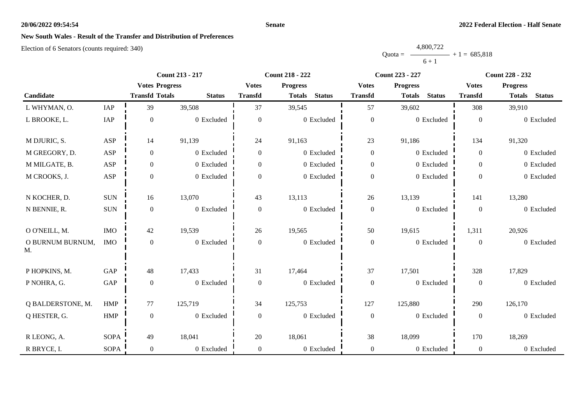#### **Senate**

# **New South Wales - Result of the Transfer and Distribution of Preferences**

|           | 4,800,722 |                |
|-----------|-----------|----------------|
| $Quota =$ |           | $+1 = 685.818$ |
|           | $6 + 1$   |                |

|                        |             | <b>Count 213 - 217</b> |               | <b>Count 218 - 222</b> |                                |                  | <b>Count 223 - 227</b>         | <b>Count 228 - 232</b> |                                |  |
|------------------------|-------------|------------------------|---------------|------------------------|--------------------------------|------------------|--------------------------------|------------------------|--------------------------------|--|
|                        |             | <b>Votes Progress</b>  |               | <b>Votes</b>           | <b>Progress</b>                | <b>Votes</b>     | <b>Progress</b>                | <b>Votes</b>           | <b>Progress</b>                |  |
| Candidate              |             | <b>Transfd Totals</b>  | <b>Status</b> | <b>Transfd</b>         | <b>Status</b><br><b>Totals</b> | <b>Transfd</b>   | <b>Status</b><br><b>Totals</b> | <b>Transfd</b>         | <b>Status</b><br><b>Totals</b> |  |
| L WHYMAN, O.           | IAP         | 39                     | 39,508        | 37                     | 39,545                         | 57               | 39,602                         | 308                    | 39,910                         |  |
| L BROOKE, L.           | IAP         | $\boldsymbol{0}$       | 0 Excluded    | $\boldsymbol{0}$       | 0 Excluded                     | $\boldsymbol{0}$ | 0 Excluded                     | $\mathbf{0}$           | 0 Excluded                     |  |
| M DJURIC, S.           | ASP         | 14                     | 91,139        | 24                     | 91,163                         | 23               | 91,186                         | 134                    | 91,320                         |  |
| M GREGORY, D.          | ASP         | $\boldsymbol{0}$       | 0 Excluded    | $\boldsymbol{0}$       | 0 Excluded                     | $\boldsymbol{0}$ | 0 Excluded                     | $\mathbf{0}$           | 0 Excluded                     |  |
| M MILGATE, B.          | ASP         | $\boldsymbol{0}$       | 0 Excluded    | $\overline{0}$         | 0 Excluded                     | $\boldsymbol{0}$ | 0 Excluded                     | $\overline{0}$         | 0 Excluded                     |  |
| M CROOKS, J.           | ASP         | $\boldsymbol{0}$       | 0 Excluded    | $\overline{0}$         | 0 Excluded                     | $\boldsymbol{0}$ | 0 Excluded                     | $\overline{0}$         | 0 Excluded                     |  |
| N KOCHER, D.           | <b>SUN</b>  | 16                     | 13,070        | 43                     | 13,113                         | 26               | 13,139                         | 141                    | 13,280                         |  |
| N BENNIE, R.           | $\rm{SUM}$  | $\boldsymbol{0}$       | 0 Excluded    | $\boldsymbol{0}$       | 0 Excluded                     | $\boldsymbol{0}$ | 0 Excluded                     | $\boldsymbol{0}$       | 0 Excluded                     |  |
| O O'NEILL, M.          | IMO         | 42                     | 19,539        | 26                     | 19,565                         | 50               | 19,615                         | 1,311                  | 20,926                         |  |
| O BURNUM BURNUM,<br>M. | <b>IMO</b>  | $\boldsymbol{0}$       | 0 Excluded    | $\boldsymbol{0}$       | 0 Excluded                     | $\boldsymbol{0}$ | 0 Excluded                     | $\boldsymbol{0}$       | 0 Excluded                     |  |
| P HOPKINS, M.          | GAP         | 48                     | 17,433        | 31                     | 17,464                         | 37               | 17,501                         | 328                    | 17,829                         |  |
| P NOHRA, G.            | GAP         | $\boldsymbol{0}$       | 0 Excluded    | $\boldsymbol{0}$       | 0 Excluded                     | $\boldsymbol{0}$ | 0 Excluded                     | $\boldsymbol{0}$       | 0 Excluded                     |  |
| Q BALDERSTONE, M.      | <b>HMP</b>  | 77                     | 125,719       | 34                     | 125,753                        | 127              | 125,880                        | 290                    | 126,170                        |  |
| Q HESTER, G.           | HMP         | $\boldsymbol{0}$       | 0 Excluded    | $\overline{0}$         | 0 Excluded                     | $\boldsymbol{0}$ | 0 Excluded                     | $\mathbf{0}$           | 0 Excluded                     |  |
| R LEONG, A.            | <b>SOPA</b> | 49                     | 18,041        | 20                     | 18,061                         | 38               | 18,099                         | 170                    | 18,269                         |  |
| R BRYCE, I.            | <b>SOPA</b> | $\mathbf{0}$           | 0 Excluded    | $\overline{0}$         | 0 Excluded                     | $\boldsymbol{0}$ | 0 Excluded                     | $\overline{0}$         | 0 Excluded                     |  |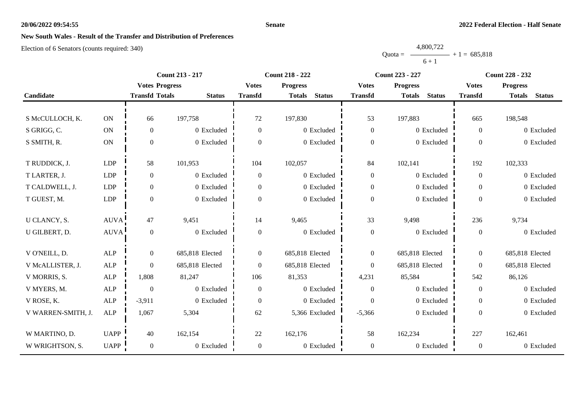#### **Senate**

# **New South Wales - Result of the Transfer and Distribution of Preferences**

|           | 4,800,722 |                |
|-----------|-----------|----------------|
| $Quota =$ |           | $+1 = 685,818$ |
|           | $6 + 1$   |                |

|                    |               |                       | <b>Count 213 - 217</b> |                  | <b>Count 218 - 222</b>         | Count 223 - 227  |                                | Count 228 - 232 |                                |
|--------------------|---------------|-----------------------|------------------------|------------------|--------------------------------|------------------|--------------------------------|-----------------|--------------------------------|
|                    |               | <b>Votes Progress</b> |                        | <b>Votes</b>     | <b>Progress</b>                | <b>Votes</b>     | <b>Progress</b>                | <b>Votes</b>    | <b>Progress</b>                |
| Candidate          |               | <b>Transfd Totals</b> | <b>Status</b>          | <b>Transfd</b>   | <b>Status</b><br><b>Totals</b> | <b>Transfd</b>   | <b>Status</b><br><b>Totals</b> | <b>Transfd</b>  | <b>Status</b><br><b>Totals</b> |
|                    |               |                       |                        |                  |                                |                  |                                |                 |                                |
| S McCULLOCH, K.    | $\mathbf{ON}$ | 66                    | 197,758                | 72               | 197,830                        | 53               | 197,883                        | 665             | 198,548                        |
| S GRIGG, C.        | $\mathbf{ON}$ | $\boldsymbol{0}$      | 0 Excluded             | $\overline{0}$   | 0 Excluded                     | $\boldsymbol{0}$ | 0 Excluded                     | $\theta$        | 0 Excluded                     |
| S SMITH, R.        | $\mathbf{ON}$ | $\mathbf{0}$          | 0 Excluded             | $\Omega$         | 0 Excluded                     | $\boldsymbol{0}$ | 0 Excluded                     | $\Omega$        | 0 Excluded                     |
|                    |               |                       |                        |                  |                                |                  |                                |                 |                                |
| T RUDDICK, J.      | LDP           | 58                    | 101,953                | 104              | 102,057                        | 84               | 102,141                        | 192             | 102,333                        |
| T LARTER, J.       | LDP           | $\boldsymbol{0}$      | 0 Excluded             | $\mathbf{0}$     | 0 Excluded                     | $\boldsymbol{0}$ | 0 Excluded                     | $\Omega$        | 0 Excluded                     |
| T CALDWELL, J.     | <b>LDP</b>    | $\boldsymbol{0}$      | 0 Excluded             | $\overline{0}$   | 0 Excluded                     | $\boldsymbol{0}$ | 0 Excluded                     | $\overline{0}$  | 0 Excluded                     |
| T GUEST, M.        | LDP           | $\boldsymbol{0}$      | 0 Excluded             | $\Omega$         | 0 Excluded                     | $\boldsymbol{0}$ | 0 Excluded                     | $\Omega$        | 0 Excluded                     |
|                    |               |                       |                        |                  |                                |                  |                                |                 |                                |
| U CLANCY, S.       | <b>AUVA</b>   | 47                    | 9,451                  | 14               | 9,465                          | 33               | 9,498                          | 236             | 9,734                          |
| U GILBERT, D.      | <b>AUVA</b>   | $\boldsymbol{0}$      | 0 Excluded             | $\boldsymbol{0}$ | 0 Excluded                     | $\boldsymbol{0}$ | 0 Excluded                     | $\overline{0}$  | 0 Excluded                     |
|                    |               |                       |                        |                  |                                |                  |                                |                 |                                |
| V O'NEILL, D.      | ALP           | $\boldsymbol{0}$      | 685,818 Elected        | $\overline{0}$   | 685,818 Elected                | $\overline{0}$   | 685,818 Elected                | $\theta$        | 685,818 Elected                |
| V McALLISTER, J.   | ALP           | $\overline{0}$        | 685,818 Elected        | $\boldsymbol{0}$ | 685,818 Elected                | $\boldsymbol{0}$ | 685,818 Elected                | $\mathbf{0}$    | 685,818 Elected                |
| V MORRIS, S.       | $\mbox{ALP}$  | 1,808                 | 81,247                 | 106              | 81,353                         | 4,231            | 85,584                         | 542             | 86,126                         |
| V MYERS, M.        | ALP           | $\mathbf{0}$          | 0 Excluded             | $\overline{0}$   | 0 Excluded                     | $\overline{0}$   | 0 Excluded                     | $\overline{0}$  | 0 Excluded                     |
| V ROSE, K.         | ${\sf ALP}$   | $-3,911$              | 0 Excluded             | $\overline{0}$   | 0 Excluded                     | $\boldsymbol{0}$ | 0 Excluded                     | $\theta$        | 0 Excluded                     |
| V WARREN-SMITH, J. | ALP           | 1,067                 | 5,304                  | 62               | 5,366 Excluded                 | $-5,366$         | 0 Excluded                     | $\overline{0}$  | 0 Excluded                     |
|                    |               |                       |                        |                  |                                |                  |                                |                 |                                |
| W MARTINO, D.      | <b>UAPP</b>   | 40                    | 162,154                | 22               | 162,176                        | 58               | 162,234                        | 227             | 162,461                        |
| W WRIGHTSON, S.    | UAPP          | $\overline{0}$        | $0\,$ Excluded         | $\boldsymbol{0}$ | 0 Excluded                     | $\boldsymbol{0}$ | 0 Excluded                     | $\mathbf{0}$    | 0 Excluded                     |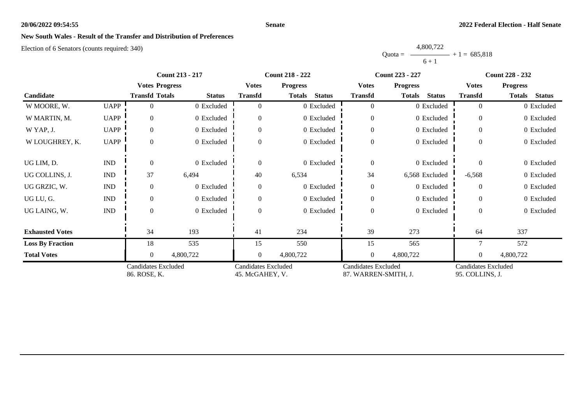#### **Senate**

# **New South Wales - Result of the Transfer and Distribution of Preferences**

|           | 4,800,722 |                |
|-----------|-----------|----------------|
| $Quota =$ |           | $+1 = 685.818$ |
|           | $6 + 1$   |                |

|                         |                                            | <b>Count 213 - 217</b><br><b>Count 218 - 222</b><br><b>Count 223 - 227</b> |                                               | <b>Count 228 - 232</b> |                                                    |                  |                                               |                |                                |
|-------------------------|--------------------------------------------|----------------------------------------------------------------------------|-----------------------------------------------|------------------------|----------------------------------------------------|------------------|-----------------------------------------------|----------------|--------------------------------|
|                         |                                            | <b>Votes Progress</b>                                                      |                                               | <b>Votes</b>           | <b>Progress</b>                                    | <b>Votes</b>     | <b>Progress</b>                               | <b>Votes</b>   | <b>Progress</b>                |
| Candidate               |                                            | <b>Transfd Totals</b>                                                      | <b>Status</b>                                 | <b>Transfd</b>         | <b>Status</b><br><b>Totals</b>                     | <b>Transfd</b>   | <b>Status</b><br>Totals                       | <b>Transfd</b> | <b>Totals</b><br><b>Status</b> |
| W MOORE, W.             | <b>UAPP</b>                                | 0                                                                          | 0 Excluded                                    |                        | 0 Excluded                                         | $\overline{0}$   | 0 Excluded                                    | $\theta$       | 0 Excluded                     |
| W MARTIN, M.            | <b>UAPP</b>                                | $\theta$                                                                   | 0 Excluded                                    |                        | 0 Excluded                                         | $\overline{0}$   | 0 Excluded                                    | $\theta$       | 0 Excluded                     |
| W YAP, J.               | <b>UAPP</b>                                | $\overline{0}$                                                             | 0 Excluded                                    |                        | 0 Excluded                                         | $\mathbf{0}$     | 0 Excluded                                    | $\overline{0}$ | 0 Excluded                     |
| W LOUGHREY, K.          | <b>UAPP</b>                                | $\Omega$                                                                   | 0 Excluded                                    |                        | 0 Excluded                                         | $\boldsymbol{0}$ | 0 Excluded                                    | $\Omega$       | 0 Excluded                     |
| UG LIM, D.              | <b>IND</b>                                 | $\Omega$                                                                   | 0 Excluded                                    | $\Omega$               | 0 Excluded                                         | $\boldsymbol{0}$ | 0 Excluded                                    | $\Omega$       | 0 Excluded                     |
| UG COLLINS, J.          | <b>IND</b>                                 | 37                                                                         | 6,494                                         | 40                     | 6,534                                              | 34               | 6,568 Excluded                                | $-6,568$       | 0 Excluded                     |
| UG GRZIC, W.            | $\mathop{\rm IND}\nolimits$                | $\Omega$                                                                   | 0 Excluded                                    | $\Omega$               | 0 Excluded                                         | $\boldsymbol{0}$ | 0 Excluded                                    | $\theta$       | 0 Excluded                     |
| UG LU, G.               | $\mathop{\rm IND}\nolimits$                | $\mathbf{0}$                                                               | 0 Excluded                                    |                        | 0 Excluded                                         | $\boldsymbol{0}$ | 0 Excluded                                    | $\Omega$       | 0 Excluded                     |
| UG LAING, W.            | $\mathop{\rm IND}\nolimits$                | $\Omega$                                                                   | 0 Excluded                                    |                        | 0 Excluded                                         | $\boldsymbol{0}$ | 0 Excluded                                    | $\overline{0}$ | 0 Excluded                     |
| <b>Exhausted Votes</b>  |                                            | 34                                                                         | 193                                           | 41                     | 234                                                | 39               | 273                                           | 64             | 337                            |
| <b>Loss By Fraction</b> |                                            | 18                                                                         | 535                                           | 15                     | 550                                                | 15               | 565                                           |                | 572                            |
| <b>Total Votes</b>      |                                            | $\overline{0}$                                                             | 4,800,722                                     | $\overline{0}$         | 4,800,722                                          | $\boldsymbol{0}$ | 4,800,722                                     | $\overline{0}$ | 4,800,722                      |
|                         | <b>Candidates Excluded</b><br>86. ROSE, K. |                                                                            | <b>Candidates Excluded</b><br>45. McGAHEY, V. |                        | <b>Candidates Excluded</b><br>87. WARREN-SMITH, J. |                  | <b>Candidates Excluded</b><br>95. COLLINS, J. |                |                                |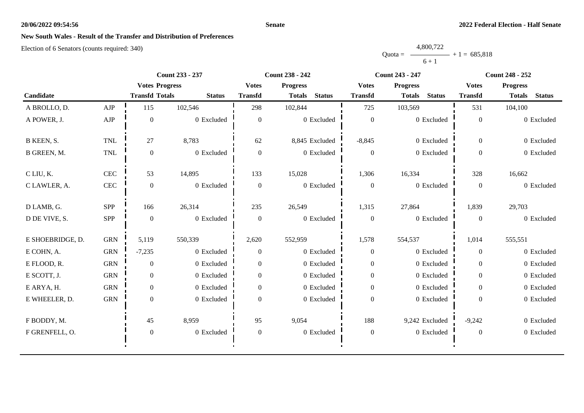#### **Senate**

# **New South Wales - Result of the Transfer and Distribution of Preferences**

|           | 4,800,722 |                |
|-----------|-----------|----------------|
| $Quota =$ |           | $+1 = 685.818$ |
|           | $6 + 1$   |                |

|                  |              |                       | Count 233 - 237 |                  | Count 238 - 242                | Count 243 - 247  |                                | Count 248 - 252  |                                |
|------------------|--------------|-----------------------|-----------------|------------------|--------------------------------|------------------|--------------------------------|------------------|--------------------------------|
|                  |              | <b>Votes Progress</b> |                 | <b>Votes</b>     | <b>Progress</b>                | <b>Votes</b>     | <b>Progress</b>                | <b>Votes</b>     | <b>Progress</b>                |
| Candidate        |              | <b>Transfd Totals</b> | <b>Status</b>   | <b>Transfd</b>   | <b>Status</b><br><b>Totals</b> | <b>Transfd</b>   | <b>Status</b><br><b>Totals</b> | <b>Transfd</b>   | <b>Status</b><br><b>Totals</b> |
| A BROLLO, D.     | ${\rm AJP}$  | 115                   | 102,546         | 298              | 102,844                        | 725              | 103,569                        | 531              | 104,100                        |
| A POWER, J.      | ${\rm AJP}$  | $\theta$              | 0 Excluded      | $\overline{0}$   | 0 Excluded                     | $\mathbf{0}$     | 0 Excluded                     | $\mathbf{0}$     | 0 Excluded                     |
| B KEEN, S.       | <b>TNL</b>   | 27                    | 8,783           | 62               | 8,845 Excluded                 | $-8,845$         | 0 Excluded                     | $\overline{0}$   | 0 Excluded                     |
| B GREEN, M.      | $\mbox{TNL}$ | $\boldsymbol{0}$      | 0 Excluded      | $\overline{0}$   | 0 Excluded                     | $\boldsymbol{0}$ | 0 Excluded                     | $\overline{0}$   | 0 Excluded                     |
| C LIU, K.        | <b>CEC</b>   | 53                    | 14,895          | 133              | 15,028                         | 1,306            | 16,334                         | 328              | 16,662                         |
| C LAWLER, A.     | $\mbox{CEC}$ | $\overline{0}$        | 0 Excluded      | $\overline{0}$   | 0 Excluded                     | $\overline{0}$   | 0 Excluded                     | $\mathbf{0}$     | 0 Excluded                     |
| D LAMB, G.       | SPP          | 166                   | 26,314          | 235              | 26,549                         | 1,315            | 27,864                         | 1,839            | 29,703                         |
| D DE VIVE, S.    | SPP          | $\theta$              | 0 Excluded      | $\overline{0}$   | 0 Excluded                     | $\boldsymbol{0}$ | 0 Excluded                     | $\mathbf{0}$     | 0 Excluded                     |
| E SHOEBRIDGE, D. | <b>GRN</b>   | 5,119                 | 550,339         | 2,620            | 552,959                        | 1,578            | 554,537                        | 1,014            | 555,551                        |
| E COHN, A.       | <b>GRN</b>   | $-7,235$              | 0 Excluded      | $\overline{0}$   | 0 Excluded                     | $\boldsymbol{0}$ | 0 Excluded                     | $\overline{0}$   | 0 Excluded                     |
| E FLOOD, R.      | <b>GRN</b>   | $\overline{0}$        | 0 Excluded      | $\overline{0}$   | 0 Excluded                     | $\boldsymbol{0}$ | 0 Excluded                     | $\overline{0}$   | 0 Excluded                     |
| E SCOTT, J.      | <b>GRN</b>   | $\overline{0}$        | 0 Excluded      | $\overline{0}$   | 0 Excluded                     | $\boldsymbol{0}$ | 0 Excluded                     | $\overline{0}$   | 0 Excluded                     |
| E ARYA, H.       | <b>GRN</b>   | $\overline{0}$        | 0 Excluded      | $\overline{0}$   | 0 Excluded                     | $\boldsymbol{0}$ | 0 Excluded                     | $\overline{0}$   | 0 Excluded                     |
| E WHEELER, D.    | <b>GRN</b>   | $\overline{0}$        | 0 Excluded      | $\overline{0}$   | 0 Excluded                     | $\boldsymbol{0}$ | 0 Excluded                     | $\boldsymbol{0}$ | 0 Excluded                     |
| F BODDY, M.      |              | 45                    | 8,959           | 95               | 9,054                          | 188              | 9,242 Excluded                 | $-9,242$         | 0 Excluded                     |
| F GRENFELL, O.   |              | $\boldsymbol{0}$      | 0 Excluded      | $\boldsymbol{0}$ | 0 Excluded                     | $\boldsymbol{0}$ | 0 Excluded                     | $\boldsymbol{0}$ | 0 Excluded                     |
|                  |              |                       |                 |                  |                                |                  |                                |                  |                                |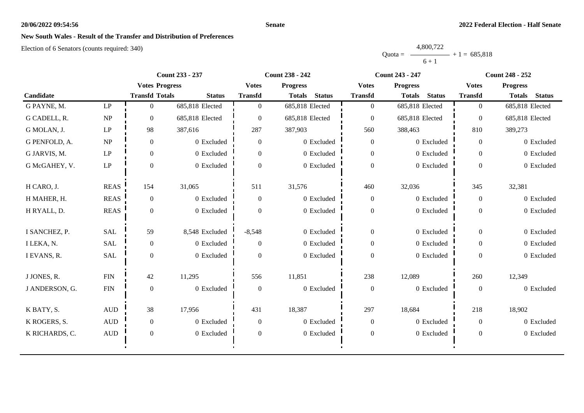#### **Senate**

# **New South Wales - Result of the Transfer and Distribution of Preferences**

|           | 4,800,722 |                |
|-----------|-----------|----------------|
| $Quota =$ |           | $+1 = 685.818$ |
|           | $6 + 1$   |                |

|                |                        |                       | Count 233 - 237 |                | Count 238 - 242                | <b>Count 243 - 247</b> |                                | Count 248 - 252  |                                |
|----------------|------------------------|-----------------------|-----------------|----------------|--------------------------------|------------------------|--------------------------------|------------------|--------------------------------|
|                |                        | <b>Votes Progress</b> |                 | <b>Votes</b>   | <b>Progress</b>                | <b>Votes</b>           | <b>Progress</b>                | <b>Votes</b>     | <b>Progress</b>                |
| Candidate      |                        | <b>Transfd Totals</b> | <b>Status</b>   | <b>Transfd</b> | <b>Status</b><br><b>Totals</b> | <b>Transfd</b>         | <b>Status</b><br><b>Totals</b> | <b>Transfd</b>   | <b>Status</b><br><b>Totals</b> |
| G PAYNE, M.    | $\mathbf{L}\mathbf{P}$ | $\Omega$              | 685,818 Elected | $\Omega$       | 685,818 Elected                | $\overline{0}$         | 685,818 Elected                | $\overline{0}$   | 685,818 Elected                |
| G CADELL, R.   | NP                     | $\Omega$              | 685,818 Elected | $\Omega$       | 685,818 Elected                | $\boldsymbol{0}$       | 685,818 Elected                | $\overline{0}$   | 685,818 Elected                |
| G MOLAN, J.    | LP                     | 98                    | 387,616         | 287            | 387,903                        | 560                    | 388,463                        | 810              | 389,273                        |
| G PENFOLD, A.  | NP                     | $\boldsymbol{0}$      | 0 Excluded      | $\overline{0}$ | 0 Excluded                     | $\boldsymbol{0}$       | 0 Excluded                     | $\overline{0}$   | 0 Excluded                     |
| G JARVIS, M.   | $\mathbf{L}\mathbf{P}$ | $\overline{0}$        | 0 Excluded      | $\overline{0}$ | 0 Excluded                     | $\boldsymbol{0}$       | 0 Excluded                     | $\overline{0}$   | 0 Excluded                     |
| G McGAHEY, V.  | LP                     | $\Omega$              | 0 Excluded      | $\Omega$       | 0 Excluded                     | $\boldsymbol{0}$       | 0 Excluded                     | $\Omega$         | 0 Excluded                     |
| H CARO, J.     | <b>REAS</b>            | 154                   | 31,065          | 511            | 31,576                         | 460                    | 32,036                         | 345              | 32,381                         |
| H MAHER, H.    | <b>REAS</b>            | $\boldsymbol{0}$      | 0 Excluded      | $\overline{0}$ | 0 Excluded                     | $\boldsymbol{0}$       | 0 Excluded                     | $\boldsymbol{0}$ | 0 Excluded                     |
| H RYALL, D.    | <b>REAS</b>            | $\Omega$              | 0 Excluded      | $\Omega$       | 0 Excluded                     | $\boldsymbol{0}$       | 0 Excluded                     | $\overline{0}$   | 0 Excluded                     |
| I SANCHEZ, P.  | SAL                    | 59                    | 8,548 Excluded  | $-8,548$       | 0 Excluded                     | $\boldsymbol{0}$       | 0 Excluded                     | $\Omega$         | 0 Excluded                     |
| I LEKA, N.     | <b>SAL</b>             | $\boldsymbol{0}$      | 0 Excluded      | $\Omega$       | 0 Excluded                     | $\boldsymbol{0}$       | 0 Excluded                     | $\overline{0}$   | 0 Excluded                     |
| I EVANS, R.    | <b>SAL</b>             | $\Omega$              | 0 Excluded      | $\Omega$       | 0 Excluded                     | $\boldsymbol{0}$       | 0 Excluded                     | $\Omega$         | 0 Excluded                     |
| J JONES, R.    | ${\rm FIN}$            | 42                    | 11,295          | 556            | 11,851                         | 238                    | 12,089                         | 260              | 12,349                         |
| J ANDERSON, G. | ${\rm FIN}$            | $\overline{0}$        | 0 Excluded      | $\theta$       | 0 Excluded                     | $\boldsymbol{0}$       | 0 Excluded                     | $\overline{0}$   | 0 Excluded                     |
| K BATY, S.     | $\hbox{AUD}$           | 38                    | 17,956          | 431            | 18,387                         | 297                    | 18,684                         | 218              | 18,902                         |
| K ROGERS, S.   | $\mbox{AUD}$           | $\overline{0}$        | 0 Excluded      | $\theta$       | 0 Excluded                     | $\boldsymbol{0}$       | 0 Excluded                     | $\overline{0}$   | 0 Excluded                     |
| K RICHARDS, C. | $\mbox{AUD}$           | $\boldsymbol{0}$      | 0 Excluded      | $\theta$       | 0 Excluded                     | $\boldsymbol{0}$       | 0 Excluded                     | $\theta$         | 0 Excluded                     |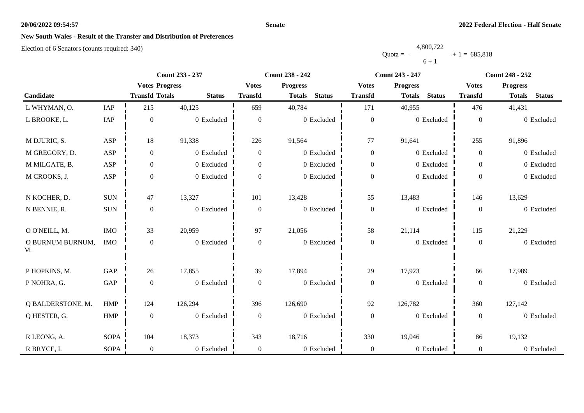#### **Senate**

# **New South Wales - Result of the Transfer and Distribution of Preferences**

|           | 4,800,722 |                |
|-----------|-----------|----------------|
| $Quota =$ |           | $+1 = 685,818$ |
|           | $6 + 1$   |                |

|                        |             | <b>Count 233 - 237</b> |               |                  | <b>Count 238 - 242</b>         |                  | <b>Count 243 - 247</b>         | <b>Count 248 - 252</b> |                                |  |
|------------------------|-------------|------------------------|---------------|------------------|--------------------------------|------------------|--------------------------------|------------------------|--------------------------------|--|
|                        |             | <b>Votes Progress</b>  |               | <b>Votes</b>     | <b>Progress</b>                | <b>Votes</b>     | <b>Progress</b>                | <b>Votes</b>           | <b>Progress</b>                |  |
| Candidate              |             | <b>Transfd Totals</b>  | <b>Status</b> | <b>Transfd</b>   | <b>Status</b><br><b>Totals</b> | <b>Transfd</b>   | <b>Status</b><br><b>Totals</b> | <b>Transfd</b>         | <b>Status</b><br><b>Totals</b> |  |
| L WHYMAN, O.           | IAP         | 215                    | 40,125        | 659              | 40,784                         | 171              | 40,955                         | 476                    | 41,431                         |  |
| L BROOKE, L.           | IAP         | $\mathbf{0}$           | 0 Excluded    | $\boldsymbol{0}$ | 0 Excluded                     | $\boldsymbol{0}$ | 0 Excluded                     | $\boldsymbol{0}$       | 0 Excluded                     |  |
| M DJURIC, S.           | ASP         | 18                     | 91,338        | 226              | 91,564                         | 77               | 91,641                         | 255                    | 91,896                         |  |
| M GREGORY, D.          | ASP         | $\boldsymbol{0}$       | 0 Excluded    | $\boldsymbol{0}$ | 0 Excluded                     | $\boldsymbol{0}$ | 0 Excluded                     | $\overline{0}$         | 0 Excluded                     |  |
| M MILGATE, B.          | ASP         | $\boldsymbol{0}$       | 0 Excluded    | $\Omega$         | 0 Excluded                     | $\boldsymbol{0}$ | 0 Excluded                     | $\overline{0}$         | 0 Excluded                     |  |
| M CROOKS, J.           | ASP         | $\boldsymbol{0}$       | 0 Excluded    | $\overline{0}$   | 0 Excluded                     | $\boldsymbol{0}$ | 0 Excluded                     | $\overline{0}$         | 0 Excluded                     |  |
| N KOCHER, D.           | <b>SUN</b>  | 47                     | 13,327        | 101              | 13,428                         | 55               | 13,483                         | 146                    | 13,629                         |  |
| N BENNIE, R.           | $\rm SUN$   | $\boldsymbol{0}$       | 0 Excluded    | $\boldsymbol{0}$ | 0 Excluded                     | $\boldsymbol{0}$ | 0 Excluded                     | $\overline{0}$         | 0 Excluded                     |  |
| O O'NEILL, M.          | IMO         | 33                     | 20,959        | 97               | 21,056                         | 58               | 21,114                         | 115                    | 21,229                         |  |
| O BURNUM BURNUM,<br>M. | <b>IMO</b>  | $\boldsymbol{0}$       | 0 Excluded    | $\boldsymbol{0}$ | 0 Excluded                     | $\boldsymbol{0}$ | 0 Excluded                     | $\boldsymbol{0}$       | 0 Excluded                     |  |
| P HOPKINS, M.          | GAP         | 26                     | 17,855        | 39               | 17,894                         | 29               | 17,923                         | 66                     | 17,989                         |  |
| P NOHRA, G.            | GAP         | $\boldsymbol{0}$       | 0 Excluded    | $\boldsymbol{0}$ | 0 Excluded                     | $\boldsymbol{0}$ | 0 Excluded                     | $\boldsymbol{0}$       | 0 Excluded                     |  |
| Q BALDERSTONE, M.      | <b>HMP</b>  | 124                    | 126,294       | 396              | 126,690                        | 92               | 126,782                        | 360                    | 127,142                        |  |
| Q HESTER, G.           | HMP         | $\boldsymbol{0}$       | 0 Excluded    | $\overline{0}$   | 0 Excluded                     | $\boldsymbol{0}$ | 0 Excluded                     | $\mathbf{0}$           | 0 Excluded                     |  |
| R LEONG, A.            | <b>SOPA</b> | 104                    | 18,373        | 343              | 18,716                         | 330              | 19,046                         | 86                     | 19,132                         |  |
| R BRYCE, I.            | <b>SOPA</b> | $\boldsymbol{0}$       | 0 Excluded    | $\overline{0}$   | 0 Excluded                     | $\boldsymbol{0}$ | 0 Excluded                     | $\overline{0}$         | 0 Excluded                     |  |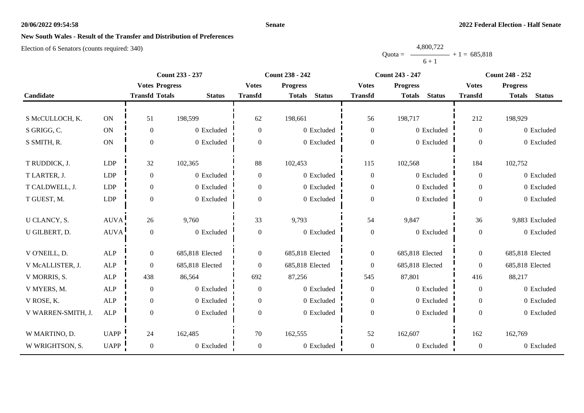#### **Senate**

# **New South Wales - Result of the Transfer and Distribution of Preferences**

|           | 4,800,722 |                |
|-----------|-----------|----------------|
| $Quota =$ |           | $+1 = 685,818$ |
|           | $6 + 1$   |                |

|                    |               |                       | Count 233 - 237 |                  | Count 238 - 242                | Count 243 - 247  |                                | <b>Count 248 - 252</b> |                                |
|--------------------|---------------|-----------------------|-----------------|------------------|--------------------------------|------------------|--------------------------------|------------------------|--------------------------------|
|                    |               | <b>Votes Progress</b> |                 | <b>Votes</b>     | <b>Progress</b>                | <b>Votes</b>     | <b>Progress</b>                | <b>Votes</b>           | <b>Progress</b>                |
| Candidate          |               | <b>Transfd Totals</b> | <b>Status</b>   | <b>Transfd</b>   | <b>Status</b><br><b>Totals</b> | <b>Transfd</b>   | <b>Status</b><br><b>Totals</b> | <b>Transfd</b>         | <b>Status</b><br><b>Totals</b> |
|                    |               |                       |                 |                  |                                |                  |                                |                        |                                |
| S McCULLOCH, K.    | $\mathbf{ON}$ | 51                    | 198,599         | 62               | 198,661                        | 56               | 198,717                        | 212                    | 198,929                        |
| S GRIGG, C.        | $\mathbf{ON}$ | $\boldsymbol{0}$      | 0 Excluded      | $\overline{0}$   | 0 Excluded                     | $\mathbf{0}$     | 0 Excluded                     | $\overline{0}$         | 0 Excluded                     |
| S SMITH, R.        | $\mathbf{ON}$ | $\mathbf{0}$          | 0 Excluded      | $\Omega$         | 0 Excluded                     | $\boldsymbol{0}$ | 0 Excluded                     | $\Omega$               | 0 Excluded                     |
|                    |               |                       |                 |                  |                                |                  |                                |                        |                                |
| T RUDDICK, J.      | LDP           | 32                    | 102,365         | 88               | 102,453                        | 115              | 102,568                        | 184                    | 102,752                        |
| T LARTER, J.       | LDP           | $\boldsymbol{0}$      | 0 Excluded      | $\overline{0}$   | 0 Excluded                     | $\boldsymbol{0}$ | 0 Excluded                     | $\Omega$               | 0 Excluded                     |
| T CALDWELL, J.     | <b>LDP</b>    | $\boldsymbol{0}$      | 0 Excluded      | $\overline{0}$   | 0 Excluded                     | $\boldsymbol{0}$ | 0 Excluded                     | $\overline{0}$         | 0 Excluded                     |
| T GUEST, M.        | LDP           | $\boldsymbol{0}$      | 0 Excluded      | $\Omega$         | 0 Excluded                     | $\boldsymbol{0}$ | 0 Excluded                     | $\Omega$               | 0 Excluded                     |
|                    |               |                       |                 |                  |                                |                  |                                |                        |                                |
| U CLANCY, S.       | <b>AUVA</b>   | 26                    | 9,760           | 33               | 9,793                          | 54               | 9,847                          | 36                     | 9,883 Excluded                 |
| U GILBERT, D.      | <b>AUVA</b>   | $\boldsymbol{0}$      | 0 Excluded      | $\boldsymbol{0}$ | 0 Excluded                     | $\boldsymbol{0}$ | 0 Excluded                     | $\overline{0}$         | 0 Excluded                     |
|                    |               |                       |                 |                  |                                |                  |                                |                        |                                |
| V O'NEILL, D.      | ALP           | $\boldsymbol{0}$      | 685,818 Elected | $\overline{0}$   | 685,818 Elected                | $\boldsymbol{0}$ | 685,818 Elected                | $\theta$               | 685,818 Elected                |
| V McALLISTER, J.   | <b>ALP</b>    | $\overline{0}$        | 685,818 Elected | $\boldsymbol{0}$ | 685,818 Elected                | $\overline{0}$   | 685,818 Elected                | $\mathbf{0}$           | 685,818 Elected                |
| V MORRIS, S.       | $\mbox{ALP}$  | 438                   | 86,564          | 692              | 87,256                         | 545              | 87,801                         | 416                    | 88,217                         |
| V MYERS, M.        | ALP           | $\boldsymbol{0}$      | 0 Excluded      | $\theta$         | 0 Excluded                     | $\boldsymbol{0}$ | 0 Excluded                     | $\overline{0}$         | 0 Excluded                     |
| V ROSE, K.         | <b>ALP</b>    | $\overline{0}$        | 0 Excluded      | $\overline{0}$   | 0 Excluded                     | $\boldsymbol{0}$ | 0 Excluded                     | $\theta$               | 0 Excluded                     |
| V WARREN-SMITH, J. | ALP           | $\boldsymbol{0}$      | 0 Excluded      | $\overline{0}$   | 0 Excluded                     | $\boldsymbol{0}$ | 0 Excluded                     | $\overline{0}$         | 0 Excluded                     |
|                    |               |                       |                 |                  |                                |                  |                                |                        |                                |
| W MARTINO, D.      | <b>UAPP</b>   | 24                    | 162,485         | 70               | 162,555                        | 52               | 162,607                        | 162                    | 162,769                        |
| W WRIGHTSON, S.    | UAPP          | $\overline{0}$        | $0\,$ Excluded  | $\boldsymbol{0}$ | 0 Excluded                     | $\boldsymbol{0}$ | 0 Excluded                     | $\mathbf{0}$           | 0 Excluded                     |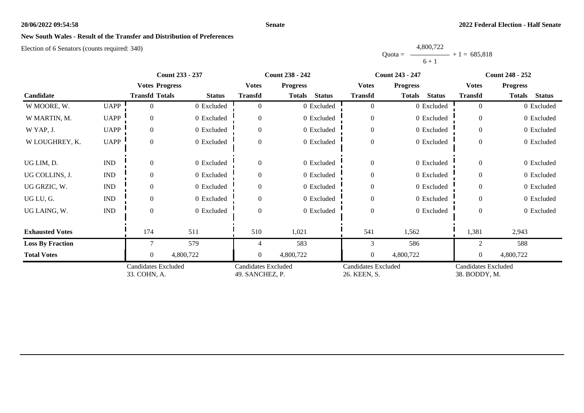#### **Senate**

# **New South Wales - Result of the Transfer and Distribution of Preferences**

|           | 4,800,722 |                |
|-----------|-----------|----------------|
| $Quota =$ |           | $+1 = 685.818$ |
|           | $6 + 1$   |                |

|                         |                             | <b>Count 233 - 237</b>                     |               |                                               | <b>Count 238 - 242</b>         |                                            | <b>Count 243 - 247</b>         | <b>Count 248 - 252</b>                      |                         |
|-------------------------|-----------------------------|--------------------------------------------|---------------|-----------------------------------------------|--------------------------------|--------------------------------------------|--------------------------------|---------------------------------------------|-------------------------|
|                         |                             | <b>Votes Progress</b>                      |               | <b>Votes</b>                                  | <b>Progress</b>                | <b>Votes</b>                               | <b>Progress</b>                | <b>Votes</b>                                | <b>Progress</b>         |
| Candidate               |                             | <b>Transfd Totals</b>                      | <b>Status</b> | <b>Transfd</b>                                | <b>Status</b><br><b>Totals</b> | <b>Transfd</b>                             | <b>Totals</b><br><b>Status</b> | <b>Transfd</b>                              | Totals<br><b>Status</b> |
| W MOORE, W.             | <b>UAPP</b>                 | 0                                          | 0 Excluded    | $\Omega$                                      | 0 Excluded                     | $\overline{0}$                             | 0 Excluded                     | $\overline{0}$                              | 0 Excluded              |
| W MARTIN, M.            | <b>UAPP</b>                 | $\Omega$                                   | 0 Excluded    | $\Omega$                                      | 0 Excluded                     | $\overline{0}$                             | 0 Excluded                     | $\Omega$                                    | 0 Excluded              |
| W YAP, J.               | <b>UAPP</b>                 | $\overline{0}$                             | 0 Excluded    | $\Omega$                                      | 0 Excluded                     | $\mathbf{0}$                               | 0 Excluded                     | $\overline{0}$                              | 0 Excluded              |
| W LOUGHREY, K.          | <b>UAPP</b>                 | $\Omega$                                   | 0 Excluded    | $\Omega$                                      | 0 Excluded                     | $\boldsymbol{0}$                           | 0 Excluded                     | $\theta$                                    | 0 Excluded              |
| UG LIM, D.              | $\mathop{\rm IND}\nolimits$ | $\Omega$                                   | 0 Excluded    | $\Omega$                                      | 0 Excluded                     | $\overline{0}$                             | 0 Excluded                     | $\overline{0}$                              | 0 Excluded              |
| UG COLLINS, J.          | $\mathop{\rm IND}\nolimits$ | $\Omega$                                   | 0 Excluded    | $\Omega$                                      | 0 Excluded                     | $\overline{0}$                             | 0 Excluded                     | $\theta$                                    | 0 Excluded              |
| UG GRZIC, W.            | $\mathop{\rm IND}\nolimits$ | $\Omega$                                   | 0 Excluded    | $\Omega$                                      | 0 Excluded                     | $\overline{0}$                             | 0 Excluded                     | $\Omega$                                    | 0 Excluded              |
| UG LU, G.               | <b>IND</b>                  | $\overline{0}$                             | 0 Excluded    | $\theta$                                      | 0 Excluded                     | $\overline{0}$                             | 0 Excluded                     | $\Omega$                                    | 0 Excluded              |
| UG LAING, W.            | $\mathop{\rm IND}\nolimits$ | $\Omega$                                   | 0 Excluded    | $\Omega$                                      | 0 Excluded                     | $\overline{0}$                             | 0 Excluded                     | $\theta$                                    | 0 Excluded              |
| <b>Exhausted Votes</b>  |                             | 174                                        | 511           | 510                                           | 1,021                          | 541                                        | 1,562                          | 1,381                                       | 2,943                   |
| <b>Loss By Fraction</b> |                             |                                            | 579           |                                               | 583                            | 3                                          | 586                            | $\overline{c}$                              | 588                     |
| <b>Total Votes</b>      |                             | $\theta$                                   | 4,800,722     | $\Omega$                                      | 4,800,722                      | $\overline{0}$                             | 4,800,722                      | $\theta$                                    | 4,800,722               |
|                         |                             | <b>Candidates Excluded</b><br>33. COHN, A. |               | <b>Candidates Excluded</b><br>49. SANCHEZ, P. |                                | <b>Candidates Excluded</b><br>26. KEEN, S. |                                | <b>Candidates Excluded</b><br>38. BODDY, M. |                         |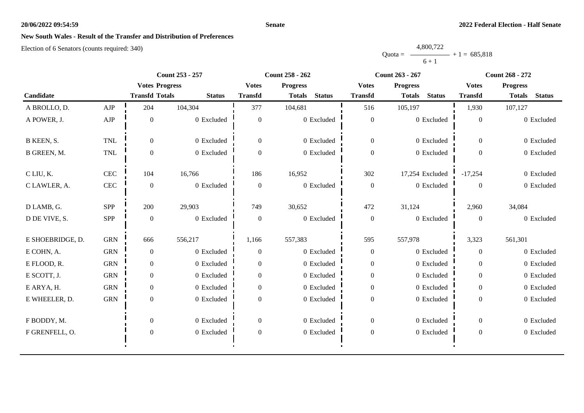#### **Senate**

# **New South Wales - Result of the Transfer and Distribution of Preferences**

|           | 4,800,722 |                |
|-----------|-----------|----------------|
| $Quota =$ |           | $+1 = 685,818$ |
|           | $6 + 1$   |                |

|                  |             | <b>Count 253 - 257</b> |               |                  | <b>Count 258 - 262</b>         |                  | Count 263 - 267                | Count 268 - 272  |                                |
|------------------|-------------|------------------------|---------------|------------------|--------------------------------|------------------|--------------------------------|------------------|--------------------------------|
|                  |             | <b>Votes Progress</b>  |               | <b>Votes</b>     | <b>Progress</b>                | <b>Votes</b>     | <b>Progress</b>                | <b>Votes</b>     | <b>Progress</b>                |
| Candidate        |             | <b>Transfd Totals</b>  | <b>Status</b> | <b>Transfd</b>   | <b>Status</b><br><b>Totals</b> | <b>Transfd</b>   | <b>Status</b><br><b>Totals</b> | <b>Transfd</b>   | <b>Status</b><br><b>Totals</b> |
| A BROLLO, D.     | AJP         | 204                    | 104,304       | 377              | 104,681                        | 516              | 105,197                        | 1,930            | 107,127                        |
| A POWER, J.      | ${\rm AJP}$ | $\boldsymbol{0}$       | 0 Excluded    | $\mathbf{0}$     | 0 Excluded                     | $\boldsymbol{0}$ | 0 Excluded                     | $\boldsymbol{0}$ | 0 Excluded                     |
| B KEEN, S.       | <b>TNL</b>  | $\Omega$               | 0 Excluded    | $\overline{0}$   | 0 Excluded                     | $\overline{0}$   | 0 Excluded                     | $\overline{0}$   | 0 Excluded                     |
| B GREEN, M.      | <b>TNL</b>  | $\overline{0}$         | 0 Excluded    | $\Omega$         | 0 Excluded                     | $\boldsymbol{0}$ | 0 Excluded                     | $\Omega$         | 0 Excluded                     |
| C LIU, K.        | CEC         | 104                    | 16,766        | 186              | 16,952                         | 302              | 17,254 Excluded                | $-17,254$        | 0 Excluded                     |
| C LAWLER, A.     | <b>CEC</b>  | $\overline{0}$         | 0 Excluded    | $\overline{0}$   | 0 Excluded                     | $\boldsymbol{0}$ | 0 Excluded                     | $\Omega$         | 0 Excluded                     |
| D LAMB, G.       | SPP         | 200                    | 29,903        | 749              | 30,652                         | 472              | 31,124                         | 2,960            | 34,084                         |
| D DE VIVE, S.    | SPP         | $\boldsymbol{0}$       | 0 Excluded    | $\overline{0}$   | 0 Excluded                     | $\boldsymbol{0}$ | 0 Excluded                     | $\overline{0}$   | 0 Excluded                     |
| E SHOEBRIDGE, D. | <b>GRN</b>  | 666                    | 556,217       | 1,166            | 557,383                        | 595              | 557,978                        | 3,323            | 561,301                        |
| E COHN, A.       | <b>GRN</b>  | $\overline{0}$         | 0 Excluded    | $\overline{0}$   | 0 Excluded                     | $\boldsymbol{0}$ | 0 Excluded                     | $\theta$         | 0 Excluded                     |
| E FLOOD, R.      | <b>GRN</b>  | $\overline{0}$         | 0 Excluded    | $\theta$         | 0 Excluded                     | $\boldsymbol{0}$ | 0 Excluded                     | $\overline{0}$   | 0 Excluded                     |
| E SCOTT, J.      | <b>GRN</b>  | $\overline{0}$         | 0 Excluded    | $\theta$         | 0 Excluded                     | $\boldsymbol{0}$ | 0 Excluded                     | $\overline{0}$   | 0 Excluded                     |
| E ARYA, H.       | <b>GRN</b>  | $\overline{0}$         | 0 Excluded    | $\theta$         | 0 Excluded                     | $\boldsymbol{0}$ | 0 Excluded                     | $\overline{0}$   | 0 Excluded                     |
| E WHEELER, D.    | <b>GRN</b>  | $\overline{0}$         | 0 Excluded    | $\mathbf{0}$     | 0 Excluded                     | $\mathbf{0}$     | 0 Excluded                     | $\overline{0}$   | 0 Excluded                     |
| F BODDY, M.      |             | $\Omega$               | 0 Excluded    | $\theta$         | 0 Excluded                     | $\boldsymbol{0}$ | 0 Excluded                     | $\overline{0}$   | 0 Excluded                     |
| F GRENFELL, O.   |             | $\boldsymbol{0}$       | 0 Excluded    | $\boldsymbol{0}$ | 0 Excluded                     | $\boldsymbol{0}$ | 0 Excluded                     | $\boldsymbol{0}$ | 0 Excluded                     |
|                  |             |                        |               |                  |                                |                  |                                |                  |                                |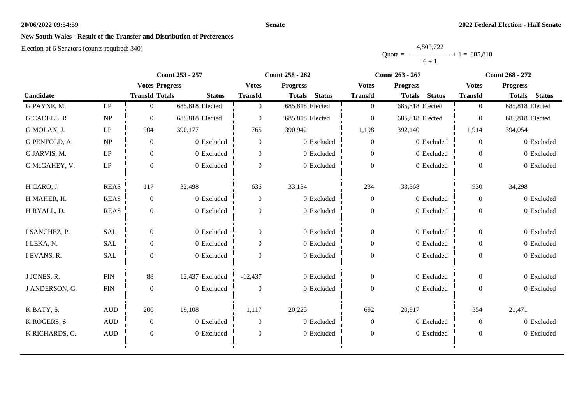#### **Senate**

# **New South Wales - Result of the Transfer and Distribution of Preferences**

|           | 4,800,722 |                |
|-----------|-----------|----------------|
| Ouota $=$ |           | $+1 = 685.818$ |
|           | $6 + 1$   |                |

|                |                        |                       | Count 253 - 257 |                | <b>Count 258 - 262</b>         | <b>Count 263 - 267</b> |                                | <b>Count 268 - 272</b> |                                |
|----------------|------------------------|-----------------------|-----------------|----------------|--------------------------------|------------------------|--------------------------------|------------------------|--------------------------------|
|                |                        | <b>Votes Progress</b> |                 | <b>Votes</b>   | <b>Progress</b>                | <b>Votes</b>           | <b>Progress</b>                | <b>Votes</b>           | <b>Progress</b>                |
| Candidate      |                        | <b>Transfd Totals</b> | <b>Status</b>   | <b>Transfd</b> | <b>Status</b><br><b>Totals</b> | <b>Transfd</b>         | <b>Status</b><br><b>Totals</b> | <b>Transfd</b>         | <b>Totals</b><br><b>Status</b> |
| G PAYNE, M.    | $\mathbf{L}\mathbf{P}$ | $\theta$              | 685,818 Elected | $\Omega$       | 685,818 Elected                | $\overline{0}$         | 685,818 Elected                | $\overline{0}$         | 685,818 Elected                |
| G CADELL, R.   | NP                     | $\Omega$              | 685,818 Elected | $\Omega$       | 685,818 Elected                | $\boldsymbol{0}$       | 685,818 Elected                | $\boldsymbol{0}$       | 685,818 Elected                |
| G MOLAN, J.    | LP                     | 904                   | 390,177         | 765            | 390,942                        | 1,198                  | 392,140                        | 1,914                  | 394,054                        |
| G PENFOLD, A.  | NP                     | $\overline{0}$        | 0 Excluded      | $\overline{0}$ | 0 Excluded                     | $\overline{0}$         | 0 Excluded                     | $\overline{0}$         | 0 Excluded                     |
| G JARVIS, M.   | $\mathbf{L}\mathbf{P}$ | $\overline{0}$        | 0 Excluded      | $\overline{0}$ | 0 Excluded                     | $\boldsymbol{0}$       | 0 Excluded                     | $\Omega$               | 0 Excluded                     |
| G McGAHEY, V.  | LP                     | $\Omega$              | 0 Excluded      | $\Omega$       | 0 Excluded                     | $\overline{0}$         | 0 Excluded                     | $\Omega$               | 0 Excluded                     |
| H CARO, J.     | <b>REAS</b>            | 117                   | 32,498          | 636            | 33,134                         | 234                    | 33,368                         | 930                    | 34,298                         |
| H MAHER, H.    | <b>REAS</b>            | $\boldsymbol{0}$      | 0 Excluded      | $\theta$       | 0 Excluded                     | $\boldsymbol{0}$       | 0 Excluded                     | $\boldsymbol{0}$       | 0 Excluded                     |
| H RYALL, D.    | <b>REAS</b>            | $\Omega$              | 0 Excluded      | $\Omega$       | 0 Excluded                     | $\boldsymbol{0}$       | 0 Excluded                     | $\overline{0}$         | 0 Excluded                     |
| I SANCHEZ, P.  | SAL                    | $\overline{0}$        | 0 Excluded      | $\Omega$       | 0 Excluded                     | $\boldsymbol{0}$       | 0 Excluded                     | $\Omega$               | 0 Excluded                     |
| I LEKA, N.     | <b>SAL</b>             | $\overline{0}$        | 0 Excluded      | $\Omega$       | 0 Excluded                     | $\boldsymbol{0}$       | 0 Excluded                     | $\overline{0}$         | 0 Excluded                     |
| I EVANS, R.    | SAL                    | $\overline{0}$        | 0 Excluded      | $\Omega$       | 0 Excluded                     | $\boldsymbol{0}$       | 0 Excluded                     | $\overline{0}$         | 0 Excluded                     |
| J JONES, R.    | ${\rm FIN}$            | 88                    | 12,437 Excluded | $-12,437$      | 0 Excluded                     | $\boldsymbol{0}$       | 0 Excluded                     | $\overline{0}$         | 0 Excluded                     |
| J ANDERSON, G. | ${\rm FIN}$            | $\Omega$              | 0 Excluded      | $\Omega$       | 0 Excluded                     | $\overline{0}$         | 0 Excluded                     | $\Omega$               | 0 Excluded                     |
| K BATY, S.     | $\mbox{AUD}$           | 206                   | 19,108          | 1,117          | 20,225                         | 692                    | 20,917                         | 554                    | 21,471                         |
| K ROGERS, S.   | $\mbox{AUD}$           | $\overline{0}$        | 0 Excluded      | $\Omega$       | 0 Excluded                     | $\boldsymbol{0}$       | 0 Excluded                     | $\overline{0}$         | 0 Excluded                     |
| K RICHARDS, C. | <b>AUD</b>             | $\overline{0}$        | 0 Excluded      | $\Omega$       | 0 Excluded                     | $\boldsymbol{0}$       | 0 Excluded                     | $\boldsymbol{0}$       | 0 Excluded                     |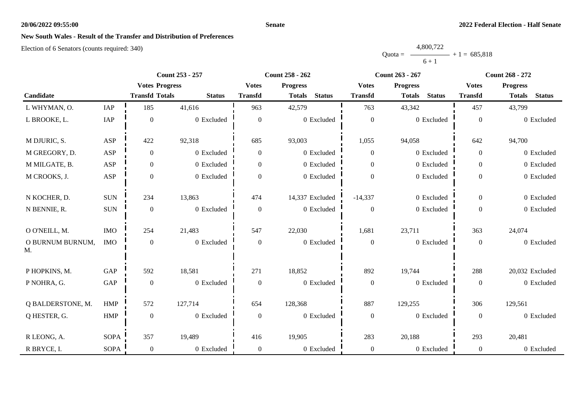### **Senate**

# **New South Wales - Result of the Transfer and Distribution of Preferences**

|           | 4,800,722 |                |
|-----------|-----------|----------------|
| $Quota =$ |           | $+1 = 685.818$ |
|           | $6 + 1$   |                |

|                        |             | Count 253 - 257       |               |                  | Count 258 - 262                |                  | Count 263 - 267                | <b>Count 268 - 272</b> |                                |  |
|------------------------|-------------|-----------------------|---------------|------------------|--------------------------------|------------------|--------------------------------|------------------------|--------------------------------|--|
|                        |             | <b>Votes Progress</b> |               | <b>Votes</b>     | <b>Progress</b>                | <b>Votes</b>     | <b>Progress</b>                | <b>Votes</b>           | <b>Progress</b>                |  |
| Candidate              |             | <b>Transfd Totals</b> | <b>Status</b> | <b>Transfd</b>   | <b>Status</b><br><b>Totals</b> | <b>Transfd</b>   | <b>Status</b><br><b>Totals</b> | <b>Transfd</b>         | <b>Status</b><br><b>Totals</b> |  |
| L WHYMAN, O.           | IAP         | 185                   | 41,616        | 963              | 42,579                         | 763              | 43,342                         | 457                    | 43,799                         |  |
| L BROOKE, L.           | IAP         | $\boldsymbol{0}$      | 0 Excluded    | $\boldsymbol{0}$ | 0 Excluded                     | $\mathbf{0}$     | 0 Excluded                     | $\boldsymbol{0}$       | 0 Excluded                     |  |
| M DJURIC, S.           | ASP         | 422                   | 92,318        | 685              | 93,003                         | 1,055            | 94,058                         | 642                    | 94,700                         |  |
| M GREGORY, D.          | ASP         | $\boldsymbol{0}$      | 0 Excluded    | $\overline{0}$   | 0 Excluded                     | $\boldsymbol{0}$ | 0 Excluded                     | $\overline{0}$         | 0 Excluded                     |  |
| M MILGATE, B.          | ASP         | $\boldsymbol{0}$      | 0 Excluded    | $\overline{0}$   | 0 Excluded                     | $\mathbf{0}$     | 0 Excluded                     | $\overline{0}$         | 0 Excluded                     |  |
| M CROOKS, J.           | ASP         | $\boldsymbol{0}$      | 0 Excluded    | $\Omega$         | 0 Excluded                     | $\boldsymbol{0}$ | 0 Excluded                     | $\overline{0}$         | 0 Excluded                     |  |
| N KOCHER, D.           | <b>SUN</b>  | 234                   | 13,863        | 474              | 14,337 Excluded                | $-14,337$        | 0 Excluded                     | $\overline{0}$         | 0 Excluded                     |  |
| N BENNIE, R.           | $\rm SUN$   | $\boldsymbol{0}$      | 0 Excluded    | $\boldsymbol{0}$ | 0 Excluded                     | $\overline{0}$   | 0 Excluded                     | $\boldsymbol{0}$       | 0 Excluded                     |  |
| O O'NEILL, M.          | <b>IMO</b>  | 254                   | 21,483        | 547              | 22,030                         | 1,681            | 23,711                         | 363                    | 24,074                         |  |
| O BURNUM BURNUM,<br>M. | <b>IMO</b>  | $\boldsymbol{0}$      | 0 Excluded    | $\boldsymbol{0}$ | 0 Excluded                     | $\boldsymbol{0}$ | 0 Excluded                     | $\overline{0}$         | 0 Excluded                     |  |
| P HOPKINS, M.          | GAP         | 592                   | 18,581        | 271              | 18,852                         | 892              | 19,744                         | 288                    | 20,032 Excluded                |  |
| P NOHRA, G.            | GAP         | $\boldsymbol{0}$      | 0 Excluded    | $\boldsymbol{0}$ | 0 Excluded                     | $\boldsymbol{0}$ | 0 Excluded                     | $\boldsymbol{0}$       | 0 Excluded                     |  |
| Q BALDERSTONE, M.      | <b>HMP</b>  | 572                   | 127,714       | 654              | 128,368                        | 887              | 129,255                        | 306                    | 129,561                        |  |
| Q HESTER, G.           | <b>HMP</b>  | $\boldsymbol{0}$      | 0 Excluded    | $\overline{0}$   | 0 Excluded                     | $\mathbf{0}$     | 0 Excluded                     | $\overline{0}$         | 0 Excluded                     |  |
| R LEONG, A.            | <b>SOPA</b> | 357                   | 19,489        | 416              | 19,905                         | 283              | 20,188                         | 293                    | 20,481                         |  |
| R BRYCE, I.            | <b>SOPA</b> | $\boldsymbol{0}$      | 0 Excluded    | $\overline{0}$   | 0 Excluded                     | $\boldsymbol{0}$ | 0 Excluded                     | $\overline{0}$         | 0 Excluded                     |  |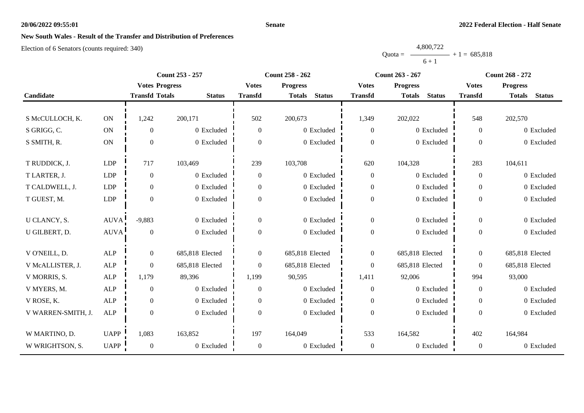### **Senate**

# **New South Wales - Result of the Transfer and Distribution of Preferences**

|           | 4,800,722 |                |
|-----------|-----------|----------------|
| $Quota =$ |           | $+1 = 685,818$ |
|           | $6 + 1$   |                |

|                    |               |                       | Count 253 - 257 |                  | Count 258 - 262                | <b>Count 263 - 267</b> |                                | <b>Count 268 - 272</b> |                                |
|--------------------|---------------|-----------------------|-----------------|------------------|--------------------------------|------------------------|--------------------------------|------------------------|--------------------------------|
|                    |               | <b>Votes Progress</b> |                 | <b>Votes</b>     | <b>Progress</b>                | <b>Votes</b>           | <b>Progress</b>                | <b>Votes</b>           | <b>Progress</b>                |
| Candidate          |               | <b>Transfd Totals</b> | <b>Status</b>   | <b>Transfd</b>   | <b>Status</b><br><b>Totals</b> | <b>Transfd</b>         | <b>Status</b><br><b>Totals</b> | <b>Transfd</b>         | <b>Status</b><br><b>Totals</b> |
|                    |               |                       |                 |                  |                                |                        |                                |                        |                                |
| S McCULLOCH, K.    | $\mathbf{ON}$ | 1,242                 | 200,171         | 502              | 200,673                        | 1,349                  | 202,022                        | 548                    | 202,570                        |
| S GRIGG, C.        | $\mathbf{ON}$ | $\overline{0}$        | 0 Excluded      | $\theta$         | 0 Excluded                     | $\overline{0}$         | 0 Excluded                     | $\overline{0}$         | 0 Excluded                     |
| S SMITH, R.        | $\mathbf{ON}$ | $\overline{0}$        | 0 Excluded      | $\theta$         | 0 Excluded                     | $\mathbf{0}$           | 0 Excluded                     | $\theta$               | 0 Excluded                     |
|                    |               |                       |                 |                  |                                |                        |                                |                        |                                |
| T RUDDICK, J.      | <b>LDP</b>    | 717                   | 103,469         | 239              | 103,708                        | 620                    | 104,328                        | 283                    | 104,611                        |
| T LARTER, J.       | LDP           | $\overline{0}$        | 0 Excluded      | $\theta$         | 0 Excluded                     | $\overline{0}$         | 0 Excluded                     | $\overline{0}$         | 0 Excluded                     |
| T CALDWELL, J.     | <b>LDP</b>    | $\overline{0}$        | 0 Excluded      | $\overline{0}$   | 0 Excluded                     | $\overline{0}$         | 0 Excluded                     | $\overline{0}$         | 0 Excluded                     |
| T GUEST, M.        | LDP           | $\boldsymbol{0}$      | 0 Excluded      | $\boldsymbol{0}$ | 0 Excluded                     | $\boldsymbol{0}$       | 0 Excluded                     | $\Omega$               | 0 Excluded                     |
|                    |               |                       |                 |                  |                                |                        |                                |                        |                                |
| U CLANCY, S.       | AUVA          | $-9,883$              | 0 Excluded      | $\boldsymbol{0}$ | 0 Excluded                     | $\mathbf{0}$           | 0 Excluded                     | $\overline{0}$         | 0 Excluded                     |
| U GILBERT, D.      | <b>AUVA</b>   | $\boldsymbol{0}$      | 0 Excluded      | $\theta$         | 0 Excluded                     | $\boldsymbol{0}$       | 0 Excluded                     | $\overline{0}$         | 0 Excluded                     |
|                    |               |                       |                 |                  |                                |                        |                                |                        |                                |
| V O'NEILL, D.      | <b>ALP</b>    | $\mathbf{0}$          | 685,818 Elected | $\boldsymbol{0}$ | 685,818 Elected                | $\boldsymbol{0}$       | 685,818 Elected                | $\mathbf{0}$           | 685,818 Elected                |
| V McALLISTER, J.   | ALP           | $\overline{0}$        | 685,818 Elected | $\theta$         | 685,818 Elected                | $\overline{0}$         | 685,818 Elected                | $\theta$               | 685,818 Elected                |
| V MORRIS, S.       | $\mbox{ALP}$  | 1,179                 | 89,396          | 1,199            | 90,595                         | 1,411                  | 92,006                         | 994                    | 93,000                         |
| V MYERS, M.        | ALP           | $\mathbf{0}$          | 0 Excluded      | $\theta$         | 0 Excluded                     | $\overline{0}$         | 0 Excluded                     | $\overline{0}$         | 0 Excluded                     |
| V ROSE, K.         | <b>ALP</b>    | $\boldsymbol{0}$      | 0 Excluded      | $\theta$         | 0 Excluded                     | $\boldsymbol{0}$       | 0 Excluded                     | $\overline{0}$         | 0 Excluded                     |
| V WARREN-SMITH, J. | ALP           | $\mathbf{0}$          | 0 Excluded      | $\theta$         | 0 Excluded                     | $\mathbf{0}$           | 0 Excluded                     | $\Omega$               | 0 Excluded                     |
|                    |               |                       |                 |                  |                                |                        |                                |                        |                                |
| W MARTINO, D.      | <b>UAPP</b>   | 1,083                 | 163,852         | 197              | 164,049                        | 533                    | 164,582                        | 402                    | 164,984                        |
| W WRIGHTSON, S.    | <b>UAPP</b>   | $\overline{0}$        | 0 Excluded      | $\overline{0}$   | 0 Excluded                     | $\boldsymbol{0}$       | 0 Excluded                     | $\overline{0}$         | 0 Excluded                     |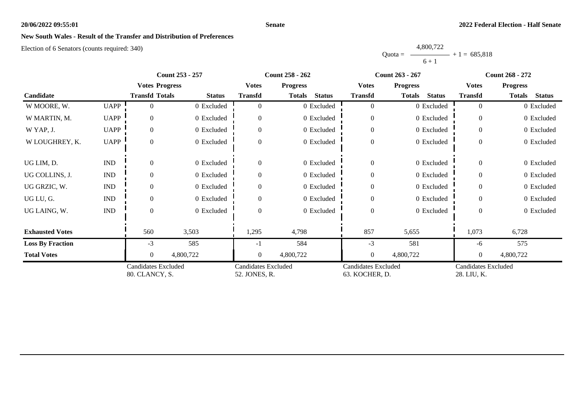### **Senate**

# **New South Wales - Result of the Transfer and Distribution of Preferences**

|           | 4,800,722 |                |
|-----------|-----------|----------------|
| Ouota $=$ |           | $+1 = 685,818$ |
|           | $6 + 1$   |                |

|                         |                             | <b>Count 253 - 257</b>                       |               |                                             | <b>Count 258 - 262</b>         |                                       | <b>Count 263 - 267</b>         | <b>Count 268 - 272</b>                    |                         |
|-------------------------|-----------------------------|----------------------------------------------|---------------|---------------------------------------------|--------------------------------|---------------------------------------|--------------------------------|-------------------------------------------|-------------------------|
|                         |                             | <b>Votes Progress</b>                        |               | <b>Votes</b>                                | <b>Progress</b>                | <b>Votes</b>                          | <b>Progress</b>                | <b>Votes</b>                              | <b>Progress</b>         |
| Candidate               |                             | <b>Transfd Totals</b>                        | <b>Status</b> | <b>Transfd</b>                              | <b>Totals</b><br><b>Status</b> | <b>Transfd</b>                        | <b>Totals</b><br><b>Status</b> | <b>Transfd</b>                            | Totals<br><b>Status</b> |
| W MOORE, W.             | <b>UAPP</b>                 | 0                                            | 0 Excluded    | $\Omega$                                    | 0 Excluded                     | $\overline{0}$                        | 0 Excluded                     | $\theta$                                  | 0 Excluded              |
| W MARTIN, M.            | <b>UAPP</b>                 | $\Omega$                                     | 0 Excluded    | $\Omega$                                    | 0 Excluded                     | $\overline{0}$                        | 0 Excluded                     | $\Omega$                                  | 0 Excluded              |
| W YAP, J.               | <b>UAPP</b>                 | $\overline{0}$                               | 0 Excluded    | $\theta$                                    | 0 Excluded                     | $\boldsymbol{0}$                      | 0 Excluded                     | $\Omega$                                  | 0 Excluded              |
| W LOUGHREY, K.          | <b>UAPP</b>                 | $\Omega$                                     | 0 Excluded    | $\Omega$                                    | 0 Excluded                     | $\boldsymbol{0}$                      | 0 Excluded                     | $\theta$                                  | 0 Excluded              |
| UG LIM, D.              | $\mathop{\rm IND}\nolimits$ | $\overline{0}$                               | 0 Excluded    | $\theta$                                    | 0 Excluded                     | $\boldsymbol{0}$                      | 0 Excluded                     | $\overline{0}$                            | 0 Excluded              |
| UG COLLINS, J.          | <b>IND</b>                  | $\Omega$                                     | 0 Excluded    | $\Omega$                                    | 0 Excluded                     | $\overline{0}$                        | 0 Excluded                     | $\Omega$                                  | 0 Excluded              |
| UG GRZIC, W.            | <b>IND</b>                  | $\Omega$                                     | 0 Excluded    | $\Omega$                                    | 0 Excluded                     | $\overline{0}$                        | 0 Excluded                     | $\Omega$                                  | 0 Excluded              |
| UG LU, G.               | $\mathop{\rm IND}\nolimits$ | $\overline{0}$                               | 0 Excluded    | $\Omega$                                    | 0 Excluded                     | $\boldsymbol{0}$                      | 0 Excluded                     | $\overline{0}$                            | 0 Excluded              |
| UG LAING, W.            | $\mathop{\rm IND}\nolimits$ | $\Omega$                                     | 0 Excluded    | $\Omega$                                    | 0 Excluded                     | $\overline{0}$                        | 0 Excluded                     | $\theta$                                  | 0 Excluded              |
| <b>Exhausted Votes</b>  |                             | 560                                          | 3,503         | 1,295                                       | 4,798                          | 857                                   | 5,655                          | 1,073                                     | 6,728                   |
| <b>Loss By Fraction</b> |                             | $-3$                                         | 585           | -1                                          | 584                            | $-3$                                  | 581                            | -6                                        | 575                     |
| <b>Total Votes</b>      |                             | $\theta$                                     | 4,800,722     | $\Omega$                                    | 4,800,722                      | $\overline{0}$                        | 4,800,722                      | $\theta$                                  | 4,800,722               |
|                         |                             | <b>Candidates Excluded</b><br>80. CLANCY, S. |               | <b>Candidates Excluded</b><br>52. JONES, R. |                                | Candidates Excluded<br>63. KOCHER, D. |                                | <b>Candidates Excluded</b><br>28. LIU, K. |                         |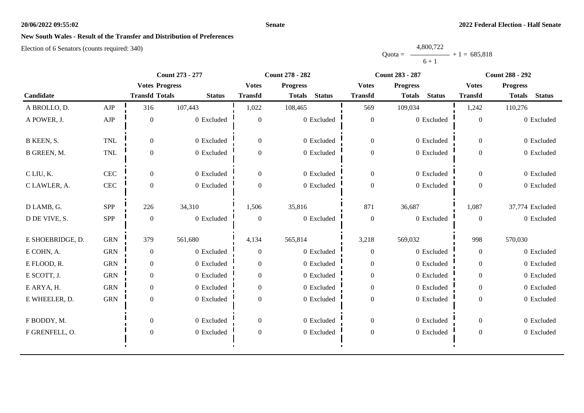### **Senate**

# **New South Wales - Result of the Transfer and Distribution of Preferences**

|           | 4,800,722 |                |
|-----------|-----------|----------------|
| $Quota =$ |           | $+1 = 685,818$ |
|           | $6 + 1$   |                |

|                  |              | Count 273 - 277       |               |                  | Count 278 - 282                |                  | <b>Count 283 - 287</b>         | <b>Count 288 - 292</b> |                                |
|------------------|--------------|-----------------------|---------------|------------------|--------------------------------|------------------|--------------------------------|------------------------|--------------------------------|
|                  |              | <b>Votes Progress</b> |               | <b>Votes</b>     | <b>Progress</b>                | <b>Votes</b>     | <b>Progress</b>                | <b>Votes</b>           | <b>Progress</b>                |
| Candidate        |              | <b>Transfd Totals</b> | <b>Status</b> | <b>Transfd</b>   | <b>Status</b><br><b>Totals</b> | <b>Transfd</b>   | <b>Status</b><br><b>Totals</b> | <b>Transfd</b>         | <b>Status</b><br><b>Totals</b> |
| A BROLLO, D.     | ${\rm AJP}$  | 316                   | 107,443       | 1,022            | 108,465                        | 569              | 109,034                        | 1,242                  | 110,276                        |
| A POWER, J.      | ${\rm AJP}$  | $\mathbf{0}$          | 0 Excluded    | $\theta$         | $0\,$ Excluded                 | $\boldsymbol{0}$ | 0 Excluded                     | $\Omega$               | 0 Excluded                     |
| B KEEN, S.       | TNL          | $\overline{0}$        | 0 Excluded    | $\boldsymbol{0}$ | 0 Excluded                     | $\mathbf{0}$     | 0 Excluded                     | $\overline{0}$         | 0 Excluded                     |
| B GREEN, M.      | TNL          | $\boldsymbol{0}$      | 0 Excluded    | $\boldsymbol{0}$ | 0 Excluded                     | $\boldsymbol{0}$ | 0 Excluded                     | $\mathbf{0}$           | 0 Excluded                     |
| C LIU, K.        | CEC          | $\Omega$              | 0 Excluded    | $\Omega$         | 0 Excluded                     | $\overline{0}$   | 0 Excluded                     | $\Omega$               | 0 Excluded                     |
| C LAWLER, A.     | $\mbox{CEC}$ | $\boldsymbol{0}$      | 0 Excluded    | $\overline{0}$   | 0 Excluded                     | $\boldsymbol{0}$ | 0 Excluded                     | $\theta$               | 0 Excluded                     |
| D LAMB, G.       | SPP          | 226                   | 34,310        | 1,506            | 35,816                         | 871              | 36,687                         | 1,087                  | 37,774 Excluded                |
| D DE VIVE, S.    | SPP          | $\theta$              | 0 Excluded    | $\theta$         | 0 Excluded                     | $\overline{0}$   | 0 Excluded                     | $\Omega$               | 0 Excluded                     |
| E SHOEBRIDGE, D. | <b>GRN</b>   | 379                   | 561,680       | 4,134            | 565,814                        | 3,218            | 569,032                        | 998                    | 570,030                        |
| E COHN, A.       | <b>GRN</b>   | $\boldsymbol{0}$      | 0 Excluded    | $\mathbf{0}$     | 0 Excluded                     | $\mathbf{0}$     | 0 Excluded                     | $\boldsymbol{0}$       | 0 Excluded                     |
| E FLOOD, R.      | <b>GRN</b>   | $\overline{0}$        | 0 Excluded    | $\Omega$         | 0 Excluded                     | $\mathbf{0}$     | 0 Excluded                     | $\overline{0}$         | 0 Excluded                     |
| E SCOTT, J.      | <b>GRN</b>   | $\boldsymbol{0}$      | 0 Excluded    | $\overline{0}$   | 0 Excluded                     | $\mathbf{0}$     | 0 Excluded                     | $\overline{0}$         | 0 Excluded                     |
| E ARYA, H.       | ${\rm GRN}$  | $\boldsymbol{0}$      | 0 Excluded    | $\boldsymbol{0}$ | 0 Excluded                     | $\boldsymbol{0}$ | 0 Excluded                     | $\mathbf{0}$           | 0 Excluded                     |
| E WHEELER, D.    | <b>GRN</b>   | $\boldsymbol{0}$      | 0 Excluded    | $\boldsymbol{0}$ | 0 Excluded                     | $\boldsymbol{0}$ | 0 Excluded                     | $\boldsymbol{0}$       | 0 Excluded                     |
| F BODDY, M.      |              | $\overline{0}$        | 0 Excluded    | $\overline{0}$   | 0 Excluded                     | $\mathbf{0}$     | 0 Excluded                     | $\overline{0}$         | 0 Excluded                     |
| F GRENFELL, O.   |              | $\boldsymbol{0}$      | 0 Excluded    | $\boldsymbol{0}$ | 0 Excluded                     | $\boldsymbol{0}$ | $0$ Excluded                   | $\boldsymbol{0}$       | 0 Excluded                     |
|                  |              |                       |               |                  |                                |                  |                                |                        |                                |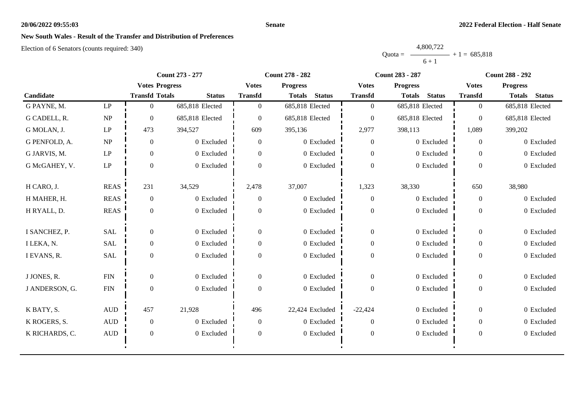### **Senate**

# **New South Wales - Result of the Transfer and Distribution of Preferences**

|           | 4,800,722 |                |
|-----------|-----------|----------------|
| $Quota =$ |           | $+1 = 685,818$ |
|           | $6 + 1$   |                |

|                |                            | Count 273 - 277       |                 |                | <b>Count 278 - 282</b>         |                  | <b>Count 283 - 287</b>         | <b>Count 288 - 292</b> |                                |
|----------------|----------------------------|-----------------------|-----------------|----------------|--------------------------------|------------------|--------------------------------|------------------------|--------------------------------|
|                |                            | <b>Votes Progress</b> |                 | <b>Votes</b>   | <b>Progress</b>                | <b>Votes</b>     | <b>Progress</b>                | <b>Votes</b>           | <b>Progress</b>                |
| Candidate      |                            | <b>Transfd Totals</b> | <b>Status</b>   | <b>Transfd</b> | <b>Status</b><br><b>Totals</b> | <b>Transfd</b>   | <b>Status</b><br><b>Totals</b> | <b>Transfd</b>         | <b>Status</b><br><b>Totals</b> |
| G PAYNE, M.    | $\ensuremath{\mathrm{LP}}$ | $\theta$              | 685,818 Elected | $\theta$       | 685,818 Elected                | $\overline{0}$   | 685,818 Elected                | $\overline{0}$         | 685,818 Elected                |
| G CADELL, R.   | NP                         | $\overline{0}$        | 685,818 Elected | $\theta$       | 685,818 Elected                | $\mathbf{0}$     | 685,818 Elected                | $\overline{0}$         | 685,818 Elected                |
| G MOLAN, J.    | $\operatorname{LP}$        | 473                   | 394,527         | 609            | 395,136                        | 2,977            | 398,113                        | 1,089                  | 399,202                        |
| G PENFOLD, A.  | NP                         | $\overline{0}$        | 0 Excluded      | $\overline{0}$ | 0 Excluded                     | $\mathbf{0}$     | 0 Excluded                     | $\overline{0}$         | 0 Excluded                     |
| G JARVIS, M.   | $\operatorname{LP}$        | $\overline{0}$        | 0 Excluded      | $\overline{0}$ | 0 Excluded                     | $\mathbf{0}$     | 0 Excluded                     | $\Omega$               | 0 Excluded                     |
| G McGAHEY, V.  | $\ensuremath{\mathrm{LP}}$ | $\overline{0}$        | 0 Excluded      | $\Omega$       | 0 Excluded                     | $\boldsymbol{0}$ | 0 Excluded                     | $\theta$               | 0 Excluded                     |
| H CARO, J.     | <b>REAS</b>                | 231                   | 34,529          | 2,478          | 37,007                         | 1,323            | 38,330                         | 650                    | 38,980                         |
| H MAHER, H.    | <b>REAS</b>                | $\boldsymbol{0}$      | 0 Excluded      | $\overline{0}$ | 0 Excluded                     | $\boldsymbol{0}$ | 0 Excluded                     | $\overline{0}$         | 0 Excluded                     |
| H RYALL, D.    | <b>REAS</b>                | $\overline{0}$        | 0 Excluded      | $\theta$       | 0 Excluded                     | $\boldsymbol{0}$ | 0 Excluded                     | $\theta$               | 0 Excluded                     |
| I SANCHEZ, P.  | <b>SAL</b>                 | $\overline{0}$        | 0 Excluded      | $\overline{0}$ | 0 Excluded                     | $\boldsymbol{0}$ | 0 Excluded                     | $\overline{0}$         | 0 Excluded                     |
| I LEKA, N.     | <b>SAL</b>                 | $\overline{0}$        | 0 Excluded      | $\overline{0}$ | 0 Excluded                     | $\boldsymbol{0}$ | 0 Excluded                     | $\overline{0}$         | 0 Excluded                     |
| I EVANS, R.    | <b>SAL</b>                 | $\overline{0}$        | 0 Excluded      | $\Omega$       | 0 Excluded                     | $\boldsymbol{0}$ | 0 Excluded                     | $\theta$               | 0 Excluded                     |
| J JONES, R.    | ${\rm FIN}$                | $\overline{0}$        | 0 Excluded      | $\Omega$       | 0 Excluded                     | $\overline{0}$   | 0 Excluded                     | $\theta$               | 0 Excluded                     |
| J ANDERSON, G. | ${\rm FIN}$                | $\overline{0}$        | 0 Excluded      | $\mathbf{0}$   | 0 Excluded                     | $\boldsymbol{0}$ | 0 Excluded                     | $\boldsymbol{0}$       | 0 Excluded                     |
| K BATY, S.     | $\mbox{AUD}$               | 457                   | 21,928          | 496            | 22,424 Excluded                | $-22,424$        | 0 Excluded                     | $\overline{0}$         | 0 Excluded                     |
| K ROGERS, S.   | $\mbox{AUD}$               | $\boldsymbol{0}$      | 0 Excluded      | $\overline{0}$ | 0 Excluded                     | $\mathbf{0}$     | 0 Excluded                     | $\overline{0}$         | 0 Excluded                     |
| K RICHARDS, C. | <b>AUD</b>                 | $\overline{0}$        | 0 Excluded      | $\Omega$       | 0 Excluded                     | $\mathbf{0}$     | 0 Excluded                     | $\theta$               | 0 Excluded                     |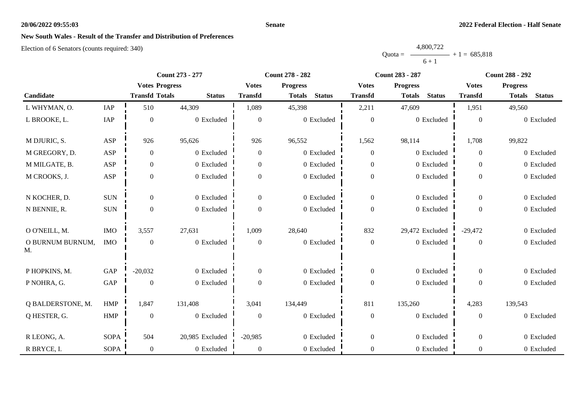### **Senate**

# **New South Wales - Result of the Transfer and Distribution of Preferences**

|           | 4,800,722 |                |
|-----------|-----------|----------------|
| $Quota =$ |           | $+1 = 685.818$ |
|           | $6 + 1$   |                |

|                        |             | Count 273 - 277       |                 |                  | Count 278 - 282                |                  | <b>Count 283 - 287</b>         | <b>Count 288 - 292</b> |                                |  |
|------------------------|-------------|-----------------------|-----------------|------------------|--------------------------------|------------------|--------------------------------|------------------------|--------------------------------|--|
|                        |             | <b>Votes Progress</b> |                 | <b>Votes</b>     | <b>Progress</b>                | <b>Votes</b>     | <b>Progress</b>                | <b>Votes</b>           | <b>Progress</b>                |  |
| Candidate              |             | <b>Transfd Totals</b> | <b>Status</b>   | <b>Transfd</b>   | <b>Status</b><br><b>Totals</b> | <b>Transfd</b>   | <b>Status</b><br><b>Totals</b> | <b>Transfd</b>         | <b>Status</b><br><b>Totals</b> |  |
| L WHYMAN, O.           | IAP         | 510                   | 44,309          | 1,089            | 45,398                         | 2,211            | 47,609                         | 1,951                  | 49,560                         |  |
| L BROOKE, L.           | IAP         | $\boldsymbol{0}$      | 0 Excluded      | $\overline{0}$   | 0 Excluded                     | $\boldsymbol{0}$ | 0 Excluded                     | $\boldsymbol{0}$       | 0 Excluded                     |  |
| M DJURIC, S.           | ASP         | 926                   | 95,626          | 926              | 96,552                         | 1,562            | 98,114                         | 1,708                  | 99,822                         |  |
| M GREGORY, D.          | ASP         | $\boldsymbol{0}$      | 0 Excluded      | $\overline{0}$   | 0 Excluded                     | $\mathbf{0}$     | 0 Excluded                     | $\boldsymbol{0}$       | 0 Excluded                     |  |
| M MILGATE, B.          | ASP         | $\boldsymbol{0}$      | 0 Excluded      | $\overline{0}$   | 0 Excluded                     | $\mathbf{0}$     | 0 Excluded                     | $\overline{0}$         | 0 Excluded                     |  |
| M CROOKS, J.           | ASP         | $\boldsymbol{0}$      | 0 Excluded      | $\boldsymbol{0}$ | 0 Excluded                     | $\boldsymbol{0}$ | 0 Excluded                     | $\overline{0}$         | 0 Excluded                     |  |
| N KOCHER, D.           | <b>SUN</b>  | $\overline{0}$        | 0 Excluded      | $\overline{0}$   | 0 Excluded                     | $\boldsymbol{0}$ | 0 Excluded                     | $\overline{0}$         | 0 Excluded                     |  |
| N BENNIE, R.           | $\rm SUN$   | $\boldsymbol{0}$      | 0 Excluded      | $\boldsymbol{0}$ | 0 Excluded                     | $\boldsymbol{0}$ | 0 Excluded                     | $\boldsymbol{0}$       | 0 Excluded                     |  |
| O O'NEILL, M.          | <b>IMO</b>  | 3,557                 | 27,631          | 1,009            | 28,640                         | 832              | 29,472 Excluded                | $-29,472$              | 0 Excluded                     |  |
| O BURNUM BURNUM,<br>M. | <b>IMO</b>  | $\boldsymbol{0}$      | 0 Excluded      | $\boldsymbol{0}$ | 0 Excluded                     | $\boldsymbol{0}$ | 0 Excluded                     | $\boldsymbol{0}$       | 0 Excluded                     |  |
| P HOPKINS, M.          | GAP         | $-20,032$             | 0 Excluded      | $\overline{0}$   | 0 Excluded                     | $\boldsymbol{0}$ | 0 Excluded                     | $\overline{0}$         | 0 Excluded                     |  |
| P NOHRA, G.            | GAP         | $\boldsymbol{0}$      | 0 Excluded      | $\overline{0}$   | 0 Excluded                     | $\boldsymbol{0}$ | 0 Excluded                     | $\overline{0}$         | 0 Excluded                     |  |
| Q BALDERSTONE, M.      | <b>HMP</b>  | 1,847                 | 131,408         | 3,041            | 134,449                        | 811              | 135,260                        | 4,283                  | 139,543                        |  |
| Q HESTER, G.           | <b>HMP</b>  | $\boldsymbol{0}$      | 0 Excluded      | $\boldsymbol{0}$ | 0 Excluded                     | $\boldsymbol{0}$ | 0 Excluded                     | $\boldsymbol{0}$       | 0 Excluded                     |  |
| R LEONG, A.            | <b>SOPA</b> | 504                   | 20,985 Excluded | $-20,985$        | 0 Excluded                     | $\boldsymbol{0}$ | 0 Excluded                     | $\boldsymbol{0}$       | 0 Excluded                     |  |
| R BRYCE, I.            | <b>SOPA</b> | $\boldsymbol{0}$      | 0 Excluded      | $\boldsymbol{0}$ | 0 Excluded                     | $\boldsymbol{0}$ | 0 Excluded                     | $\boldsymbol{0}$       | 0 Excluded                     |  |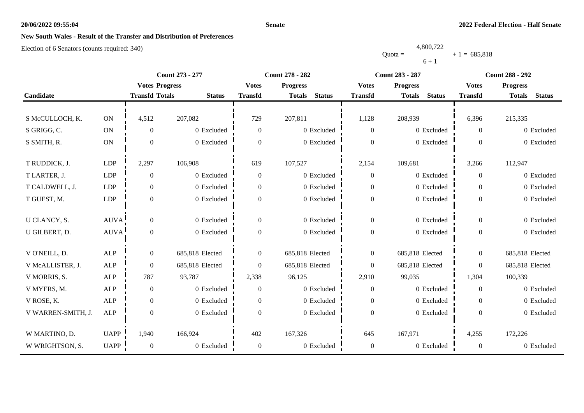### **Senate**

# **New South Wales - Result of the Transfer and Distribution of Preferences**

|           | 4,800,722      |  |
|-----------|----------------|--|
| $Quota =$ | $+1 = 685,818$ |  |
|           | $6 + 1$        |  |

|                    | Count 273 - 277 |                       |                 | <b>Count 283 - 287</b><br><b>Count 278 - 282</b> |                                |                  | <b>Count 288 - 292</b>         |                |                                |
|--------------------|-----------------|-----------------------|-----------------|--------------------------------------------------|--------------------------------|------------------|--------------------------------|----------------|--------------------------------|
|                    |                 | <b>Votes Progress</b> |                 | <b>Votes</b>                                     | <b>Progress</b>                | <b>Votes</b>     | <b>Progress</b>                | <b>Votes</b>   | <b>Progress</b>                |
| Candidate          |                 | <b>Transfd Totals</b> | <b>Status</b>   | <b>Transfd</b>                                   | <b>Status</b><br><b>Totals</b> | <b>Transfd</b>   | <b>Status</b><br><b>Totals</b> | <b>Transfd</b> | <b>Status</b><br><b>Totals</b> |
|                    |                 |                       |                 |                                                  |                                |                  |                                |                |                                |
| S McCULLOCH, K.    | $\mathbf{ON}$   | 4,512                 | 207,082         | 729                                              | 207,811                        | 1,128            | 208,939                        | 6,396          | 215,335                        |
| S GRIGG, C.        | $\mathbf{ON}$   | $\overline{0}$        | 0 Excluded      | $\theta$                                         | 0 Excluded                     | $\overline{0}$   | 0 Excluded                     | $\theta$       | 0 Excluded                     |
| S SMITH, R.        | $\mathbf{ON}$   | $\overline{0}$        | 0 Excluded      | $\theta$                                         | 0 Excluded                     | $\mathbf{0}$     | 0 Excluded                     | $\Omega$       | 0 Excluded                     |
|                    |                 |                       |                 |                                                  |                                |                  |                                |                |                                |
| T RUDDICK, J.      | <b>LDP</b>      | 2,297                 | 106,908         | 619                                              | 107,527                        | 2,154            | 109,681                        | 3,266          | 112,947                        |
| T LARTER, J.       | LDP             | $\overline{0}$        | 0 Excluded      | $\theta$                                         | 0 Excluded                     | $\overline{0}$   | 0 Excluded                     | $\overline{0}$ | 0 Excluded                     |
| T CALDWELL, J.     | <b>LDP</b>      | $\overline{0}$        | 0 Excluded      | $\overline{0}$                                   | 0 Excluded                     | $\overline{0}$   | 0 Excluded                     | $\Omega$       | 0 Excluded                     |
| T GUEST, M.        | LDP             | $\boldsymbol{0}$      | 0 Excluded      | $\boldsymbol{0}$                                 | 0 Excluded                     | $\boldsymbol{0}$ | 0 Excluded                     | $\Omega$       | 0 Excluded                     |
|                    |                 |                       |                 |                                                  |                                |                  |                                |                |                                |
| U CLANCY, S.       | <b>AUVA</b>     | $\mathbf{0}$          | 0 Excluded      | $\boldsymbol{0}$                                 | 0 Excluded                     | $\mathbf{0}$     | 0 Excluded                     | $\overline{0}$ | 0 Excluded                     |
| U GILBERT, D.      | <b>AUVA</b>     | $\mathbf{0}$          | 0 Excluded      | $\theta$                                         | 0 Excluded                     | $\boldsymbol{0}$ | 0 Excluded                     | $\overline{0}$ | 0 Excluded                     |
|                    |                 |                       |                 |                                                  |                                |                  |                                |                |                                |
| V O'NEILL, D.      | ALP             | $\mathbf{0}$          | 685,818 Elected | $\overline{0}$                                   | 685,818 Elected                | $\boldsymbol{0}$ | 685,818 Elected                | $\mathbf{0}$   | 685,818 Elected                |
| V McALLISTER, J.   | ALP             | $\boldsymbol{0}$      | 685,818 Elected | $\overline{0}$                                   | 685,818 Elected                | $\overline{0}$   | 685,818 Elected                | $\mathbf{0}$   | 685,818 Elected                |
| V MORRIS, S.       | <b>ALP</b>      | 787                   | 93,787          | 2,338                                            | 96,125                         | 2,910            | 99,035                         | 1,304          | 100,339                        |
| V MYERS, M.        | ALP             | $\boldsymbol{0}$      | 0 Excluded      | $\theta$                                         | 0 Excluded                     | $\boldsymbol{0}$ | 0 Excluded                     | $\overline{0}$ | 0 Excluded                     |
| V ROSE, K.         | <b>ALP</b>      | $\mathbf{0}$          | 0 Excluded      | $\theta$                                         | 0 Excluded                     | $\boldsymbol{0}$ | 0 Excluded                     | $\theta$       | 0 Excluded                     |
| V WARREN-SMITH, J. | ALP             | $\mathbf{0}$          | 0 Excluded      | $\theta$                                         | 0 Excluded                     | $\mathbf{0}$     | 0 Excluded                     | $\Omega$       | 0 Excluded                     |
|                    |                 |                       |                 |                                                  |                                |                  |                                |                |                                |
| W MARTINO, D.      | <b>UAPP</b>     | 1,940                 | 166,924         | 402                                              | 167,326                        | 645              | 167,971                        | 4,255          | 172,226                        |
| W WRIGHTSON, S.    | <b>UAPP</b>     | $\overline{0}$        | 0 Excluded      | $\overline{0}$                                   | 0 Excluded                     | $\boldsymbol{0}$ | 0 Excluded                     | $\overline{0}$ | 0 Excluded                     |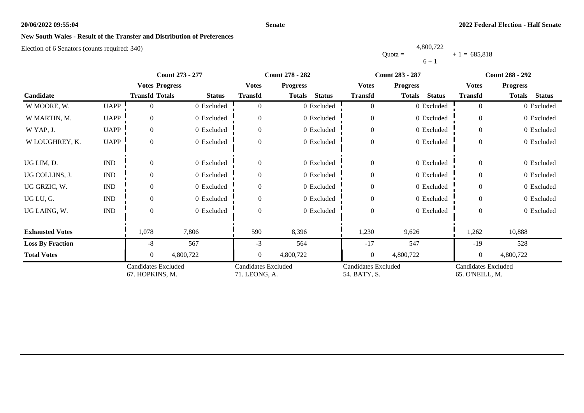### **Senate**

# **New South Wales - Result of the Transfer and Distribution of Preferences**

|           | 4,800,722 |                |
|-----------|-----------|----------------|
| Ouota $=$ |           | $+1 = 685,818$ |
|           | $6 + 1$   |                |

|                         |                             | <b>Count 273 - 277</b>                        |               |                                      | <b>Count 278 - 282</b>         |                                            | <b>Count 283 - 287</b>         | <b>Count 288 - 292</b>                        |                                |
|-------------------------|-----------------------------|-----------------------------------------------|---------------|--------------------------------------|--------------------------------|--------------------------------------------|--------------------------------|-----------------------------------------------|--------------------------------|
|                         |                             | <b>Votes Progress</b>                         |               | <b>Votes</b>                         | <b>Progress</b>                | <b>Votes</b>                               | <b>Progress</b>                | <b>Votes</b>                                  | <b>Progress</b>                |
| Candidate               |                             | <b>Transfd Totals</b>                         | <b>Status</b> | <b>Transfd</b>                       | <b>Status</b><br><b>Totals</b> | <b>Transfd</b>                             | <b>Totals</b><br><b>Status</b> | <b>Transfd</b>                                | <b>Totals</b><br><b>Status</b> |
| W MOORE, W.             | <b>UAPP</b>                 |                                               | 0 Excluded    |                                      | 0 Excluded                     | $\overline{0}$                             | 0 Excluded                     | $\theta$                                      | 0 Excluded                     |
| W MARTIN, M.            | <b>UAPP</b>                 | $\Omega$                                      | 0 Excluded    |                                      | 0 Excluded                     | $\boldsymbol{0}$                           | 0 Excluded                     | $\theta$                                      | 0 Excluded                     |
| W YAP, J.               | <b>UAPP</b>                 | $\Omega$                                      | 0 Excluded    | $\Omega$                             | 0 Excluded                     | $\boldsymbol{0}$                           | 0 Excluded                     | $\Omega$                                      | 0 Excluded                     |
| W LOUGHREY, K.          | <b>UAPP</b>                 | $\Omega$                                      | 0 Excluded    | $\Omega$                             | 0 Excluded                     | $\boldsymbol{0}$                           | 0 Excluded                     | $\theta$                                      | 0 Excluded                     |
| UG LIM, D.              | $\mathop{\rm IND}\nolimits$ |                                               | 0 Excluded    | $\theta$                             | 0 Excluded                     | $\boldsymbol{0}$                           | 0 Excluded                     | $\theta$                                      | 0 Excluded                     |
| UG COLLINS, J.          | $\mathop{\rm IND}\nolimits$ |                                               | 0 Excluded    |                                      | 0 Excluded                     | $\mathbf{0}$                               | 0 Excluded                     | $\Omega$                                      | 0 Excluded                     |
| UG GRZIC, W.            | $\mathop{\rm IND}\nolimits$ |                                               | 0 Excluded    |                                      | 0 Excluded                     | $\overline{0}$                             | 0 Excluded                     | $\Omega$                                      | 0 Excluded                     |
| UG LU, G.               | $\mathop{\rm IND}\nolimits$ |                                               | 0 Excluded    |                                      | 0 Excluded                     | $\overline{0}$                             | 0 Excluded                     | $\theta$                                      | 0 Excluded                     |
| UG LAING, W.            | $\mathop{\rm IND}\nolimits$ | $\Omega$                                      | 0 Excluded    | 0                                    | 0 Excluded                     | $\boldsymbol{0}$                           | 0 Excluded                     | $\Omega$                                      | 0 Excluded                     |
| <b>Exhausted Votes</b>  |                             | 1,078                                         | 7,806         | 590                                  | 8,396                          | 1,230                                      | 9,626                          | 1,262                                         | 10,888                         |
| <b>Loss By Fraction</b> |                             | -8                                            | 567           | $-3$                                 | 564                            | $-17$                                      | 547                            | $-19$                                         | 528                            |
| <b>Total Votes</b>      |                             |                                               | 4,800,722     | $\theta$                             | 4,800,722                      | $\mathbf{0}$                               | 4,800,722                      | $\theta$                                      | 4,800,722                      |
|                         |                             | <b>Candidates Excluded</b><br>67. HOPKINS, M. |               | Candidates Excluded<br>71. LEONG, A. |                                | <b>Candidates Excluded</b><br>54. BATY, S. |                                | <b>Candidates Excluded</b><br>65. O'NEILL, M. |                                |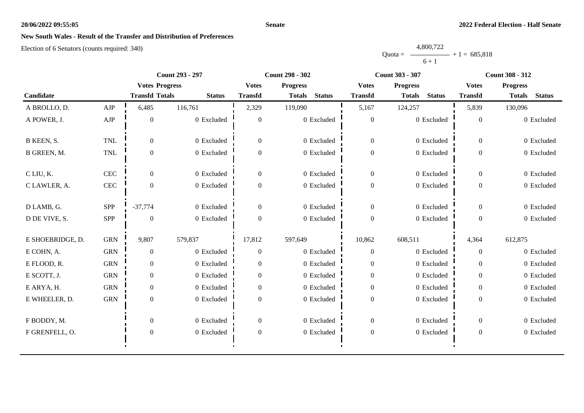### **Senate**

# **New South Wales - Result of the Transfer and Distribution of Preferences**

|           | 4,800,722 |                |
|-----------|-----------|----------------|
| $Quota =$ |           | $+1 = 685,818$ |
|           | $6 + 1$   |                |

|                  |             | <b>Count 293 - 297</b> |               |                  | <b>Count 298 - 302</b>         |                  | <b>Count 303 - 307</b>         | <b>Count 308 - 312</b> |                                |
|------------------|-------------|------------------------|---------------|------------------|--------------------------------|------------------|--------------------------------|------------------------|--------------------------------|
|                  |             | <b>Votes Progress</b>  |               | <b>Votes</b>     | <b>Progress</b>                | <b>Votes</b>     | <b>Progress</b>                | <b>Votes</b>           | <b>Progress</b>                |
| Candidate        |             | <b>Transfd Totals</b>  | <b>Status</b> | <b>Transfd</b>   | <b>Status</b><br><b>Totals</b> | <b>Transfd</b>   | <b>Status</b><br><b>Totals</b> | <b>Transfd</b>         | <b>Status</b><br><b>Totals</b> |
| A BROLLO, D.     | ${\rm AJP}$ | 6,485                  | 116,761       | 2,329            | 119,090                        | 5,167            | 124,257                        | 5,839                  | 130,096                        |
| A POWER, J.      | ${\rm AJP}$ | $\overline{0}$         | 0 Excluded    | $\theta$         | 0 Excluded                     | $\boldsymbol{0}$ | 0 Excluded                     | $\Omega$               | 0 Excluded                     |
| B KEEN, S.       | <b>TNL</b>  | $\Omega$               | 0 Excluded    | $\theta$         | 0 Excluded                     | $\overline{0}$   | 0 Excluded                     | $\Omega$               | 0 Excluded                     |
| B GREEN, M.      | <b>TNL</b>  | $\overline{0}$         | 0 Excluded    | $\overline{0}$   | 0 Excluded                     | $\boldsymbol{0}$ | 0 Excluded                     | $\overline{0}$         | 0 Excluded                     |
| C LIU, K.        | <b>CEC</b>  | $\overline{0}$         | 0 Excluded    | $\overline{0}$   | 0 Excluded                     | $\mathbf{0}$     | 0 Excluded                     | $\overline{0}$         | 0 Excluded                     |
| C LAWLER, A.     | CEC         | $\overline{0}$         | 0 Excluded    | $\overline{0}$   | 0 Excluded                     | $\boldsymbol{0}$ | 0 Excluded                     | $\overline{0}$         | 0 Excluded                     |
| D LAMB, G.       | SPP         | $-37,774$              | 0 Excluded    | $\overline{0}$   | 0 Excluded                     | $\boldsymbol{0}$ | 0 Excluded                     | $\overline{0}$         | 0 Excluded                     |
| D DE VIVE, S.    | <b>SPP</b>  | $\theta$               | 0 Excluded    | $\theta$         | 0 Excluded                     | $\mathbf{0}$     | 0 Excluded                     | $\overline{0}$         | 0 Excluded                     |
| E SHOEBRIDGE, D. | <b>GRN</b>  | 9,807                  | 579,837       | 17,812           | 597,649                        | 10,862           | 608,511                        | 4,364                  | 612,875                        |
| E COHN, A.       | <b>GRN</b>  | $\overline{0}$         | 0 Excluded    | $\overline{0}$   | 0 Excluded                     | $\theta$         | 0 Excluded                     | $\overline{0}$         | 0 Excluded                     |
| E FLOOD, R.      | <b>GRN</b>  | $\overline{0}$         | 0 Excluded    | $\Omega$         | 0 Excluded                     | $\overline{0}$   | 0 Excluded                     | $\Omega$               | 0 Excluded                     |
| E SCOTT, J.      | <b>GRN</b>  | $\overline{0}$         | 0 Excluded    | $\Omega$         | 0 Excluded                     | $\overline{0}$   | 0 Excluded                     | $\Omega$               | 0 Excluded                     |
| E ARYA, H.       | <b>GRN</b>  | $\overline{0}$         | 0 Excluded    | $\theta$         | 0 Excluded                     | $\boldsymbol{0}$ | 0 Excluded                     | $\Omega$               | 0 Excluded                     |
| E WHEELER, D.    | <b>GRN</b>  | $\overline{0}$         | $0$ Excluded  | $\Omega$         | 0 Excluded                     | $\boldsymbol{0}$ | 0 Excluded                     | $\Omega$               | 0 Excluded                     |
| F BODDY, M.      |             | $\overline{0}$         | 0 Excluded    | $\overline{0}$   | 0 Excluded                     | $\mathbf{0}$     | 0 Excluded                     | $\overline{0}$         | 0 Excluded                     |
| F GRENFELL, O.   |             | $\boldsymbol{0}$       | 0 Excluded    | $\boldsymbol{0}$ | 0 Excluded                     | $\boldsymbol{0}$ | 0 Excluded                     | $\boldsymbol{0}$       | 0 Excluded                     |
|                  |             |                        |               |                  |                                |                  |                                |                        |                                |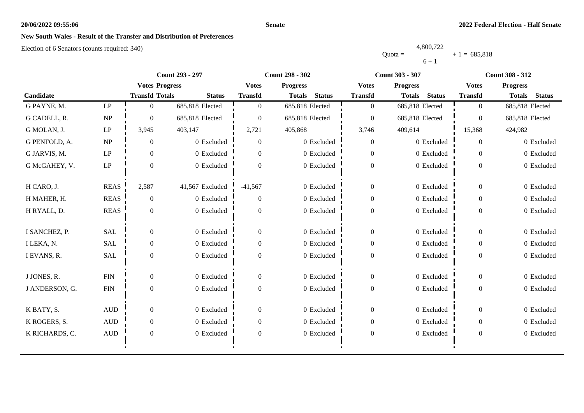### **Senate**

# **New South Wales - Result of the Transfer and Distribution of Preferences**

|           | 4,800,722 |                |
|-----------|-----------|----------------|
| Ouota $=$ |           | $+1 = 685.818$ |
|           | $6 + 1$   |                |

|                |                        | <b>Count 293 - 297</b> |                 |                | <b>Count 298 - 302</b>         |                  | <b>Count 303 - 307</b>         | <b>Count 308 - 312</b> |                                |
|----------------|------------------------|------------------------|-----------------|----------------|--------------------------------|------------------|--------------------------------|------------------------|--------------------------------|
|                |                        | <b>Votes Progress</b>  |                 | <b>Votes</b>   | <b>Progress</b>                | <b>Votes</b>     | <b>Progress</b>                | <b>Votes</b>           | <b>Progress</b>                |
| Candidate      |                        | <b>Transfd Totals</b>  | <b>Status</b>   | <b>Transfd</b> | <b>Status</b><br><b>Totals</b> | <b>Transfd</b>   | <b>Status</b><br><b>Totals</b> | <b>Transfd</b>         | <b>Totals</b><br><b>Status</b> |
| G PAYNE, M.    | $\mathbf{L}\mathbf{P}$ | $\Omega$               | 685,818 Elected | $\Omega$       | 685,818 Elected                | $\overline{0}$   | 685,818 Elected                | $\overline{0}$         | 685,818 Elected                |
| G CADELL, R.   | NP                     | $\Omega$               | 685,818 Elected | $\Omega$       | 685,818 Elected                | $\overline{0}$   | 685,818 Elected                | $\overline{0}$         | 685,818 Elected                |
| G MOLAN, J.    | LP                     | 3,945                  | 403,147         | 2,721          | 405,868                        | 3,746            | 409,614                        | 15,368                 | 424,982                        |
| G PENFOLD, A.  | NP                     | $\overline{0}$         | 0 Excluded      | $\theta$       | 0 Excluded                     | $\boldsymbol{0}$ | 0 Excluded                     | $\theta$               | 0 Excluded                     |
| G JARVIS, M.   | $\mathbf{L}\mathbf{P}$ | $\theta$               | 0 Excluded      | $\Omega$       | 0 Excluded                     | $\overline{0}$   | 0 Excluded                     | $\Omega$               | 0 Excluded                     |
| G McGAHEY, V.  | LP                     | $\overline{0}$         | 0 Excluded      | $\Omega$       | 0 Excluded                     | $\boldsymbol{0}$ | 0 Excluded                     | $\overline{0}$         | 0 Excluded                     |
| H CARO, J.     | <b>REAS</b>            | 2,587                  | 41,567 Excluded | $-41,567$      | 0 Excluded                     | $\boldsymbol{0}$ | 0 Excluded                     | $\overline{0}$         | 0 Excluded                     |
| H MAHER, H.    | <b>REAS</b>            | $\overline{0}$         | 0 Excluded      | $\Omega$       | $0$ Excluded                   | $\boldsymbol{0}$ | 0 Excluded                     | $\overline{0}$         | 0 Excluded                     |
| H RYALL, D.    | <b>REAS</b>            | $\Omega$               | 0 Excluded      | $\Omega$       | 0 Excluded                     | $\boldsymbol{0}$ | 0 Excluded                     | $\overline{0}$         | 0 Excluded                     |
| I SANCHEZ, P.  | SAL                    | $\overline{0}$         | 0 Excluded      | $\Omega$       | 0 Excluded                     | $\boldsymbol{0}$ | 0 Excluded                     | $\Omega$               | 0 Excluded                     |
| I LEKA, N.     | <b>SAL</b>             | $\Omega$               | 0 Excluded      | $\Omega$       | 0 Excluded                     | $\overline{0}$   | 0 Excluded                     | $\Omega$               | 0 Excluded                     |
| I EVANS, R.    | SAL                    | $\mathbf{0}$           | 0 Excluded      | $\Omega$       | 0 Excluded                     | $\boldsymbol{0}$ | 0 Excluded                     | $\overline{0}$         | 0 Excluded                     |
| J JONES, R.    | ${\rm FIN}$            | $\overline{0}$         | 0 Excluded      | $\Omega$       | 0 Excluded                     | $\overline{0}$   | 0 Excluded                     | $\overline{0}$         | 0 Excluded                     |
| J ANDERSON, G. | ${\rm FIN}$            | $\Omega$               | 0 Excluded      | $\Omega$       | 0 Excluded                     | $\boldsymbol{0}$ | 0 Excluded                     | $\overline{0}$         | 0 Excluded                     |
| K BATY, S.     | $\mbox{AUD}$           | $\overline{0}$         | 0 Excluded      | $\theta$       | 0 Excluded                     | $\boldsymbol{0}$ | 0 Excluded                     | $\boldsymbol{0}$       | 0 Excluded                     |
| K ROGERS, S.   | $\hbox{AUD}$           | $\Omega$               | 0 Excluded      | $\Omega$       | 0 Excluded                     | $\overline{0}$   | 0 Excluded                     | $\Omega$               | 0 Excluded                     |
| K RICHARDS, C. | <b>AUD</b>             | $\overline{0}$         | 0 Excluded      | $\Omega$       | 0 Excluded                     | $\boldsymbol{0}$ | 0 Excluded                     | $\overline{0}$         | 0 Excluded                     |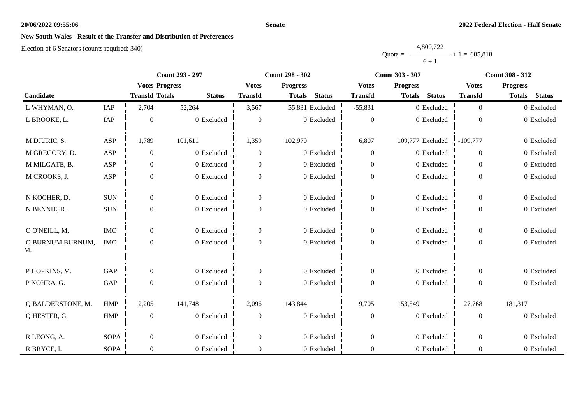### **Senate**

# **New South Wales - Result of the Transfer and Distribution of Preferences**

|           | 4,800,722 |                |
|-----------|-----------|----------------|
| $Quota =$ |           | $+1 = 685,818$ |
|           | $6 + 1$   |                |

|                                 |                      | Count 293 - 297       |               |                  | <b>Count 298 - 302</b>         |                  | Count 303 - 307                | <b>Count 308 - 312</b> |                                |
|---------------------------------|----------------------|-----------------------|---------------|------------------|--------------------------------|------------------|--------------------------------|------------------------|--------------------------------|
|                                 |                      | <b>Votes Progress</b> |               | <b>Votes</b>     | <b>Progress</b>                | <b>Votes</b>     | <b>Progress</b>                | <b>Votes</b>           | <b>Progress</b>                |
| Candidate                       |                      | <b>Transfd Totals</b> | <b>Status</b> | <b>Transfd</b>   | <b>Status</b><br><b>Totals</b> | <b>Transfd</b>   | <b>Status</b><br><b>Totals</b> | <b>Transfd</b>         | <b>Status</b><br><b>Totals</b> |
| L WHYMAN, O.                    | IAP                  | 2,704                 | 52,264        | 3,567            | 55,831 Excluded                | $-55,831$        | 0 Excluded                     | $\overline{0}$         | 0 Excluded                     |
| L BROOKE, L.                    | IAP                  | $\theta$              | 0 Excluded    | $\overline{0}$   | 0 Excluded                     | $\overline{0}$   | 0 Excluded                     | $\theta$               | 0 Excluded                     |
| M DJURIC, S.                    | ASP                  | 1,789                 | 101,611       | 1,359            | 102,970                        | 6,807            | 109,777 Excluded               | $-109,777$             | 0 Excluded                     |
| M GREGORY, D.                   | ASP                  | $\boldsymbol{0}$      | 0 Excluded    | $\Omega$         | 0 Excluded                     | $\overline{0}$   | 0 Excluded                     | $\Omega$               | 0 Excluded                     |
| M MILGATE, B.                   | ASP                  | $\mathbf{0}$          | 0 Excluded    | $\overline{0}$   | 0 Excluded                     | $\boldsymbol{0}$ | 0 Excluded                     | $\overline{0}$         | 0 Excluded                     |
| M CROOKS, J.                    | ASP                  | $\boldsymbol{0}$      | 0 Excluded    | $\boldsymbol{0}$ | 0 Excluded                     | $\boldsymbol{0}$ | 0 Excluded                     | $\overline{0}$         | 0 Excluded                     |
| N KOCHER, D.                    | <b>SUN</b>           | $\overline{0}$        | 0 Excluded    | $\overline{0}$   | 0 Excluded                     | $\boldsymbol{0}$ | 0 Excluded                     | $\overline{0}$         | 0 Excluded                     |
| N BENNIE, R.                    | $\rm{SUM}$           | $\boldsymbol{0}$      | 0 Excluded    | $\overline{0}$   | 0 Excluded                     | $\boldsymbol{0}$ | 0 Excluded                     | $\overline{0}$         | 0 Excluded                     |
| O O'NEILL, M.                   | $\rm{IMO}$           | $\boldsymbol{0}$      | 0 Excluded    | $\boldsymbol{0}$ | 0 Excluded                     | $\mathbf{0}$     | 0 Excluded                     | $\overline{0}$         | 0 Excluded                     |
| O BURNUM BURNUM,<br>$M_{\cdot}$ | <b>IMO</b>           | $\boldsymbol{0}$      | 0 Excluded    | $\overline{0}$   | 0 Excluded                     | $\boldsymbol{0}$ | 0 Excluded                     | $\overline{0}$         | 0 Excluded                     |
| P HOPKINS, M.                   | GAP                  | $\overline{0}$        | 0 Excluded    | $\boldsymbol{0}$ | 0 Excluded                     | $\overline{0}$   | 0 Excluded                     | $\overline{0}$         | 0 Excluded                     |
| P NOHRA, G.                     | $\operatorname{GAP}$ | $\boldsymbol{0}$      | 0 Excluded    | $\overline{0}$   | 0 Excluded                     | $\boldsymbol{0}$ | 0 Excluded                     | $\overline{0}$         | 0 Excluded                     |
| Q BALDERSTONE, M.               | <b>HMP</b>           | 2,205                 | 141,748       | 2,096            | 143,844                        | 9,705            | 153,549                        | 27,768                 | 181,317                        |
| Q HESTER, G.                    | <b>HMP</b>           | $\boldsymbol{0}$      | 0 Excluded    | $\boldsymbol{0}$ | 0 Excluded                     | $\boldsymbol{0}$ | 0 Excluded                     | $\boldsymbol{0}$       | 0 Excluded                     |
| R LEONG, A.                     | <b>SOPA</b>          | $\boldsymbol{0}$      | 0 Excluded    | $\boldsymbol{0}$ | 0 Excluded                     | $\boldsymbol{0}$ | 0 Excluded                     | $\boldsymbol{0}$       | 0 Excluded                     |
| R BRYCE, I.                     | <b>SOPA</b>          | $\mathbf{0}$          | 0 Excluded    | $\overline{0}$   | 0 Excluded                     | $\boldsymbol{0}$ | 0 Excluded                     | $\overline{0}$         | 0 Excluded                     |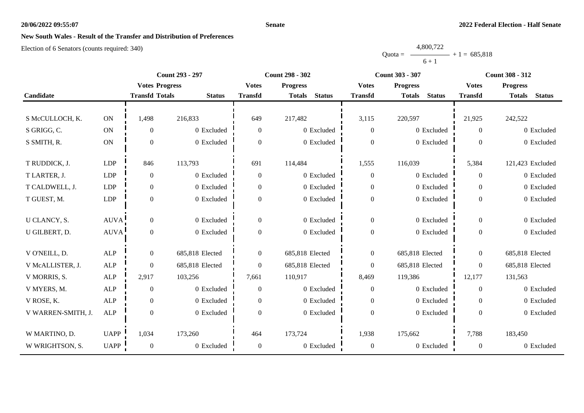### **Senate**

# **New South Wales - Result of the Transfer and Distribution of Preferences**

|           | 4,800,722 |                |
|-----------|-----------|----------------|
| $Quota =$ |           | $+1 = 685,818$ |
|           | $6 + 1$   |                |

|                    |               | Count 293 - 297       |                 |                  | <b>Count 298 - 302</b>         |                  | <b>Count 303 - 307</b>         | <b>Count 308 - 312</b> |                                |
|--------------------|---------------|-----------------------|-----------------|------------------|--------------------------------|------------------|--------------------------------|------------------------|--------------------------------|
|                    |               | <b>Votes Progress</b> |                 | <b>Votes</b>     | <b>Progress</b>                | <b>Votes</b>     | <b>Progress</b>                | <b>Votes</b>           | <b>Progress</b>                |
| Candidate          |               | <b>Transfd Totals</b> | <b>Status</b>   | <b>Transfd</b>   | <b>Status</b><br><b>Totals</b> | <b>Transfd</b>   | <b>Status</b><br><b>Totals</b> | <b>Transfd</b>         | <b>Status</b><br><b>Totals</b> |
|                    |               |                       |                 |                  |                                |                  |                                |                        |                                |
| S McCULLOCH, K.    | $\mathbf{ON}$ | 1,498                 | 216,833         | 649              | 217,482                        | 3,115            | 220,597                        | 21,925                 | 242,522                        |
| S GRIGG, C.        | $\mathbf{ON}$ | $\overline{0}$        | 0 Excluded      | $\overline{0}$   | 0 Excluded                     | $\theta$         | 0 Excluded                     | $\theta$               | 0 Excluded                     |
| S SMITH, R.        | $\mathbf{ON}$ | $\theta$              | 0 Excluded      | $\boldsymbol{0}$ | 0 Excluded                     | $\boldsymbol{0}$ | 0 Excluded                     | $\mathbf{0}$           | 0 Excluded                     |
|                    |               |                       |                 |                  |                                |                  |                                |                        |                                |
| T RUDDICK, J.      | <b>LDP</b>    | 846                   | 113,793         | 691              | 114,484                        | 1,555            | 116,039                        | 5,384                  | 121,423 Excluded               |
| T LARTER, J.       | LDP           | $\theta$              | 0 Excluded      | $\theta$         | 0 Excluded                     | $\theta$         | 0 Excluded                     | $\Omega$               | 0 Excluded                     |
| T CALDWELL, J.     | LDP           | $\overline{0}$        | 0 Excluded      | $\overline{0}$   | 0 Excluded                     | $\boldsymbol{0}$ | 0 Excluded                     | $\overline{0}$         | 0 Excluded                     |
| T GUEST, M.        | LDP           | $\overline{0}$        | 0 Excluded      | $\overline{0}$   | 0 Excluded                     | $\boldsymbol{0}$ | 0 Excluded                     | $\overline{0}$         | 0 Excluded                     |
|                    |               |                       |                 |                  |                                |                  |                                |                        |                                |
| U CLANCY, S.       | <b>AUVA</b>   | $\mathbf{0}$          | 0 Excluded      | $\overline{0}$   | 0 Excluded                     | $\boldsymbol{0}$ | 0 Excluded                     | $\overline{0}$         | 0 Excluded                     |
| U GILBERT, D.      | AUVA          | $\mathbf{0}$          | 0 Excluded      | $\overline{0}$   | 0 Excluded                     | $\boldsymbol{0}$ | 0 Excluded                     | $\Omega$               | 0 Excluded                     |
|                    |               |                       |                 |                  |                                |                  |                                |                        |                                |
| V O'NEILL, D.      | <b>ALP</b>    | $\boldsymbol{0}$      | 685,818 Elected | $\overline{0}$   | 685,818 Elected                | $\boldsymbol{0}$ | 685,818 Elected                | $\mathbf{0}$           | 685,818 Elected                |
| V McALLISTER, J.   | ALP           | $\overline{0}$        | 685,818 Elected | $\overline{0}$   | 685,818 Elected                | $\theta$         | 685,818 Elected                | $\overline{0}$         | 685,818 Elected                |
| V MORRIS, S.       | ALP           | 2,917                 | 103,256         | 7,661            | 110,917                        | 8,469            | 119,386                        | 12,177                 | 131,563                        |
| V MYERS, M.        | ALP           | $\theta$              | 0 Excluded      | $\theta$         | 0 Excluded                     | $\theta$         | 0 Excluded                     | $\Omega$               | 0 Excluded                     |
| V ROSE, K.         | <b>ALP</b>    | $\overline{0}$        | 0 Excluded      | $\overline{0}$   | 0 Excluded                     | $\theta$         | 0 Excluded                     | $\theta$               | 0 Excluded                     |
| V WARREN-SMITH, J. | ALP           | $\boldsymbol{0}$      | 0 Excluded      | $\boldsymbol{0}$ | 0 Excluded                     | $\boldsymbol{0}$ | 0 Excluded                     | $\Omega$               | 0 Excluded                     |
|                    |               |                       |                 |                  |                                |                  |                                |                        |                                |
| W MARTINO, D.      | <b>UAPP</b>   | 1,034                 | 173,260         | 464              | 173,724                        | 1,938            | 175,662                        | 7,788                  | 183,450                        |
| W WRIGHTSON, S.    | UAPP          | $\theta$              | 0 Excluded      | $\boldsymbol{0}$ | 0 Excluded                     | $\boldsymbol{0}$ | 0 Excluded                     | $\overline{0}$         | 0 Excluded                     |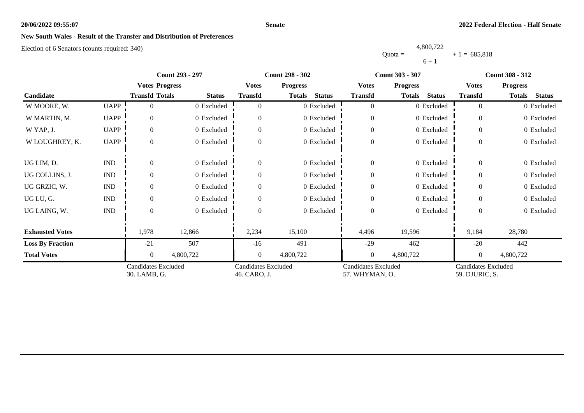### **Senate**

# **New South Wales - Result of the Transfer and Distribution of Preferences**

|           | 4,800,722 |                |
|-----------|-----------|----------------|
| $Quota =$ |           | $+1 = 685.818$ |
|           | $6 + 1$   |                |

|                         |                             | <b>Count 293 - 297</b>                     |               | <b>Count 298 - 302</b>                     |                                |                                              | <b>Count 303 - 307</b>  | <b>Count 308 - 312</b>                       |                         |
|-------------------------|-----------------------------|--------------------------------------------|---------------|--------------------------------------------|--------------------------------|----------------------------------------------|-------------------------|----------------------------------------------|-------------------------|
|                         |                             | <b>Votes Progress</b>                      |               | <b>Votes</b>                               | <b>Progress</b>                | <b>Votes</b>                                 | <b>Progress</b>         | <b>Votes</b>                                 | <b>Progress</b>         |
| Candidate               |                             | <b>Transfd Totals</b>                      | <b>Status</b> | <b>Transfd</b>                             | <b>Status</b><br><b>Totals</b> | <b>Transfd</b>                               | <b>Status</b><br>Totals | <b>Transfd</b>                               | Totals<br><b>Status</b> |
| W MOORE, W.             | <b>UAPP</b>                 |                                            | 0 Excluded    |                                            | 0 Excluded                     | $\overline{0}$                               | 0 Excluded              | $\overline{0}$                               | 0 Excluded              |
| W MARTIN, M.            | <b>UAPP</b>                 | $\Omega$                                   | 0 Excluded    |                                            | 0 Excluded                     | $\overline{0}$                               | 0 Excluded              | $\Omega$                                     | 0 Excluded              |
| W YAP, J.               | <b>UAPP</b>                 | $\Omega$                                   | 0 Excluded    | $\Omega$                                   | 0 Excluded                     | $\overline{0}$                               | 0 Excluded              | $\Omega$                                     | 0 Excluded              |
| W LOUGHREY, K.          | <b>UAPP</b>                 | $\Omega$                                   | 0 Excluded    |                                            | 0 Excluded                     | $\boldsymbol{0}$                             | 0 Excluded              | $\Omega$                                     | 0 Excluded              |
| UG LIM, D.              | $\mathop{\rm IND}\nolimits$ |                                            | 0 Excluded    | $\theta$                                   | 0 Excluded                     | $\overline{0}$                               | 0 Excluded              | $\Omega$                                     | 0 Excluded              |
| UG COLLINS, J.          | <b>IND</b>                  | $\Omega$                                   | 0 Excluded    |                                            | 0 Excluded                     | $\boldsymbol{0}$                             | 0 Excluded              | $\Omega$                                     | 0 Excluded              |
| UG GRZIC, W.            | $\mathop{\rm IND}\nolimits$ |                                            | 0 Excluded    |                                            | 0 Excluded                     | $\overline{0}$                               | 0 Excluded              | $\Omega$                                     | 0 Excluded              |
| UG LU, G.               | <b>IND</b>                  | $\Omega$                                   | 0 Excluded    |                                            | 0 Excluded                     | $\overline{0}$                               | 0 Excluded              | $\Omega$                                     | 0 Excluded              |
| UG LAING, W.            | $\mathop{\rm IND}\nolimits$ | $\Omega$                                   | 0 Excluded    | $\Omega$                                   | 0 Excluded                     | $\boldsymbol{0}$                             | 0 Excluded              | $\Omega$                                     | 0 Excluded              |
| <b>Exhausted Votes</b>  |                             | 1,978                                      | 12,866        | 2,234                                      | 15,100                         | 4,496                                        | 19,596                  | 9,184                                        | 28,780                  |
| <b>Loss By Fraction</b> |                             | $-21$                                      | 507           | $-16$                                      | 491                            | $-29$                                        | 462                     | $-20$                                        | 442                     |
| <b>Total Votes</b>      |                             | $\Omega$                                   | 4,800,722     | $\Omega$                                   | 4,800,722                      | $\mathbf{0}$                                 | 4,800,722               | $\Omega$                                     | 4,800,722               |
|                         |                             | <b>Candidates Excluded</b><br>30. LAMB, G. |               | <b>Candidates Excluded</b><br>46. CARO, J. |                                | <b>Candidates Excluded</b><br>57. WHYMAN, O. |                         | <b>Candidates Excluded</b><br>59. DJURIC, S. |                         |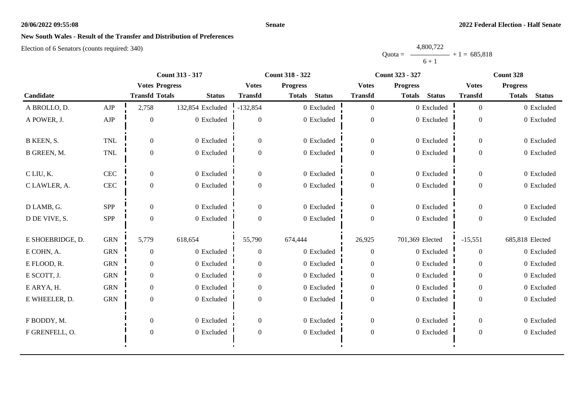### **Senate**

# **New South Wales - Result of the Transfer and Distribution of Preferences**

|           | 4,800,722 |                |
|-----------|-----------|----------------|
| $Quota =$ |           | $+1 = 685,818$ |
|           | $6 + 1$   |                |

|                    |              | <b>Count 313 - 317</b> |                  |                  | <b>Count 318 - 322</b>         |                  | <b>Count 323 - 327</b>         | Count 328      |                                |
|--------------------|--------------|------------------------|------------------|------------------|--------------------------------|------------------|--------------------------------|----------------|--------------------------------|
|                    |              | <b>Votes Progress</b>  |                  | <b>Votes</b>     | <b>Progress</b>                | <b>Votes</b>     | <b>Progress</b>                | <b>Votes</b>   | <b>Progress</b>                |
| Candidate          |              | <b>Transfd Totals</b>  | <b>Status</b>    | <b>Transfd</b>   | <b>Status</b><br><b>Totals</b> | <b>Transfd</b>   | <b>Status</b><br><b>Totals</b> | <b>Transfd</b> | <b>Status</b><br><b>Totals</b> |
| A BROLLO, D.       | AJP          | 2,758                  | 132,854 Excluded | $-132,854$       | 0 Excluded                     | $\overline{0}$   | 0 Excluded                     | $\overline{0}$ | 0 Excluded                     |
| A POWER, J.        | ${\rm AJP}$  | $\mathbf{0}$           | 0 Excluded       | $\theta$         | 0 Excluded                     | $\boldsymbol{0}$ | 0 Excluded                     | $\mathbf{0}$   | 0 Excluded                     |
| B KEEN, S.         | <b>TNL</b>   | $\Omega$               | 0 Excluded       | $\Omega$         | 0 Excluded                     | $\overline{0}$   | 0 Excluded                     | $\theta$       | 0 Excluded                     |
| <b>B GREEN, M.</b> | <b>TNL</b>   | $\mathbf{0}$           | 0 Excluded       | $\mathbf{0}$     | 0 Excluded                     | $\boldsymbol{0}$ | 0 Excluded                     | $\overline{0}$ | 0 Excluded                     |
| C LIU, K.          | $\mbox{CEC}$ | $\overline{0}$         | 0 Excluded       | $\theta$         | 0 Excluded                     | $\overline{0}$   | 0 Excluded                     | $\overline{0}$ | 0 Excluded                     |
| C LAWLER, A.       | $\mbox{CEC}$ | $\overline{0}$         | 0 Excluded       | $\Omega$         | 0 Excluded                     | $\overline{0}$   | 0 Excluded                     | $\overline{0}$ | 0 Excluded                     |
| D LAMB, G.         | SPP          | $\overline{0}$         | 0 Excluded       | $\theta$         | 0 Excluded                     | $\boldsymbol{0}$ | 0 Excluded                     | $\overline{0}$ | 0 Excluded                     |
| D DE VIVE, S.      | <b>SPP</b>   | $\Omega$               | 0 Excluded       | $\Omega$         | 0 Excluded                     | $\overline{0}$   | 0 Excluded                     | $\Omega$       | 0 Excluded                     |
| E SHOEBRIDGE, D.   | <b>GRN</b>   | 5,779                  | 618,654          | 55,790           | 674,444                        | 26,925           | 701,369 Elected                | $-15,551$      | 685,818 Elected                |
| E COHN, A.         | <b>GRN</b>   | $\mathbf{0}$           | 0 Excluded       | $\mathbf{0}$     | 0 Excluded                     | $\boldsymbol{0}$ | 0 Excluded                     | $\theta$       | 0 Excluded                     |
| E FLOOD, R.        | <b>GRN</b>   | $\overline{0}$         | 0 Excluded       | $\Omega$         | 0 Excluded                     | $\overline{0}$   | 0 Excluded                     | $\overline{0}$ | 0 Excluded                     |
| E SCOTT, J.        | <b>GRN</b>   | $\overline{0}$         | 0 Excluded       | $\Omega$         | 0 Excluded                     | $\boldsymbol{0}$ | 0 Excluded                     | $\overline{0}$ | 0 Excluded                     |
| E ARYA, H.         | ${\rm GRN}$  | $\overline{0}$         | 0 Excluded       | $\overline{0}$   | 0 Excluded                     | $\boldsymbol{0}$ | 0 Excluded                     | $\overline{0}$ | 0 Excluded                     |
| E WHEELER, D.      | <b>GRN</b>   | $\boldsymbol{0}$       | 0 Excluded       | $\mathbf{0}$     | 0 Excluded                     | $\boldsymbol{0}$ | 0 Excluded                     | $\Omega$       | 0 Excluded                     |
| F BODDY, M.        |              | $\overline{0}$         | 0 Excluded       | $\overline{0}$   | 0 Excluded                     | $\overline{0}$   | 0 Excluded                     | $\overline{0}$ | 0 Excluded                     |
| F GRENFELL, O.     |              | $\boldsymbol{0}$       | 0 Excluded       | $\boldsymbol{0}$ | 0 Excluded                     | $\boldsymbol{0}$ | 0 Excluded                     | $\overline{0}$ | 0 Excluded                     |
|                    |              |                        |                  |                  |                                |                  |                                |                |                                |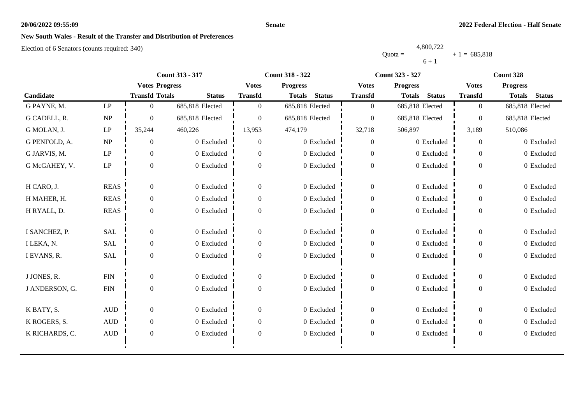### **Senate**

# **New South Wales - Result of the Transfer and Distribution of Preferences**

|           | 4,800,722 |                |
|-----------|-----------|----------------|
| Ouota $=$ |           | $+1 = 685.818$ |
|           | $6 + 1$   |                |

|                |                        | <b>Count 313 - 317</b> |                 |                | <b>Count 318 - 322</b>         |                  | <b>Count 323 - 327</b>         | Count 328        |                                |
|----------------|------------------------|------------------------|-----------------|----------------|--------------------------------|------------------|--------------------------------|------------------|--------------------------------|
|                |                        | <b>Votes Progress</b>  |                 | <b>Votes</b>   | <b>Progress</b>                | <b>Votes</b>     | <b>Progress</b>                | <b>Votes</b>     | <b>Progress</b>                |
| Candidate      |                        | <b>Transfd Totals</b>  | <b>Status</b>   | <b>Transfd</b> | <b>Status</b><br><b>Totals</b> | <b>Transfd</b>   | <b>Status</b><br><b>Totals</b> | <b>Transfd</b>   | <b>Status</b><br><b>Totals</b> |
| G PAYNE, M.    | $\mathbf{L}\mathbf{P}$ | $\Omega$               | 685,818 Elected | $\Omega$       | 685,818 Elected                | $\overline{0}$   | 685,818 Elected                | $\overline{0}$   | 685,818 Elected                |
| G CADELL, R.   | NP                     | $\Omega$               | 685,818 Elected | $\Omega$       | 685,818 Elected                | $\overline{0}$   | 685,818 Elected                | $\theta$         | 685,818 Elected                |
| G MOLAN, J.    | LP                     | 35,244                 | 460,226         | 13,953         | 474,179                        | 32,718           | 506,897                        | 3,189            | 510,086                        |
| G PENFOLD, A.  | NP                     | $\overline{0}$         | 0 Excluded      | $\overline{0}$ | 0 Excluded                     | $\boldsymbol{0}$ | 0 Excluded                     | $\theta$         | 0 Excluded                     |
| G JARVIS, M.   | $\mathbf{L}\mathbf{P}$ | $\Omega$               | 0 Excluded      | $\Omega$       | 0 Excluded                     | $\overline{0}$   | 0 Excluded                     | $\Omega$         | 0 Excluded                     |
| G McGAHEY, V.  | LP                     | $\overline{0}$         | 0 Excluded      | $\Omega$       | 0 Excluded                     | $\boldsymbol{0}$ | 0 Excluded                     | $\overline{0}$   | 0 Excluded                     |
| H CARO, J.     | <b>REAS</b>            | $\overline{0}$         | 0 Excluded      | $\Omega$       | 0 Excluded                     | $\boldsymbol{0}$ | 0 Excluded                     | $\overline{0}$   | 0 Excluded                     |
| H MAHER, H.    | <b>REAS</b>            | $\overline{0}$         | 0 Excluded      | $\overline{0}$ | 0 Excluded                     | $\boldsymbol{0}$ | 0 Excluded                     | $\overline{0}$   | 0 Excluded                     |
| H RYALL, D.    | <b>REAS</b>            | $\Omega$               | 0 Excluded      | $\Omega$       | 0 Excluded                     | $\boldsymbol{0}$ | 0 Excluded                     | $\overline{0}$   | 0 Excluded                     |
| I SANCHEZ, P.  | SAL                    | $\overline{0}$         | 0 Excluded      | $\Omega$       | 0 Excluded                     | $\boldsymbol{0}$ | 0 Excluded                     | $\overline{0}$   | 0 Excluded                     |
| I LEKA, N.     | <b>SAL</b>             | $\Omega$               | 0 Excluded      | $\Omega$       | 0 Excluded                     | $\overline{0}$   | 0 Excluded                     | $\Omega$         | 0 Excluded                     |
| I EVANS, R.    | SAL                    | $\mathbf{0}$           | 0 Excluded      | $\Omega$       | 0 Excluded                     | $\boldsymbol{0}$ | 0 Excluded                     | $\overline{0}$   | 0 Excluded                     |
| J JONES, R.    | ${\rm FIN}$            | $\overline{0}$         | 0 Excluded      | $\Omega$       | 0 Excluded                     | $\overline{0}$   | 0 Excluded                     | $\theta$         | 0 Excluded                     |
| J ANDERSON, G. | ${\rm FIN}$            | $\Omega$               | 0 Excluded      | $\Omega$       | 0 Excluded                     | $\boldsymbol{0}$ | 0 Excluded                     | $\overline{0}$   | 0 Excluded                     |
| K BATY, S.     | $\mbox{AUD}$           | $\overline{0}$         | 0 Excluded      | $\theta$       | 0 Excluded                     | $\boldsymbol{0}$ | 0 Excluded                     | $\boldsymbol{0}$ | 0 Excluded                     |
| K ROGERS, S.   | $\hbox{AUD}$           | $\Omega$               | 0 Excluded      | $\Omega$       | 0 Excluded                     | $\overline{0}$   | 0 Excluded                     | 0                | 0 Excluded                     |
| K RICHARDS, C. | <b>AUD</b>             | $\overline{0}$         | 0 Excluded      | $\Omega$       | 0 Excluded                     | $\boldsymbol{0}$ | 0 Excluded                     | $\overline{0}$   | 0 Excluded                     |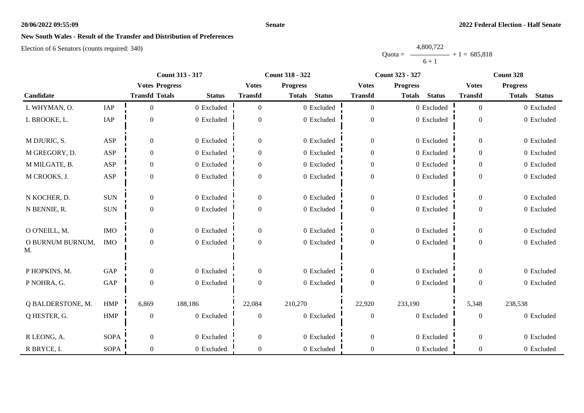### **Senate**

# **New South Wales - Result of the Transfer and Distribution of Preferences**

|           | 4,800,722 |                |
|-----------|-----------|----------------|
| Ouota $=$ |           | $+1 = 685,818$ |
|           | $6 + 1$   |                |

|                        |             |                       | <b>Count 313 - 317</b> |                  | <b>Count 318 - 322</b>         |                  | <b>Count 323 - 327</b>         | Count 328      |                                |
|------------------------|-------------|-----------------------|------------------------|------------------|--------------------------------|------------------|--------------------------------|----------------|--------------------------------|
|                        |             | <b>Votes Progress</b> |                        | <b>Votes</b>     | <b>Progress</b>                | <b>Votes</b>     | <b>Progress</b>                | <b>Votes</b>   | <b>Progress</b>                |
| Candidate              |             | <b>Transfd Totals</b> | <b>Status</b>          | <b>Transfd</b>   | <b>Status</b><br><b>Totals</b> | <b>Transfd</b>   | <b>Status</b><br><b>Totals</b> | <b>Transfd</b> | <b>Status</b><br><b>Totals</b> |
| L WHYMAN, O.           | IAP         | $\Omega$              | 0 Excluded             | $\Omega$         | 0 Excluded                     | $\boldsymbol{0}$ | 0 Excluded                     | $\overline{0}$ | 0 Excluded                     |
| L BROOKE, L.           | IAP         | $\theta$              | 0 Excluded             | $\theta$         | 0 Excluded                     | $\boldsymbol{0}$ | 0 Excluded                     | $\overline{0}$ | 0 Excluded                     |
| M DJURIC, S.           | <b>ASP</b>  | $\overline{0}$        | 0 Excluded             | $\mathbf{0}$     | 0 Excluded                     | $\boldsymbol{0}$ | 0 Excluded                     | $\overline{0}$ | 0 Excluded                     |
| M GREGORY, D.          | <b>ASP</b>  | $\Omega$              | 0 Excluded             | $\Omega$         | 0 Excluded                     | $\boldsymbol{0}$ | 0 Excluded                     | 0              | 0 Excluded                     |
| M MILGATE, B.          | <b>ASP</b>  | $\overline{0}$        | 0 Excluded             | $\theta$         | 0 Excluded                     | $\boldsymbol{0}$ | 0 Excluded                     | $\overline{0}$ | 0 Excluded                     |
| M CROOKS, J.           | <b>ASP</b>  | $\boldsymbol{0}$      | 0 Excluded             | $\Omega$         | 0 Excluded                     | $\boldsymbol{0}$ | 0 Excluded                     | $\Omega$       | 0 Excluded                     |
| N KOCHER, D.           | <b>SUN</b>  | $\overline{0}$        | 0 Excluded             | $\Omega$         | 0 Excluded                     | $\overline{0}$   | 0 Excluded                     | $\overline{0}$ | 0 Excluded                     |
| N BENNIE, R.           | <b>SUN</b>  | $\mathbf{0}$          | 0 Excluded             | $\theta$         | 0 Excluded                     | $\boldsymbol{0}$ | 0 Excluded                     | $\overline{0}$ | 0 Excluded                     |
| O O'NEILL, M.          | <b>IMO</b>  | $\overline{0}$        | 0 Excluded             | $\boldsymbol{0}$ | 0 Excluded                     | $\boldsymbol{0}$ | 0 Excluded                     | $\overline{0}$ | 0 Excluded                     |
| O BURNUM BURNUM,<br>M. | <b>IMO</b>  | $\theta$              | 0 Excluded             | $\Omega$         | 0 Excluded                     | $\boldsymbol{0}$ | 0 Excluded                     | $\overline{0}$ | 0 Excluded                     |
| P HOPKINS, M.          | GAP         | $\overline{0}$        | 0 Excluded             | $\Omega$         | 0 Excluded                     | $\theta$         | 0 Excluded                     | $\Omega$       | 0 Excluded                     |
| P NOHRA, G.            | GAP         | $\overline{0}$        | 0 Excluded             | $\mathbf{0}$     | 0 Excluded                     | $\boldsymbol{0}$ | 0 Excluded                     | $\overline{0}$ | 0 Excluded                     |
| Q BALDERSTONE, M.      | <b>HMP</b>  | 6,869                 | 188,186                | 22,084           | 210,270                        | 22,920           | 233,190                        | 5,348          | 238,538                        |
| Q HESTER, G.           | <b>HMP</b>  | $\overline{0}$        | 0 Excluded             | $\Omega$         | 0 Excluded                     | $\theta$         | 0 Excluded                     | $\Omega$       | 0 Excluded                     |
| R LEONG, A.            | <b>SOPA</b> | $\overline{0}$        | 0 Excluded             | $\Omega$         | 0 Excluded                     | $\overline{0}$   | 0 Excluded                     | $\overline{0}$ | 0 Excluded                     |
| R BRYCE, I.            | <b>SOPA</b> | $\overline{0}$        | 0 Excluded             | $\theta$         | 0 Excluded                     | $\boldsymbol{0}$ | 0 Excluded                     | 0              | 0 Excluded                     |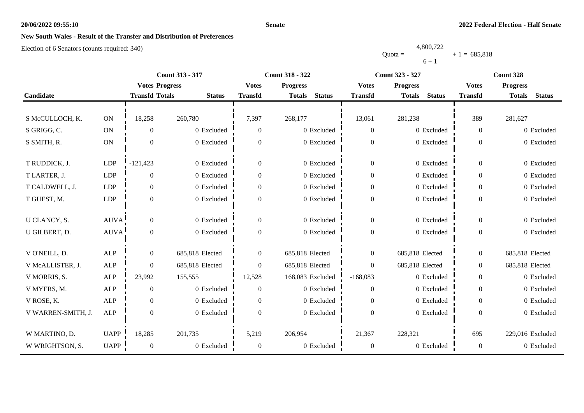### **Senate**

# **New South Wales - Result of the Transfer and Distribution of Preferences**

|           | 4,800,722      |  |
|-----------|----------------|--|
| $Quota =$ | $+1 = 685,818$ |  |
|           | $6 + 1$        |  |

|                    |               |                       | Count 313 - 317 | Count 318 - 322 |                                |                  | Count 323 - 327                | Count 328        |                                |
|--------------------|---------------|-----------------------|-----------------|-----------------|--------------------------------|------------------|--------------------------------|------------------|--------------------------------|
|                    |               | <b>Votes Progress</b> |                 | <b>Votes</b>    | <b>Progress</b>                | <b>Votes</b>     | <b>Progress</b>                | <b>Votes</b>     | <b>Progress</b>                |
| Candidate          |               | <b>Transfd Totals</b> | <b>Status</b>   | <b>Transfd</b>  | <b>Status</b><br><b>Totals</b> | <b>Transfd</b>   | <b>Status</b><br><b>Totals</b> | <b>Transfd</b>   | <b>Status</b><br><b>Totals</b> |
|                    |               |                       |                 |                 |                                |                  |                                |                  |                                |
| S McCULLOCH, K.    | ON            | 18,258                | 260,780         | 7,397           | 268,177                        | 13,061           | 281,238                        | 389              | 281,627                        |
| S GRIGG, C.        | ON            | $\overline{0}$        | 0 Excluded      | $\mathbf{0}$    | 0 Excluded                     | $\boldsymbol{0}$ | 0 Excluded                     | $\overline{0}$   | 0 Excluded                     |
| S SMITH, R.        | $\mathbf{ON}$ | $\overline{0}$        | 0 Excluded      | $\mathbf{0}$    | 0 Excluded                     | $\boldsymbol{0}$ | 0 Excluded                     | $\theta$         | 0 Excluded                     |
|                    |               |                       |                 |                 |                                |                  |                                |                  |                                |
| T RUDDICK, J.      | <b>LDP</b>    | $-121,423$            | 0 Excluded      | $\overline{0}$  | 0 Excluded                     | $\boldsymbol{0}$ | 0 Excluded                     | $\overline{0}$   | 0 Excluded                     |
| T LARTER, J.       | <b>LDP</b>    | $\overline{0}$        | 0 Excluded      | $\mathbf{0}$    | 0 Excluded                     | $\mathbf{0}$     | 0 Excluded                     | $\overline{0}$   | 0 Excluded                     |
| T CALDWELL, J.     | LDP           | $\overline{0}$        | 0 Excluded      | $\Omega$        | 0 Excluded                     | $\boldsymbol{0}$ | 0 Excluded                     | $\Omega$         | 0 Excluded                     |
| T GUEST, M.        | <b>LDP</b>    | $\boldsymbol{0}$      | 0 Excluded      | $\mathbf{0}$    | 0 Excluded                     | $\boldsymbol{0}$ | 0 Excluded                     | $\overline{0}$   | 0 Excluded                     |
|                    |               |                       |                 |                 |                                |                  |                                |                  |                                |
| U CLANCY, S.       | <b>AUVA</b>   | $\boldsymbol{0}$      | 0 Excluded      | $\overline{0}$  | 0 Excluded                     | $\boldsymbol{0}$ | 0 Excluded                     | $\boldsymbol{0}$ | 0 Excluded                     |
| U GILBERT, D.      | AUVA!         | $\overline{0}$        | 0 Excluded      | $\mathbf{0}$    | 0 Excluded                     | $\boldsymbol{0}$ | 0 Excluded                     | $\overline{0}$   | 0 Excluded                     |
|                    |               |                       |                 |                 |                                |                  |                                |                  |                                |
| V O'NEILL, D.      | ALP           | $\overline{0}$        | 685,818 Elected | $\overline{0}$  | 685,818 Elected                | $\overline{0}$   | 685,818 Elected                | $\overline{0}$   | 685,818 Elected                |
| V McALLISTER, J.   | ALP           | $\overline{0}$        | 685,818 Elected | $\mathbf{0}$    | 685,818 Elected                | $\Omega$         | 685,818 Elected                | $\boldsymbol{0}$ | 685,818 Elected                |
| V MORRIS, S.       | ALP           | 23,992                | 155,555         | 12,528          | 168,083 Excluded               | $-168,083$       | 0 Excluded                     | $\overline{0}$   | 0 Excluded                     |
| V MYERS, M.        | ALP           | $\overline{0}$        | 0 Excluded      | $\theta$        | 0 Excluded                     | $\overline{0}$   | 0 Excluded                     | $\overline{0}$   | 0 Excluded                     |
| V ROSE, K.         | <b>ALP</b>    | $\overline{0}$        | 0 Excluded      | $\Omega$        | $0\,$ Excluded                 | $\overline{0}$   | 0 Excluded                     | $\Omega$         | 0 Excluded                     |
| V WARREN-SMITH, J. | ALP           | $\boldsymbol{0}$      | 0 Excluded      | $\Omega$        | 0 Excluded                     | $\boldsymbol{0}$ | 0 Excluded                     | $\Omega$         | 0 Excluded                     |
|                    |               |                       |                 |                 |                                |                  |                                |                  |                                |
| W MARTINO, D.      | <b>UAPP</b>   | 18,285                | 201,735         | 5,219           | 206,954                        | 21,367           | 228,321                        | 695              | 229,016 Excluded               |
| W WRIGHTSON, S.    | <b>UAPP</b>   | $\boldsymbol{0}$      | 0 Excluded      | $\mathbf{0}$    | 0 Excluded                     | $\overline{0}$   | 0 Excluded                     | $\overline{0}$   | 0 Excluded                     |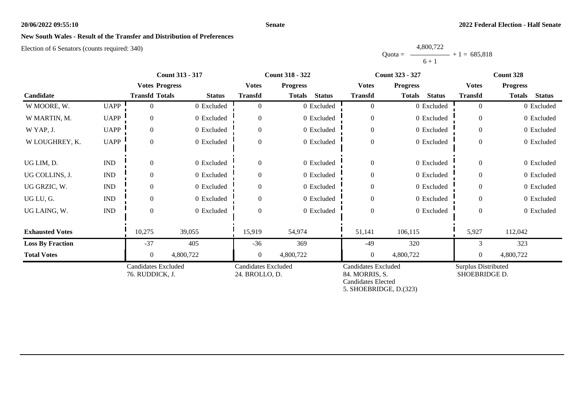### **Senate**

# **New South Wales - Result of the Transfer and Distribution of Preferences**

|           | 4,800,722 |                |
|-----------|-----------|----------------|
| $Quota =$ |           | $+1 = 685.818$ |
|           | $6 + 1$   |                |

|                         |                             | <b>Count 313 - 317</b>                        |               |                                              | <b>Count 318 - 322</b>         |                                                                                              | <b>Count 323 - 327</b>         | Count 328                                   |                                |
|-------------------------|-----------------------------|-----------------------------------------------|---------------|----------------------------------------------|--------------------------------|----------------------------------------------------------------------------------------------|--------------------------------|---------------------------------------------|--------------------------------|
|                         |                             | <b>Votes Progress</b>                         |               | <b>Votes</b>                                 | <b>Progress</b>                | <b>Votes</b>                                                                                 | <b>Progress</b>                | <b>Votes</b>                                | <b>Progress</b>                |
| Candidate               |                             | <b>Transfd Totals</b>                         | <b>Status</b> | <b>Transfd</b>                               | <b>Status</b><br><b>Totals</b> | <b>Transfd</b>                                                                               | <b>Status</b><br><b>Totals</b> | <b>Transfd</b>                              | <b>Totals</b><br><b>Status</b> |
| W MOORE, W.             | <b>UAPP</b>                 |                                               | 0 Excluded    | $\Omega$                                     | 0 Excluded                     | $\overline{0}$                                                                               | 0 Excluded                     | $\Omega$                                    | 0 Excluded                     |
| W MARTIN, M.            | <b>UAPP</b>                 | $\Omega$                                      | 0 Excluded    | $\Omega$                                     | 0 Excluded                     | $\boldsymbol{0}$                                                                             | 0 Excluded                     | $\Omega$                                    | 0 Excluded                     |
| W YAP, J.               | <b>UAPP</b>                 | $\overline{0}$                                | 0 Excluded    | $\theta$                                     | 0 Excluded                     | $\boldsymbol{0}$                                                                             | 0 Excluded                     | $\Omega$                                    | 0 Excluded                     |
| W LOUGHREY, K.          | <b>UAPP</b>                 | $\boldsymbol{0}$                              | 0 Excluded    | $\theta$                                     | 0 Excluded                     | $\boldsymbol{0}$                                                                             | 0 Excluded                     | $\overline{0}$                              | 0 Excluded                     |
| UG LIM, D.              | $\mathop{\rm IND}\nolimits$ | $\mathbf{0}$                                  | 0 Excluded    | $\boldsymbol{0}$                             | 0 Excluded                     | $\boldsymbol{0}$                                                                             | 0 Excluded                     | $\boldsymbol{0}$                            | 0 Excluded                     |
| UG COLLINS, J.          | $\mathop{\rm IND}\nolimits$ | $\mathbf{0}$                                  | 0 Excluded    | $\theta$                                     | 0 Excluded                     | $\boldsymbol{0}$                                                                             | 0 Excluded                     | $\theta$                                    | 0 Excluded                     |
| UG GRZIC, W.            | $\mathop{\rm IND}\nolimits$ | $\mathbf{0}$                                  | 0 Excluded    | $\theta$                                     | 0 Excluded                     | $\boldsymbol{0}$                                                                             | 0 Excluded                     | $\theta$                                    | 0 Excluded                     |
| UG LU, G.               | $\mathop{\rm IND}\nolimits$ | $\Omega$                                      | 0 Excluded    | $\Omega$                                     | 0 Excluded                     | $\boldsymbol{0}$                                                                             | 0 Excluded                     | $\theta$                                    | 0 Excluded                     |
| UG LAING, W.            | $\mathop{\rm IND}\nolimits$ | $\theta$                                      | 0 Excluded    | $\Omega$                                     | 0 Excluded                     | $\boldsymbol{0}$                                                                             | 0 Excluded                     | $\theta$                                    | 0 Excluded                     |
| <b>Exhausted Votes</b>  |                             | 10,275                                        | 39,055        | 15,919                                       | 54,974                         | 51,141                                                                                       | 106,115                        | 5,927                                       | 112,042                        |
| <b>Loss By Fraction</b> |                             | $-37$                                         | 405           | $-36$                                        | 369                            | $-49$                                                                                        | 320                            | 3                                           | 323                            |
| <b>Total Votes</b>      |                             | $\overline{0}$                                | 4,800,722     | $\overline{0}$                               | 4,800,722                      | $\boldsymbol{0}$                                                                             | 4,800,722                      | $\theta$                                    | 4,800,722                      |
|                         |                             | <b>Candidates Excluded</b><br>76. RUDDICK, J. |               | <b>Candidates Excluded</b><br>24. BROLLO, D. |                                | <b>Candidates Excluded</b><br>84. MORRIS, S.<br>Candidates Elected<br>5. SHOEBRIDGE, D.(323) |                                | <b>Surplus Distributed</b><br>SHOEBRIDGE D. |                                |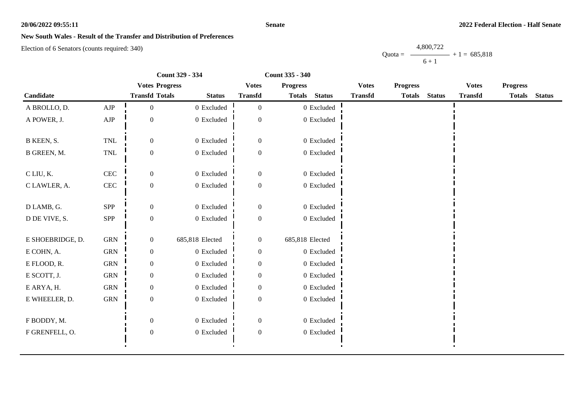#### **Senate**

### **New South Wales - Result of the Transfer and Distribution of Preferences**

Election of 6 Senators (counts required: 340)

Quota =  $-$ 4,800,722  $6 + 1$  $+ 1 = 685,818$ 

|                  |              | Count 329 - 334       | Count 335 - 340 |                  |                 |                |                |                 |                |                 |  |
|------------------|--------------|-----------------------|-----------------|------------------|-----------------|----------------|----------------|-----------------|----------------|-----------------|--|
|                  |              | <b>Votes Progress</b> |                 | <b>Votes</b>     | <b>Progress</b> |                | <b>Votes</b>   | <b>Progress</b> | <b>Votes</b>   | <b>Progress</b> |  |
| Candidate        |              | <b>Transfd Totals</b> | <b>Status</b>   | <b>Transfd</b>   | <b>Totals</b>   | <b>Status</b>  | <b>Transfd</b> | Totals Status   | <b>Transfd</b> | Totals Status   |  |
| A BROLLO, D.     | ${\rm AJP}$  | $\mathbf{0}$          | $0$ Excluded    | $\boldsymbol{0}$ |                 | $0$ Excluded   |                |                 |                |                 |  |
| A POWER, J.      | ${\rm AJP}$  | $\mathbf{0}$          | 0 Excluded      | $\mathbf{0}$     |                 | 0 Excluded     |                |                 |                |                 |  |
| B KEEN, S.       | <b>TNL</b>   | $\overline{0}$        | 0 Excluded      | $\boldsymbol{0}$ |                 | 0 Excluded     |                |                 |                |                 |  |
| B GREEN, M.      | <b>TNL</b>   | $\boldsymbol{0}$      | 0 Excluded      | $\boldsymbol{0}$ |                 | 0 Excluded     |                |                 |                |                 |  |
| C LIU, K.        | $\mbox{CEC}$ | $\boldsymbol{0}$      | 0 Excluded      | $\boldsymbol{0}$ |                 | 0 Excluded     |                |                 |                |                 |  |
| C LAWLER, A.     | <b>CEC</b>   | $\boldsymbol{0}$      | $0$ Excluded    | $\boldsymbol{0}$ |                 | $0$ Excluded   |                |                 |                |                 |  |
| D LAMB, G.       | SPP          | $\boldsymbol{0}$      | $0\,$ Excluded  | $\boldsymbol{0}$ |                 | $0$ Excluded   |                |                 |                |                 |  |
| D DE VIVE, S.    | SPP          | $\boldsymbol{0}$      | $0$ Excluded    | $\boldsymbol{0}$ |                 | $0$ Excluded   |                |                 |                |                 |  |
| E SHOEBRIDGE, D. | <b>GRN</b>   | $\boldsymbol{0}$      | 685,818 Elected | $\boldsymbol{0}$ | 685,818 Elected |                |                |                 |                |                 |  |
| E COHN, A.       | <b>GRN</b>   | $\boldsymbol{0}$      | $0$ Excluded    | $\boldsymbol{0}$ |                 | $0$ Excluded   |                |                 |                |                 |  |
| E FLOOD, R.      | <b>GRN</b>   | $\boldsymbol{0}$      | 0 Excluded      | $\mathbf{0}$     |                 | 0 Excluded     |                |                 |                |                 |  |
| E SCOTT, J.      | ${\rm GRN}$  | $\boldsymbol{0}$      | $0$ Excluded    | $\boldsymbol{0}$ |                 | $0$ Excluded   |                |                 |                |                 |  |
| E ARYA, H.       | <b>GRN</b>   | $\boldsymbol{0}$      | $0$ Excluded    | $\overline{0}$   |                 | $0$ Excluded   |                |                 |                |                 |  |
| E WHEELER, D.    | ${\rm GRN}$  | $\boldsymbol{0}$      | $0$ Excluded    | $\boldsymbol{0}$ |                 | $0\,$ Excluded |                |                 |                |                 |  |
| F BODDY, M.      |              | $\theta$              | 0 Excluded      | $\boldsymbol{0}$ |                 | 0 Excluded     |                |                 |                |                 |  |
| F GRENFELL, O.   |              | $\boldsymbol{0}$      | $0\,$ Excluded  | $\boldsymbol{0}$ |                 | $0\,$ Excluded |                |                 |                |                 |  |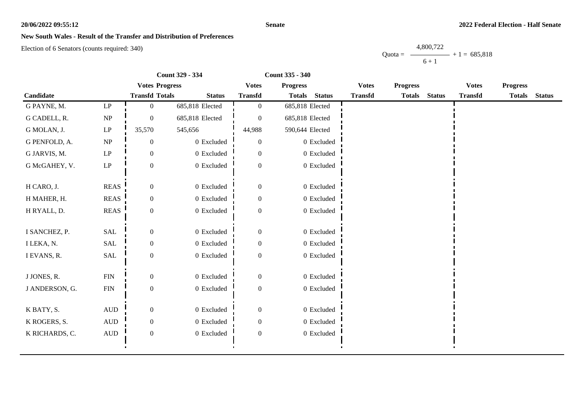#### **Senate**

### **New South Wales - Result of the Transfer and Distribution of Preferences**

Election of 6 Senators (counts required: 340)

Quota = 4,800,722  $6 + 1$  $+ 1 = 685,818$ 

|                |                                 | Count 329 - 334       |                 | Count 335 - 340  |                 |                |                |                 |               |                |                 |               |
|----------------|---------------------------------|-----------------------|-----------------|------------------|-----------------|----------------|----------------|-----------------|---------------|----------------|-----------------|---------------|
|                |                                 | <b>Votes Progress</b> |                 | <b>Votes</b>     | <b>Progress</b> |                | <b>Votes</b>   | <b>Progress</b> |               | <b>Votes</b>   | <b>Progress</b> |               |
| Candidate      |                                 | <b>Transfd Totals</b> | <b>Status</b>   | <b>Transfd</b>   | <b>Totals</b>   | <b>Status</b>  | <b>Transfd</b> | <b>Totals</b>   | <b>Status</b> | <b>Transfd</b> | <b>Totals</b>   | <b>Status</b> |
| G PAYNE, M.    | LP                              | $\overline{0}$        | 685,818 Elected | $\overline{0}$   | 685,818 Elected |                |                |                 |               |                |                 |               |
| G CADELL, R.   | $\ensuremath{\text{NP}}\xspace$ | $\overline{0}$        | 685,818 Elected | $\theta$         | 685,818 Elected |                |                |                 |               |                |                 |               |
| G MOLAN, J.    | $\mathbf{L}\mathbf{P}$          | 35,570                | 545,656         | 44,988           | 590,644 Elected |                |                |                 |               |                |                 |               |
| G PENFOLD, A.  | NP                              | $\mathbf{0}$          | 0 Excluded      | $\theta$         |                 | 0 Excluded     |                |                 |               |                |                 |               |
| G JARVIS, M.   | $\mathbf{L}\mathbf{P}$          | $\overline{0}$        | 0 Excluded      | $\Omega$         |                 | $0\,$ Excluded |                |                 |               |                |                 |               |
| G McGAHEY, V.  | $\mathbf{L}\mathbf{P}$          | $\boldsymbol{0}$      | 0 Excluded      | $\overline{0}$   |                 | 0 Excluded     |                |                 |               |                |                 |               |
| H CARO, J.     | <b>REAS</b>                     | $\boldsymbol{0}$      | 0 Excluded      | $\overline{0}$   |                 | 0 Excluded     |                |                 |               |                |                 |               |
| H MAHER, H.    | <b>REAS</b>                     | $\overline{0}$        | 0 Excluded      | $\overline{0}$   |                 | 0 Excluded     |                |                 |               |                |                 |               |
| H RYALL, D.    | <b>REAS</b>                     | $\boldsymbol{0}$      | 0 Excluded      | $\boldsymbol{0}$ |                 | 0 Excluded     |                |                 |               |                |                 |               |
| I SANCHEZ, P.  | SAL                             | $\overline{0}$        | 0 Excluded      | $\overline{0}$   |                 | 0 Excluded     |                |                 |               |                |                 |               |
| I LEKA, N.     | SAL                             | 0                     | 0 Excluded      | $\theta$         |                 | 0 Excluded     |                |                 |               |                |                 |               |
| I EVANS, R.    | SAL                             | $\boldsymbol{0}$      | 0 Excluded      | $\boldsymbol{0}$ |                 | 0 Excluded     |                |                 |               |                |                 |               |
| J JONES, R.    | ${\rm FIN}$                     | $\overline{0}$        | 0 Excluded      | $\Omega$         |                 | 0 Excluded     |                |                 |               |                |                 |               |
| J ANDERSON, G. | <b>FIN</b>                      | $\boldsymbol{0}$      | 0 Excluded      | $\boldsymbol{0}$ |                 | 0 Excluded     |                |                 |               |                |                 |               |
| K BATY, S.     | $\mbox{AUD}$                    | $\boldsymbol{0}$      | 0 Excluded      | $\boldsymbol{0}$ |                 | 0 Excluded     |                |                 |               |                |                 |               |
| K ROGERS, S.   | $\hbox{AUD}$                    | $\overline{0}$        | 0 Excluded      | $\Omega$         |                 | $0$ Excluded   |                |                 |               |                |                 |               |
| K RICHARDS, C. | $\mbox{AUD}$                    | $\boldsymbol{0}$      | 0 Excluded      | $\boldsymbol{0}$ |                 | 0 Excluded     |                |                 |               |                |                 |               |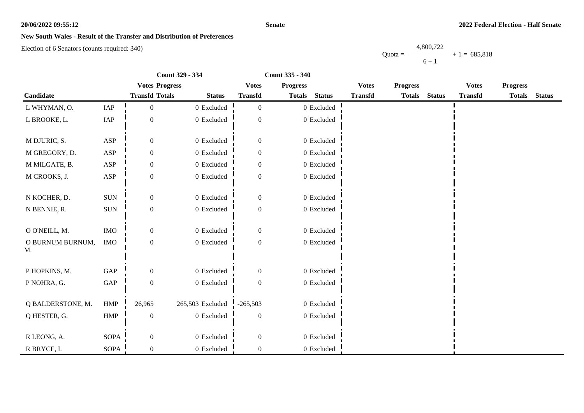#### **Senate**

### **New South Wales - Result of the Transfer and Distribution of Preferences**

Election of 6 Senators (counts required: 340)

Quota =  $-$ 4,800,722  $6 + 1$  $+ 1 = 685,818$ 

|                        |                      | Count 329 - 334       |                  |                  | Count 335 - 340 |                |                |                 |               |                |                 |               |
|------------------------|----------------------|-----------------------|------------------|------------------|-----------------|----------------|----------------|-----------------|---------------|----------------|-----------------|---------------|
|                        |                      | <b>Votes Progress</b> |                  | <b>Votes</b>     | <b>Progress</b> |                | <b>Votes</b>   | <b>Progress</b> |               | <b>Votes</b>   | <b>Progress</b> |               |
| <b>Candidate</b>       |                      | <b>Transfd Totals</b> | <b>Status</b>    | <b>Transfd</b>   | <b>Totals</b>   | <b>Status</b>  | <b>Transfd</b> | <b>Totals</b>   | <b>Status</b> | <b>Transfd</b> | <b>Totals</b>   | <b>Status</b> |
| L WHYMAN, O.           | IAP                  | $\overline{0}$        | 0 Excluded       | $\overline{0}$   |                 | $0$ Excluded   |                |                 |               |                |                 |               |
| L BROOKE, L.           | IAP                  | $\boldsymbol{0}$      | 0 Excluded       | $\boldsymbol{0}$ |                 | $0\,$ Excluded |                |                 |               |                |                 |               |
| M DJURIC, S.           | <b>ASP</b>           | $\overline{0}$        | 0 Excluded       | $\boldsymbol{0}$ |                 | $0$ Excluded   |                |                 |               |                |                 |               |
| M GREGORY, D.          | ASP                  | $\boldsymbol{0}$      | $0$ Excluded     | $\boldsymbol{0}$ |                 | $0$ Excluded   |                |                 |               |                |                 |               |
| M MILGATE, B.          | $\mathbf{ASP}$       | $\boldsymbol{0}$      | 0 Excluded       | $\boldsymbol{0}$ |                 | 0 Excluded     |                |                 |               |                |                 |               |
| M CROOKS, J.           | ASP                  | $\boldsymbol{0}$      | 0 Excluded       | $\theta$         |                 | 0 Excluded     |                |                 |               |                |                 |               |
| N KOCHER, D.           | $\rm{SUM}$           | $\mathbf{0}$          | 0 Excluded       | $\boldsymbol{0}$ |                 | $0$ Excluded   |                |                 |               |                |                 |               |
| N BENNIE, R.           | $\rm{SUM}$           | $\boldsymbol{0}$      | $0$ Excluded     | $\boldsymbol{0}$ |                 | $0$ Excluded   |                |                 |               |                |                 |               |
| O O'NEILL, M.          | $\rm{IMO}$           | $\boldsymbol{0}$      | 0 Excluded       | $\mathbf{0}$     |                 | $0$ Excluded   |                |                 |               |                |                 |               |
| O BURNUM BURNUM,<br>Μ. | <b>IMO</b>           | $\boldsymbol{0}$      | 0 Excluded       | $\boldsymbol{0}$ |                 | $0$ Excluded   |                |                 |               |                |                 |               |
| P HOPKINS, M.          | GAP                  | $\mathbf{0}$          | 0 Excluded       | $\mathbf{0}$     |                 | 0 Excluded     |                |                 |               |                |                 |               |
| P NOHRA, G.            | $\operatorname{GAP}$ | $\boldsymbol{0}$      | $0$ Excluded     | $\overline{0}$   |                 | 0 Excluded     |                |                 |               |                |                 |               |
| Q BALDERSTONE, M.      | HMP                  | 26,965                | 265,503 Excluded | $-265,503$       |                 | 0 Excluded     |                |                 |               |                |                 |               |
| Q HESTER, G.           | <b>HMP</b>           | $\overline{0}$        | 0 Excluded       | $\mathbf{0}$     |                 | 0 Excluded     |                |                 |               |                |                 |               |
| R LEONG, A.            | SOPA                 | $\boldsymbol{0}$      | 0 Excluded       | $\boldsymbol{0}$ |                 | $0$ Excluded   |                |                 |               |                |                 |               |
| R BRYCE, I.            | SOPA                 | $\overline{0}$        | $0$ Excluded     | $\overline{0}$   |                 | $0$ Excluded   |                |                 |               |                |                 |               |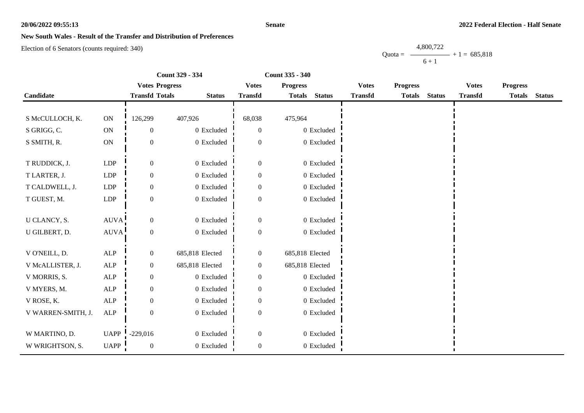#### **Senate**

### **New South Wales - Result of the Transfer and Distribution of Preferences**

Election of 6 Senators (counts required: 340)

Quota = 4,800,722  $6 + 1$  $+ 1 = 685,818$ 

|                    |               |                       | Count 329 - 334 | Count 335 - 340  |                 |               |                |                 |               |                |                 |               |
|--------------------|---------------|-----------------------|-----------------|------------------|-----------------|---------------|----------------|-----------------|---------------|----------------|-----------------|---------------|
|                    |               | <b>Votes Progress</b> |                 | <b>Votes</b>     | <b>Progress</b> |               | <b>Votes</b>   | <b>Progress</b> |               | <b>Votes</b>   | <b>Progress</b> |               |
| Candidate          |               | <b>Transfd Totals</b> | <b>Status</b>   | <b>Transfd</b>   | <b>Totals</b>   | <b>Status</b> | <b>Transfd</b> | <b>Totals</b>   | <b>Status</b> | <b>Transfd</b> | <b>Totals</b>   | <b>Status</b> |
|                    |               |                       |                 |                  |                 |               |                |                 |               |                |                 |               |
| S McCULLOCH, K.    | $\mathbf{ON}$ | 126,299               | 407,926         | 68,038           | 475,964         |               |                |                 |               |                |                 |               |
| S GRIGG, C.        | ON            | $\overline{0}$        | 0 Excluded      | $\theta$         |                 | 0 Excluded    |                |                 |               |                |                 |               |
| S SMITH, R.        | ON            | $\mathbf{0}$          | 0 Excluded      | $\overline{0}$   |                 | 0 Excluded    |                |                 |               |                |                 |               |
|                    |               |                       |                 |                  |                 |               |                |                 |               |                |                 |               |
| T RUDDICK, J.      | LDP           | $\overline{0}$        | 0 Excluded      | $\overline{0}$   |                 | 0 Excluded    |                |                 |               |                |                 |               |
| T LARTER, J.       | LDP           | $\overline{0}$        | 0 Excluded      | $\boldsymbol{0}$ |                 | 0 Excluded    |                |                 |               |                |                 |               |
| T CALDWELL, J.     | LDP           | 0                     | 0 Excluded      | $\boldsymbol{0}$ |                 | 0 Excluded    |                |                 |               |                |                 |               |
| T GUEST, M.        | LDP           | $\mathbf{0}$          | 0 Excluded      | $\mathbf{0}$     |                 | $0$ Excluded  |                |                 |               |                |                 |               |
|                    |               |                       |                 |                  |                 |               |                |                 |               |                |                 |               |
| U CLANCY, S.       | <b>AUVA</b>   | $\overline{0}$        | 0 Excluded      | $\boldsymbol{0}$ |                 | 0 Excluded    |                |                 |               |                |                 |               |
| U GILBERT, D.      | AUVA!         | $\boldsymbol{0}$      | 0 Excluded      | $\boldsymbol{0}$ |                 | 0 Excluded    |                |                 |               |                |                 |               |
|                    |               |                       |                 |                  |                 |               |                |                 |               |                |                 |               |
| V O'NEILL, D.      | ALP           | $\overline{0}$        | 685,818 Elected | $\overline{0}$   | 685,818 Elected |               |                |                 |               |                |                 |               |
| V McALLISTER, J.   | ALP           | $\mathbf{0}$          | 685,818 Elected | $\boldsymbol{0}$ | 685,818 Elected |               |                |                 |               |                |                 |               |
| V MORRIS, S.       | $\mbox{ALP}$  | 0                     | 0 Excluded      | $\boldsymbol{0}$ |                 | 0 Excluded    |                |                 |               |                |                 |               |
| V MYERS, M.        | ALP           | $\mathbf{0}$          | 0 Excluded      | $\mathbf{0}$     |                 | 0 Excluded    |                |                 |               |                |                 |               |
| V ROSE, K.         | ALP           | $\overline{0}$        | 0 Excluded      | $\Omega$         |                 | 0 Excluded    |                |                 |               |                |                 |               |
| V WARREN-SMITH, J. | ALP           | $\overline{0}$        | 0 Excluded      | $\theta$         |                 | 0 Excluded    |                |                 |               |                |                 |               |
|                    |               |                       |                 |                  |                 |               |                |                 |               |                |                 |               |
| W MARTINO, D.      | <b>UAPP</b>   | $-229,016$            | 0 Excluded      | $\boldsymbol{0}$ |                 | 0 Excluded    |                |                 |               |                |                 |               |
| W WRIGHTSON, S.    | UAPP          | $\boldsymbol{0}$      | 0 Excluded      | $\boldsymbol{0}$ |                 | $0$ Excluded  |                |                 |               |                |                 |               |